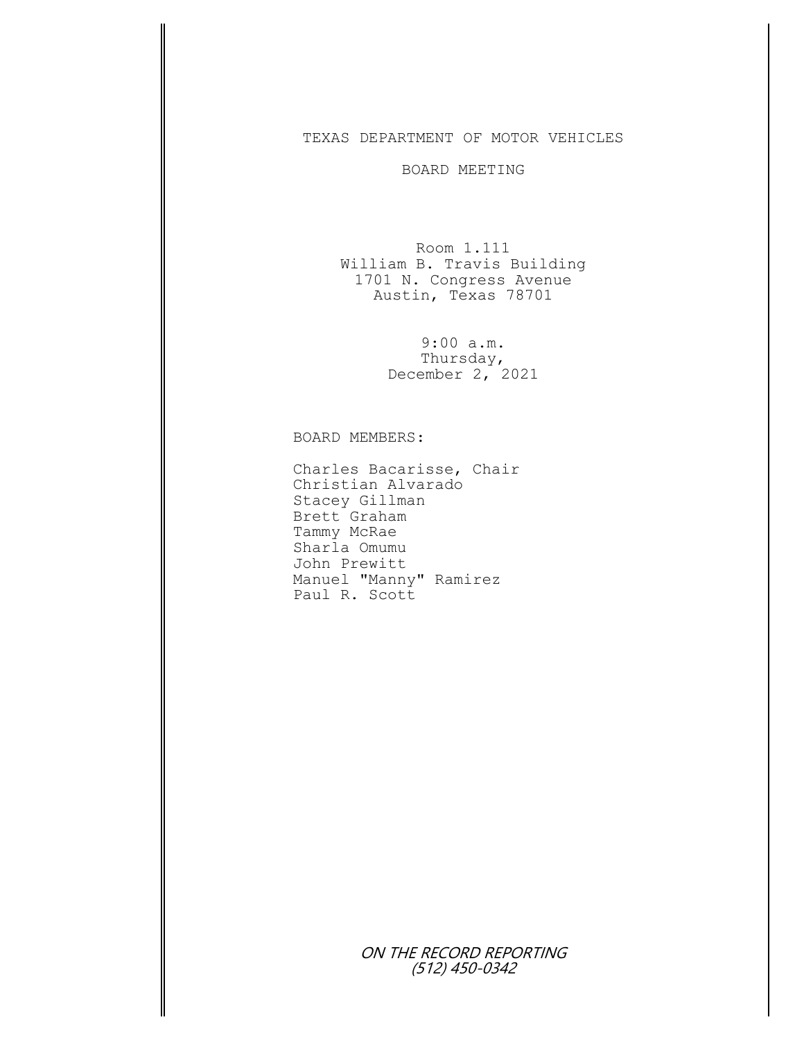## TEXAS DEPARTMENT OF MOTOR VEHICLES

## BOARD MEETING

Room 1.111 William B. Travis Building 1701 N. Congress Avenue Austin, Texas 78701

> 9:00 a.m. Thursday, December  $2, 2021$

BOARD MEMBERS:

Charles Bacarisse, Chair Christian Alvarado Stacey Gillman Brett Graham Tammy McRae Sharla Omumu John Prewitt Manuel "Manny" Ramirez Paul R. Scott

> ON THE RECORD REPORTING (512) 450-0342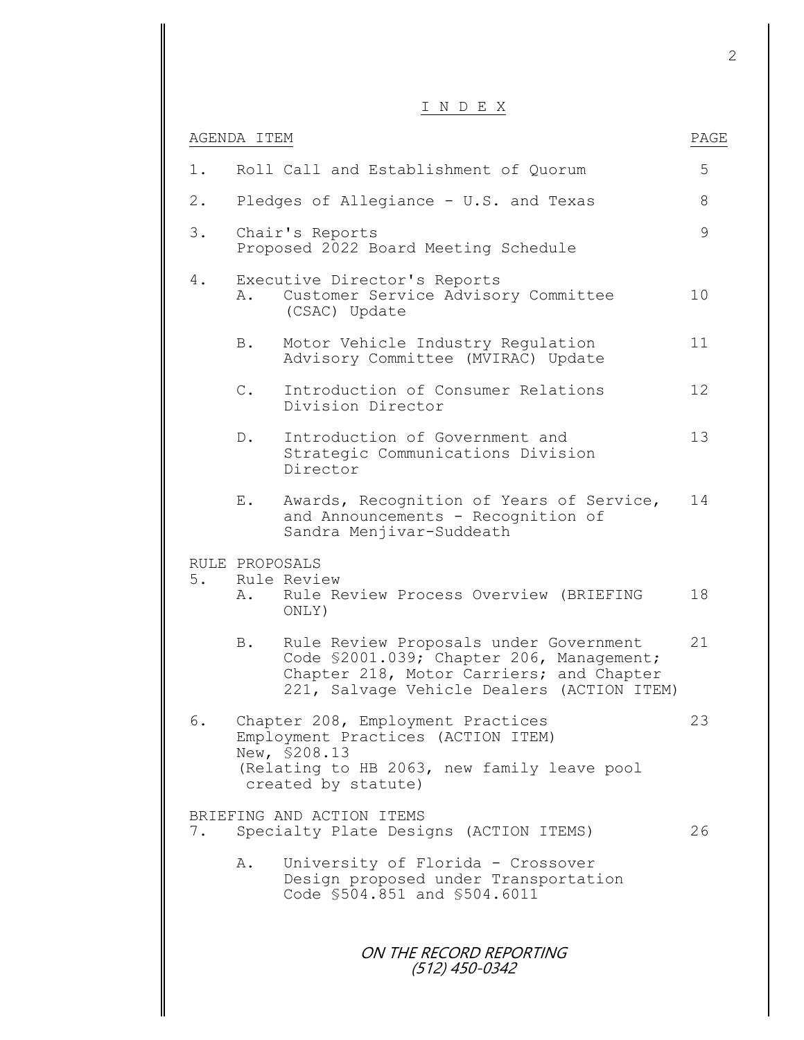## I N D E X

|               |                | N D E X                                                                                                                                                                       |      |
|---------------|----------------|-------------------------------------------------------------------------------------------------------------------------------------------------------------------------------|------|
|               | AGENDA ITEM    |                                                                                                                                                                               | PAGE |
| $1$ .         |                | Roll Call and Establishment of Quorum                                                                                                                                         | 5    |
| $2$ .         |                | Pledges of Allegiance - U.S. and Texas                                                                                                                                        | 8    |
| 3.            |                | Chair's Reports<br>Proposed 2022 Board Meeting Schedule                                                                                                                       | 9    |
| 4.            | Α.             | Executive Director's Reports<br>Customer Service Advisory Committee<br>(CSAC) Update                                                                                          | 10   |
|               | B.             | Motor Vehicle Industry Regulation<br>Advisory Committee (MVIRAC) Update                                                                                                       | 11   |
|               | $\mathbb{C}$ . | Introduction of Consumer Relations<br>Division Director                                                                                                                       | 12   |
|               | $D$ .          | Introduction of Government and<br>Strategic Communications Division<br>Director                                                                                               | 13   |
|               | Е.             | Awards, Recognition of Years of Service,<br>and Announcements - Recognition of<br>Sandra Menjivar-Suddeath                                                                    | 14   |
| 5.            | Α.             | RULE PROPOSALS<br>Rule Review<br>Rule Review Process Overview (BRIEFING<br>ONLY)                                                                                              | 18   |
|               | B.             | Rule Review Proposals under Government<br>Code \$2001.039; Chapter 206, Management;<br>Chapter 218, Motor Carriers; and Chapter<br>221, Salvage Vehicle Dealers (ACTION ITEM) | 21   |
| 6.            |                | Chapter 208, Employment Practices<br>Employment Practices (ACTION ITEM)<br>New, \$208.13<br>(Relating to HB 2063, new family leave pool<br>created by statute)                | 23   |
| $\frac{1}{2}$ |                | BRIEFING AND ACTION ITEMS<br>Specialty Plate Designs (ACTION ITEMS)                                                                                                           | 26   |
|               | Α.             | University of Florida - Crossover<br>Design proposed under Transportation<br>Code \$504.851 and \$504.6011                                                                    |      |
|               |                | ON THE RECORD REPORTING<br>$(512)$ 450-0342                                                                                                                                   |      |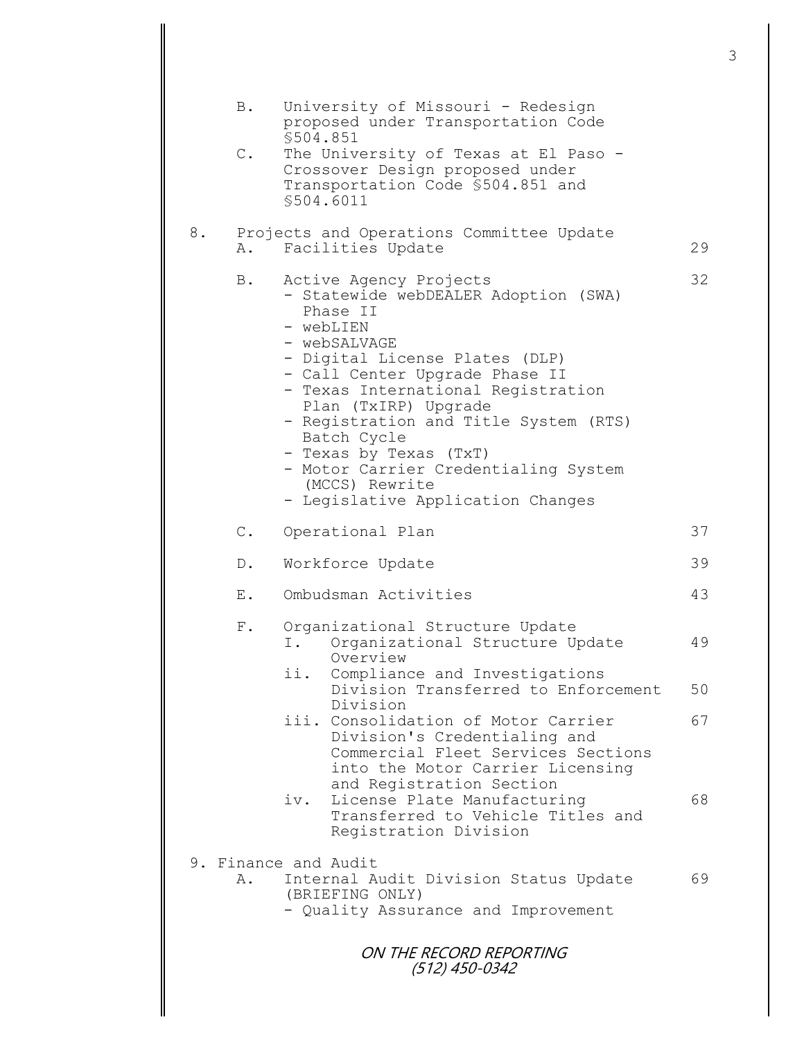|    | B.            | University of Missouri - Redesign<br>proposed under Transportation Code<br>\$504.851                                                                                                                                                                                                                                                                                                                                     |    |
|----|---------------|--------------------------------------------------------------------------------------------------------------------------------------------------------------------------------------------------------------------------------------------------------------------------------------------------------------------------------------------------------------------------------------------------------------------------|----|
|    | $\mathbb C$ . | The University of Texas at El Paso -<br>Crossover Design proposed under<br>Transportation Code \$504.851 and<br>\$504.6011                                                                                                                                                                                                                                                                                               |    |
| 8. | Α.            | Projects and Operations Committee Update<br>Facilities Update                                                                                                                                                                                                                                                                                                                                                            | 29 |
|    | Β.            | Active Agency Projects<br>Statewide webDEALER Adoption (SWA)<br>Phase II<br>- webLIEN<br>- webSALVAGE<br>- Digital License Plates (DLP)<br>- Call Center Upgrade Phase II<br>- Texas International Registration<br>Plan (TxIRP) Upgrade<br>- Registration and Title System (RTS)<br>Batch Cycle<br>- Texas by Texas (TxT)<br>- Motor Carrier Credentialing System<br>(MCCS) Rewrite<br>- Legislative Application Changes | 32 |
|    | $\mathbb C$ . | Operational Plan                                                                                                                                                                                                                                                                                                                                                                                                         | 37 |
|    | $D$ .         | Workforce Update                                                                                                                                                                                                                                                                                                                                                                                                         | 39 |
|    | Ε.            | Ombudsman Activities                                                                                                                                                                                                                                                                                                                                                                                                     | 43 |
|    | $F$ .         | Organizational Structure Update<br>Organizational Structure Update<br>Ι.<br>Overview<br>ii.<br>Compliance and Investigations                                                                                                                                                                                                                                                                                             | 49 |
|    |               | Division Transferred to Enforcement<br>Division                                                                                                                                                                                                                                                                                                                                                                          | 50 |
|    |               | iii. Consolidation of Motor Carrier<br>Division's Credentialing and<br>Commercial Fleet Services Sections<br>into the Motor Carrier Licensing                                                                                                                                                                                                                                                                            | 67 |
|    |               | and Registration Section<br>License Plate Manufacturing<br>iv.<br>Transferred to Vehicle Titles and<br>Registration Division                                                                                                                                                                                                                                                                                             | 68 |
|    |               | 9. Finance and Audit                                                                                                                                                                                                                                                                                                                                                                                                     |    |
|    | Α.            | Internal Audit Division Status Update<br>(BRIEFING ONLY)<br>- Quality Assurance and Improvement                                                                                                                                                                                                                                                                                                                          | 69 |
|    |               | ON THE RECORD REPORTING<br>(512) 450-0342                                                                                                                                                                                                                                                                                                                                                                                |    |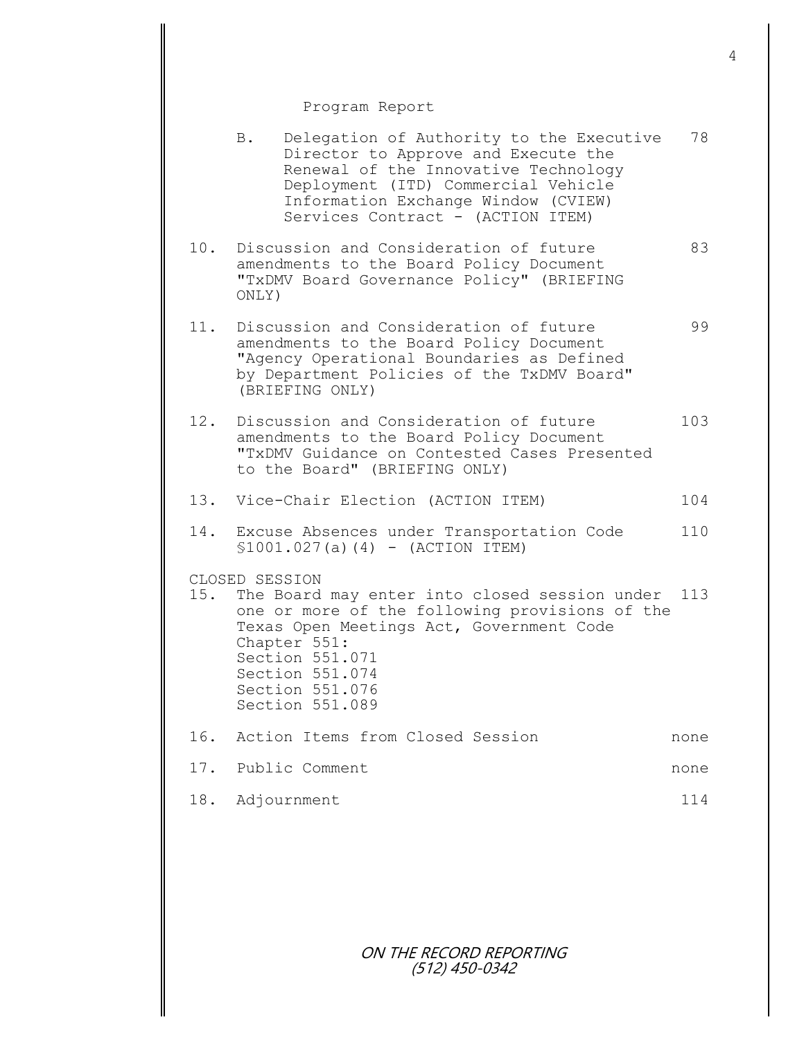## Program Report

|     | B.             | Delegation of Authority to the Executive<br>Director to Approve and Execute the<br>Renewal of the Innovative Technology<br>Deployment (ITD) Commercial Vehicle<br>Information Exchange Window (CVIEW)<br>Services Contract - (ACTION ITEM) | 78   |
|-----|----------------|--------------------------------------------------------------------------------------------------------------------------------------------------------------------------------------------------------------------------------------------|------|
| 10. | ONLY)          | Discussion and Consideration of future<br>amendments to the Board Policy Document<br>"TxDMV Board Governance Policy" (BRIEFING                                                                                                             | 83   |
| 11. |                | Discussion and Consideration of future<br>amendments to the Board Policy Document<br>"Agency Operational Boundaries as Defined<br>by Department Policies of the TxDMV Board"<br>(BRIEFING ONLY)                                            | 99   |
| 12. |                | Discussion and Consideration of future<br>amendments to the Board Policy Document<br>"TxDMV Guidance on Contested Cases Presented<br>to the Board" (BRIEFING ONLY)                                                                         | 103  |
|     |                | 13. Vice-Chair Election (ACTION ITEM)                                                                                                                                                                                                      | 104  |
|     |                | 14. Excuse Absences under Transportation Code<br>$$1001.027(a)(4) - (ACTION ITEM)$                                                                                                                                                         | 110  |
| 15. | CLOSED SESSION | The Board may enter into closed session under<br>one or more of the following provisions of the<br>Texas Open Meetings Act, Government Code<br>Chapter 551:<br>Section 551.071<br>Section 551.074<br>Section 551.076<br>Section 551.089    | 113  |
|     |                | 16. Action Items from Closed Session                                                                                                                                                                                                       | none |
|     |                | 17. Public Comment                                                                                                                                                                                                                         | none |
|     |                | 18. Adjournment                                                                                                                                                                                                                            | 114  |
|     |                |                                                                                                                                                                                                                                            |      |

ON THE RECORD REPORTING (512) 450-0342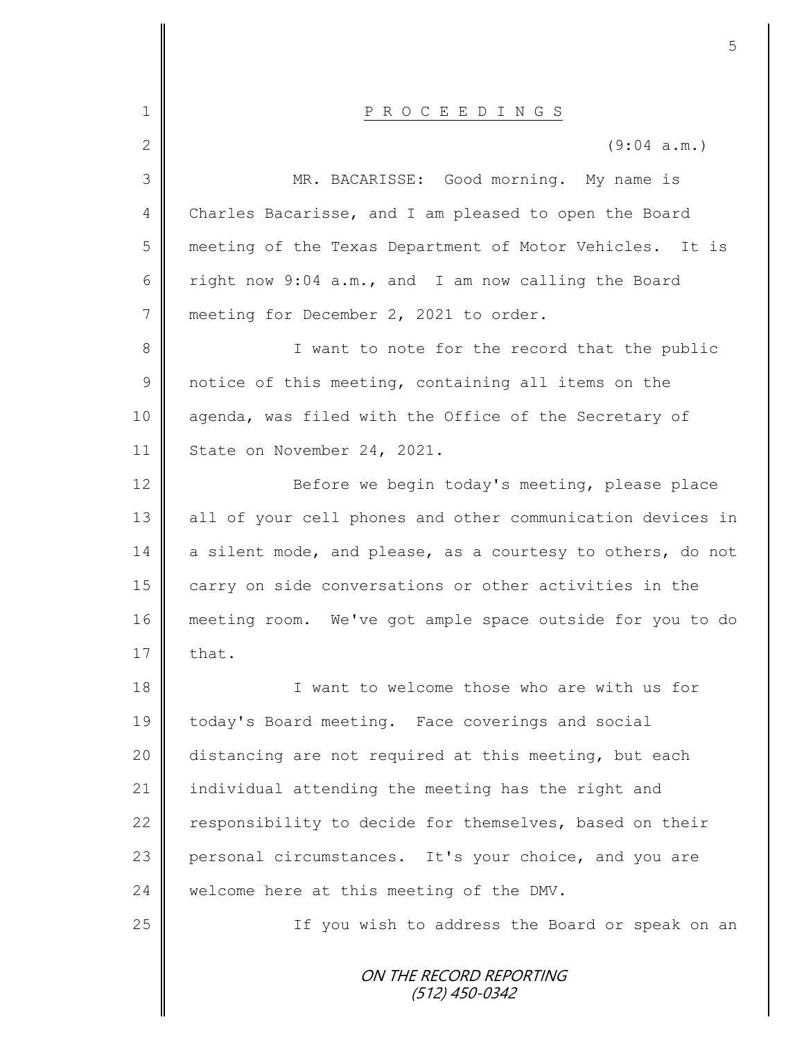|                | 5                                                          |
|----------------|------------------------------------------------------------|
| $\mathbf 1$    | P R O C E E D I N G S                                      |
| $\mathbf{2}$   | (9:04 a.m.)                                                |
| 3              | MR. BACARISSE: Good morning. My name is                    |
| 4              | Charles Bacarisse, and I am pleased to open the Board      |
| 5              | meeting of the Texas Department of Motor Vehicles. It is   |
| 6              | right now 9:04 a.m., and I am now calling the Board        |
| $7\phantom{.}$ | meeting for December 2, 2021 to order.                     |
| $8\,$          | I want to note for the record that the public              |
| $\overline{9}$ | notice of this meeting, containing all items on the        |
| 10             | agenda, was filed with the Office of the Secretary of      |
| 11             | State on November 24, 2021.                                |
| 12             | Before we begin today's meeting, please place              |
| 13             | all of your cell phones and other communication devices in |
| 14             | a silent mode, and please, as a courtesy to others, do not |
| 15             | carry on side conversations or other activities in the     |
| 16             | meeting room. We've got ample space outside for you to do  |
| 17             | that.                                                      |
| 18             | I want to welcome those who are with us for                |
| 19             | today's Board meeting. Face coverings and social           |
| 20             | distancing are not required at this meeting, but each      |
| 21             | individual attending the meeting has the right and         |
| 22             | responsibility to decide for themselves, based on their    |
| 23             | personal circumstances. It's your choice, and you are      |
| 24             | welcome here at this meeting of the DMV.                   |
| 25             | If you wish to address the Board or speak on an            |
|                | ON THE RECORD REPORTING<br>(512) 450-0342                  |

Ш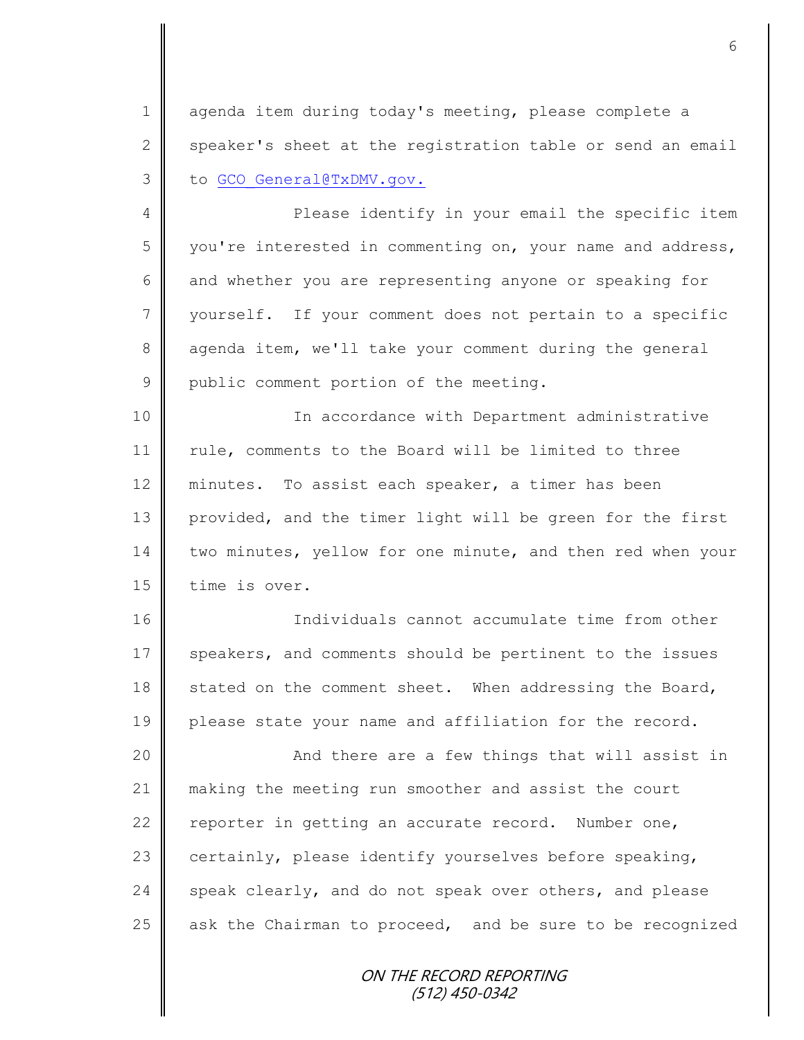1 agenda item during today's meeting, please complete a 2 speaker's sheet at the registration table or send an email 3 to GCO General@TxDMV.gov.

4 || Please identify in your email the specific item 5 you're interested in commenting on, your name and address, 6 and whether you are representing anyone or speaking for 7 vourself. If your comment does not pertain to a specific 8 agenda item, we'll take your comment during the general 9 public comment portion of the meeting.

10 || In accordance with Department administrative 11 | rule, comments to the Board will be limited to three 12 minutes. To assist each speaker, a timer has been 13 provided, and the timer light will be green for the first 14 two minutes, yellow for one minute, and then red when your 15 time is over.

16 Individuals cannot accumulate time from other 17 speakers, and comments should be pertinent to the issues 18 stated on the comment sheet. When addressing the Board, 19 please state your name and affiliation for the record.

20 || And there are a few things that will assist in 21 making the meeting run smoother and assist the court 22  $\parallel$  reporter in getting an accurate record. Number one, 23 certainly, please identify yourselves before speaking, 24 speak clearly, and do not speak over others, and please 25  $\parallel$  ask the Chairman to proceed, and be sure to be recognized

> ON THE RECORD REPORTING (512) 450-0342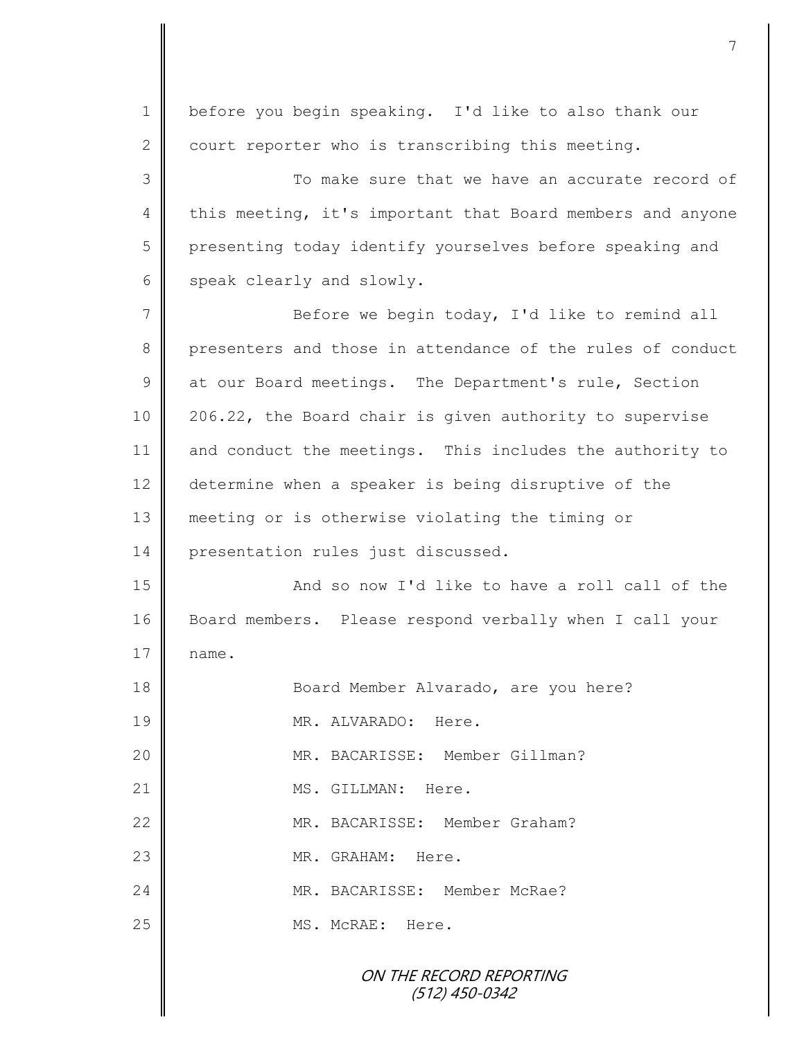ON THE RECORD REPORTING (512) 450-0342 1 | before you begin speaking. I'd like to also thank our  $2 \parallel$  court reporter who is transcribing this meeting. 3 || To make sure that we have an accurate record of 4 this meeting, it's important that Board members and anyone 5 | presenting today identify yourselves before speaking and 6 speak clearly and slowly. 7 Before we begin today, I'd like to remind all 8 presenters and those in attendance of the rules of conduct 9 at our Board meetings. The Department's rule, Section 10 206.22, the Board chair is given authority to supervise 11 and conduct the meetings. This includes the authority to 12 determine when a speaker is being disruptive of the 13 meeting or is otherwise violating the timing or 14 | presentation rules just discussed. 15 **And so now I'd like to have a roll call of the** 16 Board members. Please respond verbally when I call your  $17 \parallel$  name. 18 Board Member Alvarado, are you here? 19 MR. ALVARADO: Here. 20 || MR. BACARISSE: Member Gillman? 21 || MS. GILLMAN: Here. 22 WR. BACARISSE: Member Graham? 23 || MR. GRAHAM: Here. 24 MR. BACARISSE: Member McRae? 25 || MS. McRAE: Here.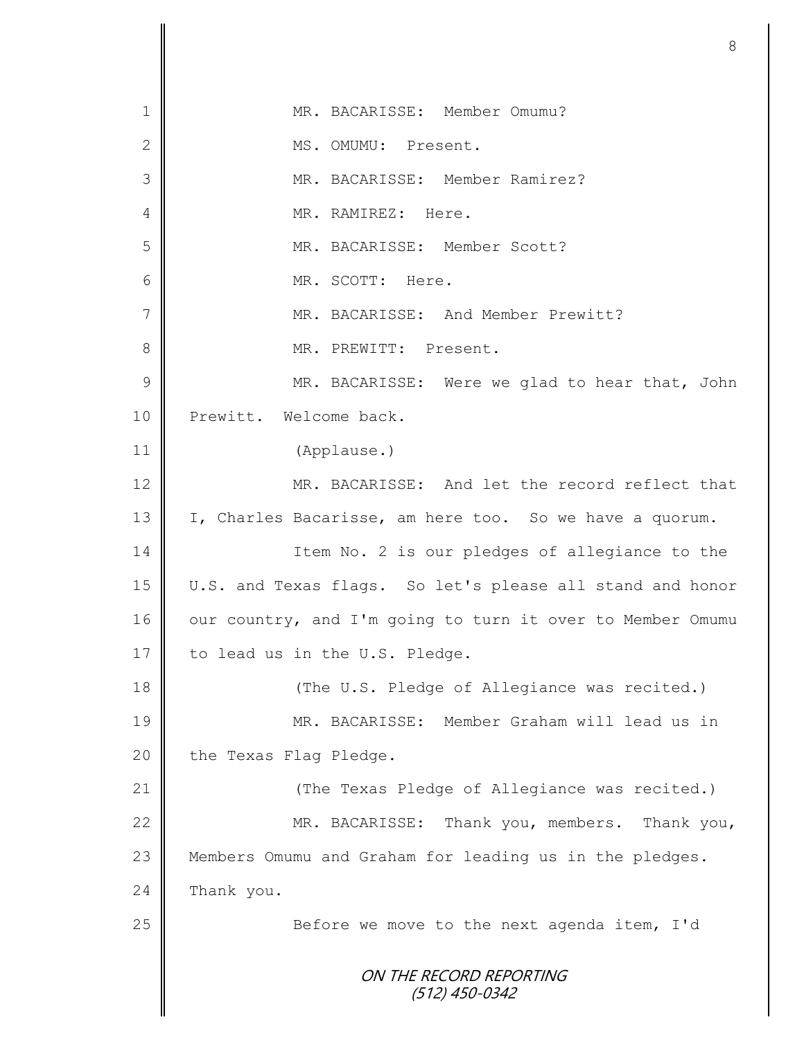ON THE RECORD REPORTING (512) 450-0342 1 MR. BACARISSE: Member Omumu? 2 MS. OMUMU: Present. 3 MR. BACARISSE: Member Ramirez? 4 **I** MR. RAMIREZ: Here. 5 MR. BACARISSE: Member Scott? 6 MR. SCOTT: Here. 7 MR. BACARISSE: And Member Prewitt? 8 || MR. PREWITT: Present. 9 || MR. BACARISSE: Were we glad to hear that, John 10 Prewitt. Welcome back. 11 (Applause.) 12 MR. BACARISSE: And let the record reflect that 13 I, Charles Bacarisse, am here too. So we have a quorum. 14 Item No. 2 is our pledges of allegiance to the 15 U.S. and Texas flags. So let's please all stand and honor 16 | our country, and I'm going to turn it over to Member Omumu 17  $\parallel$  to lead us in the U.S. Pledge. 18  $\parallel$  (The U.S. Pledge of Allegiance was recited.) 19 MR. BACARISSE: Member Graham will lead us in 20 the Texas Flag Pledge. 21 | (The Texas Pledge of Allegiance was recited.) 22 MR. BACARISSE: Thank you, members. Thank you, 23 || Members Omumu and Graham for leading us in the pledges. 24 Thank you. 25 || Before we move to the next agenda item, I'd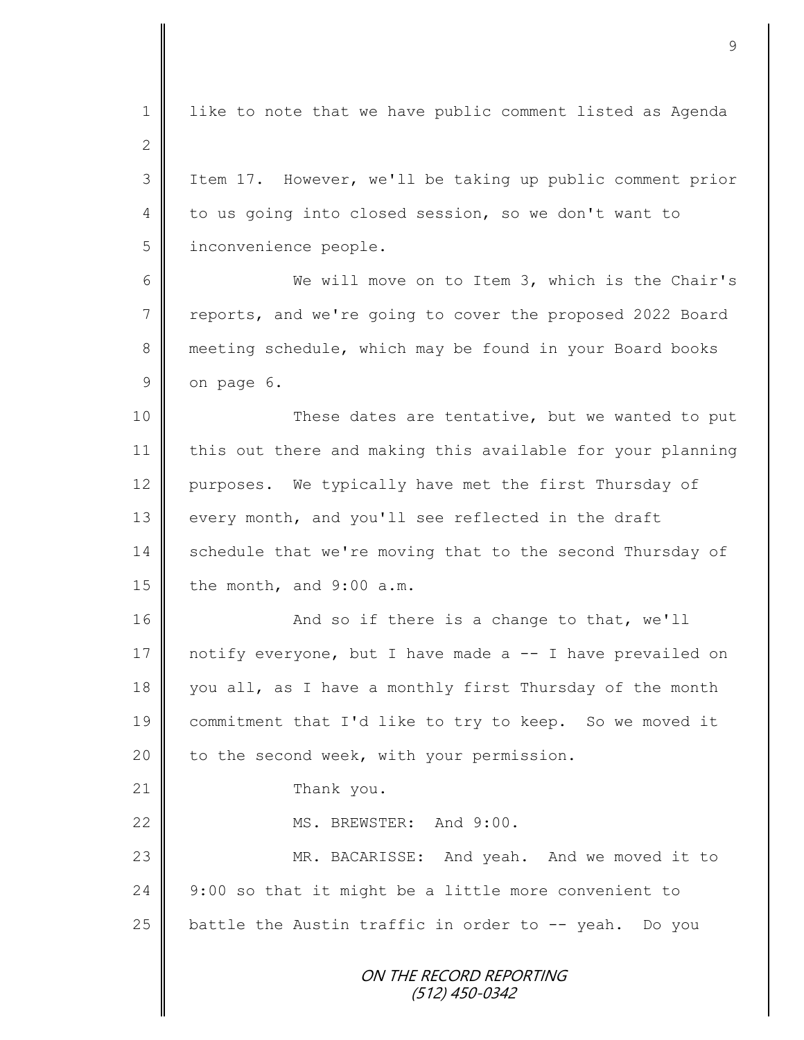ON THE RECORD REPORTING (512) 450-0342 1 | like to note that we have public comment listed as Agenda 2 3 Item 17. However, we'll be taking up public comment prior 4 to us going into closed session, so we don't want to 5 | inconvenience people. 6 We will move on to Item 3, which is the Chair's 7 reports, and we're going to cover the proposed 2022 Board 8 meeting schedule, which may be found in your Board books  $9 \parallel$  on page 6. 10 || These dates are tentative, but we wanted to put 11 | this out there and making this available for your planning 12 | purposes. We typically have met the first Thursday of 13 every month, and you'll see reflected in the draft 14 Schedule that we're moving that to the second Thursday of  $15$  the month, and 9:00 a.m. 16 || And so if there is a change to that, we'll 17 notify everyone, but I have made a -- I have prevailed on 18 you all, as I have a monthly first Thursday of the month 19 commitment that I'd like to try to keep. So we moved it 20  $\parallel$  to the second week, with your permission. 21 Thank you. 22 MS. BREWSTER: And 9:00. 23 || MR. BACARISSE: And yeah. And we moved it to 24  $\parallel$  9:00 so that it might be a little more convenient to 25  $\parallel$  battle the Austin traffic in order to -- yeah. Do you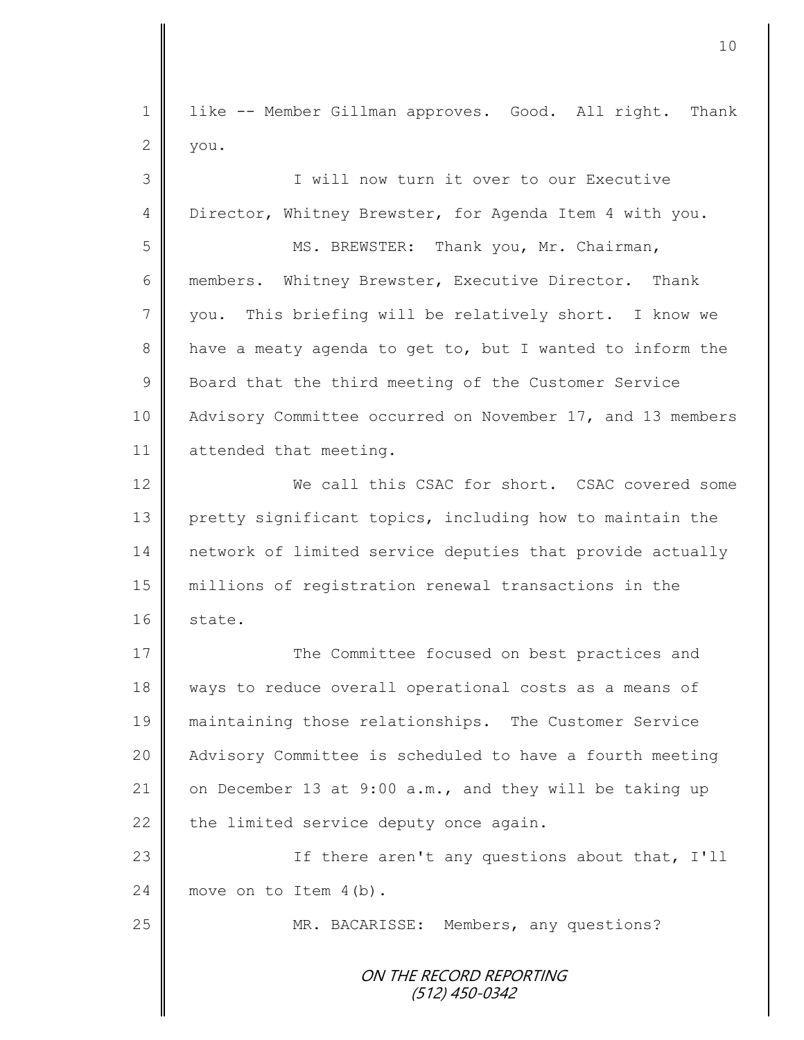| $\mathbf 1$ | like -- Member Gillman approves. Good. All right. Thank    |
|-------------|------------------------------------------------------------|
| 2           | you.                                                       |
| 3           | I will now turn it over to our Executive                   |
| 4           | Director, Whitney Brewster, for Agenda Item 4 with you.    |
| 5           | MS. BREWSTER: Thank you, Mr. Chairman,                     |
| 6           | members. Whitney Brewster, Executive Director. Thank       |
| 7           | This briefing will be relatively short. I know we<br>you.  |
| 8           | have a meaty agenda to get to, but I wanted to inform the  |
| $\mathsf 9$ | Board that the third meeting of the Customer Service       |
| 10          | Advisory Committee occurred on November 17, and 13 members |
| 11          | attended that meeting.                                     |
| 12          | We call this CSAC for short. CSAC covered some             |
| 13          | pretty significant topics, including how to maintain the   |
| 14          | network of limited service deputies that provide actually  |
| 15          | millions of registration renewal transactions in the       |
| 16          | state.                                                     |
| 17          | The Committee focused on best practices and                |
| 18          | ways to reduce overall operational costs as a means of     |
| 19          | maintaining those relationships. The Customer Service      |
| 20          | Advisory Committee is scheduled to have a fourth meeting   |
| 21          | on December 13 at 9:00 a.m., and they will be taking up    |
| 22          | the limited service deputy once again.                     |
| 23          | If there aren't any questions about that, I'll             |
| 24          | move on to Item $4(b)$ .                                   |
| 25          | MR. BACARISSE: Members, any questions?                     |
|             | ON THE RECORD REPORTING<br>$(512)$ 450-0342                |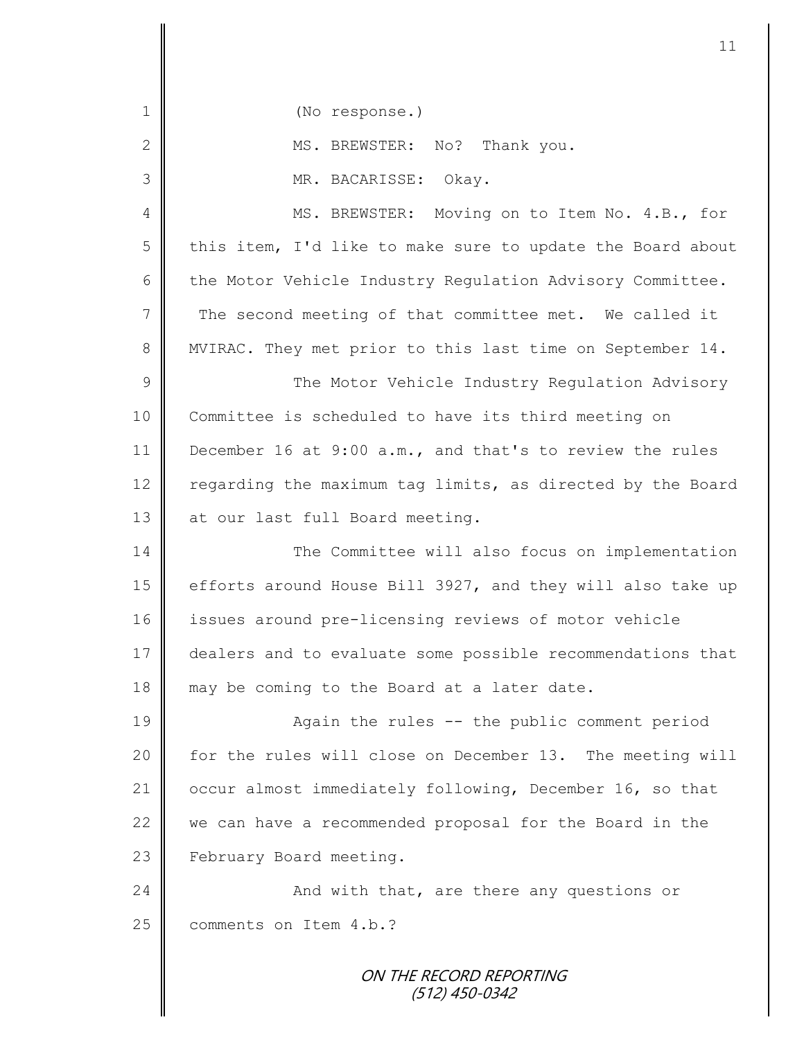ON THE RECORD REPORTING 1 || (No response.) 2 MS. BREWSTER: No? Thank you. 3 MR. BACARISSE: Okay. 4 || MS. BREWSTER: Moving on to Item No. 4.B., for 5 this item, I'd like to make sure to update the Board about 6 the Motor Vehicle Industry Regulation Advisory Committee. 7 The second meeting of that committee met. We called it 8 || MVIRAC. They met prior to this last time on September 14. 9 || The Motor Vehicle Industry Regulation Advisory 10 Committee is scheduled to have its third meeting on 11 December 16 at 9:00 a.m., and that's to review the rules 12 regarding the maximum tag limits, as directed by the Board 13 at our last full Board meeting. 14 The Committee will also focus on implementation 15 efforts around House Bill 3927, and they will also take up 16 | issues around pre-licensing reviews of motor vehicle 17 dealers and to evaluate some possible recommendations that 18 may be coming to the Board at a later date. 19 | Again the rules -- the public comment period 20 | for the rules will close on December 13. The meeting will 21 | occur almost immediately following, December 16, so that 22  $\parallel$  we can have a recommended proposal for the Board in the 23 February Board meeting. 24 | And with that, are there any questions or 25 comments on Item 4.b.?

11

(512) 450-0342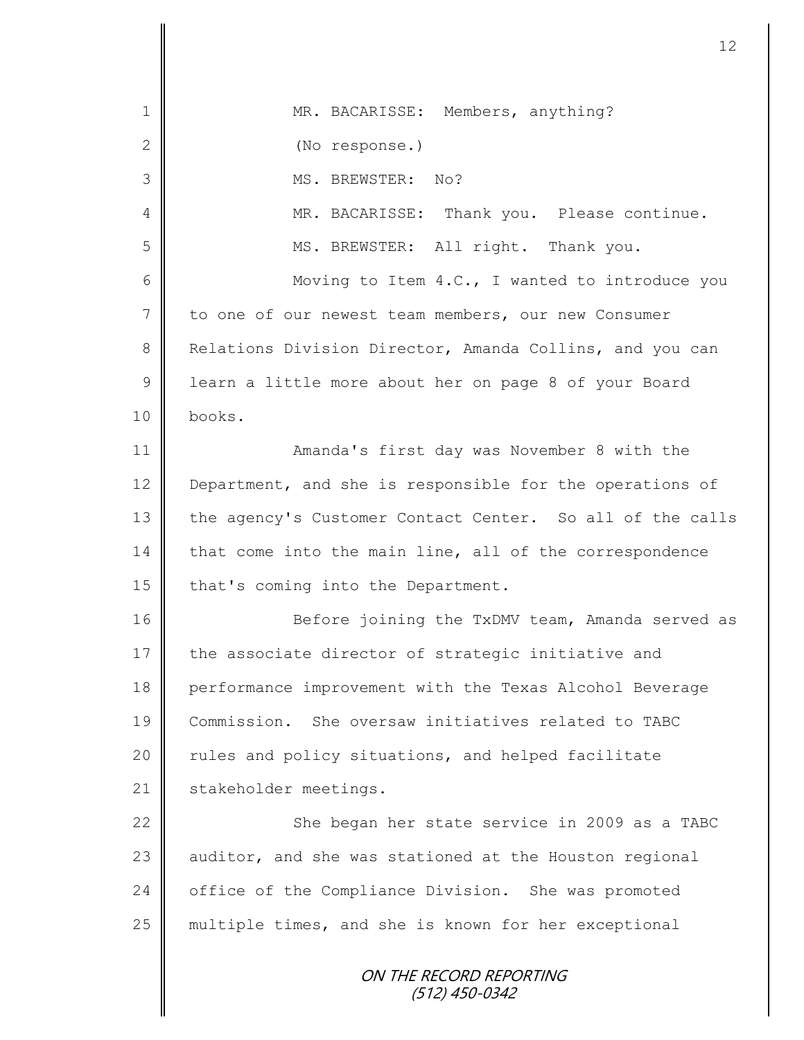| 1              | MR. BACARISSE: Members, anything?                         |
|----------------|-----------------------------------------------------------|
| $\mathbf{2}$   | (No response.)                                            |
| 3              | No?<br>MS. BREWSTER:                                      |
| 4              | MR. BACARISSE: Thank you. Please continue.                |
| 5              | MS. BREWSTER: All right. Thank you.                       |
| 6              | Moving to Item 4.C., I wanted to introduce you            |
| $7\phantom{.}$ | to one of our newest team members, our new Consumer       |
| 8              | Relations Division Director, Amanda Collins, and you can  |
| $\mathsf 9$    | learn a little more about her on page 8 of your Board     |
| 10             | books.                                                    |
| 11             | Amanda's first day was November 8 with the                |
| 12             | Department, and she is responsible for the operations of  |
| 13             | the agency's Customer Contact Center. So all of the calls |
| 14             | that come into the main line, all of the correspondence   |
| 15             | that's coming into the Department.                        |
| 16             | Before joining the TxDMV team, Amanda served as           |
| 17             | the associate director of strategic initiative and        |
| 18             | performance improvement with the Texas Alcohol Beverage   |
| 19             | Commission. She oversaw initiatives related to TABC       |
| 20             | rules and policy situations, and helped facilitate        |
| 21             | stakeholder meetings.                                     |
| 22             | She began her state service in 2009 as a TABC             |
| 23             | auditor, and she was stationed at the Houston regional    |
| 24             | office of the Compliance Division. She was promoted       |
| 25             | multiple times, and she is known for her exceptional      |
|                | ON THE RECORD REPORTING<br>$(512)$ 450-0342               |

 $\overline{\mathbf{I}}$ ∥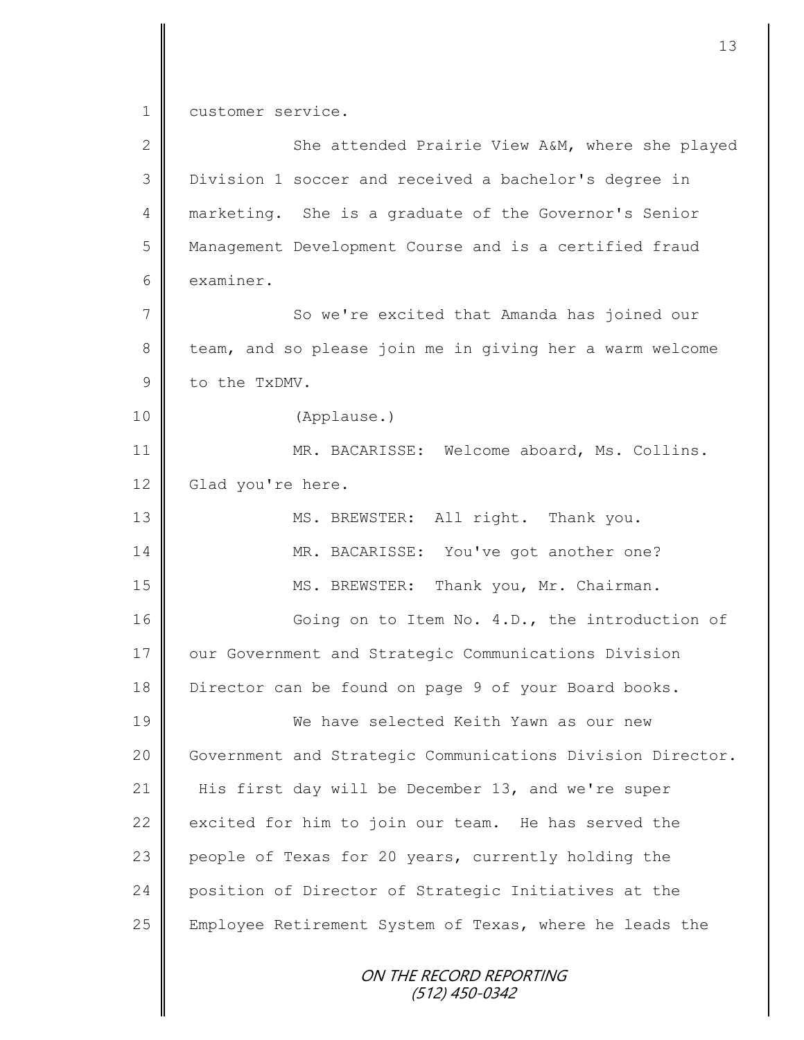1 customer service.

| $\mathbf{2}$   | She attended Prairie View A&M, where she played            |
|----------------|------------------------------------------------------------|
| 3              | Division 1 soccer and received a bachelor's degree in      |
| 4              | marketing. She is a graduate of the Governor's Senior      |
| 5              | Management Development Course and is a certified fraud     |
| 6              | examiner.                                                  |
| $\overline{7}$ | So we're excited that Amanda has joined our                |
| $8\,$          | team, and so please join me in giving her a warm welcome   |
| $\mathcal{G}$  | to the TxDMV.                                              |
| 10             | (Applause.)                                                |
| 11             | MR. BACARISSE: Welcome aboard, Ms. Collins.                |
| 12             | Glad you're here.                                          |
| 13             | MS. BREWSTER: All right. Thank you.                        |
| 14             | MR. BACARISSE: You've got another one?                     |
| 15             | MS. BREWSTER: Thank you, Mr. Chairman.                     |
| 16             | Going on to Item No. 4.D., the introduction of             |
| 17             | our Government and Strategic Communications Division       |
| 18             | Director can be found on page 9 of your Board books.       |
| 19             | We have selected Keith Yawn as our new                     |
| 20             | Government and Strategic Communications Division Director. |
| 21             | His first day will be December 13, and we're super         |
| 22             | excited for him to join our team. He has served the        |
| 23             | people of Texas for 20 years, currently holding the        |
| 24             | position of Director of Strategic Initiatives at the       |
| 25             | Employee Retirement System of Texas, where he leads the    |
|                | <i>ON THE RECORD REPORTING</i><br>(512) 450-0342           |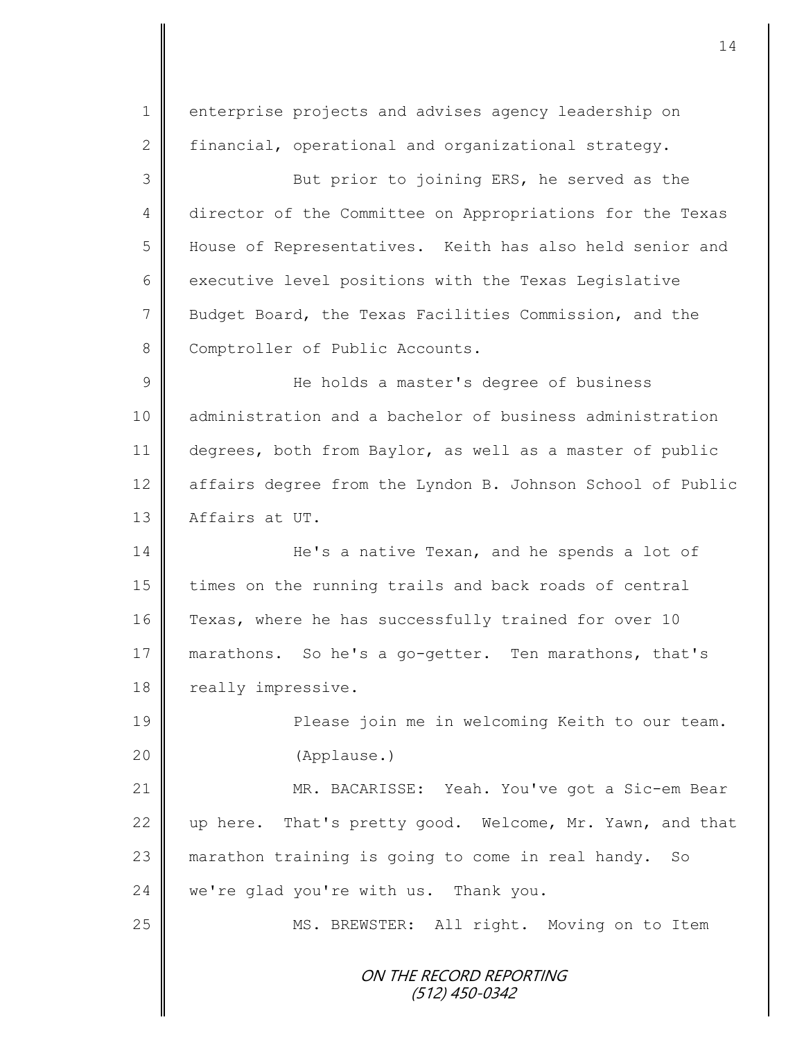ON THE RECORD REPORTING (512) 450-0342 1 enterprise projects and advises agency leadership on 2 financial, operational and organizational strategy. 3 But prior to joining ERS, he served as the 4 director of the Committee on Appropriations for the Texas 5 H House of Representatives. Keith has also held senior and 6 executive level positions with the Texas Legislative 7 Budget Board, the Texas Facilities Commission, and the 8 Comptroller of Public Accounts. 9 He holds a master's degree of business 10 || administration and a bachelor of business administration 11 degrees, both from Baylor, as well as a master of public 12 affairs degree from the Lyndon B. Johnson School of Public 13 Affairs at UT. 14 He's a native Texan, and he spends a lot of 15 times on the running trails and back roads of central 16 Texas, where he has successfully trained for over 10 17 marathons. So he's a go-getter. Ten marathons, that's 18 | really impressive. 19 || Please join me in welcoming Keith to our team. 20 (Applause.) 21 MR. BACARISSE: Yeah. You've got a Sic-em Bear 22 up here. That's pretty good. Welcome, Mr. Yawn, and that 23 || marathon training is going to come in real handy. So  $24$  we're glad you're with us. Thank you. 25 | MS. BREWSTER: All right. Moving on to Item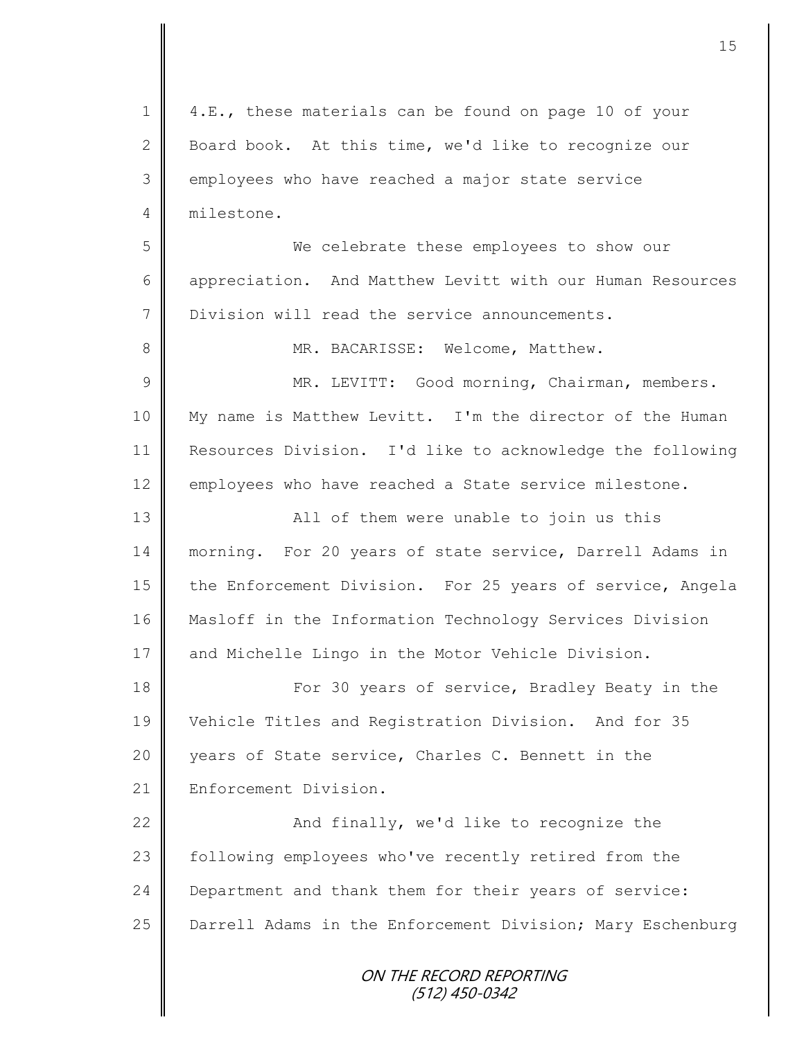ON THE RECORD REPORTING (512) 450-0342 1 | 4.E., these materials can be found on page 10 of your 2 Board book. At this time, we'd like to recognize our 3 employees who have reached a major state service 4 milestone. 5 || We celebrate these employees to show our 6 | appreciation. And Matthew Levitt with our Human Resources 7 Division will read the service announcements. 8 MR. BACARISSE: Welcome, Matthew. 9 || MR. LEVITT: Good morning, Chairman, members. 10 My name is Matthew Levitt. I'm the director of the Human 11 Resources Division. I'd like to acknowledge the following 12 employees who have reached a State service milestone. 13 || All of them were unable to join us this 14 | morning. For 20 years of state service, Darrell Adams in 15 the Enforcement Division. For 25 years of service, Angela 16 | Masloff in the Information Technology Services Division 17 and Michelle Lingo in the Motor Vehicle Division. 18 For 30 years of service, Bradley Beaty in the 19 Vehicle Titles and Registration Division. And for 35 20 years of State service, Charles C. Bennett in the 21 | Enforcement Division. 22  $\parallel$  and finally, we'd like to recognize the 23 | following employees who've recently retired from the 24 Department and thank them for their years of service: 25 | Darrell Adams in the Enforcement Division; Mary Eschenburg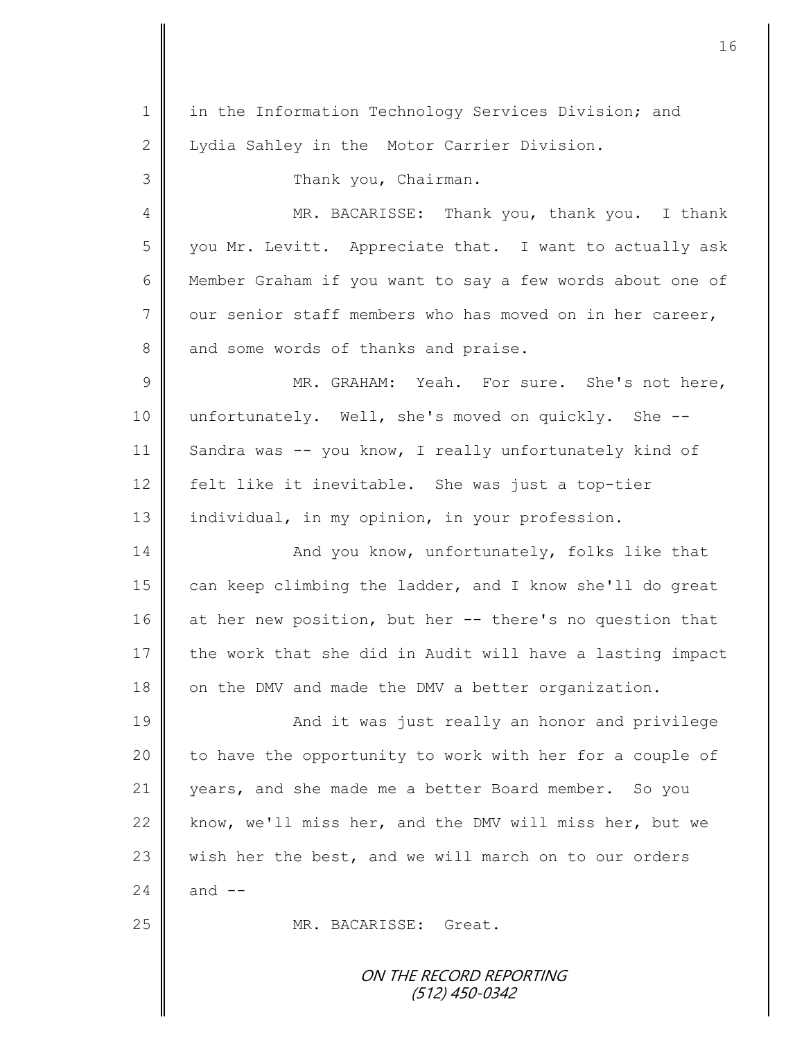ON THE RECORD REPORTING (512) 450-0342 1 || in the Information Technology Services Division; and 2 | Lydia Sahley in the Motor Carrier Division. 3 || Thank you, Chairman. 4 MR. BACARISSE: Thank you, thank you. I thank 5 || you Mr. Levitt. Appreciate that. I want to actually ask 6 Member Graham if you want to say a few words about one of  $7 \parallel$  our senior staff members who has moved on in her career, 8 and some words of thanks and praise. 9 MR. GRAHAM: Yeah. For sure. She's not here, 10 unfortunately. Well, she's moved on quickly. She -- 11 Sandra was -- you know, I really unfortunately kind of 12 felt like it inevitable. She was just a top-tier 13 | individual, in my opinion, in your profession. 14 | And you know, unfortunately, folks like that 15 can keep climbing the ladder, and I know she'll do great 16 at her new position, but her -- there's no question that 17 the work that she did in Audit will have a lasting impact 18 on the DMV and made the DMV a better organization. 19 || And it was just really an honor and privilege 20 || to have the opportunity to work with her for a couple of 21 years, and she made me a better Board member. So you 22 know, we'll miss her, and the DMV will miss her, but we 23  $\parallel$  wish her the best, and we will march on to our orders 24  $\parallel$  and  $\parallel$  -25 MR. BACARISSE: Great.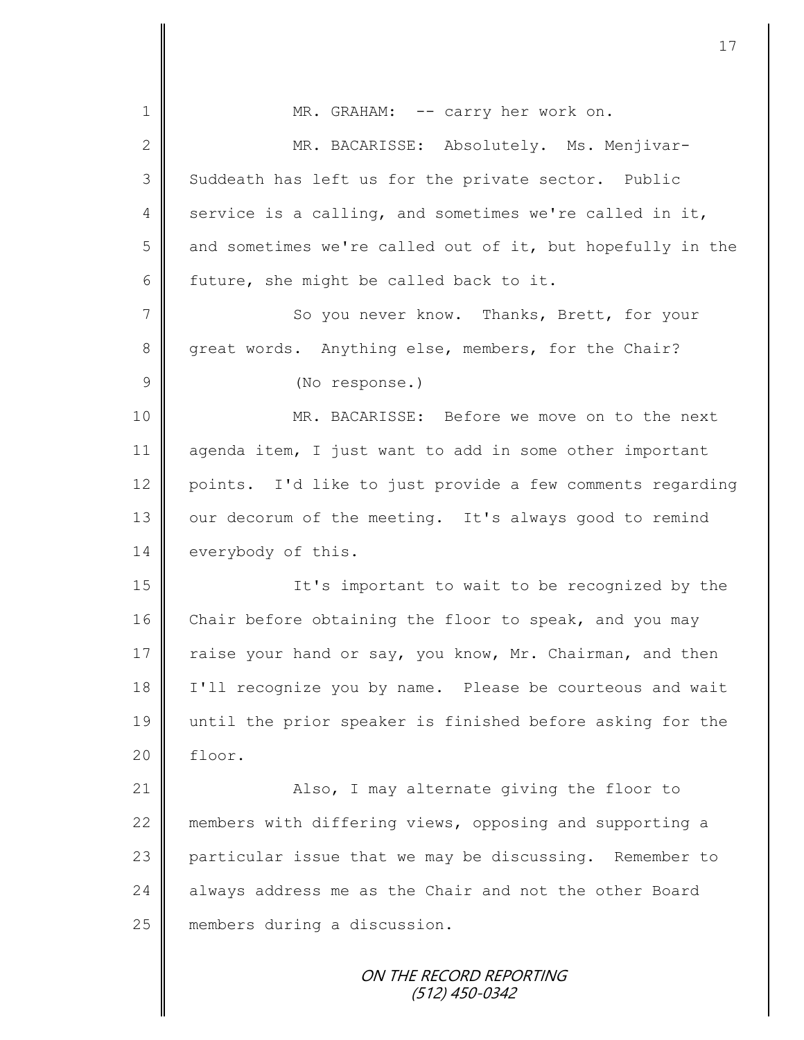| $\mathbf 1$     | MR. GRAHAM: -- carry her work on.                          |
|-----------------|------------------------------------------------------------|
| $\mathbf{2}$    | MR. BACARISSE: Absolutely. Ms. Menjivar-                   |
| 3               | Suddeath has left us for the private sector. Public        |
| 4               | service is a calling, and sometimes we're called in it,    |
| 5               | and sometimes we're called out of it, but hopefully in the |
| 6               | future, she might be called back to it.                    |
| $7\phantom{.0}$ | So you never know. Thanks, Brett, for your                 |
| $8\,$           | great words. Anything else, members, for the Chair?        |
| $\mathcal{G}$   | (No response.)                                             |
| 10              | MR. BACARISSE: Before we move on to the next               |
| 11              | agenda item, I just want to add in some other important    |
| 12              | points. I'd like to just provide a few comments regarding  |
| 13              | our decorum of the meeting. It's always good to remind     |
| 14              | everybody of this.                                         |
| 15              | It's important to wait to be recognized by the             |
| 16              | Chair before obtaining the floor to speak, and you may     |
| 17              | raise your hand or say, you know, Mr. Chairman, and then   |
| 18              | I'll recognize you by name. Please be courteous and wait   |
| 19              | until the prior speaker is finished before asking for the  |
| 20              | floor.                                                     |
| 21              | Also, I may alternate giving the floor to                  |
| 22              | members with differing views, opposing and supporting a    |
| 23              | particular issue that we may be discussing. Remember to    |
| 24              | always address me as the Chair and not the other Board     |
| 25              | members during a discussion.                               |
|                 | ON THE RECORD REPORTING<br>(512) 450-0342                  |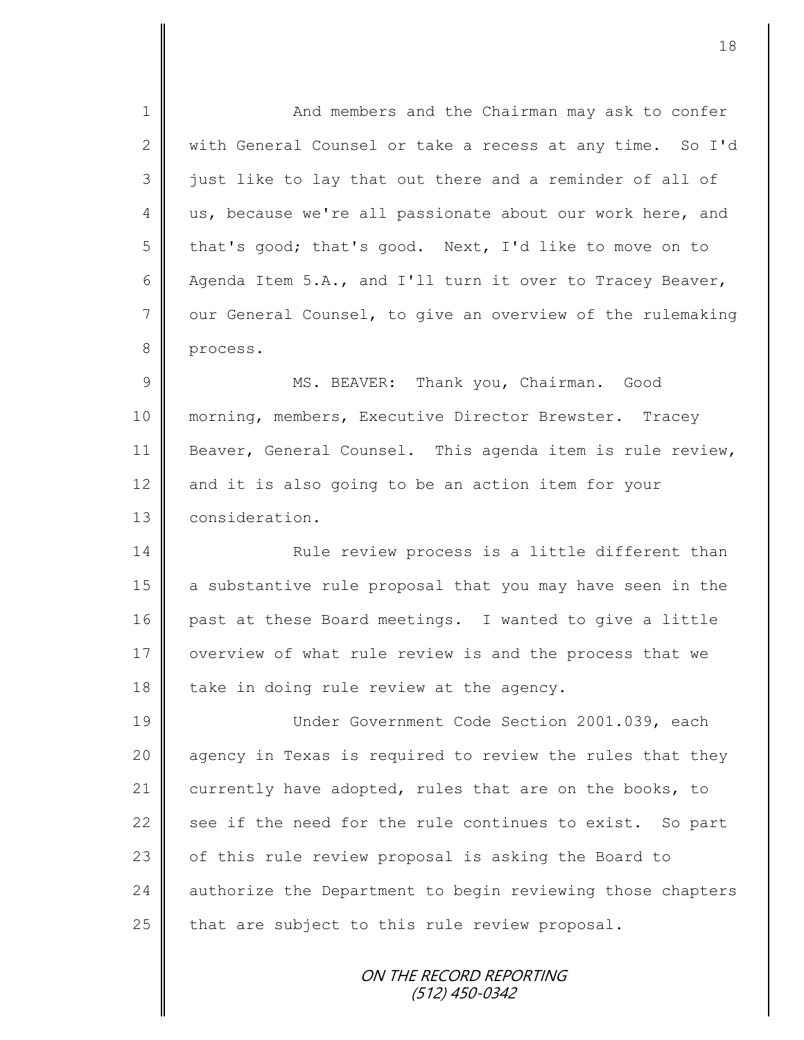1 || And members and the Chairman may ask to confer 2 with General Counsel or take a recess at any time. So I'd 3 || just like to lay that out there and a reminder of all of 4 us, because we're all passionate about our work here, and 5 that's good; that's good. Next, I'd like to move on to 6 Agenda Item 5.A., and I'll turn it over to Tracey Beaver, 7 | our General Counsel, to give an overview of the rulemaking 8 process. 9 || MS. BEAVER: Thank you, Chairman. Good 10 | morning, members, Executive Director Brewster. Tracey 11 | Beaver, General Counsel. This agenda item is rule review, 12 and it is also going to be an action item for your 13 **Consideration.** 14 **Rule review process is a little different than** 15 a substantive rule proposal that you may have seen in the 16 past at these Board meetings. I wanted to give a little 17 | overview of what rule review is and the process that we 18  $\parallel$  take in doing rule review at the agency. 19 Under Government Code Section 2001.039, each 20 || agency in Texas is required to review the rules that they 21 currently have adopted, rules that are on the books, to 22  $\parallel$  see if the need for the rule continues to exist. So part 23 | of this rule review proposal is asking the Board to 24 | authorize the Department to begin reviewing those chapters 25  $\parallel$  that are subject to this rule review proposal.

ON THE RECORD REPORTING (512) 450-0342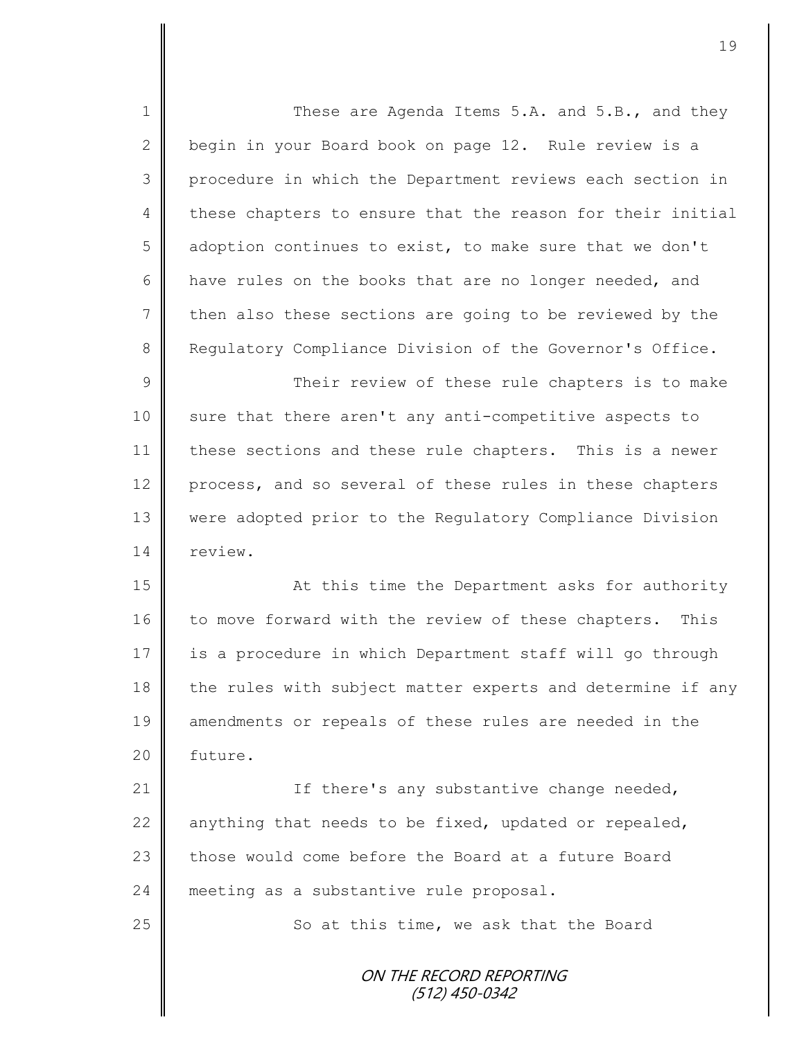1 These are Agenda Items 5.A. and 5.B., and they 2 begin in your Board book on page 12. Rule review is a 3 || procedure in which the Department reviews each section in 4 these chapters to ensure that the reason for their initial 5 adoption continues to exist, to make sure that we don't 6 have rules on the books that are no longer needed, and  $7$  then also these sections are going to be reviewed by the 8 Requiatory Compliance Division of the Governor's Office. 9 || Their review of these rule chapters is to make 10 sure that there aren't any anti-competitive aspects to 11 | these sections and these rule chapters. This is a newer 12 process, and so several of these rules in these chapters 13 were adopted prior to the Regulatory Compliance Division 14 review. 15 || At this time the Department asks for authority 16 to move forward with the review of these chapters. This 17 is a procedure in which Department staff will go through 18 the rules with subject matter experts and determine if any 19 amendments or repeals of these rules are needed in the 20 | future. 21 | Tf there's any substantive change needed, 22  $\parallel$  anything that needs to be fixed, updated or repealed, 23  $\parallel$  those would come before the Board at a future Board 24 meeting as a substantive rule proposal.

25 | So at this time, we ask that the Board

ON THE RECORD REPORTING (512) 450-0342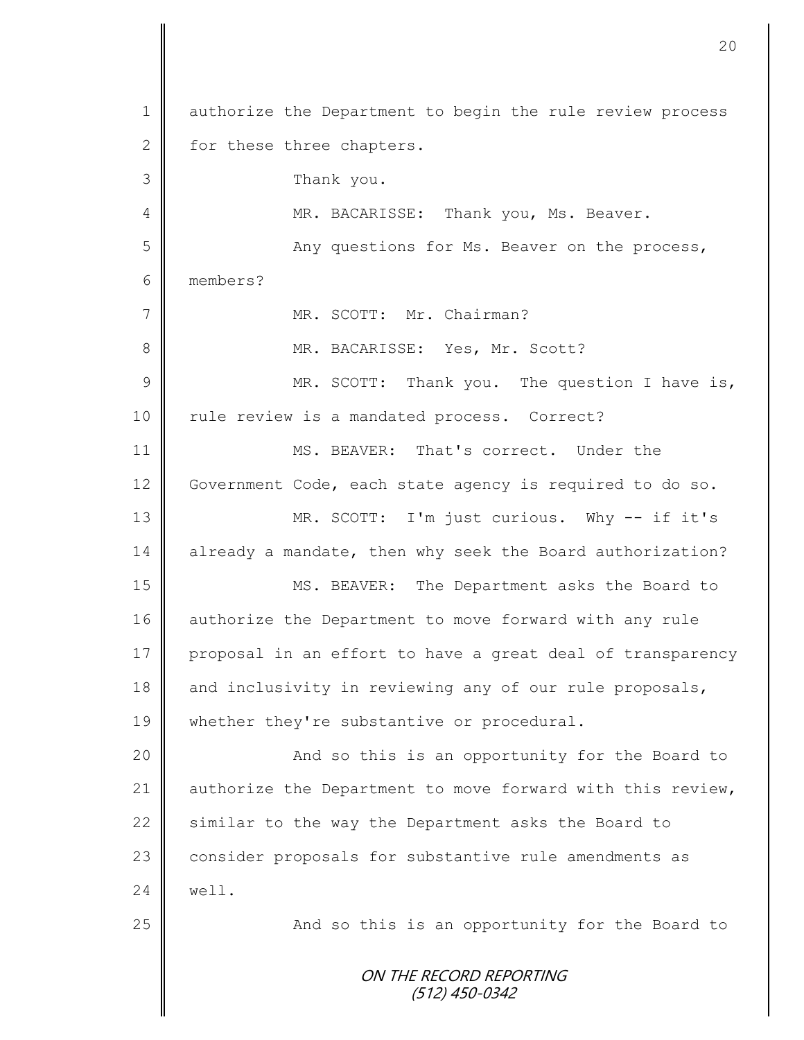ON THE RECORD REPORTING (512) 450-0342 1 authorize the Department to begin the rule review process 2 for these three chapters. 3 Thank you. 4 MR. BACARISSE: Thank you, Ms. Beaver. 5 || Any questions for Ms. Beaver on the process, 6 members? 7 MR. SCOTT: Mr. Chairman? 8 MR. BACARISSE: Yes, Mr. Scott? 9 || MR. SCOTT: Thank you. The question I have is, 10 | rule review is a mandated process. Correct? 11 MS. BEAVER: That's correct. Under the 12 Government Code, each state agency is required to do so. 13 MR. SCOTT: I'm just curious. Why -- if it's 14 already a mandate, then why seek the Board authorization? 15 MS. BEAVER: The Department asks the Board to 16 authorize the Department to move forward with any rule 17 proposal in an effort to have a great deal of transparency 18 and inclusivity in reviewing any of our rule proposals, 19 whether they're substantive or procedural. 20 || And so this is an opportunity for the Board to 21 | authorize the Department to move forward with this review, 22 Similar to the way the Department asks the Board to 23 consider proposals for substantive rule amendments as  $24 \parallel$  well. 25 || The Solomon and so this is an opportunity for the Board to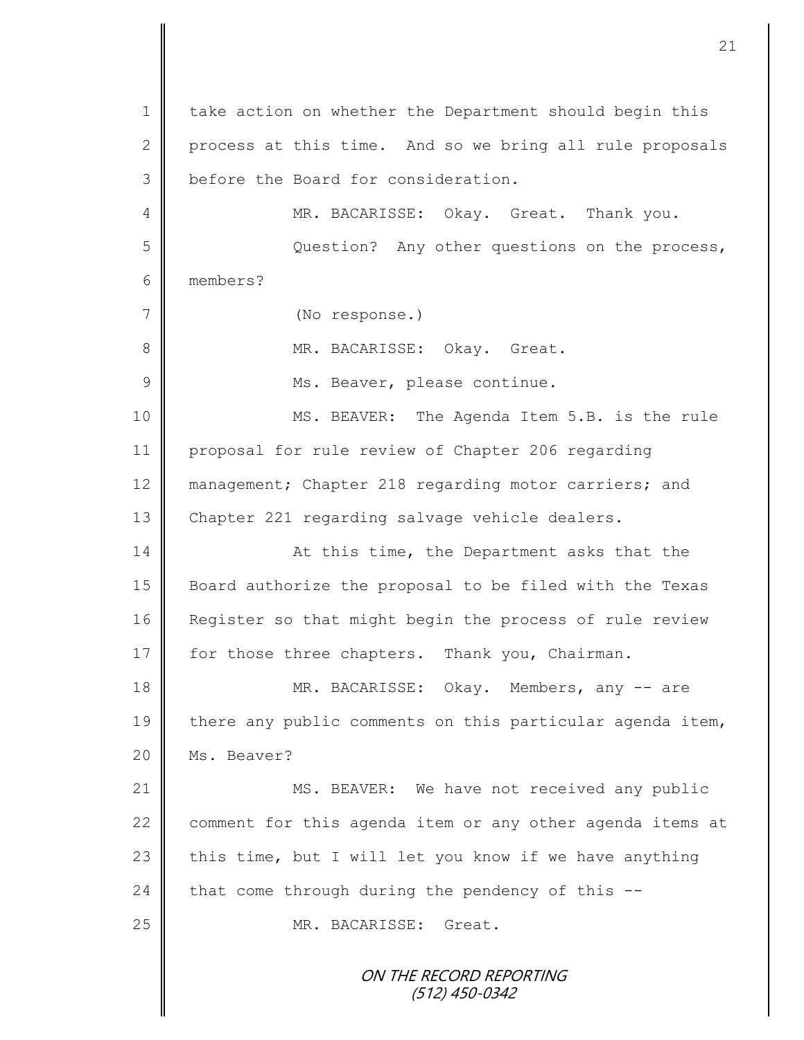ON THE RECORD REPORTING 1 | take action on whether the Department should begin this 2 process at this time. And so we bring all rule proposals 3 before the Board for consideration. 4 MR. BACARISSE: Okay. Great. Thank you. 5 Question? Any other questions on the process, 6 members? 7 (No response.) 8 || MR. BACARISSE: Okay. Great. 9 | Ms. Beaver, please continue. 10 || MS. BEAVER: The Agenda Item 5.B. is the rule 11 proposal for rule review of Chapter 206 regarding 12 management; Chapter 218 regarding motor carriers; and 13 Chapter 221 regarding salvage vehicle dealers. 14 || At this time, the Department asks that the 15 Board authorize the proposal to be filed with the Texas 16 Register so that might begin the process of rule review 17 for those three chapters. Thank you, Chairman. 18 MR. BACARISSE: Okay. Members, any -- are 19 there any public comments on this particular agenda item, 20 | Ms. Beaver? 21 MS. BEAVER: We have not received any public 22 comment for this agenda item or any other agenda items at 23 this time, but I will let you know if we have anything 24 that come through during the pendency of this  $-$ -25 MR. BACARISSE: Great.

(512) 450-0342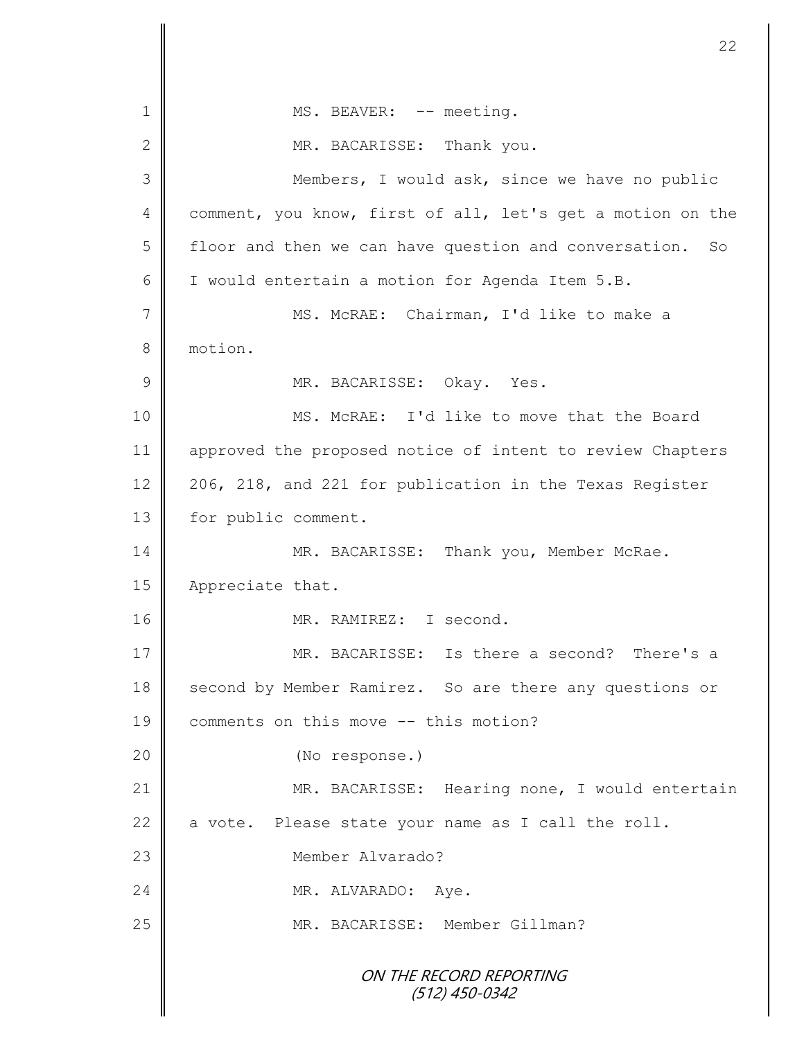ON THE RECORD REPORTING (512) 450-0342 1 || MS. BEAVER: -- meeting. 2 MR. BACARISSE: Thank you. 3 Members, I would ask, since we have no public 4 comment, you know, first of all, let's get a motion on the 5 | floor and then we can have question and conversation. So 6  $\parallel$  I would entertain a motion for Agenda Item 5.B. 7 MS. McRAE: Chairman, I'd like to make a 8 motion. 9 MR. BACARISSE: Okay. Yes. 10 MS. McRAE: I'd like to move that the Board 11 approved the proposed notice of intent to review Chapters 12 206, 218, and 221 for publication in the Texas Register 13 | for public comment. 14 MR. BACARISSE: Thank you, Member McRae. 15 | Appreciate that. 16 MR. RAMIREZ: I second. 17 MR. BACARISSE: Is there a second? There's a 18 Second by Member Ramirez. So are there any questions or 19 comments on this move -- this motion? 20 || (No response.) 21 MR. BACARISSE: Hearing none, I would entertain 22  $\parallel$  a vote. Please state your name as I call the roll. 23 Member Alvarado? 24 MR. ALVARADO: Aye. 25 || MR. BACARISSE: Member Gillman?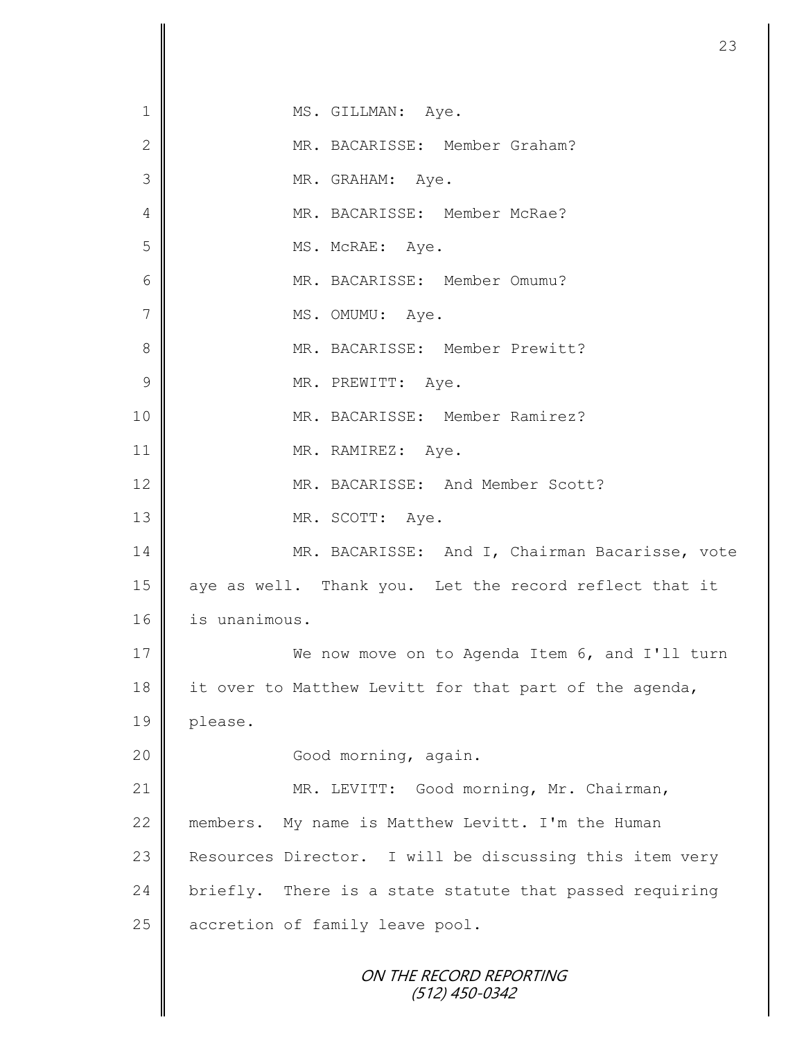ON THE RECORD REPORTING (512) 450-0342 1 || MS. GILLMAN: Aye. 2 MR. BACARISSE: Member Graham? 3 || MR. GRAHAM: Aye. 4 MR. BACARISSE: Member McRae? 5 || MS. McRAE: Aye. 6 MR. BACARISSE: Member Omumu? 7 || MS. OMUMU: Aye. 8 || MR. BACARISSE: Member Prewitt? 9 | MR. PREWITT: Aye. 10 MR. BACARISSE: Member Ramirez? 11 || MR. RAMIREZ: Aye. 12 MR. BACARISSE: And Member Scott? 13 MR. SCOTT: Aye. 14 MR. BACARISSE: And I, Chairman Bacarisse, vote 15 aye as well. Thank you. Let the record reflect that it 16 | is unanimous. 17 We now move on to Agenda Item 6, and I'll turn 18 it over to Matthew Levitt for that part of the agenda, 19 please. 20 || Good morning, again. 21 | MR. LEVITT: Good morning, Mr. Chairman, 22 members. My name is Matthew Levitt. I'm the Human 23 | Resources Director. I will be discussing this item very 24 briefly. There is a state statute that passed requiring 25 accretion of family leave pool.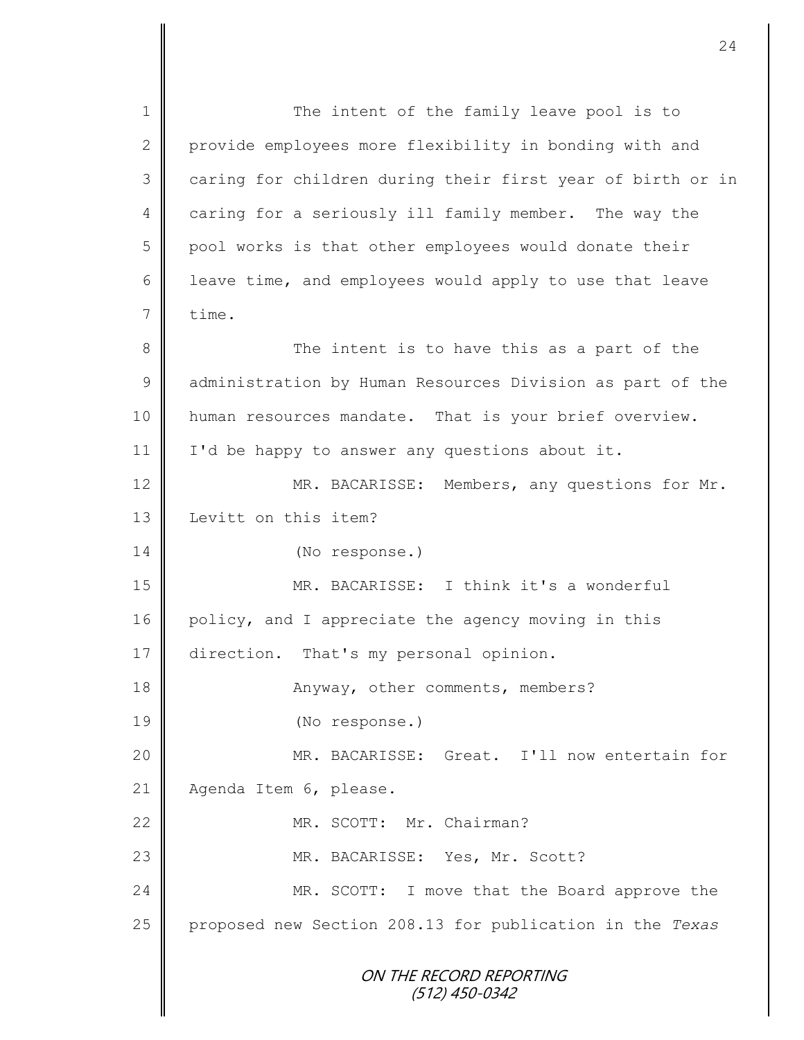ON THE RECORD REPORTING (512) 450-0342 1 || The intent of the family leave pool is to 2 provide employees more flexibility in bonding with and 3 || caring for children during their first year of birth or in 4 caring for a seriously ill family member. The way the 5 | pool works is that other employees would donate their 6 | leave time, and employees would apply to use that leave  $7 \parallel$  time. 8 || The intent is to have this as a part of the 9 dadministration by Human Resources Division as part of the 10 | human resources mandate. That is your brief overview. 11 | I'd be happy to answer any questions about it. 12 MR. BACARISSE: Members, any questions for Mr. 13 **I** Levitt on this item? 14 (No response.) 15 MR. BACARISSE: I think it's a wonderful 16 policy, and I appreciate the agency moving in this 17 direction. That's my personal opinion. 18 **Anyway, other comments, members?** 19 (No response.) 20 MR. BACARISSE: Great. I'll now entertain for 21 | Agenda Item 6, please. 22 WR. SCOTT: Mr. Chairman? 23 MR. BACARISSE: Yes, Mr. Scott? 24 MR. SCOTT: I move that the Board approve the 25 proposed new Section 208.13 for publication in the *Texas*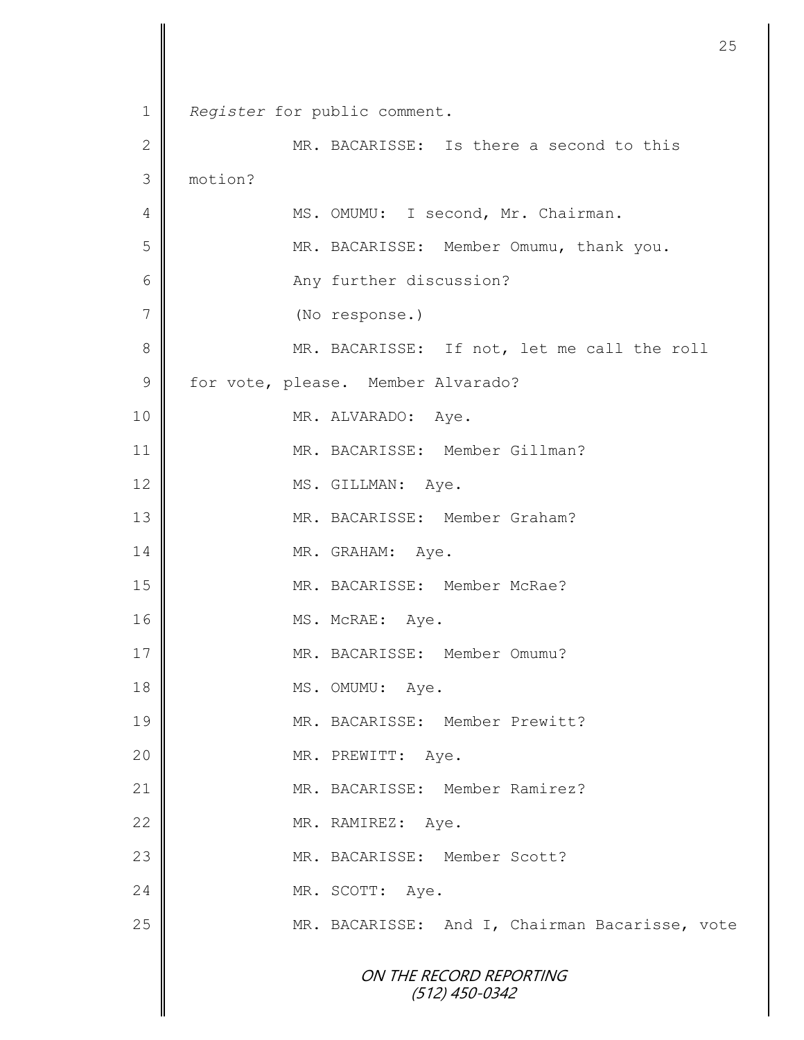|                |                                                | 25 |
|----------------|------------------------------------------------|----|
|                |                                                |    |
| $\mathbf 1$    | Register for public comment.                   |    |
| $\mathbf{2}$   | MR. BACARISSE: Is there a second to this       |    |
| 3              | motion?                                        |    |
| $\overline{4}$ | MS. OMUMU: I second, Mr. Chairman.             |    |
| 5              | MR. BACARISSE: Member Omumu, thank you.        |    |
| 6              | Any further discussion?                        |    |
| 7              | (No response.)                                 |    |
| 8              | MR. BACARISSE: If not, let me call the roll    |    |
| $\mathcal{G}$  | for vote, please. Member Alvarado?             |    |
| 10             | MR. ALVARADO: Aye.                             |    |
| 11             | MR. BACARISSE: Member Gillman?                 |    |
| 12             | MS. GILLMAN: Aye.                              |    |
| 13             | MR. BACARISSE: Member Graham?                  |    |
| 14             | MR. GRAHAM: Aye.                               |    |
| 15             | MR. BACARISSE: Member McRae?                   |    |
| 16             | MS. McRAE: Aye.                                |    |
| 17             | MR. BACARISSE: Member Omumu?                   |    |
| 18             | MS. OMUMU: Aye.                                |    |
| 19             | MR. BACARISSE: Member Prewitt?                 |    |
| 20             | MR. PREWITT: Aye.                              |    |
| 21             | MR. BACARISSE: Member Ramirez?                 |    |
| 22             | MR. RAMIREZ: Aye.                              |    |
| 23             | MR. BACARISSE: Member Scott?                   |    |
| 24             | MR. SCOTT: Aye.                                |    |
| 25             | MR. BACARISSE: And I, Chairman Bacarisse, vote |    |
|                | ON THE RECORD REPORTING<br>$(512)$ 450-0342    |    |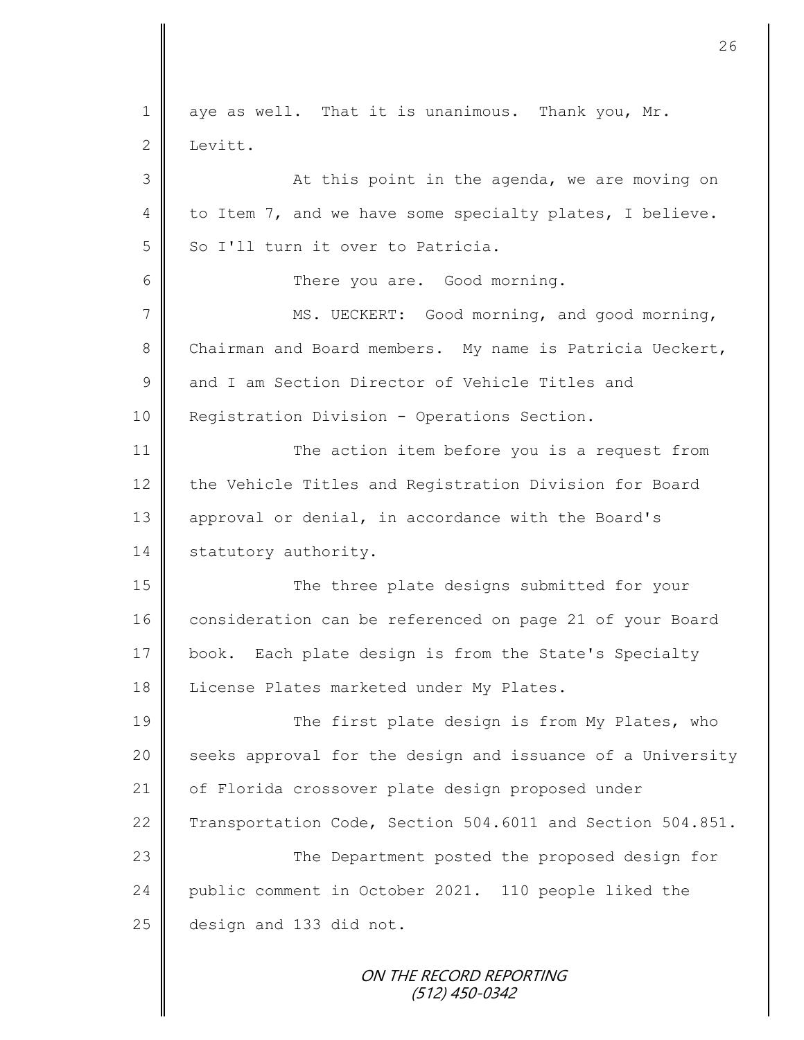$1 \parallel$  aye as well. That it is unanimous. Thank you, Mr. 2 Levitt. 3 || At this point in the agenda, we are moving on 4 to Item 7, and we have some specialty plates, I believe.  $5 \parallel$  So I'll turn it over to Patricia. 6 **6** There you are. Good morning. 7 | MS. UECKERT: Good morning, and good morning, 8 Chairman and Board members. My name is Patricia Ueckert, 9 and I am Section Director of Vehicle Titles and 10 | Registration Division - Operations Section. 11 The action item before you is a request from 12 the Vehicle Titles and Registration Division for Board 13 | approval or denial, in accordance with the Board's 14 statutory authority. 15 || The three plate designs submitted for your 16 consideration can be referenced on page 21 of your Board 17 book. Each plate design is from the State's Specialty 18 | License Plates marketed under My Plates. 19 The first plate design is from My Plates, who 20 seeks approval for the design and issuance of a University 21 | of Florida crossover plate design proposed under 22 Transportation Code, Section 504.6011 and Section 504.851. 23 || The Department posted the proposed design for 24 public comment in October 2021. 110 people liked the 25 design and 133 did not.

> ON THE RECORD REPORTING (512) 450-0342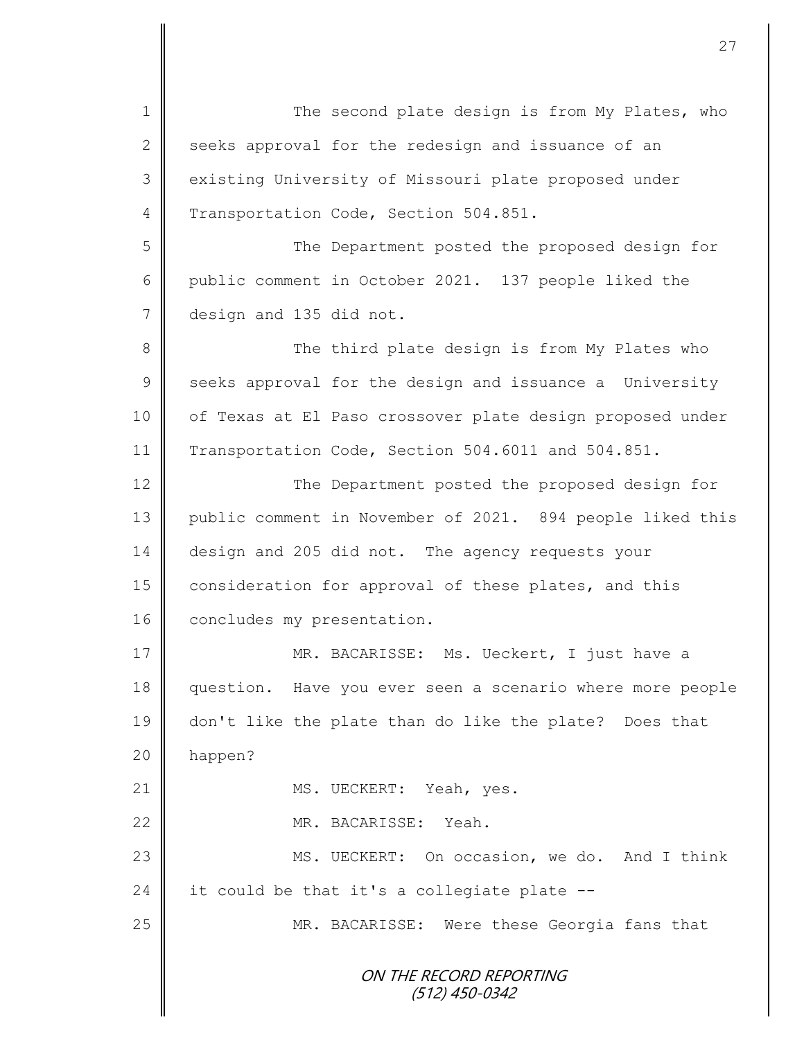ON THE RECORD REPORTING (512) 450-0342 1 || The second plate design is from My Plates, who  $2 \parallel$  seeks approval for the redesign and issuance of an 3 existing University of Missouri plate proposed under 4 Transportation Code, Section 504.851. 5 || The Department posted the proposed design for 6 public comment in October 2021. 137 people liked the 7 design and 135 did not. 8 The third plate design is from My Plates who 9 seeks approval for the design and issuance a University 10 | of Texas at El Paso crossover plate design proposed under 11 Transportation Code, Section 504.6011 and 504.851. 12  $\parallel$ 13 public comment in November of 2021. 894 people liked this 14 design and 205 did not. The agency requests your 15 consideration for approval of these plates, and this 16 concludes my presentation. 17 **||** MR. BACARISSE: Ms. Ueckert, I just have a 18 question. Have you ever seen a scenario where more people 19 don't like the plate than do like the plate? Does that 20 happen? 21 || MS. UECKERT: Yeah, yes. 22 MR. BACARISSE: Yeah. 23 MS. UECKERT: On occasion, we do. And I think 24 it could be that it's a collegiate plate  $-$ 25 | MR. BACARISSE: Were these Georgia fans that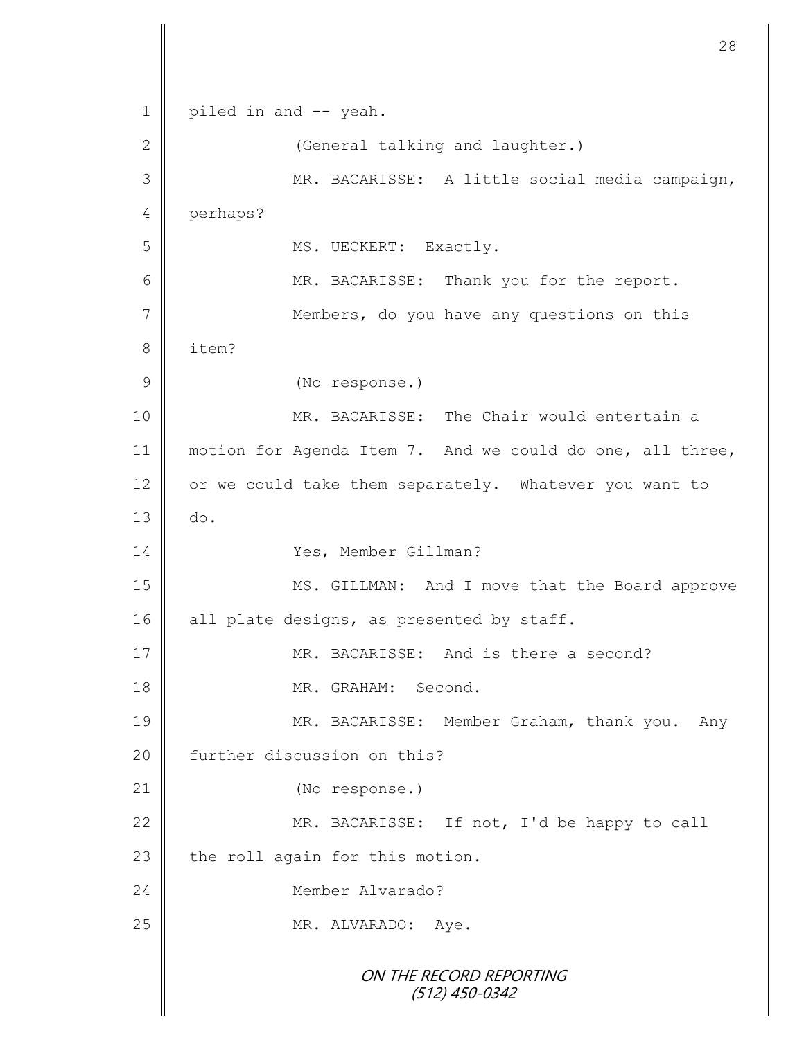ON THE RECORD REPORTING (512) 450-0342 1 | piled in and -- yeah. 2 || (General talking and laughter.) 3 MR. BACARISSE: A little social media campaign, 4 perhaps? 5 | MS. UECKERT: Exactly. 6 || MR. BACARISSE: Thank you for the report. 7 Members, do you have any questions on this 8 l item? 9 (No response.) 10 MR. BACARISSE: The Chair would entertain a 11 | motion for Agenda Item 7. And we could do one, all three, 12 or we could take them separately. Whatever you want to  $13 \parallel$  do. 14 Yes, Member Gillman? 15 || MS. GILLMAN: And I move that the Board approve 16 | all plate designs, as presented by staff. 17 MR. BACARISSE: And is there a second? 18 **MR.** GRAHAM: Second. 19 MR. BACARISSE: Member Graham, thank you. Any 20 further discussion on this? 21 (No response.) 22 MR. BACARISSE: If not, I'd be happy to call 23 the roll again for this motion. 24 Member Alvarado? 25 || MR. ALVARADO: Aye.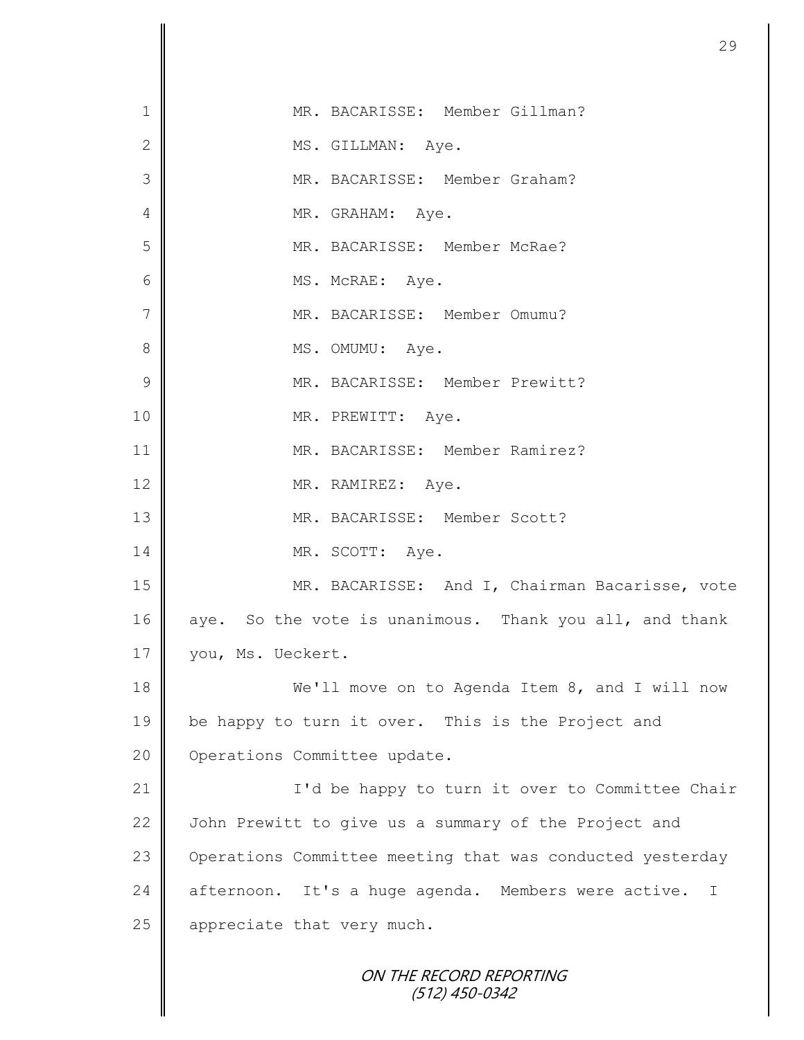| $\mathbf 1$   | MR. BACARISSE: Member Gillman?                            |
|---------------|-----------------------------------------------------------|
| $\mathbf{2}$  | MS. GILLMAN: Aye.                                         |
| 3             | MR. BACARISSE: Member Graham?                             |
| 4             | MR. GRAHAM: Aye.                                          |
| 5             | MR. BACARISSE: Member McRae?                              |
| 6             | MS. McRAE: Aye.                                           |
| $\sqrt{}$     | MR. BACARISSE: Member Omumu?                              |
| 8             | MS. OMUMU: Aye.                                           |
| $\mathcal{G}$ | MR. BACARISSE: Member Prewitt?                            |
| 10            | MR. PREWITT: Aye.                                         |
| 11            | MR. BACARISSE: Member Ramirez?                            |
| 12            | MR. RAMIREZ: Aye.                                         |
| 13            | MR. BACARISSE: Member Scott?                              |
| 14            | MR. SCOTT: Aye.                                           |
| 15            | MR. BACARISSE: And I, Chairman Bacarisse, vote            |
| 16            | aye. So the vote is unanimous. Thank you all, and thank   |
| 17            | you, Ms. Ueckert.                                         |
| 18            | We'll move on to Agenda Item 8, and I will now            |
| 19            | be happy to turn it over. This is the Project and         |
| 20            | Operations Committee update.                              |
| 21            | I'd be happy to turn it over to Committee Chair           |
| 22            | John Prewitt to give us a summary of the Project and      |
| 23            | Operations Committee meeting that was conducted yesterday |
| 24            | afternoon. It's a huge agenda. Members were active. I     |
| 25            | appreciate that very much.                                |
|               | ON THE RECORD REPORTING<br>(512) 450-0342                 |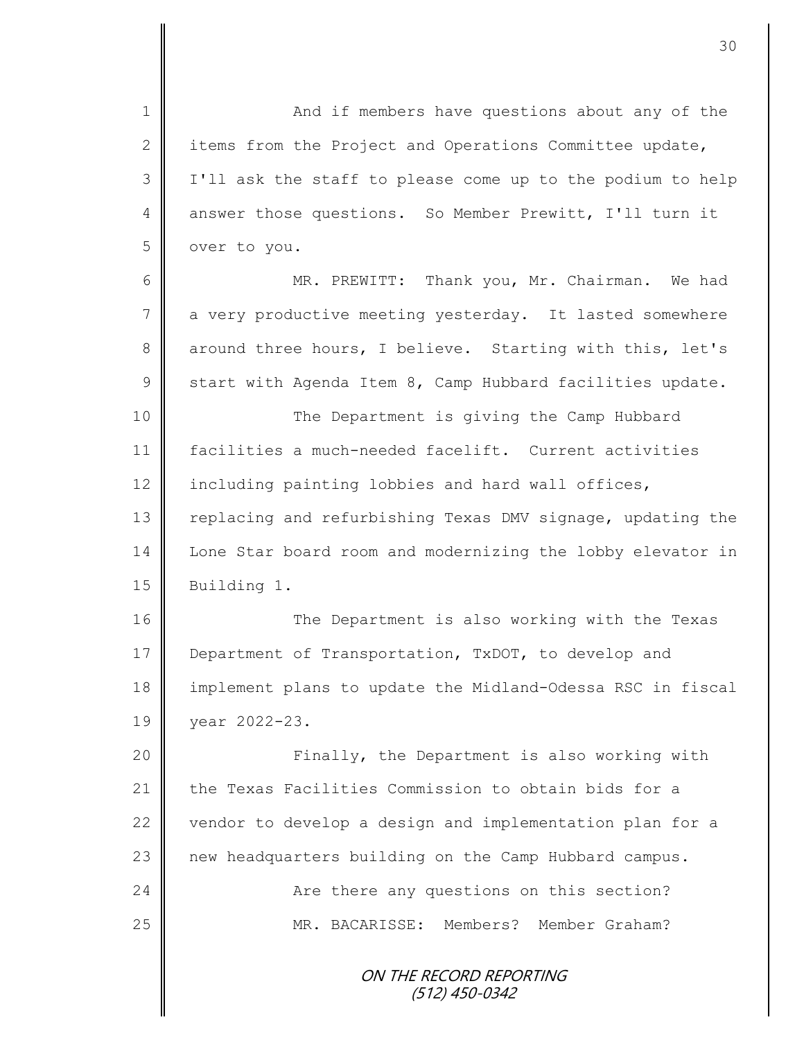ON THE RECORD REPORTING (512) 450-0342 1 And if members have questions about any of the 2  $\parallel$  items from the Project and Operations Committee update, 3 I'll ask the staff to please come up to the podium to help 4 answer those questions. So Member Prewitt, I'll turn it 5 over to you. 6 || MR. PREWITT: Thank you, Mr. Chairman. We had 7 a very productive meeting yesterday. It lasted somewhere 8 around three hours, I believe. Starting with this, let's  $9 \parallel$  start with Agenda Item 8, Camp Hubbard facilities update. 10 || The Department is giving the Camp Hubbard 11 facilities a much-needed facelift. Current activities 12  $\parallel$  including painting lobbies and hard wall offices, 13 Teplacing and refurbishing Texas DMV signage, updating the 14 Lone Star board room and modernizing the lobby elevator in 15 | Building 1. 16 || The Department is also working with the Texas 17 Department of Transportation, TxDOT, to develop and 18 implement plans to update the Midland-Odessa RSC in fiscal 19 year 2022-23. 20 Finally, the Department is also working with 21 the Texas Facilities Commission to obtain bids for a 22  $\parallel$  vendor to develop a design and implementation plan for a 23 new headquarters building on the Camp Hubbard campus. 24 **Are there any questions on this section?** 25 MR. BACARISSE: Members? Member Graham?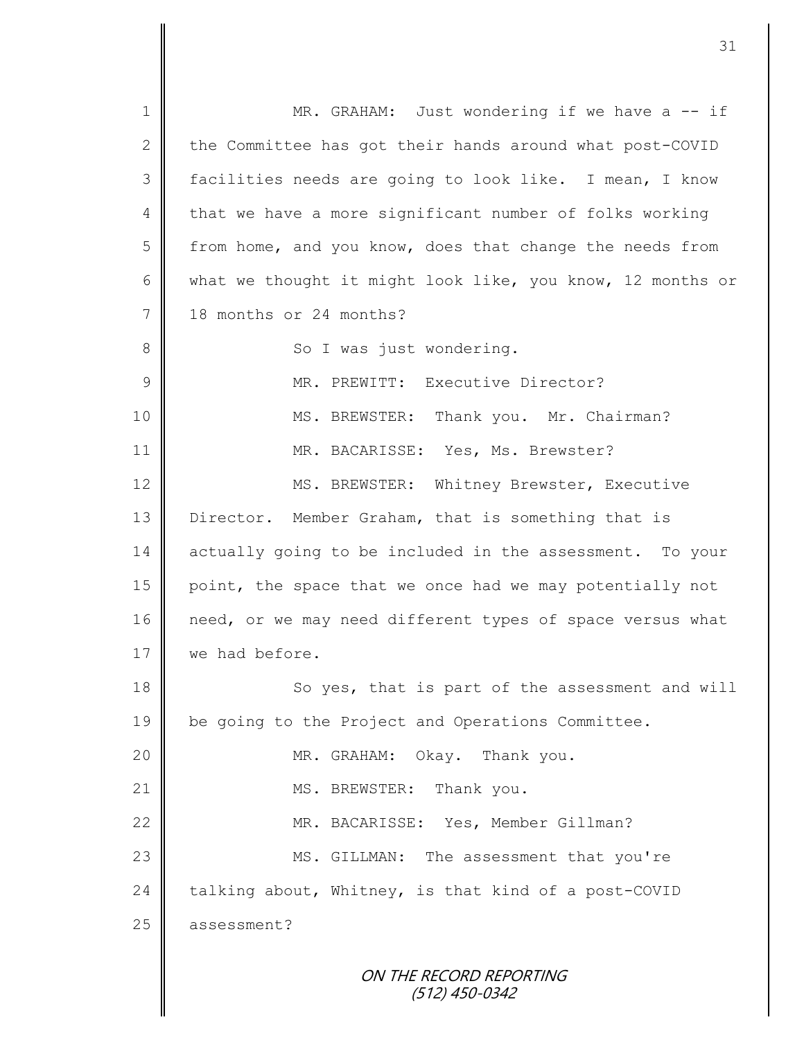ON THE RECORD REPORTING 1 || MR. GRAHAM: Just wondering if we have a -- if 2 the Committee has got their hands around what post-COVID 3 || facilities needs are going to look like. I mean, I know 4 that we have a more significant number of folks working 5 from home, and you know, does that change the needs from 6 what we thought it might look like, you know, 12 months or 7 18 months or 24 months? 8 || So I was just wondering. 9 MR. PREWITT: Executive Director? 10 | MS. BREWSTER: Thank you. Mr. Chairman? 11 MR. BACARISSE: Yes, Ms. Brewster? 12 | MS. BREWSTER: Whitney Brewster, Executive 13 Director. Member Graham, that is something that is 14 actually going to be included in the assessment. To your 15 point, the space that we once had we may potentially not 16 need, or we may need different types of space versus what 17 **we had before.** 18 || So yes, that is part of the assessment and will 19 | be going to the Project and Operations Committee. 20 MR. GRAHAM: Okay. Thank you. 21 || MS. BREWSTER: Thank you. 22 MR. BACARISSE: Yes, Member Gillman? 23 MS. GILLMAN: The assessment that you're 24  $\parallel$  talking about, Whitney, is that kind of a post-COVID 25 assessment?

(512) 450-0342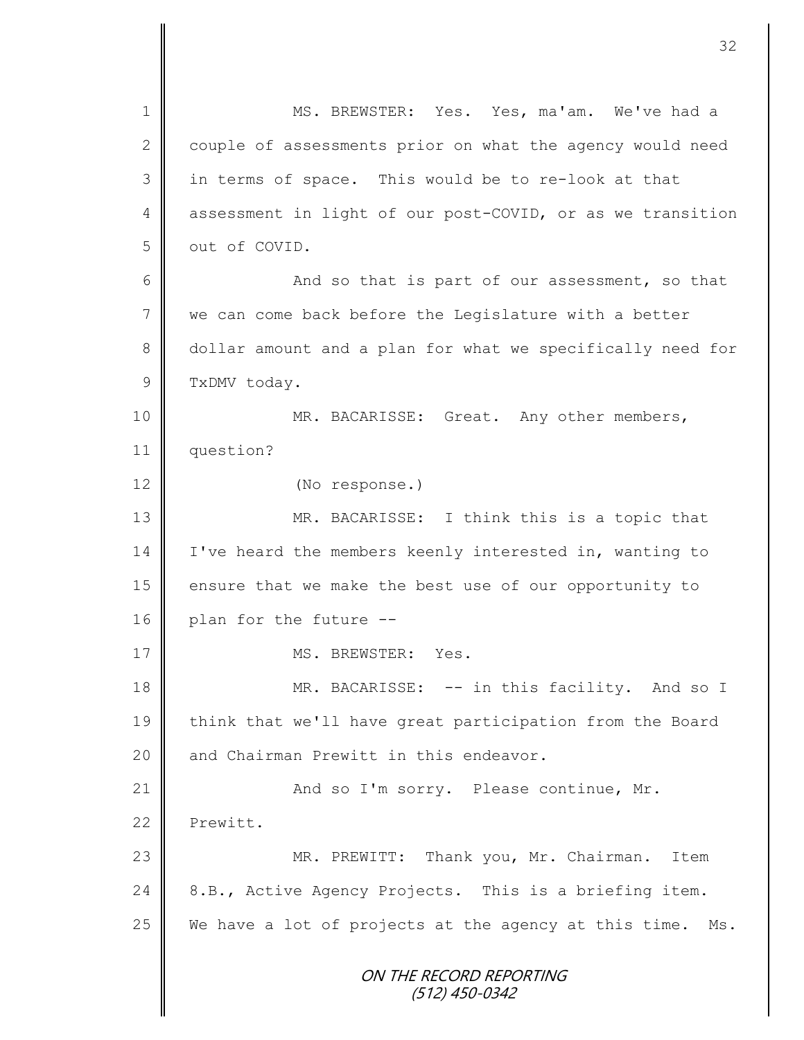ON THE RECORD REPORTING (512) 450-0342 1 MS. BREWSTER: Yes. Yes, ma'am. We've had a 2 couple of assessments prior on what the agency would need 3 || in terms of space. This would be to re-look at that 4 assessment in light of our post-COVID, or as we transition 5 | out of COVID. 6 and so that is part of our assessment, so that 7 we can come back before the Legislature with a better 8 dollar amount and a plan for what we specifically need for 9 TxDMV today. 10 || MR. BACARISSE: Great. Any other members, 11 question? 12 (No response.) 13 || MR. BACARISSE: I think this is a topic that 14 | I've heard the members keenly interested in, wanting to 15 ensure that we make the best use of our opportunity to 16 plan for the future --17 NS. BREWSTER: Yes. 18 MR. BACARISSE: -- in this facility. And so I 19 | think that we'll have great participation from the Board 20 and Chairman Prewitt in this endeavor. 21 | And so I'm sorry. Please continue, Mr. 22 Prewitt. 23 | MR. PREWITT: Thank you, Mr. Chairman. Item 24  $\parallel$  8.B., Active Agency Projects. This is a briefing item. 25 We have a lot of projects at the agency at this time. Ms.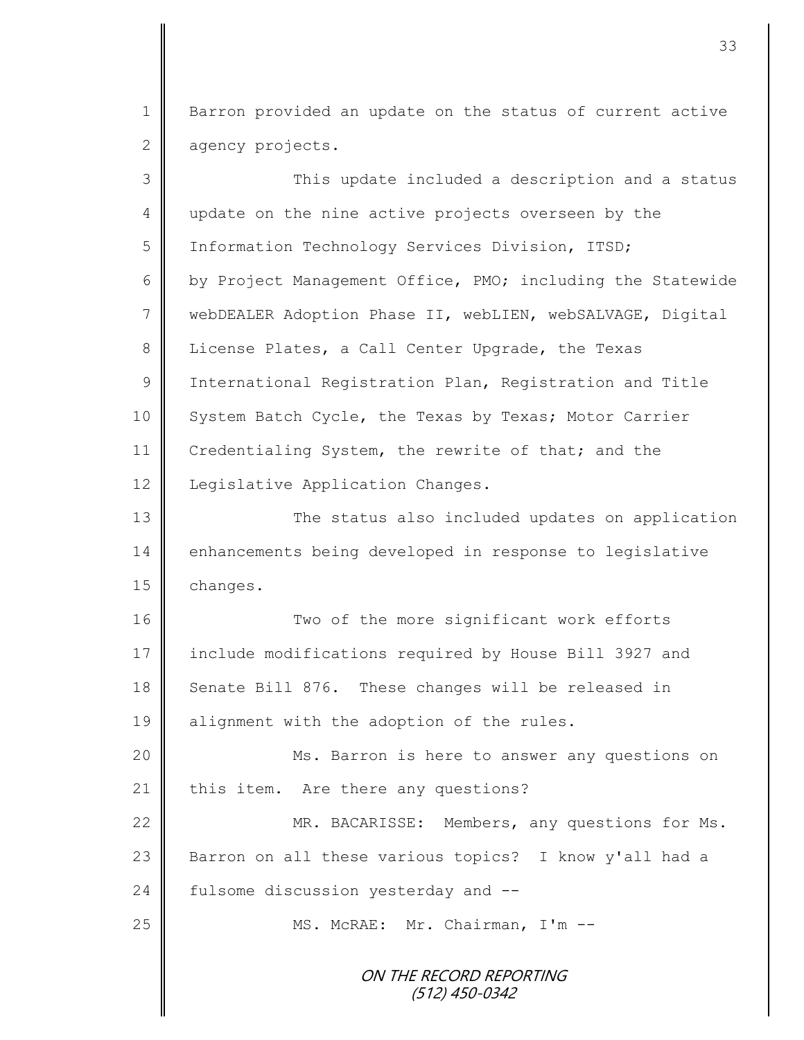1 Barron provided an update on the status of current active 2 agency projects.

| 3              | This update included a description and a status            |
|----------------|------------------------------------------------------------|
| 4              | update on the nine active projects overseen by the         |
| 5              | Information Technology Services Division, ITSD;            |
| 6              | by Project Management Office, PMO; including the Statewide |
| $\overline{7}$ | webDEALER Adoption Phase II, webLIEN, webSALVAGE, Digital  |
| 8              | License Plates, a Call Center Upgrade, the Texas           |
| 9              | International Registration Plan, Registration and Title    |
| 10             | System Batch Cycle, the Texas by Texas; Motor Carrier      |
| 11             | Credentialing System, the rewrite of that; and the         |
| 12             | Legislative Application Changes.                           |
| 13             | The status also included updates on application            |
| 14             | enhancements being developed in response to legislative    |
| 15             | changes.                                                   |
| 16             | Two of the more significant work efforts                   |
| 17             | include modifications required by House Bill 3927 and      |
| 18             | Senate Bill 876. These changes will be released in         |
| 19             | alignment with the adoption of the rules.                  |
| 20             | Ms. Barron is here to answer any questions on              |
| 21             | this item. Are there any questions?                        |
| 22             | MR. BACARISSE: Members, any questions for Ms.              |
| 23             | Barron on all these various topics? I know y'all had a     |
| 24             | fulsome discussion yesterday and --                        |
| 25             | MS. McRAE: Mr. Chairman, I'm --                            |
|                | ON THE RECORD REPORTING<br>(512) 450-0342                  |

II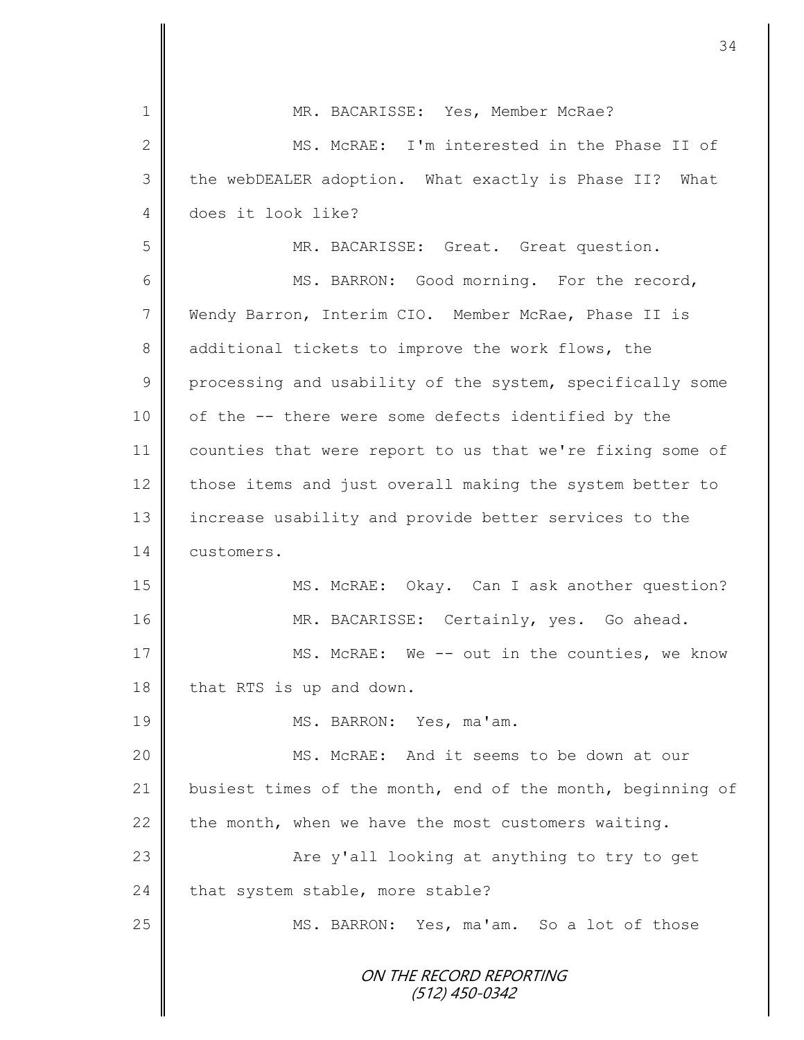|                | 34                                                         |
|----------------|------------------------------------------------------------|
| 1              | MR. BACARISSE: Yes, Member McRae?                          |
|                |                                                            |
| 2              | MS. McRAE: I'm interested in the Phase II of               |
| 3              | the webDEALER adoption. What exactly is Phase II? What     |
| 4              | does it look like?                                         |
| 5              | MR. BACARISSE: Great. Great question.                      |
| 6              | MS. BARRON: Good morning. For the record,                  |
| $\overline{7}$ | Wendy Barron, Interim CIO. Member McRae, Phase II is       |
| 8              | additional tickets to improve the work flows, the          |
| $\mathcal{G}$  | processing and usability of the system, specifically some  |
| 10             | of the -- there were some defects identified by the        |
| 11             | counties that were report to us that we're fixing some of  |
| 12             | those items and just overall making the system better to   |
| 13             | increase usability and provide better services to the      |
| 14             | customers.                                                 |
| 15             | MS. McRAE: Okay. Can I ask another question?               |
| 16             | MR. BACARISSE: Certainly, yes. Go ahead.                   |
| 17             | MS. McRAE: We -- out in the counties, we know              |
| 18             | that RTS is up and down.                                   |
| 19             | MS. BARRON: Yes, ma'am.                                    |
| 20             | MS. McRAE: And it seems to be down at our                  |
| 21             | busiest times of the month, end of the month, beginning of |
| 22             | the month, when we have the most customers waiting.        |
| 23             | Are y'all looking at anything to try to get                |
| 24             | that system stable, more stable?                           |
| 25             | MS. BARRON: Yes, ma'am. So a lot of those                  |
|                | ON THE RECORD REPORTING                                    |
|                | $(512)$ 450-0342                                           |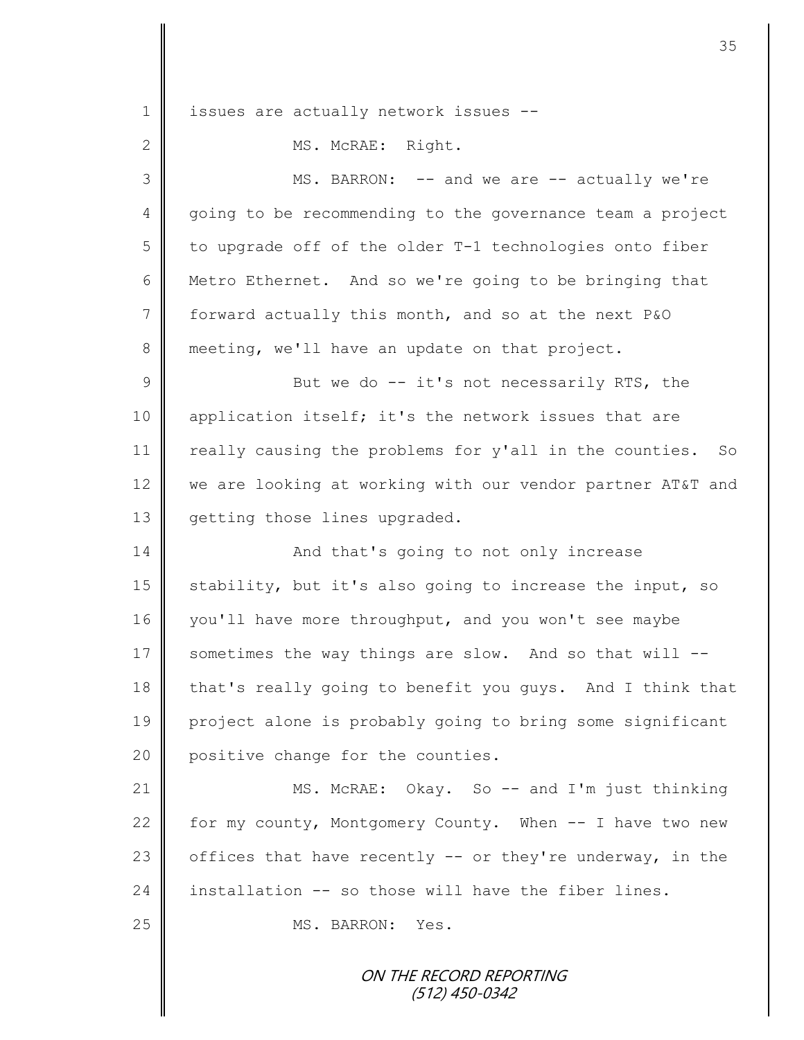1 | issues are actually network issues --2 | MS. McRAE: Right. 3 || MS. BARRON: -- and we are -- actually we're 4 going to be recommending to the governance team a project  $5 \parallel$  to upgrade off of the older T-1 technologies onto fiber 6 Metro Ethernet. And so we're going to be bringing that 7 forward actually this month, and so at the next P&O 8 meeting, we'll have an update on that project. 9 || But we do -- it's not necessarily RTS, the 10 || application itself; it's the network issues that are 11 | really causing the problems for y'all in the counties. So 12 we are looking at working with our vendor partner AT&T and 13 | getting those lines upgraded. 14 **And that's going to not only increase** 15  $\parallel$  stability, but it's also going to increase the input, so 16 you'll have more throughput, and you won't see maybe 17  $\parallel$  sometimes the way things are slow. And so that will --18 that's really going to benefit you guys. And I think that 19 project alone is probably going to bring some significant 20 positive change for the counties. 21 | MS. McRAE: Okay. So -- and I'm just thinking 22  $\parallel$  for my county, Montgomery County. When  $-$  I have two new 23  $\parallel$  offices that have recently -- or they're underway, in the 24 installation  $-$  so those will have the fiber lines. 25 NS. BARRON: Yes.

ON THE RECORD REPORTING (512) 450-0342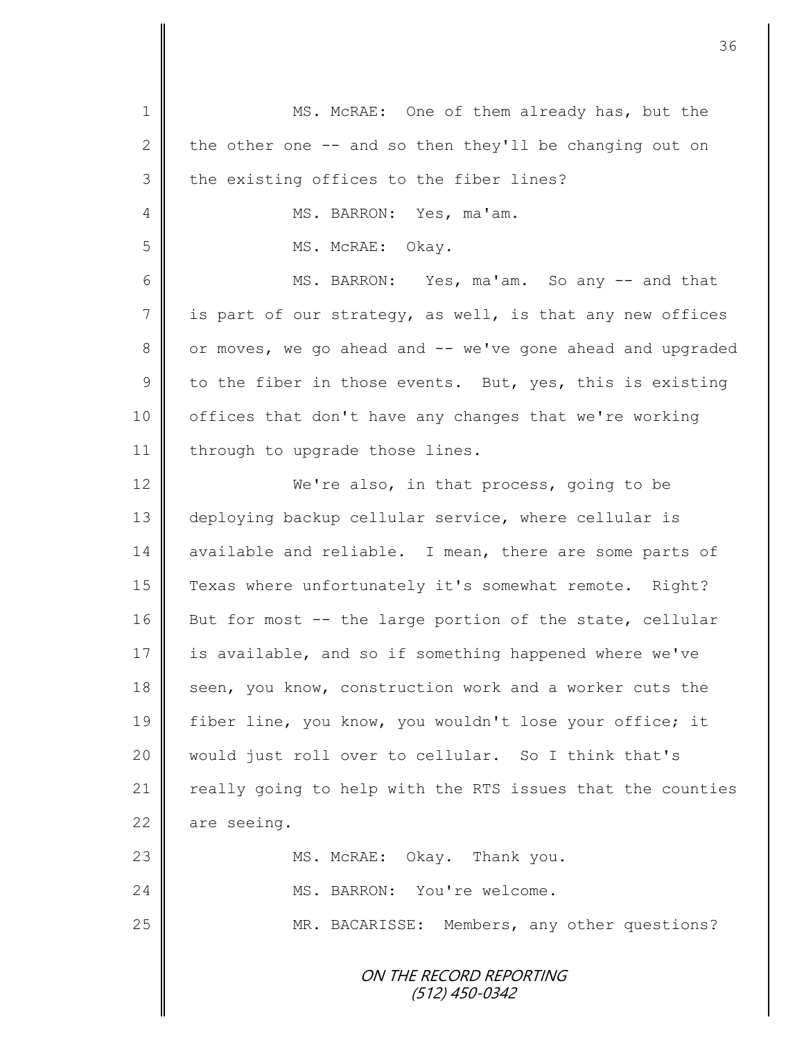| $\mathbf 1$    | MS. McRAE: One of them already has, but the                |
|----------------|------------------------------------------------------------|
| 2              | the other one -- and so then they'll be changing out on    |
| 3              | the existing offices to the fiber lines?                   |
| 4              | MS. BARRON: Yes, ma'am.                                    |
| 5              | MS. McRAE: Okay.                                           |
| 6              | MS. BARRON: Yes, ma'am. So any -- and that                 |
| $\overline{7}$ | is part of our strategy, as well, is that any new offices  |
| 8              | or moves, we go ahead and -- we've gone ahead and upgraded |
| $\overline{9}$ | to the fiber in those events. But, yes, this is existing   |
| 10             | offices that don't have any changes that we're working     |
| 11             | through to upgrade those lines.                            |
| 12             | We're also, in that process, going to be                   |
| 13             | deploying backup cellular service, where cellular is       |
| 14             | available and reliable. I mean, there are some parts of    |
| 15             | Texas where unfortunately it's somewhat remote. Right?     |
| 16             | But for most -- the large portion of the state, cellular   |
| 17             | is available, and so if something happened where we've     |
| 18             | seen, you know, construction work and a worker cuts the    |
| 19             | fiber line, you know, you wouldn't lose your office; it    |
| 20             | would just roll over to cellular. So I think that's        |
| 21             | really going to help with the RTS issues that the counties |
| 22             | are seeing.                                                |
| 23             | MS. McRAE: Okay. Thank you.                                |
| 24             | MS. BARRON: You're welcome.                                |
| 25             | MR. BACARISSE: Members, any other questions?               |
|                | <i>ON THE RECORD REPORTING</i><br>$(512)$ 450-0342         |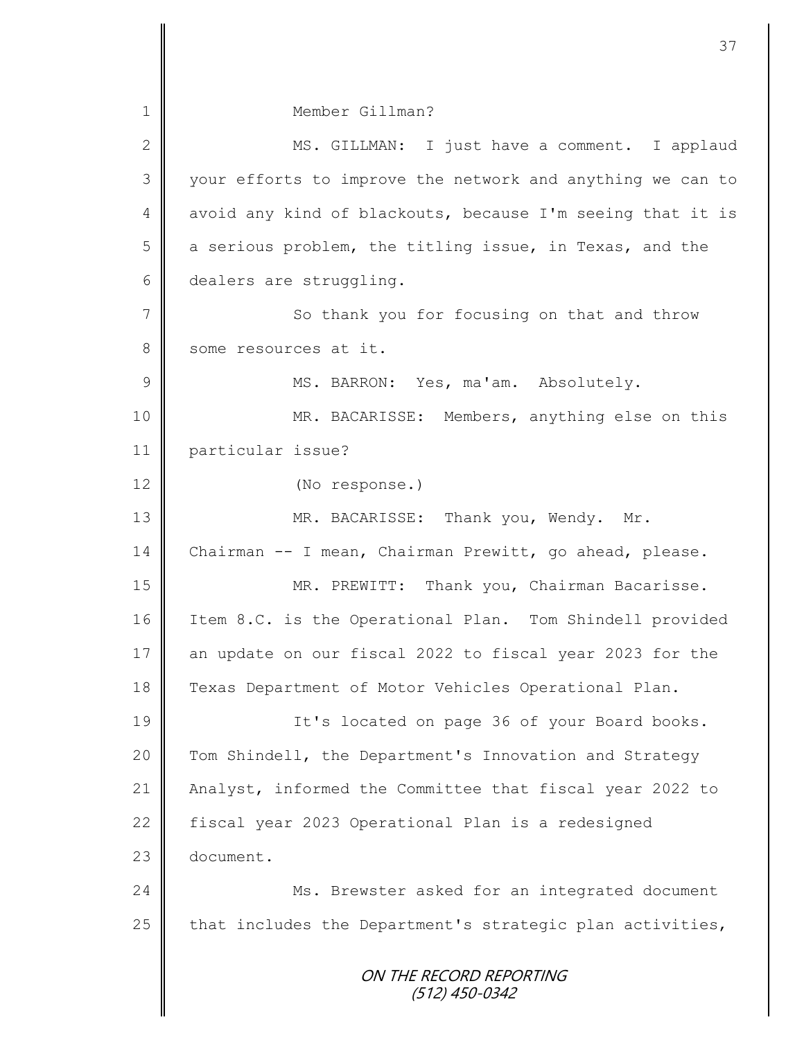ON THE RECORD REPORTING (512) 450-0342 1 Member Gillman? 2 || MS. GILLMAN: I just have a comment. I applaud 3 || your efforts to improve the network and anything we can to 4 avoid any kind of blackouts, because I'm seeing that it is 5 a serious problem, the titling issue, in Texas, and the 6 dealers are struggling. 7 || So thank you for focusing on that and throw 8 some resources at it. 9 || MS. BARRON: Yes, ma'am. Absolutely. 10 | MR. BACARISSE: Members, anything else on this 11 particular issue? 12 (No response.) 13 || MR. BACARISSE: Thank you, Wendy. Mr. 14 Chairman -- I mean, Chairman Prewitt, go ahead, please. 15 || MR. PREWITT: Thank you, Chairman Bacarisse. 16 | Item 8.C. is the Operational Plan. Tom Shindell provided 17 an update on our fiscal 2022 to fiscal year 2023 for the 18 Texas Department of Motor Vehicles Operational Plan. 19 || It's located on page 36 of your Board books. 20 Tom Shindell, the Department's Innovation and Strategy 21 Analyst, informed the Committee that fiscal year 2022 to 22 | fiscal year 2023 Operational Plan is a redesigned 23 document. 24 | Ms. Brewster asked for an integrated document 25  $\parallel$  that includes the Department's strategic plan activities,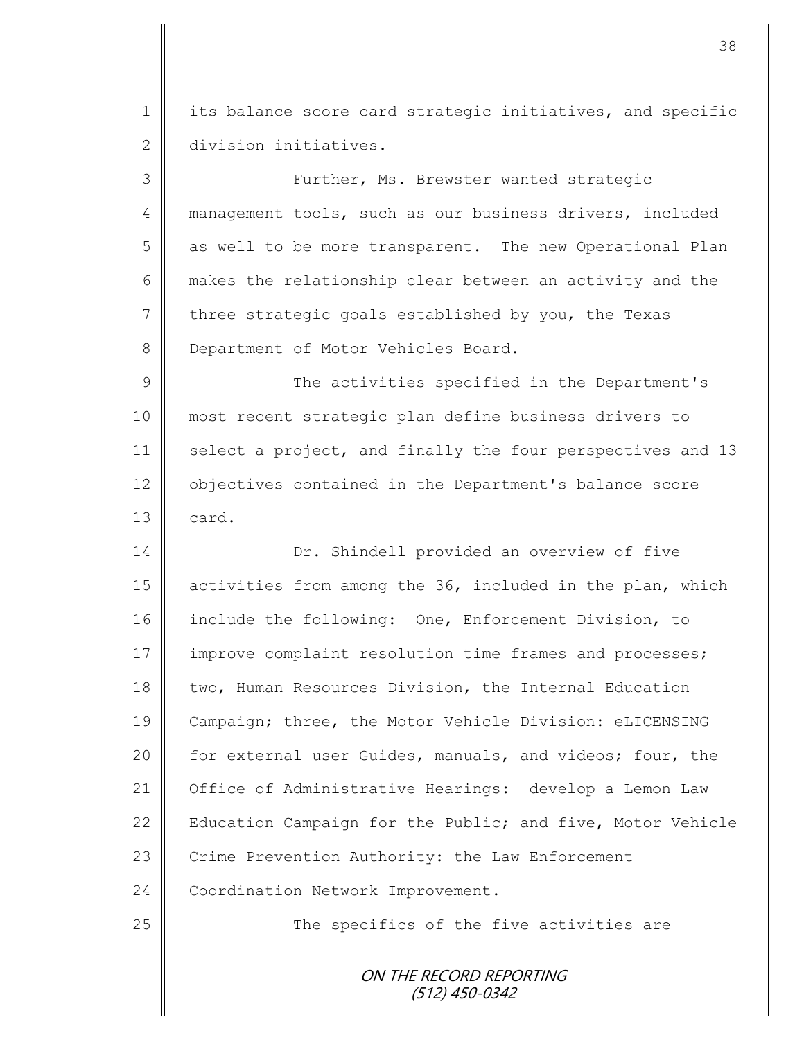1 | its balance score card strategic initiatives, and specific 2 division initiatives.

3 || Further, Ms. Brewster wanted strategic 4 management tools, such as our business drivers, included 5 as well to be more transparent. The new Operational Plan 6 makes the relationship clear between an activity and the 7 three strategic goals established by you, the Texas 8 Department of Motor Vehicles Board.

9 The activities specified in the Department's 10 most recent strategic plan define business drivers to 11 select a project, and finally the four perspectives and 13 12 objectives contained in the Department's balance score  $13$  card.

14 **Dr.** Shindell provided an overview of five 15 | activities from among the 36, included in the plan, which 16 include the following: One, Enforcement Division, to 17 improve complaint resolution time frames and processes; 18 two, Human Resources Division, the Internal Education 19 Campaign; three, the Motor Vehicle Division: eLICENSING 20 | for external user Guides, manuals, and videos; four, the 21 Office of Administrative Hearings: develop a Lemon Law 22 | Education Campaign for the Public; and five, Motor Vehicle 23 Crime Prevention Authority: the Law Enforcement 24 Coordination Network Improvement.

25 || The specifics of the five activities are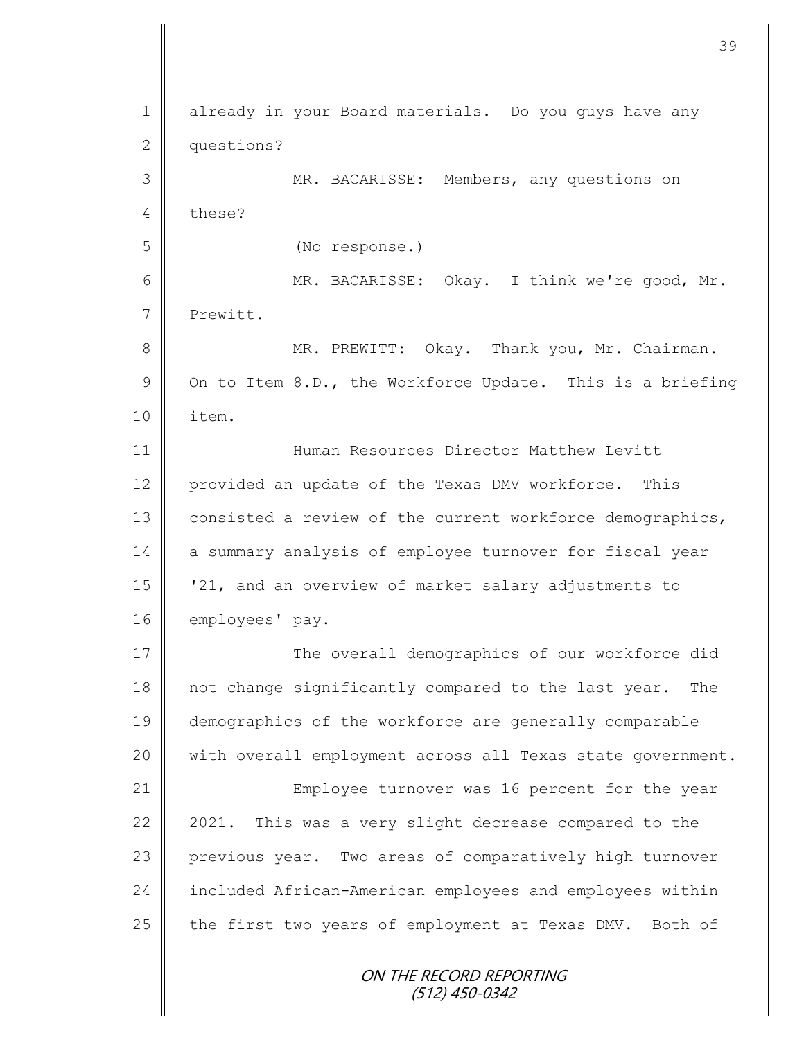ON THE RECORD REPORTING (512) 450-0342 1 already in your Board materials. Do you guys have any 2 questions? 3 MR. BACARISSE: Members, any questions on 4 these? 5 (No response.) 6 MR. BACARISSE: Okay. I think we're good, Mr. 7 Prewitt. 8 || MR. PREWITT: Okay. Thank you, Mr. Chairman. 9  $\parallel$  On to Item 8.D., the Workforce Update. This is a briefing 10 | item. 11 Human Resources Director Matthew Levitt 12 provided an update of the Texas DMV workforce. This 13 consisted a review of the current workforce demographics, 14 a summary analysis of employee turnover for fiscal year 15 '21, and an overview of market salary adjustments to 16 employees' pay. 17 The overall demographics of our workforce did 18 | not change significantly compared to the last year. The 19 demographics of the workforce are generally comparable 20 || with overall employment across all Texas state government. 21 | Employee turnover was 16 percent for the year 22 2021. This was a very slight decrease compared to the 23 previous year. Two areas of comparatively high turnover 24 included African-American employees and employees within 25 the first two years of employment at Texas DMV. Both of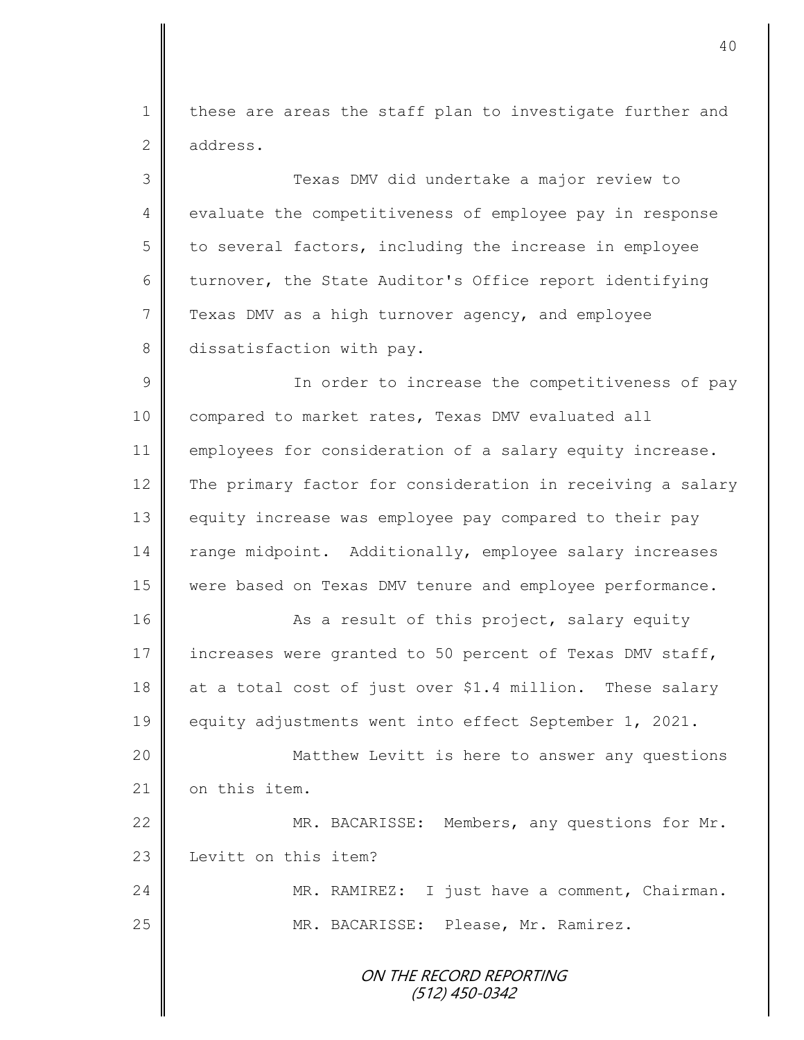1 | these are areas the staff plan to investigate further and 2 address.

3 Texas DMV did undertake a major review to 4 evaluate the competitiveness of employee pay in response  $5 \parallel$  to several factors, including the increase in employee 6 turnover, the State Auditor's Office report identifying 7 Texas DMV as a high turnover agency, and employee 8 dissatisfaction with pay.

9 || In order to increase the competitiveness of pay 10 compared to market rates, Texas DMV evaluated all 11 employees for consideration of a salary equity increase. 12 The primary factor for consideration in receiving a salary 13 equity increase was employee pay compared to their pay 14 | range midpoint. Additionally, employee salary increases 15 were based on Texas DMV tenure and employee performance.

16 || As a result of this project, salary equity 17 increases were granted to 50 percent of Texas DMV staff, 18  $\parallel$  at a total cost of just over \$1.4 million. These salary 19 equity adjustments went into effect September 1, 2021.

20 Matthew Levitt is here to answer any questions 21 | on this item.

22 MR. BACARISSE: Members, any questions for Mr. 23 | Levitt on this item?

24 MR. RAMIREZ: I just have a comment, Chairman. 25 MR. BACARISSE: Please, Mr. Ramirez.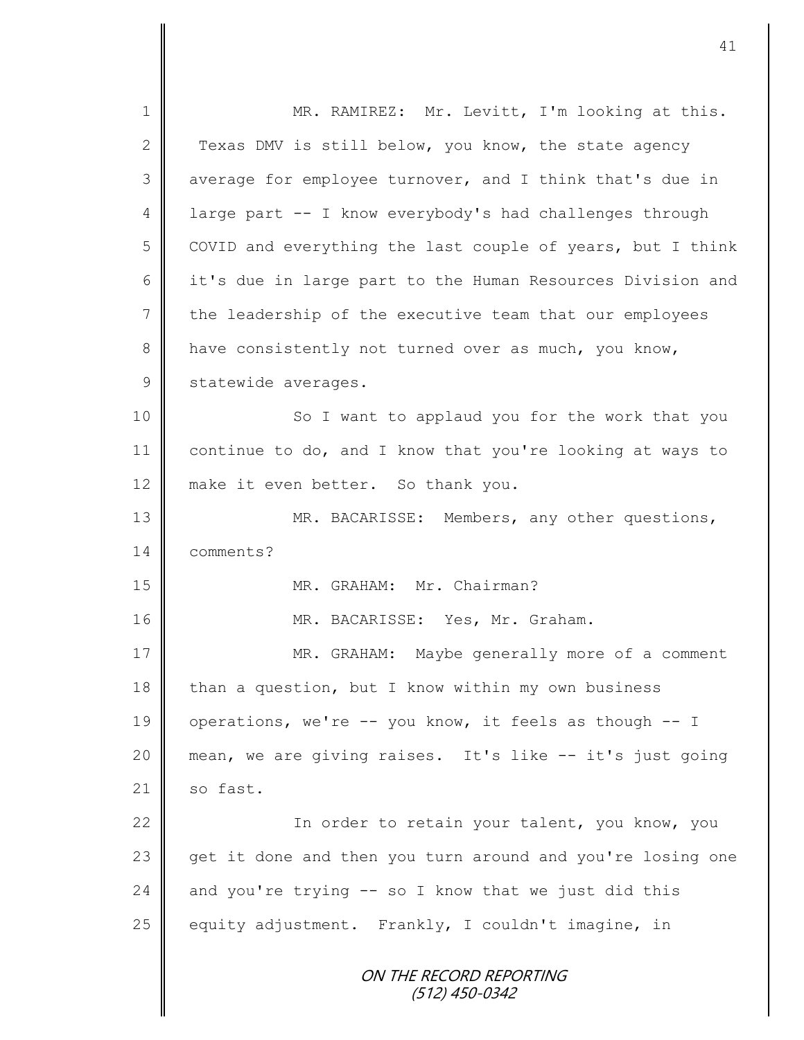ON THE RECORD REPORTING (512) 450-0342 1 || MR. RAMIREZ: Mr. Levitt, I'm looking at this. 2 Texas DMV is still below, you know, the state agency 3 average for employee turnover, and I think that's due in 4 large part -- I know everybody's had challenges through 5 COVID and everything the last couple of years, but I think 6 it's due in large part to the Human Resources Division and 7 | the leadership of the executive team that our employees 8  $\parallel$  have consistently not turned over as much, you know, 9 statewide averages. 10 || So I want to applaud you for the work that you 11 | continue to do, and I know that you're looking at ways to 12 make it even better. So thank you. 13 MR. BACARISSE: Members, any other questions, 14 comments? 15 || MR. GRAHAM: Mr. Chairman? 16 || MR. BACARISSE: Yes, Mr. Graham. 17 MR. GRAHAM: Maybe generally more of a comment 18 than a question, but I know within my own business 19 | operations, we're -- you know, it feels as though -- I 20 mean, we are giving raises. It's like -- it's just going  $21$  so fast. 22 | Kart In order to retain your talent, you know, you 23 get it done and then you turn around and you're losing one  $24$  | and you're trying -- so I know that we just did this 25 equity adjustment. Frankly, I couldn't imagine, in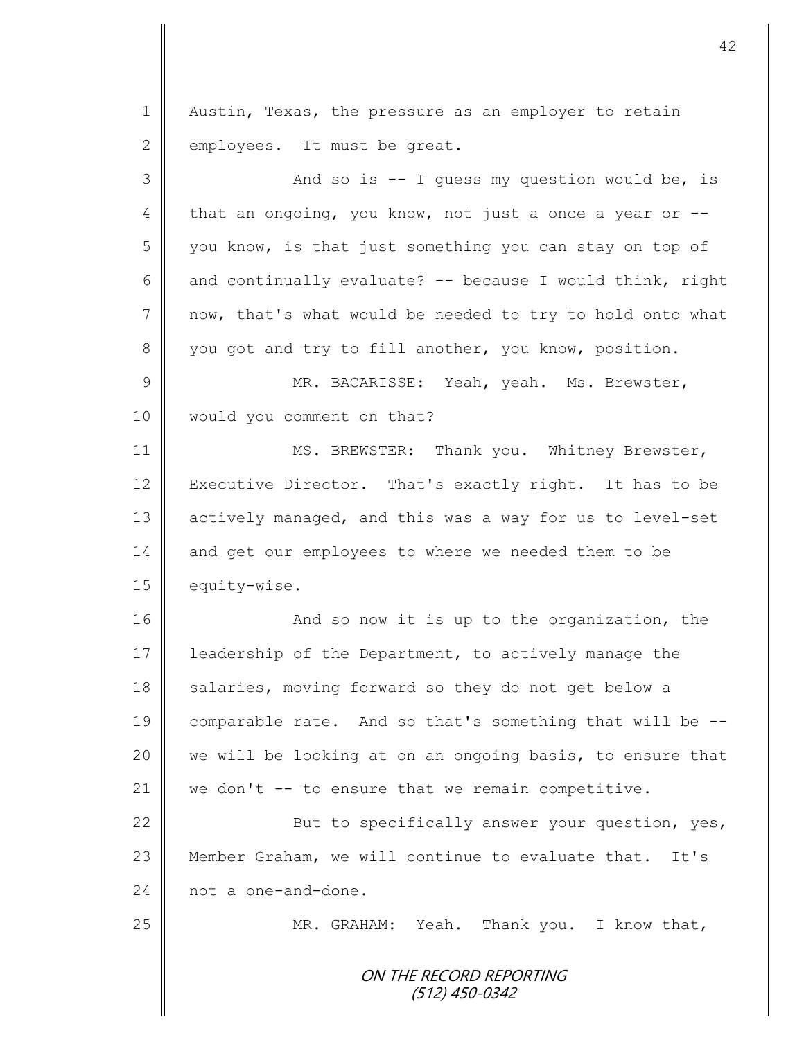1 | Austin, Texas, the pressure as an employer to retain  $2 \parallel$  employees. It must be great.

3 And so is -- I guess my question would be, is 4 that an ongoing, you know, not just a once a year or  $-$ -5 you know, is that just something you can stay on top of 6  $\parallel$  and continually evaluate? -- because I would think, right 7 now, that's what would be needed to try to hold onto what 8 you got and try to fill another, you know, position. 9 || MR. BACARISSE: Yeah, yeah. Ms. Brewster, 10 | would you comment on that? 11 | MS. BREWSTER: Thank you. Whitney Brewster, 12 Executive Director. That's exactly right. It has to be 13 | actively managed, and this was a way for us to level-set 14 and get our employees to where we needed them to be 15 equity-wise. 16 | And so now it is up to the organization, the 17 | leadership of the Department, to actively manage the 18 salaries, moving forward so they do not get below a 19 comparable rate. And so that's something that will be -- 20 we will be looking at on an ongoing basis, to ensure that 21 | we don't  $-$  to ensure that we remain competitive. 22 But to specifically answer your question, yes, 23 Member Graham, we will continue to evaluate that. It's 24 not a one-and-done. 25 || MR. GRAHAM: Yeah. Thank you. I know that,

> ON THE RECORD REPORTING (512) 450-0342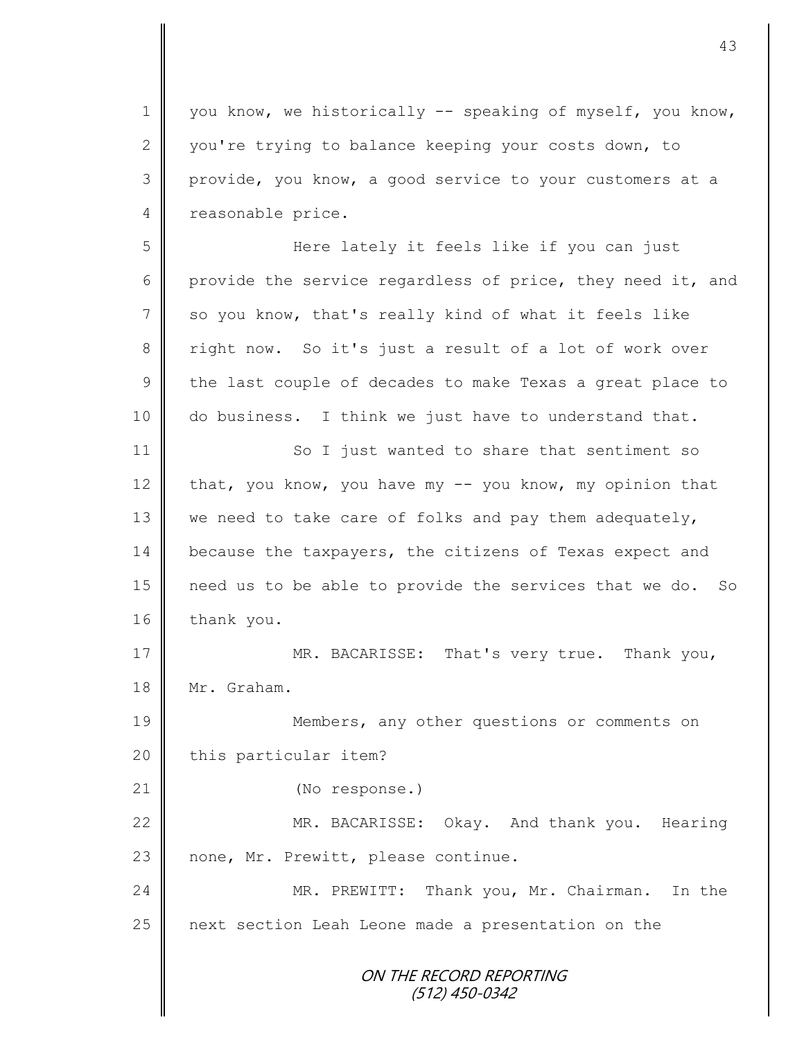1 you know, we historically -- speaking of myself, you know, 2 you're trying to balance keeping your costs down, to 3 provide, you know, a good service to your customers at a 4 reasonable price.

5 Here lately it feels like if you can just 6 provide the service regardless of price, they need it, and 7 so you know, that's really kind of what it feels like 8 right now. So it's just a result of a lot of work over  $9 \parallel$  the last couple of decades to make Texas a great place to 10 do business. I think we just have to understand that.

11 So I just wanted to share that sentiment so 12 that, you know, you have my  $-$  you know, my opinion that 13 we need to take care of folks and pay them adequately, 14 because the taxpayers, the citizens of Texas expect and 15 need us to be able to provide the services that we do. So  $16$  thank you.

17 || MR. BACARISSE: That's very true. Thank you, 18 Mr. Graham.

19 Members, any other questions or comments on 20 | this particular item?

21 | (No response.)

22 MR. BACARISSE: Okay. And thank you. Hearing 23  $\parallel$  none, Mr. Prewitt, please continue.

24 MR. PREWITT: Thank you, Mr. Chairman. In the 25 | next section Leah Leone made a presentation on the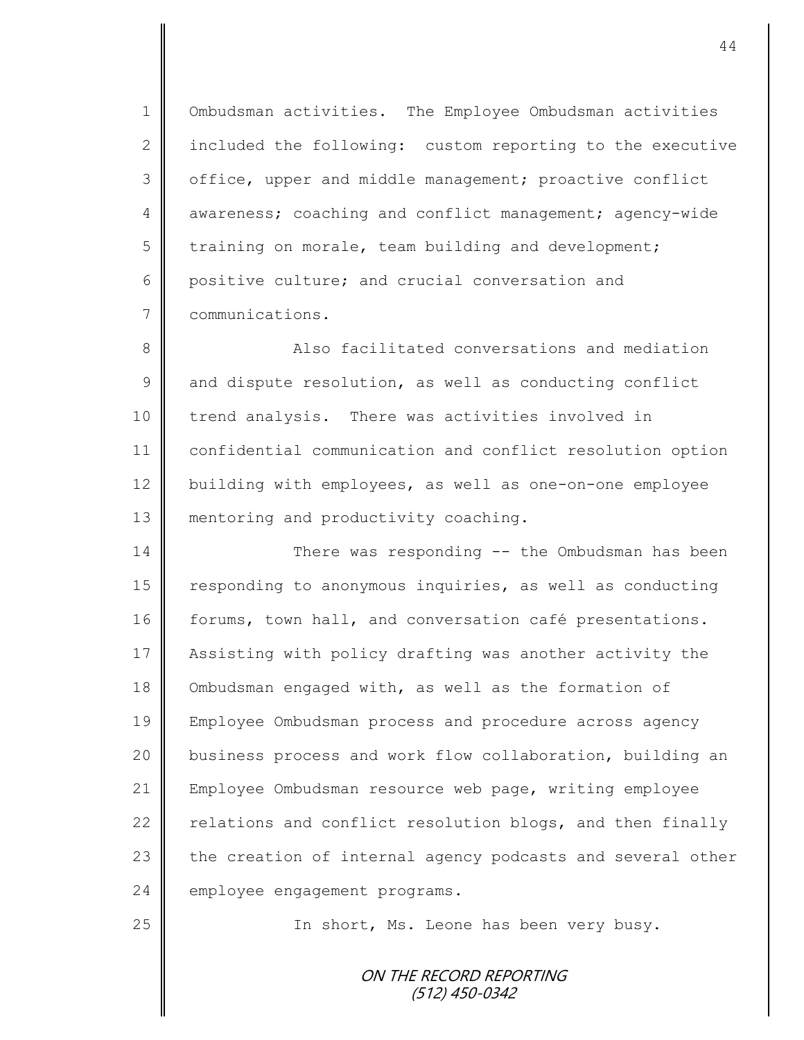1 | Ombudsman activities. The Employee Ombudsman activities 2  $\parallel$  included the following: custom reporting to the executive 3 | office, upper and middle management; proactive conflict 4 awareness; coaching and conflict management; agency-wide  $5 \parallel$  training on morale, team building and development; 6 || positive culture; and crucial conversation and 7 communications.

8 || Also facilitated conversations and mediation  $9 \parallel$  and dispute resolution, as well as conducting conflict 10 trend analysis. There was activities involved in 11 confidential communication and conflict resolution option 12 building with employees, as well as one-on-one employee 13 **mentoring and productivity coaching.** 

14 There was responding -- the Ombudsman has been 15 | responding to anonymous inquiries, as well as conducting 16 forums, town hall, and conversation café presentations. 17 Assisting with policy drafting was another activity the 18 Ombudsman engaged with, as well as the formation of 19 Employee Ombudsman process and procedure across agency 20 business process and work flow collaboration, building an 21 Employee Ombudsman resource web page, writing employee 22  $\parallel$  relations and conflict resolution blogs, and then finally 23 the creation of internal agency podcasts and several other 24 employee engagement programs.

25 | The short, Ms. Leone has been very busy.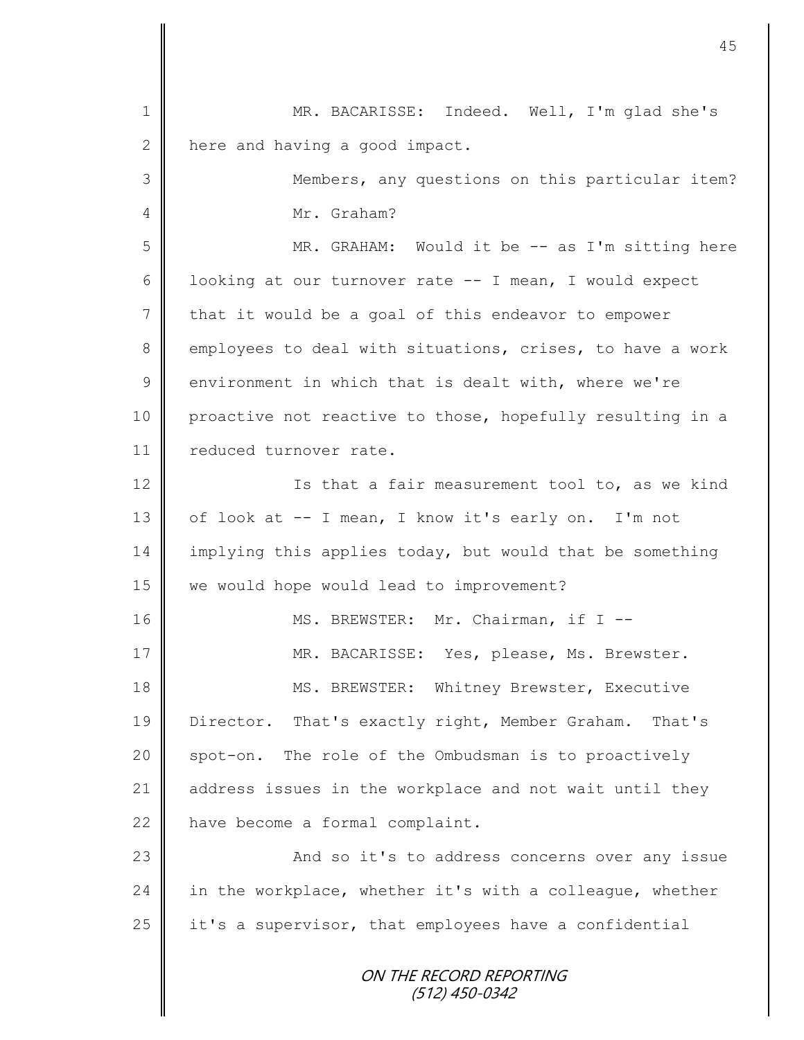| $\mathbf 1$    | MR. BACARISSE: Indeed. Well, I'm glad she's               |
|----------------|-----------------------------------------------------------|
| $\mathbf{2}$   | here and having a good impact.                            |
| 3              | Members, any questions on this particular item?           |
| 4              | Mr. Graham?                                               |
| 5              | MR. GRAHAM: Would it be -- as I'm sitting here            |
| 6              | looking at our turnover rate -- I mean, I would expect    |
| $\overline{7}$ | that it would be a goal of this endeavor to empower       |
| 8              | employees to deal with situations, crises, to have a work |
| $\overline{9}$ | environment in which that is dealt with, where we're      |
| 10             | proactive not reactive to those, hopefully resulting in a |
| 11             | reduced turnover rate.                                    |
| 12             | Is that a fair measurement tool to, as we kind            |
| 13             | of look at -- I mean, I know it's early on. I'm not       |
| 14             | implying this applies today, but would that be something  |
| 15             | we would hope would lead to improvement?                  |
| 16             | MS. BREWSTER: Mr. Chairman, if I --                       |
| 17             | MR. BACARISSE: Yes, please, Ms. Brewster.                 |
| 18             | MS. BREWSTER: Whitney Brewster, Executive                 |
| 19             | Director. That's exactly right, Member Graham. That's     |
| 20             | spot-on. The role of the Ombudsman is to proactively      |
| 21             | address issues in the workplace and not wait until they   |
| 22             | have become a formal complaint.                           |
| 23             | And so it's to address concerns over any issue            |
| 24             | in the workplace, whether it's with a colleague, whether  |
| 25             | it's a supervisor, that employees have a confidential     |
|                | ON THE RECORD REPORTING<br>(512) 450-0342                 |

 $\mathbf l$ II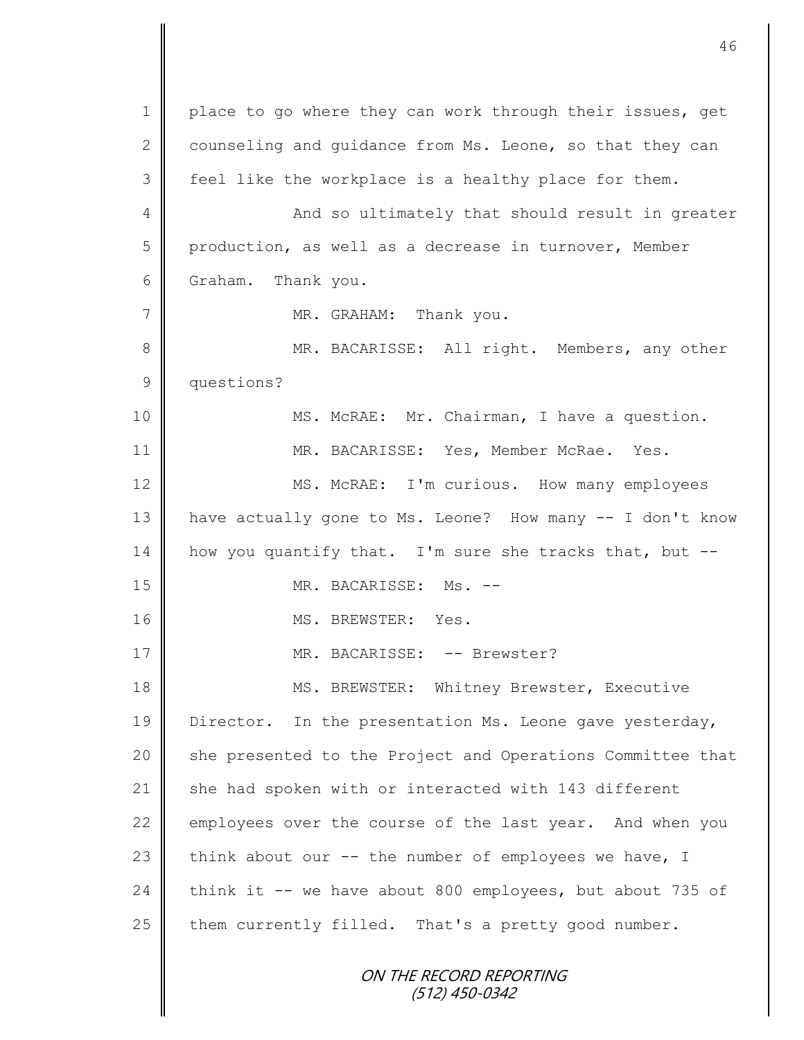ON THE RECORD REPORTING (512) 450-0342 1 | place to go where they can work through their issues, get 2 counseling and quidance from Ms. Leone, so that they can 3 | feel like the workplace is a healthy place for them. 4 || And so ultimately that should result in greater 5 production, as well as a decrease in turnover, Member 6 Graham. Thank you. 7 MR. GRAHAM: Thank you. 8 || MR. BACARISSE: All right. Members, any other 9 questions? 10 || MS. McRAE: Mr. Chairman, I have a question. 11 MR. BACARISSE: Yes, Member McRae. Yes. 12 | MS. McRAE: I'm curious. How many employees 13 | have actually gone to Ms. Leone? How many -- I don't know 14 | how you quantify that. I'm sure she tracks that, but  $-$ -15 NR. BACARISSE: Ms. --16 || MS. BREWSTER: Yes. 17 || MR. BACARISSE: -- Brewster? 18 || MS. BREWSTER: Whitney Brewster, Executive 19 | Director. In the presentation Ms. Leone gave yesterday, 20 | she presented to the Project and Operations Committee that 21  $\parallel$  she had spoken with or interacted with 143 different 22 employees over the course of the last year. And when you 23 think about our  $--$  the number of employees we have, I 24 think it -- we have about 800 employees, but about 735 of 25  $\parallel$  them currently filled. That's a pretty good number.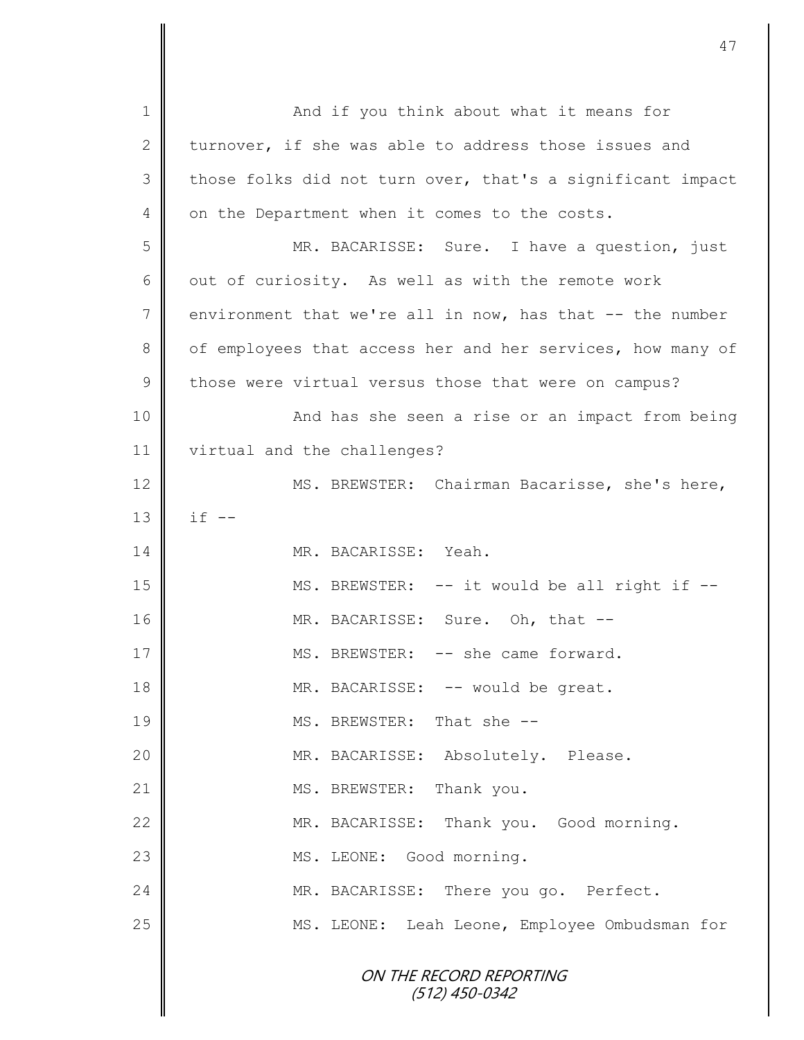| 1  | And if you think about what it means for                   |
|----|------------------------------------------------------------|
| 2  | turnover, if she was able to address those issues and      |
| 3  | those folks did not turn over, that's a significant impact |
| 4  | on the Department when it comes to the costs.              |
| 5  | MR. BACARISSE: Sure. I have a question, just               |
| 6  | out of curiosity. As well as with the remote work          |
| 7  | environment that we're all in now, has that -- the number  |
| 8  | of employees that access her and her services, how many of |
| 9  | those were virtual versus those that were on campus?       |
| 10 | And has she seen a rise or an impact from being            |
| 11 | virtual and the challenges?                                |
| 12 | MS. BREWSTER: Chairman Bacarisse, she's here,              |
| 13 | $if --$                                                    |
| 14 | MR. BACARISSE: Yeah.                                       |
| 15 | MS. BREWSTER: -- it would be all right if --               |
| 16 | MR. BACARISSE: Sure. Oh, that --                           |
| 17 | MS. BREWSTER: -- she came forward.                         |
| 18 | MR. BACARISSE: -- would be great.                          |
| 19 | MS. BREWSTER: That she --                                  |
| 20 | MR. BACARISSE: Absolutely. Please.                         |
| 21 | MS. BREWSTER: Thank you.                                   |
| 22 | MR. BACARISSE: Thank you. Good morning.                    |
| 23 | MS. LEONE: Good morning.                                   |
| 24 | MR. BACARISSE: There you go. Perfect.                      |
| 25 | MS. LEONE: Leah Leone, Employee Ombudsman for              |
|    | ON THE RECORD REPORTING<br>$(512)$ 450-0342                |

 $\mathbf l$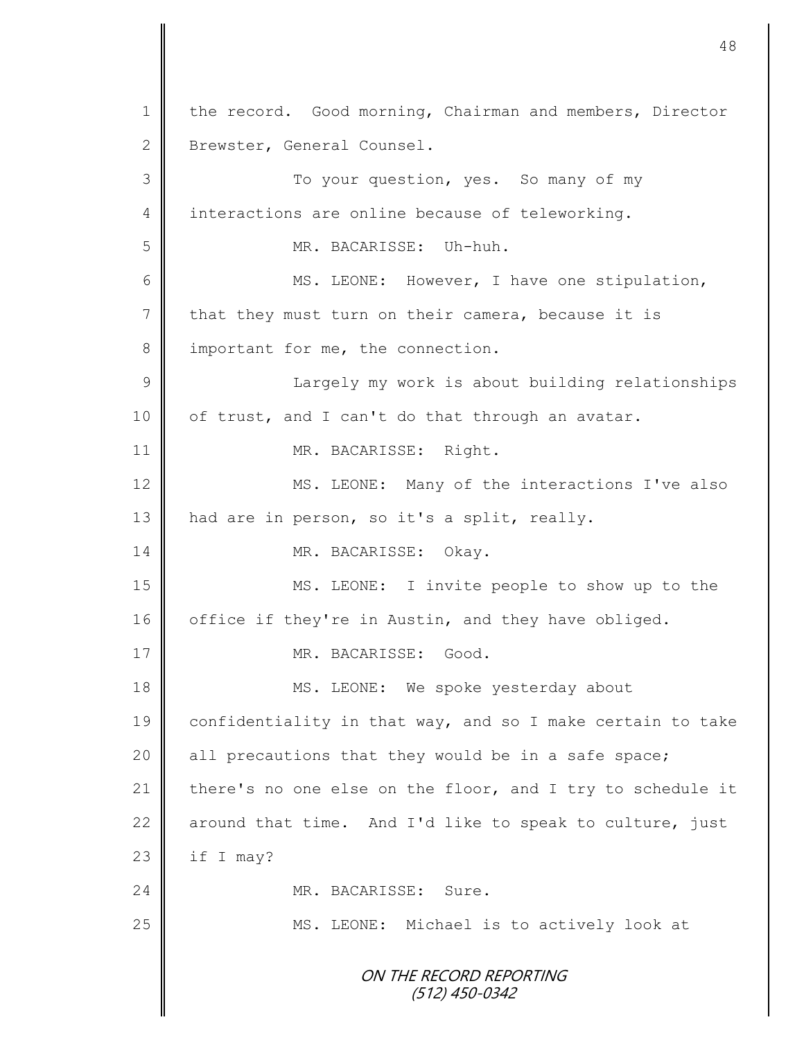ON THE RECORD REPORTING (512) 450-0342 1 | the record. Good morning, Chairman and members, Director 2 | Brewster, General Counsel. 3 To your question, yes. So many of my 4 interactions are online because of teleworking. 5 MR. BACARISSE: Uh-huh. 6 || MS. LEONE: However, I have one stipulation,  $7 \parallel$  that they must turn on their camera, because it is 8 important for me, the connection. 9 || [ Largely my work is about building relationships  $10$  | of trust, and I can't do that through an avatar. 11 | MR. BACARISSE: Right. 12 MS. LEONE: Many of the interactions I've also 13 | had are in person, so it's a split, really. 14 MR. BACARISSE: Okay. 15 MS. LEONE: I invite people to show up to the 16 office if they're in Austin, and they have obliged. 17 NR. BACARISSE: Good. 18 || MS. LEONE: We spoke yesterday about 19 confidentiality in that way, and so I make certain to take 20 | all precautions that they would be in a safe space; 21  $\parallel$  there's no one else on the floor, and I try to schedule it 22 around that time. And I'd like to speak to culture, just  $23$  | if I may? 24 MR. BACARISSE: Sure. 25 | MS. LEONE: Michael is to actively look at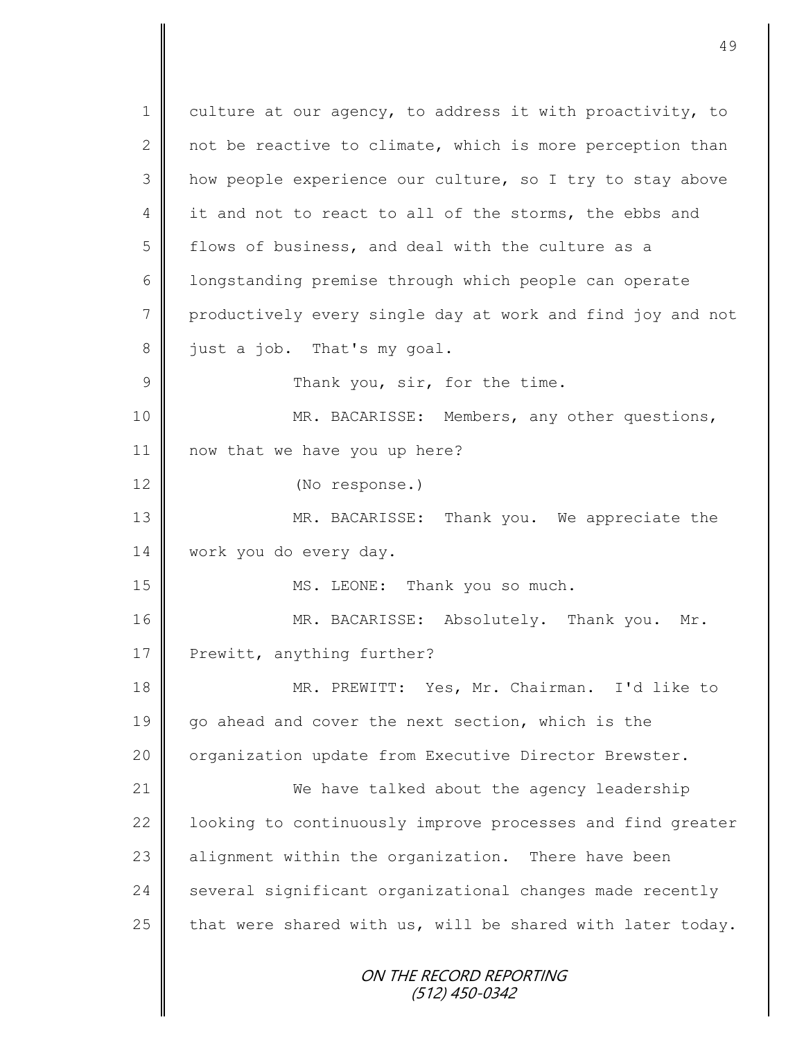ON THE RECORD REPORTING (512) 450-0342 1 culture at our agency, to address it with proactivity, to 2 not be reactive to climate, which is more perception than 3 || how people experience our culture, so I try to stay above 4 it and not to react to all of the storms, the ebbs and 5 flows of business, and deal with the culture as a 6 | longstanding premise through which people can operate 7 productively every single day at work and find joy and not  $8 \parallel$  just a job. That's my goal. 9 **Thank you, sir, for the time.** 10 || MR. BACARISSE: Members, any other questions, 11 now that we have you up here? 12 (No response.) 13 MR. BACARISSE: Thank you. We appreciate the 14 work you do every day. 15 || MS. LEONE: Thank you so much. 16 MR. BACARISSE: Absolutely. Thank you. Mr. 17 Prewitt, anything further? 18 MR. PREWITT: Yes, Mr. Chairman. I'd like to 19 go ahead and cover the next section, which is the 20 | organization update from Executive Director Brewster. 21 | We have talked about the agency leadership 22 | looking to continuously improve processes and find greater 23 alignment within the organization. There have been  $24$  several significant organizational changes made recently 25  $\parallel$  that were shared with us, will be shared with later today.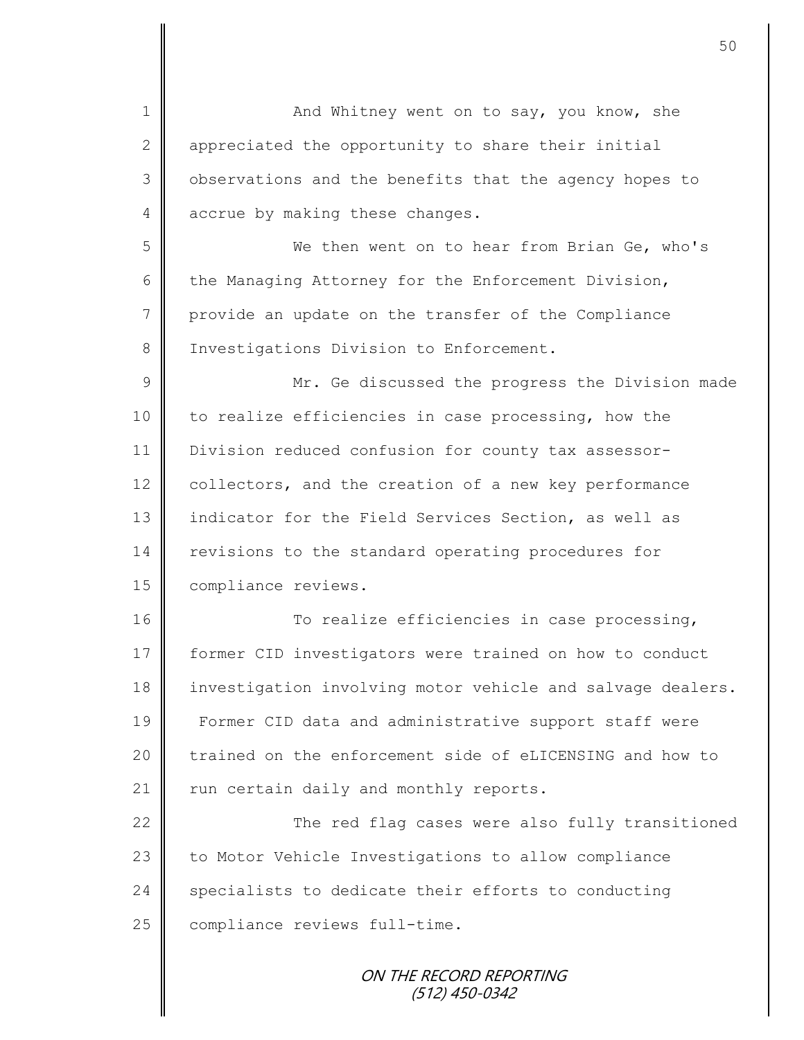1 | And Whitney went on to say, you know, she 2 appreciated the opportunity to share their initial 3 | observations and the benefits that the agency hopes to 4 accrue by making these changes. 5 We then went on to hear from Brian Ge, who's 6 the Managing Attorney for the Enforcement Division, 7 provide an update on the transfer of the Compliance 8 | Investigations Division to Enforcement. 9 || Mr. Ge discussed the progress the Division made 10 to realize efficiencies in case processing, how the 11 Division reduced confusion for county tax assessor-12 collectors, and the creation of a new key performance 13 indicator for the Field Services Section, as well as 14 revisions to the standard operating procedures for 15 | compliance reviews. 16 To realize efficiencies in case processing, 17 former CID investigators were trained on how to conduct 18 investigation involving motor vehicle and salvage dealers. 19 Former CID data and administrative support staff were 20 trained on the enforcement side of eLICENSING and how to  $21$   $\parallel$  run certain daily and monthly reports. 22  $\parallel$  The red flag cases were also fully transitioned 23 to Motor Vehicle Investigations to allow compliance 24 specialists to dedicate their efforts to conducting 25 compliance reviews full-time.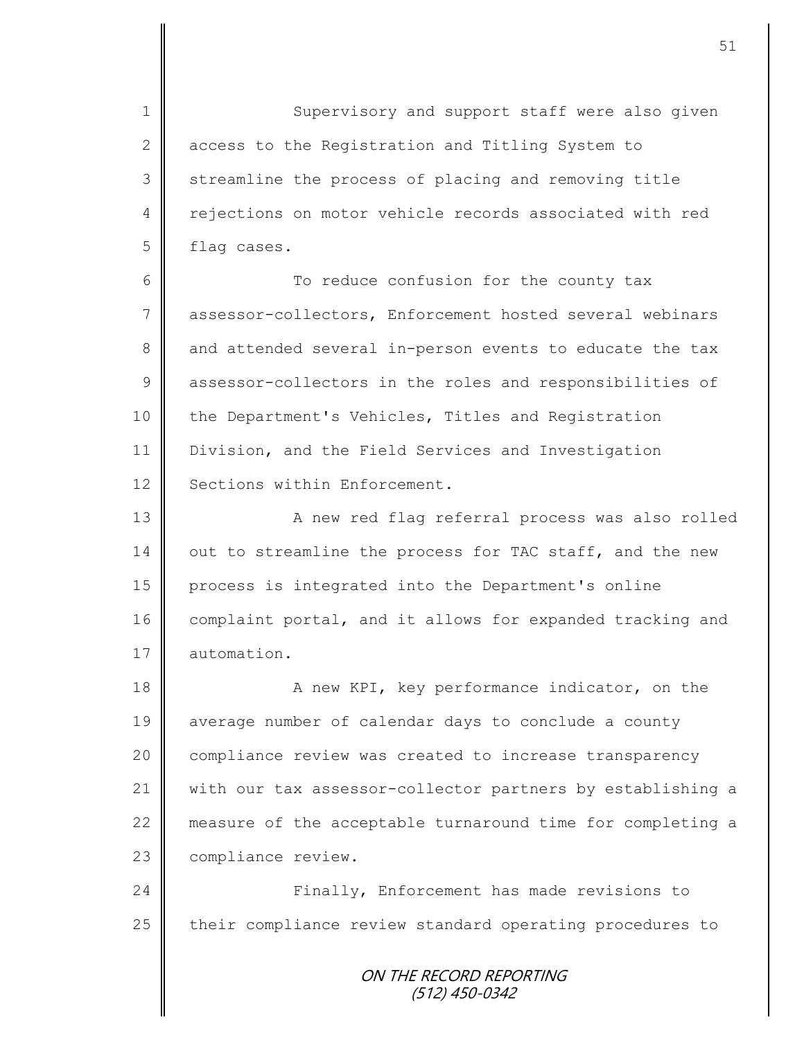1 Supervisory and support staff were also given 2 access to the Registration and Titling System to 3 Streamline the process of placing and removing title 4 || rejections on motor vehicle records associated with red 5 | flag cases.

6 || To reduce confusion for the county tax 7 assessor-collectors, Enforcement hosted several webinars 8 and attended several in-person events to educate the tax 9 assessor-collectors in the roles and responsibilities of 10 the Department's Vehicles, Titles and Registration 11 Division, and the Field Services and Investigation 12 Sections within Enforcement.

13 | Rew red flag referral process was also rolled  $14$  out to streamline the process for TAC staff, and the new 15 process is integrated into the Department's online 16 complaint portal, and it allows for expanded tracking and 17 | automation.

18 A new KPI, key performance indicator, on the 19 average number of calendar days to conclude a county 20 | compliance review was created to increase transparency 21 with our tax assessor-collector partners by establishing a 22 measure of the acceptable turnaround time for completing a 23 | compliance review.

24 | Finally, Enforcement has made revisions to  $25$  their compliance review standard operating procedures to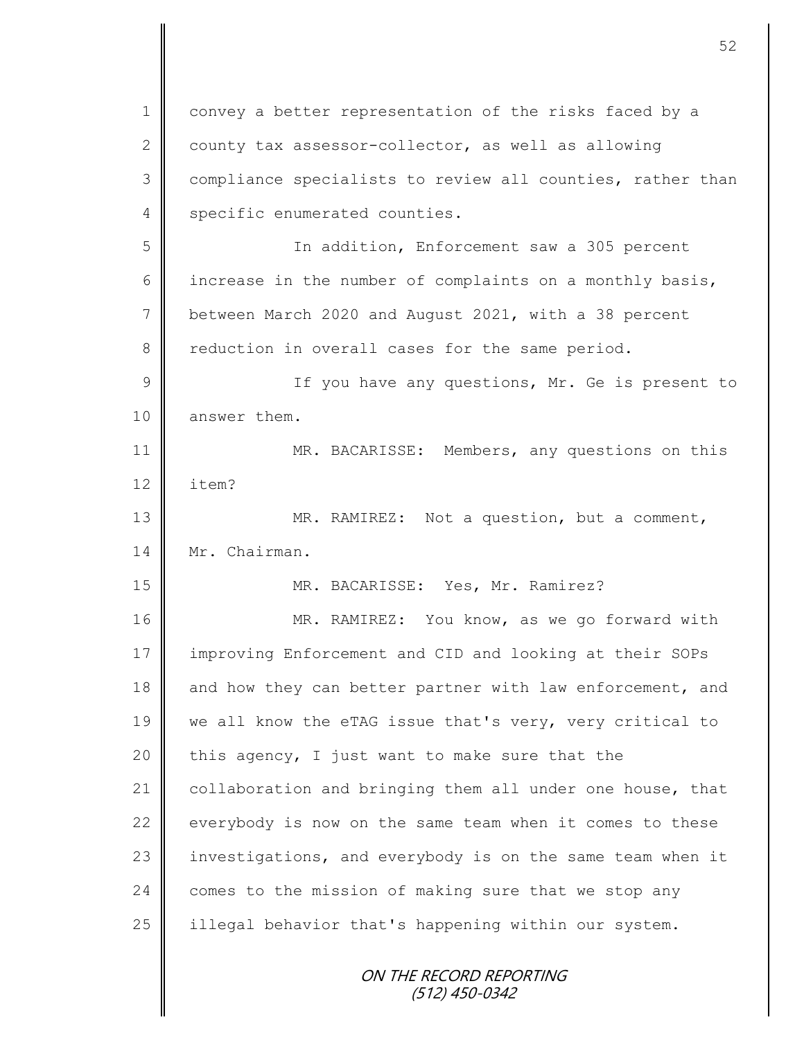ON THE RECORD REPORTING (512) 450-0342 1 convey a better representation of the risks faced by a 2 county tax assessor-collector, as well as allowing 3 | compliance specialists to review all counties, rather than 4 specific enumerated counties. 5 In addition, Enforcement saw a 305 percent 6 increase in the number of complaints on a monthly basis, 7 between March 2020 and August 2021, with a 38 percent 8 Teduction in overall cases for the same period. 9 || If you have any questions, Mr. Ge is present to 10 | answer them. 11 MR. BACARISSE: Members, any questions on this 12 item? 13 || MR. RAMIREZ: Not a question, but a comment, 14 Mr. Chairman. 15 MR. BACARISSE: Yes, Mr. Ramirez? 16 | MR. RAMIREZ: You know, as we go forward with 17 improving Enforcement and CID and looking at their SOPs 18 and how they can better partner with law enforcement, and 19 we all know the eTAG issue that's very, very critical to 20  $\parallel$  this agency, I just want to make sure that the 21 collaboration and bringing them all under one house, that  $22$  everybody is now on the same team when it comes to these 23 investigations, and everybody is on the same team when it 24 comes to the mission of making sure that we stop any 25  $\parallel$  illegal behavior that's happening within our system.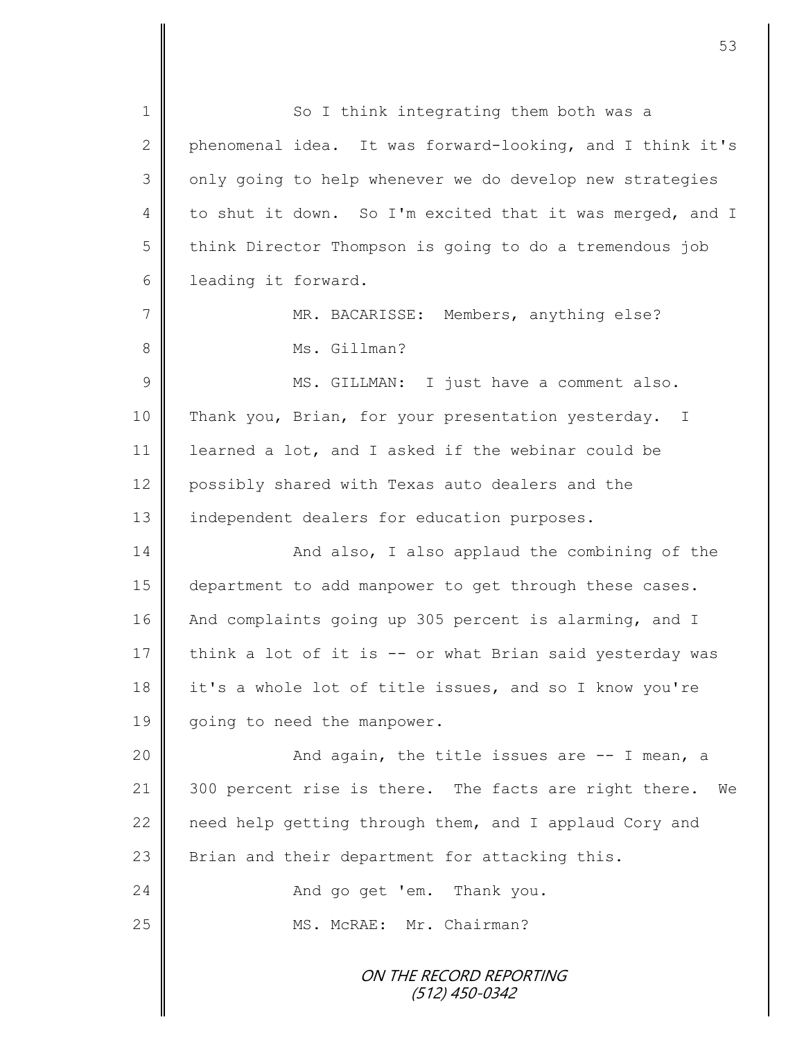ON THE RECORD REPORTING (512) 450-0342 1 So I think integrating them both was a 2 phenomenal idea. It was forward-looking, and I think it's 3 | only going to help whenever we do develop new strategies 4 to shut it down. So I'm excited that it was merged, and I 5 think Director Thompson is going to do a tremendous job 6 leading it forward. 7 | MR. BACARISSE: Members, anything else? 8 **||** Ms. Gillman? 9 || MS. GILLMAN: I just have a comment also. 10 Thank you, Brian, for your presentation yesterday. I 11 learned a lot, and I asked if the webinar could be 12 possibly shared with Texas auto dealers and the 13 | independent dealers for education purposes. 14 || And also, I also applaud the combining of the 15 department to add manpower to get through these cases. 16 And complaints going up 305 percent is alarming, and I 17 think a lot of it is  $--$  or what Brian said yesterday was 18 it's a whole lot of title issues, and so I know you're 19 | going to need the manpower. 20 | Richard again, the title issues are -- I mean, a 21 300 percent rise is there. The facts are right there. We 22 | need help getting through them, and I applaud Cory and 23  $\parallel$  Brian and their department for attacking this. 24 And go get 'em. Thank you. 25 || MS. McRAE: Mr. Chairman?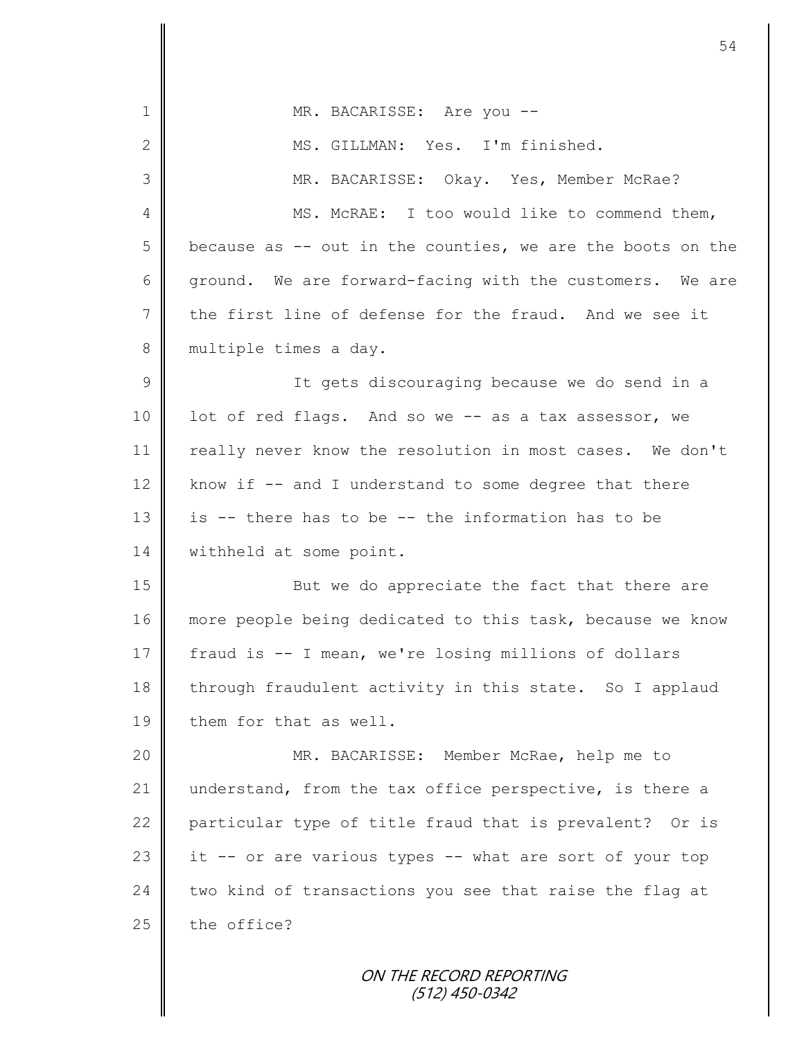| MR. BACARISSE: Are you --                                   |
|-------------------------------------------------------------|
| MS. GILLMAN: Yes. I'm finished.                             |
| MR. BACARISSE: Okay. Yes, Member McRae?                     |
| MS. McRAE: I too would like to commend them,                |
| because as $-$ out in the counties, we are the boots on the |
| ground. We are forward-facing with the customers. We are    |
| the first line of defense for the fraud. And we see it      |
| multiple times a day.                                       |
| It gets discouraging because we do send in a                |
| lot of red flags. And so we -- as a tax assessor, we        |
| really never know the resolution in most cases. We don't    |
| know if -- and I understand to some degree that there       |
| is -- there has to be -- the information has to be          |
| withheld at some point.                                     |
| But we do appreciate the fact that there are                |
| more people being dedicated to this task, because we know   |
| fraud is -- I mean, we're losing millions of dollars        |
| through fraudulent activity in this state. So I applaud     |
| them for that as well.                                      |
| MR. BACARISSE: Member McRae, help me to                     |
| understand, from the tax office perspective, is there a     |
| particular type of title fraud that is prevalent? Or is     |
| it -- or are various types -- what are sort of your top     |
| two kind of transactions you see that raise the flag at     |
| the office?                                                 |
| ON THE RECORD REPORTING                                     |
|                                                             |

(512) 450-0342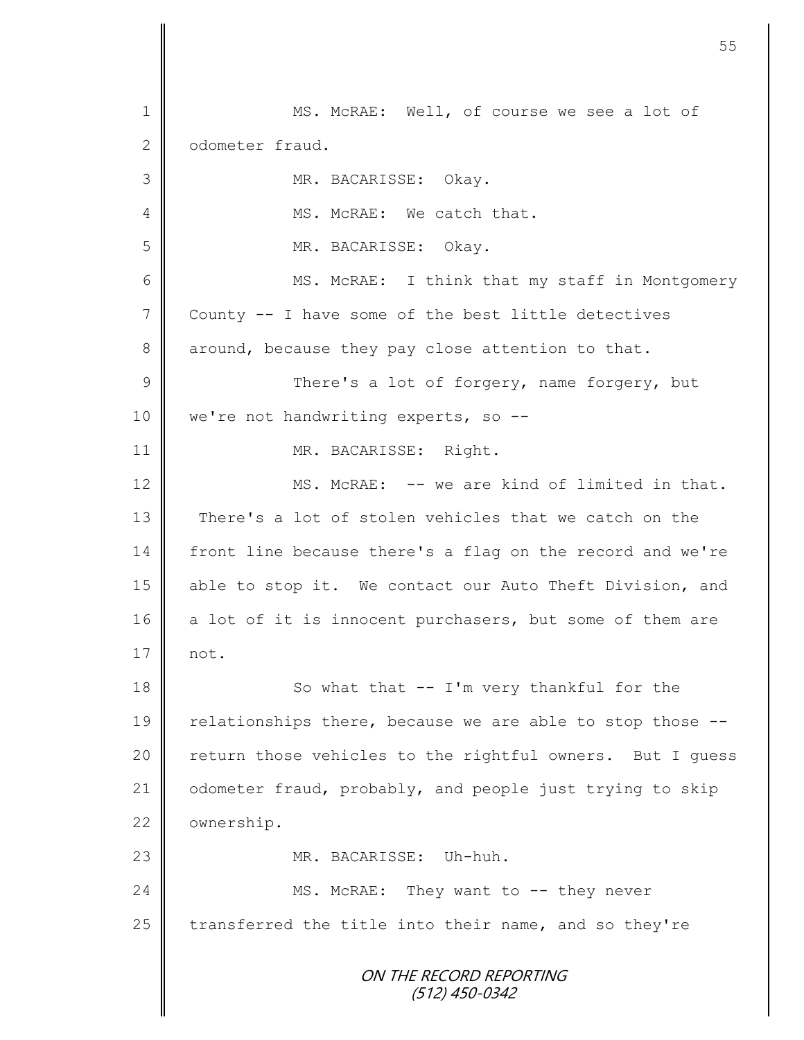ON THE RECORD REPORTING (512) 450-0342 1 MS. McRAE: Well, of course we see a lot of 2 | odometer fraud. 3 MR. BACARISSE: Okay. 4 || MS. McRAE: We catch that. 5 MR. BACARISSE: Okay. 6 || MS. McRAE: I think that my staff in Montgomery  $7 \parallel$  County -- I have some of the best little detectives 8 around, because they pay close attention to that. 9 || There's a lot of forgery, name forgery, but 10 | we're not handwriting experts, so --11 | MR. BACARISSE: Right. 12 MS. McRAE: -- we are kind of limited in that. 13 There's a lot of stolen vehicles that we catch on the 14 front line because there's a flag on the record and we're 15 able to stop it. We contact our Auto Theft Division, and 16 a lot of it is innocent purchasers, but some of them are  $17 \parallel \text{not}$ . 18 || So what that -- I'm very thankful for the 19 | relationships there, because we are able to stop those  $-$ -20  $\parallel$  return those vehicles to the rightful owners. But I guess 21 | odometer fraud, probably, and people just trying to skip 22 | ownership. 23 MR. BACARISSE: Uh-huh. 24 | MS. McRAE: They want to -- they never 25  $\parallel$  transferred the title into their name, and so they're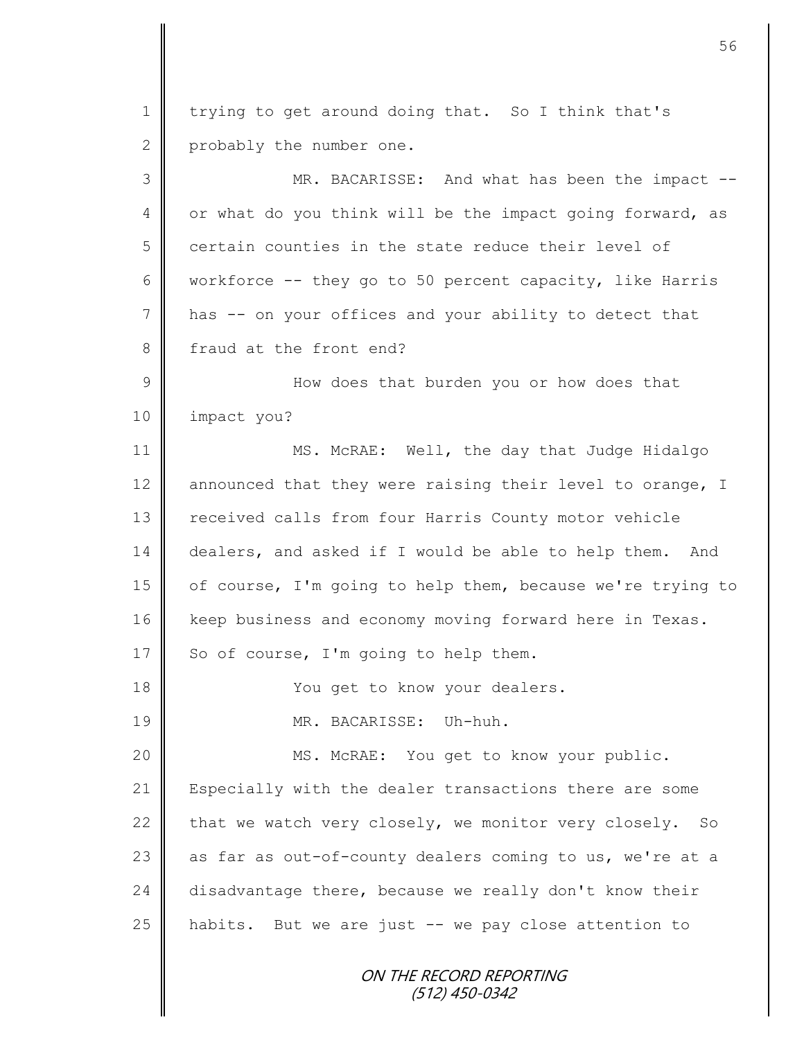ON THE RECORD REPORTING 1 trying to get around doing that. So I think that's 2 | probably the number one. 3 || MR. BACARISSE: And what has been the impact --4 | or what do you think will be the impact going forward, as  $5 \parallel$  certain counties in the state reduce their level of 6 workforce  $-$  they go to 50 percent capacity, like Harris 7 has -- on your offices and your ability to detect that 8 fraud at the front end? 9 || How does that burden you or how does that 10 | impact you? 11 || MS. McRAE: Well, the day that Judge Hidalgo 12  $\parallel$  announced that they were raising their level to orange, I 13 | received calls from four Harris County motor vehicle 14 dealers, and asked if I would be able to help them. And 15 | of course, I'm going to help them, because we're trying to 16 | keep business and economy moving forward here in Texas. 17 So of course, I'm going to help them. 18 || You get to know your dealers. 19 MR. BACARISSE: Uh-huh. 20 || MS. McRAE: You get to know your public. 21 Especially with the dealer transactions there are some 22  $\parallel$  that we watch very closely, we monitor very closely. So 23  $\parallel$  as far as out-of-county dealers coming to us, we're at a 24 disadvantage there, because we really don't know their 25  $\parallel$  habits. But we are just -- we pay close attention to

(512) 450-0342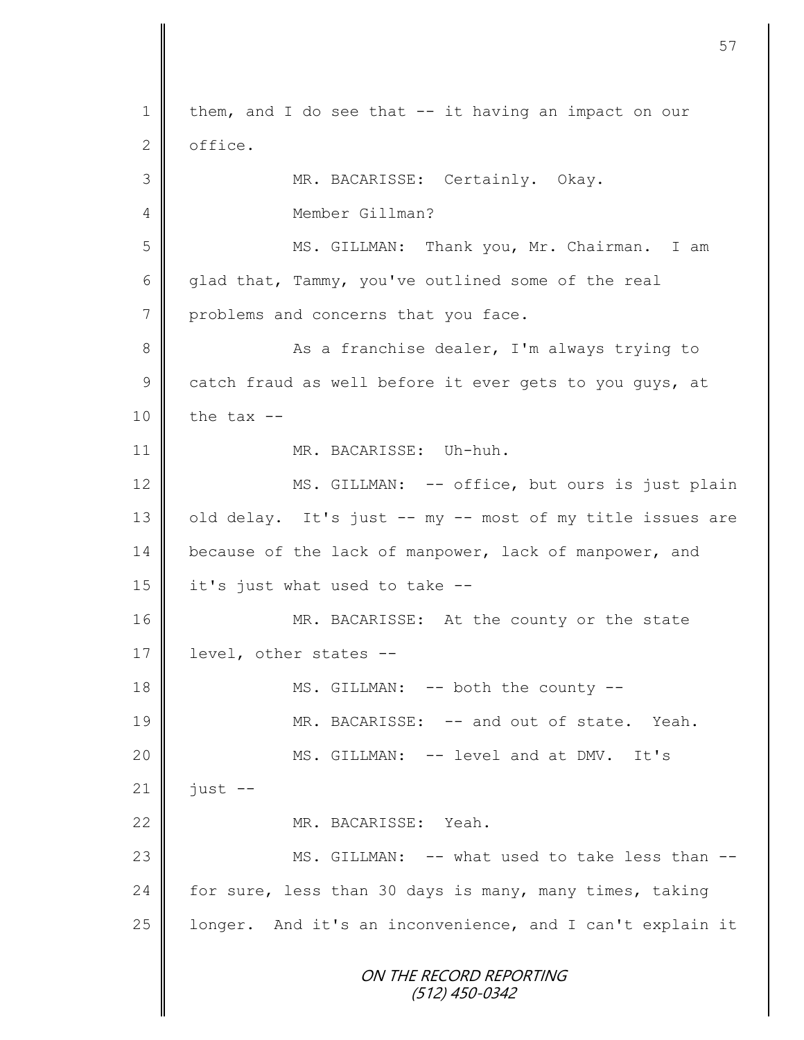ON THE RECORD REPORTING (512) 450-0342 1 | them, and I do see that -- it having an impact on our  $2 \parallel$  office. 3 || MR. BACARISSE: Certainly. Okay. 4 Member Gillman? 5 MS. GILLMAN: Thank you, Mr. Chairman. I am 6 glad that, Tammy, you've outlined some of the real 7 problems and concerns that you face. 8 As a franchise dealer, I'm always trying to 9 catch fraud as well before it ever gets to you guys, at  $10$  | the tax  $-$ 11 MR. BACARISSE: Uh-huh. 12 MS. GILLMAN: -- office, but ours is just plain  $13$  old delay. It's just -- my -- most of my title issues are 14 because of the lack of manpower, lack of manpower, and  $15$  it's just what used to take  $-$ 16 MR. BACARISSE: At the county or the state 17 | level, other states --18 **MS.** GILLMAN: -- both the county --19 MR. BACARISSE: -- and out of state. Yeah. 20 || MS. GILLMAN: -- level and at DMV. It's  $21$  | just --22 MR. BACARISSE: Yeah. 23 || MS. GILLMAN: -- what used to take less than --24 for sure, less than 30 days is many, many times, taking 25  $\parallel$  longer. And it's an inconvenience, and I can't explain it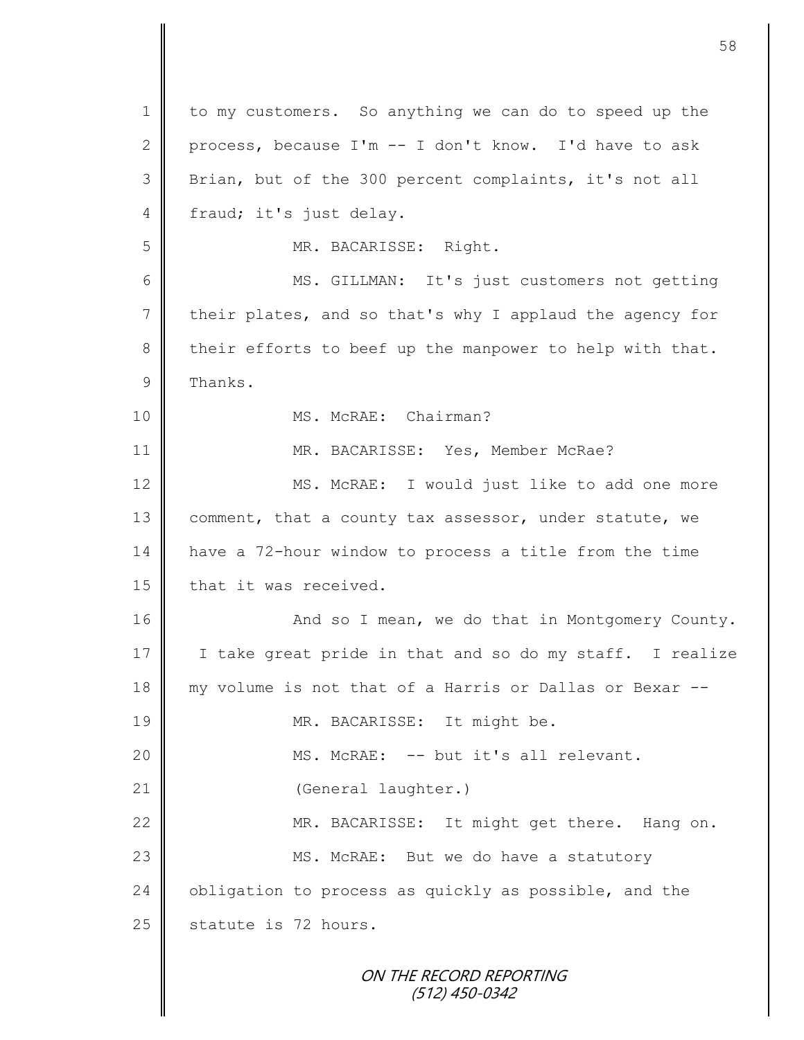ON THE RECORD REPORTING 1 to my customers. So anything we can do to speed up the 2 process, because I'm  $-$  I don't know. I'd have to ask 3 Brian, but of the 300 percent complaints, it's not all 4 fraud; it's just delay. 5 MR. BACARISSE: Right. 6 MS. GILLMAN: It's just customers not getting 7 their plates, and so that's why I applaud the agency for  $8 \parallel$  their efforts to beef up the manpower to help with that.  $9$  Thanks. 10 || MS. McRAE: Chairman? 11 MR. BACARISSE: Yes, Member McRae? 12 | MS. McRAE: I would just like to add one more 13 comment, that a county tax assessor, under statute, we 14 have a 72-hour window to process a title from the time 15 | that it was received. 16 | And so I mean, we do that in Montgomery County. 17 | I take great pride in that and so do my staff. I realize 18 my volume is not that of a Harris or Dallas or Bexar -- 19 || MR. BACARISSE: It might be. 20 || MS. McRAE: -- but it's all relevant. 21 | (General laughter.) 22 MR. BACARISSE: It might get there. Hang on. 23 || MS. McRAE: But we do have a statutory 24  $\parallel$  obligation to process as quickly as possible, and the  $25$  statute is 72 hours.

58

(512) 450-0342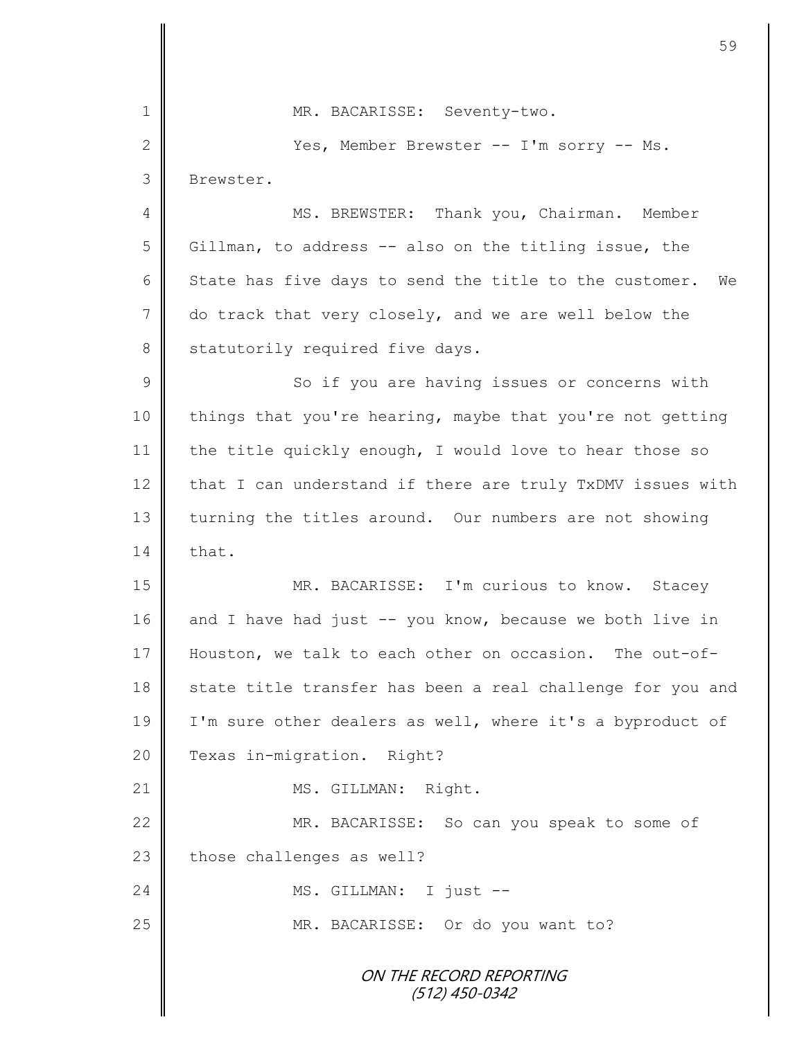ON THE RECORD REPORTING (512) 450-0342 1 MR. BACARISSE: Seventy-two. 2 Yes, Member Brewster -- I'm sorry -- Ms. 3 Brewster. 4 || MS. BREWSTER: Thank you, Chairman. Member 5 Gillman, to address -- also on the titling issue, the 6 State has five days to send the title to the customer. We 7 do track that very closely, and we are well below the 8 Statutorily required five days. 9 || So if you are having issues or concerns with 10 things that you're hearing, maybe that you're not getting 11 | the title quickly enough, I would love to hear those so 12  $\parallel$  that I can understand if there are truly TxDMV issues with 13 turning the titles around. Our numbers are not showing  $14 \parallel$  that. 15 || MR. BACARISSE: I'm curious to know. Stacey 16 and I have had just  $-$ - you know, because we both live in 17 Houston, we talk to each other on occasion. The out-of-18 state title transfer has been a real challenge for you and 19 | I'm sure other dealers as well, where it's a byproduct of 20 **P** Texas in-migration. Right? 21 | MS. GILLMAN: Right. 22 MR. BACARISSE: So can you speak to some of  $23$  those challenges as well? 24 || MS. GILLMAN: I just --25 | MR. BACARISSE: Or do you want to?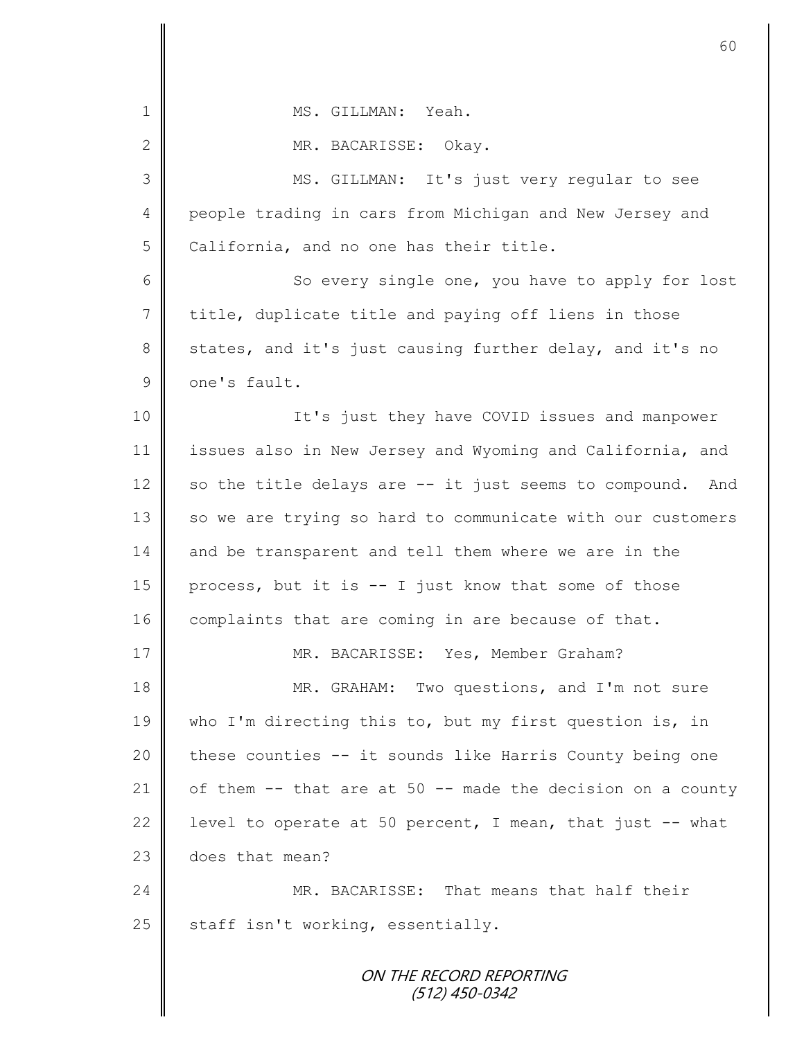| $\mathbf 1$    | MS. GILLMAN: Yeah.                                         |
|----------------|------------------------------------------------------------|
| $\mathbf{2}$   | MR. BACARISSE: Okay.                                       |
| 3              | MS. GILLMAN: It's just very regular to see                 |
| 4              | people trading in cars from Michigan and New Jersey and    |
| 5              | California, and no one has their title.                    |
| 6              | So every single one, you have to apply for lost            |
| $\overline{7}$ | title, duplicate title and paying off liens in those       |
| $8\,$          | states, and it's just causing further delay, and it's no   |
| $\mathsf 9$    | one's fault.                                               |
| 10             | It's just they have COVID issues and manpower              |
| 11             | issues also in New Jersey and Wyoming and California, and  |
| 12             | so the title delays are -- it just seems to compound. And  |
| 13             | so we are trying so hard to communicate with our customers |
| 14             | and be transparent and tell them where we are in the       |
| 15             | process, but it is -- I just know that some of those       |
| 16             | complaints that are coming in are because of that.         |
| 17             | MR. BACARISSE: Yes, Member Graham?                         |
| 18             | MR. GRAHAM: Two questions, and I'm not sure                |
| 19             | who I'm directing this to, but my first question is, in    |
| 20             | these counties -- it sounds like Harris County being one   |
| 21             | of them -- that are at 50 -- made the decision on a county |
| 22             | level to operate at 50 percent, I mean, that just -- what  |
| 23             | does that mean?                                            |
| 24             | MR. BACARISSE: That means that half their                  |
| 25             | staff isn't working, essentially.                          |
|                | ON THE RECORD REPORTING                                    |

(512) 450-0342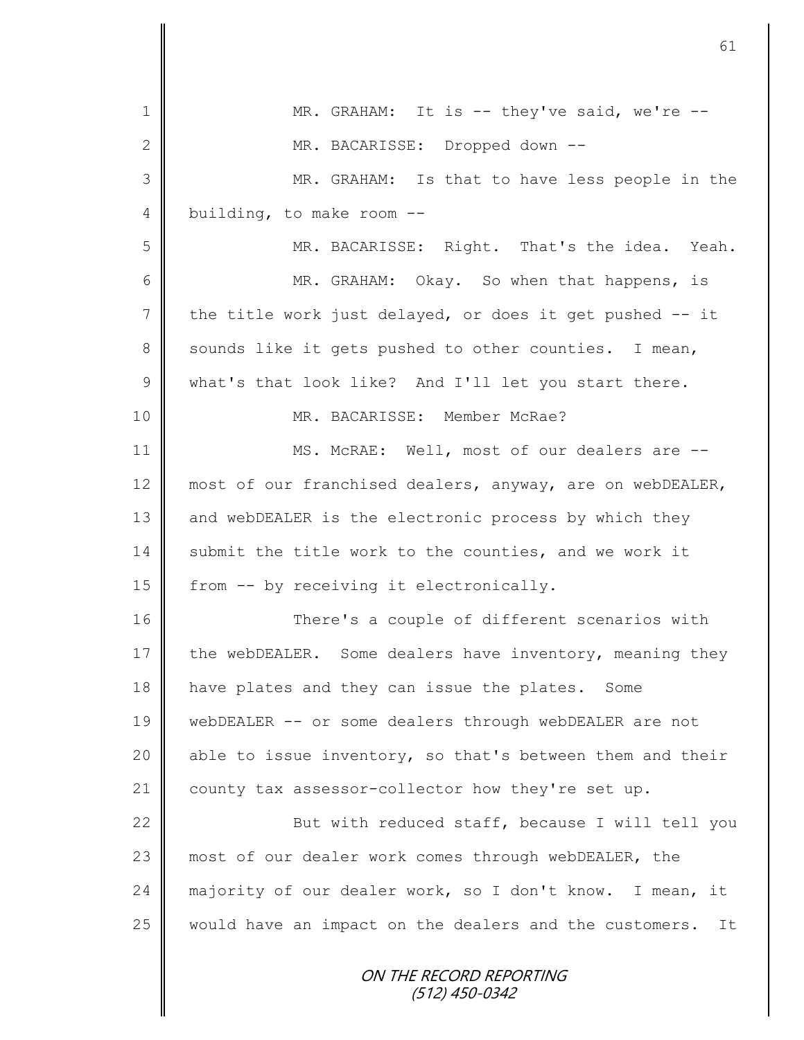|                 | 61                                                           |
|-----------------|--------------------------------------------------------------|
| $\mathbf{1}$    | MR. GRAHAM: It is $-$ they've said, we're $-$                |
|                 |                                                              |
| $\mathbf{2}$    | MR. BACARISSE: Dropped down --                               |
| 3               | MR. GRAHAM: Is that to have less people in the               |
| 4               | building, to make room --                                    |
| 5               | MR. BACARISSE: Right. That's the idea. Yeah.                 |
| 6               | MR. GRAHAM: Okay. So when that happens, is                   |
| $7\phantom{.0}$ | the title work just delayed, or does it get pushed -- it     |
| 8               | sounds like it gets pushed to other counties. I mean,        |
| $\mathsf 9$     | what's that look like? And I'll let you start there.         |
| 10              | MR. BACARISSE: Member McRae?                                 |
| 11              | MS. McRAE: Well, most of our dealers are --                  |
| 12              | most of our franchised dealers, anyway, are on webDEALER,    |
| 13              | and webDEALER is the electronic process by which they        |
| 14              | submit the title work to the counties, and we work it        |
| 15              | from -- by receiving it electronically.                      |
| 16              | There's a couple of different scenarios with                 |
| 17              | the webDEALER. Some dealers have inventory, meaning they     |
| 18              | have plates and they can issue the plates. Some              |
| 19              | webDEALER -- or some dealers through webDEALER are not       |
| 20              | able to issue inventory, so that's between them and their    |
| 21              | county tax assessor-collector how they're set up.            |
| 22              | But with reduced staff, because I will tell you              |
| 23              | most of our dealer work comes through webDEALER, the         |
| 24              | majority of our dealer work, so I don't know. I mean, it     |
| 25              | would have an impact on the dealers and the customers.<br>It |
|                 | ON THE RECORD REPORTING<br>(512) 450-0342                    |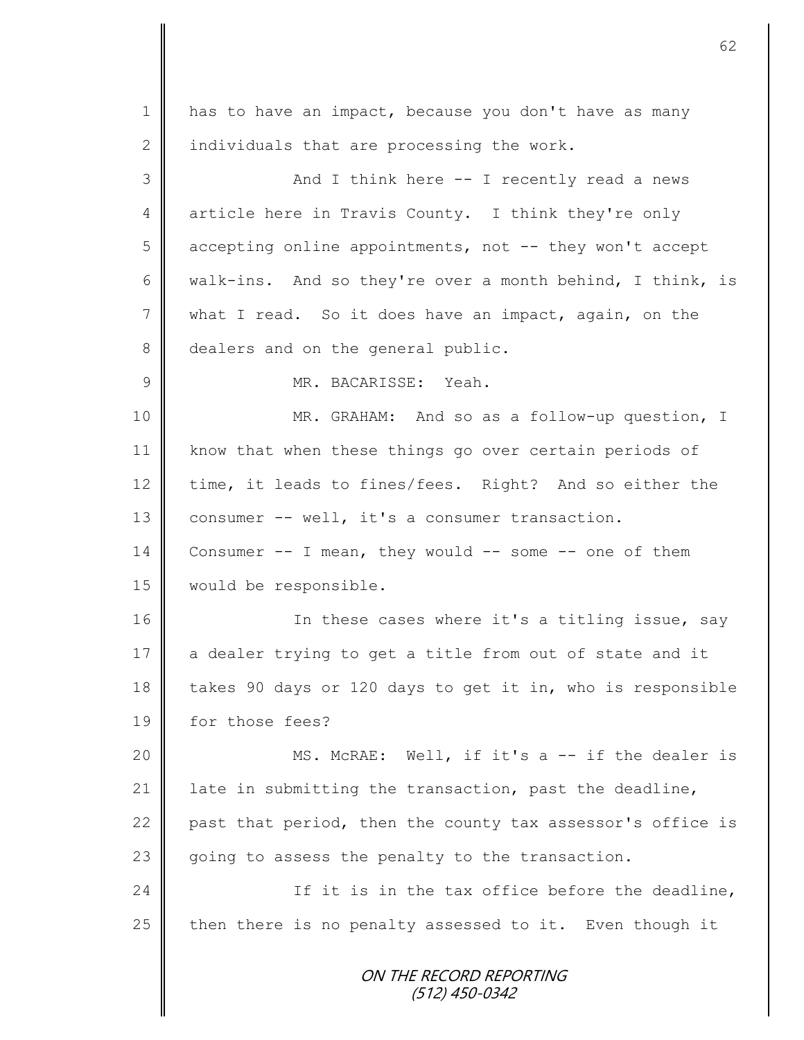| $\mathbf 1$    | has to have an impact, because you don't have as many       |
|----------------|-------------------------------------------------------------|
| $\mathbf{2}$   | individuals that are processing the work.                   |
| 3              | And I think here -- I recently read a news                  |
| 4              | article here in Travis County. I think they're only         |
| 5              | accepting online appointments, not -- they won't accept     |
| 6              | walk-ins. And so they're over a month behind, I think, is   |
| $7\phantom{.}$ | what I read. So it does have an impact, again, on the       |
| 8              | dealers and on the general public.                          |
| $\mathcal{G}$  | MR. BACARISSE: Yeah.                                        |
| 10             | MR. GRAHAM: And so as a follow-up question, I               |
| 11             | know that when these things go over certain periods of      |
| 12             | time, it leads to fines/fees. Right? And so either the      |
| 13             | consumer -- well, it's a consumer transaction.              |
| 14             | Consumer $--$ I mean, they would $--$ some $--$ one of them |
| 15             | would be responsible.                                       |
| 16             | In these cases where it's a titling issue, say              |
| 17             | a dealer trying to get a title from out of state and it     |
| 18             | takes 90 days or 120 days to get it in, who is responsible  |
| 19             | for those fees?                                             |
| 20             | MS. McRAE: Well, if it's a -- if the dealer is              |
| 21             | late in submitting the transaction, past the deadline,      |
| 22             | past that period, then the county tax assessor's office is  |
| 23             | going to assess the penalty to the transaction.             |
| 24             | If it is in the tax office before the deadline,             |
| 25             | then there is no penalty assessed to it. Even though it     |
|                | ON THE RECORD REPORTING<br>(512) 450-0342                   |
|                |                                                             |

 $\overline{\mathsf{I}}$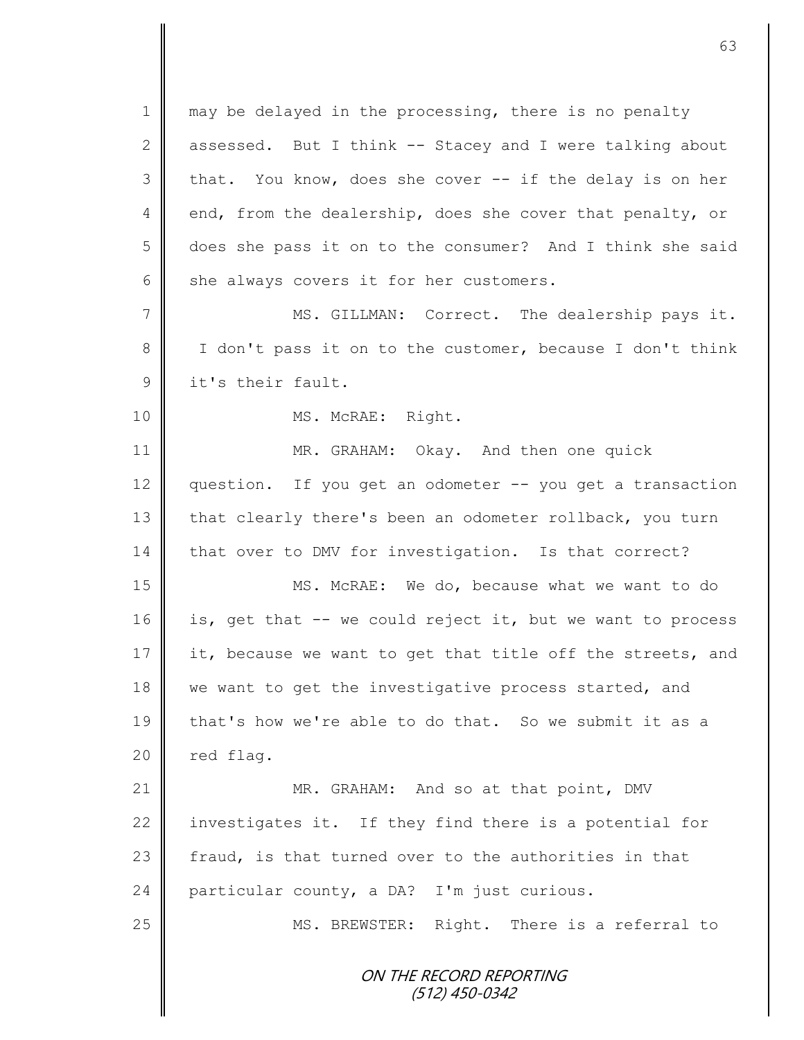1 may be delayed in the processing, there is no penalty 2 assessed. But I think  $-$  Stacey and I were talking about  $3 \parallel$  that. You know, does she cover  $-$  if the delay is on her 4 end, from the dealership, does she cover that penalty, or 5 does she pass it on to the consumer? And I think she said  $6 \parallel$  she always covers it for her customers.

7 MS. GILLMAN: Correct. The dealership pays it. 8 || I don't pass it on to the customer, because I don't think 9 **J** it's their fault.

10 || MS. McRAE: Right.

11 **MR. GRAHAM:** Okay. And then one quick 12 question. If you get an odometer -- you get a transaction 13 that clearly there's been an odometer rollback, you turn 14 that over to DMV for investigation. Is that correct?

15 MS. McRAE: We do, because what we want to do 16 is, get that -- we could reject it, but we want to process 17 it, because we want to get that title off the streets, and 18 we want to get the investigative process started, and 19 that's how we're able to do that. So we submit it as a  $20$  | red flag.

21 | MR. GRAHAM: And so at that point, DMV 22 investigates it. If they find there is a potential for 23  $\parallel$  fraud, is that turned over to the authorities in that 24 particular county, a DA? I'm just curious.

25 || MS. BREWSTER: Right. There is a referral to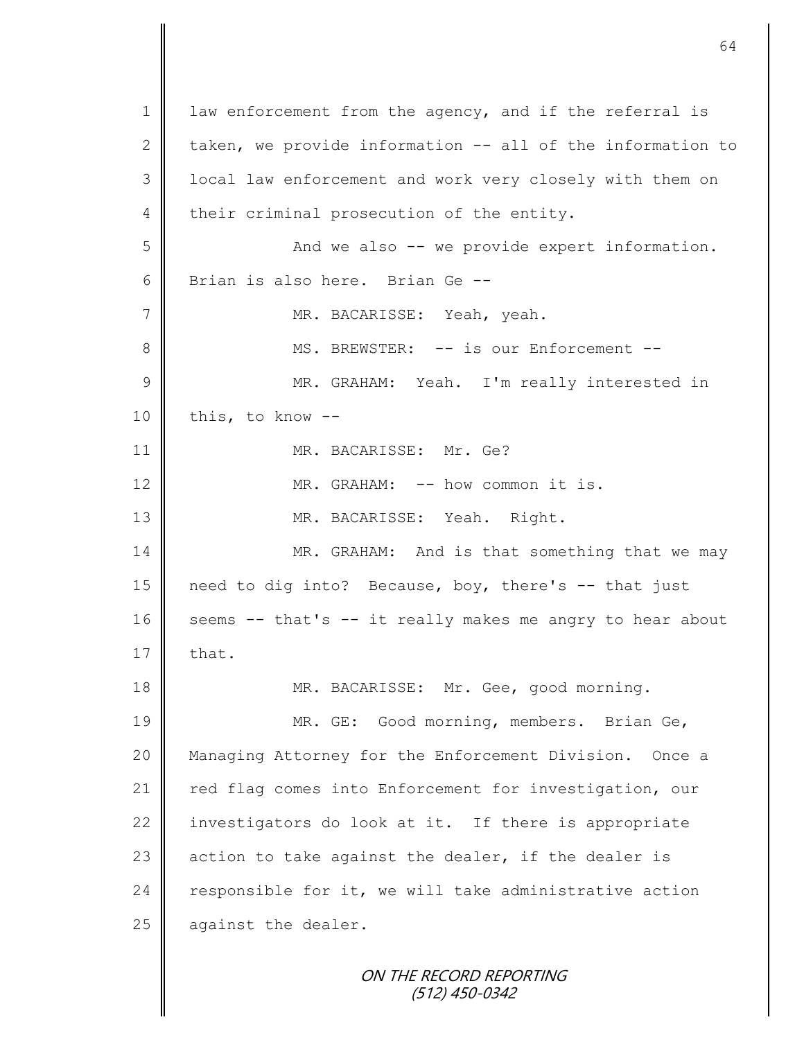ON THE RECORD REPORTING 1 | law enforcement from the agency, and if the referral is 2 taken, we provide information  $-$  all of the information to 3 | local law enforcement and work very closely with them on 4 their criminal prosecution of the entity. 5 And we also -- we provide expert information. 6 Brian is also here. Brian Ge --7 | MR. BACARISSE: Yeah, yeah. 8 **M** MS. BREWSTER: -- is our Enforcement --9 || MR. GRAHAM: Yeah. I'm really interested in  $10$  | this, to know  $-$ 11 MR. BACARISSE: Mr. Ge? 12 MR. GRAHAM: -- how common it is. 13 || MR. BACARISSE: Yeah. Right. 14 MR. GRAHAM: And is that something that we may 15 need to dig into? Because, boy, there's -- that just 16 seems -- that's -- it really makes me angry to hear about  $17 \parallel$  that. 18 || MR. BACARISSE: Mr. Gee, good morning. 19 || MR. GE: Good morning, members. Brian Ge, 20 Managing Attorney for the Enforcement Division. Once a 21 | red flag comes into Enforcement for investigation, our 22 investigators do look at it. If there is appropriate 23 action to take against the dealer, if the dealer is 24 responsible for it, we will take administrative action 25  $\parallel$  against the dealer.

(512) 450-0342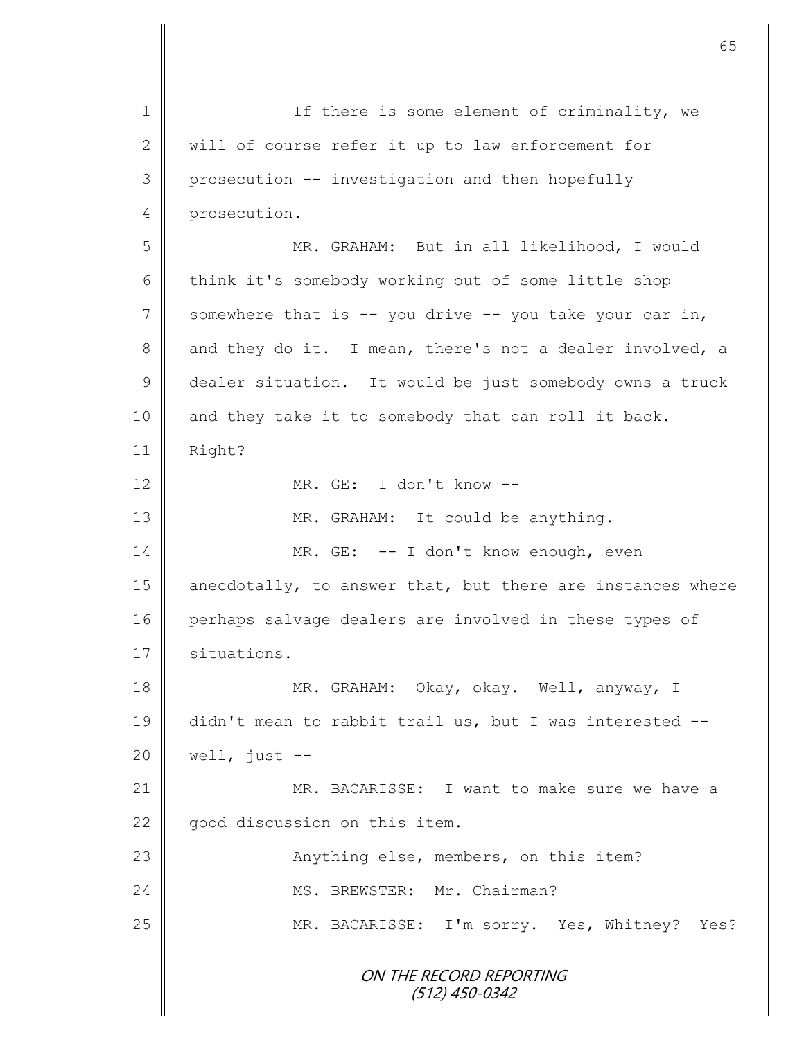ON THE RECORD REPORTING (512) 450-0342 1 || If there is some element of criminality, we 2 || will of course refer it up to law enforcement for 3 | prosecution -- investigation and then hopefully 4 prosecution. 5 MR. GRAHAM: But in all likelihood, I would 6 think it's somebody working out of some little shop 7 Somewhere that is -- you drive -- you take your car in, 8 and they do it. I mean, there's not a dealer involved, a 9 dealer situation. It would be just somebody owns a truck 10 and they take it to somebody that can roll it back. 11 Right? 12 MR. GE: I don't know -- 13 || MR. GRAHAM: It could be anything. 14 MR. GE: -- I don't know enough, even 15 anecdotally, to answer that, but there are instances where 16 perhaps salvage dealers are involved in these types of 17 | situations. 18 MR. GRAHAM: Okay, okay. Well, anyway, I 19 didn't mean to rabbit trail us, but I was interested --  $20$  well, just  $-$ 21 | MR. BACARISSE: I want to make sure we have a 22 || good discussion on this item. 23 | **Anything else, members, on this item?** 24 MS. BREWSTER: Mr. Chairman? 25 | MR. BACARISSE: I'm sorry. Yes, Whitney? Yes?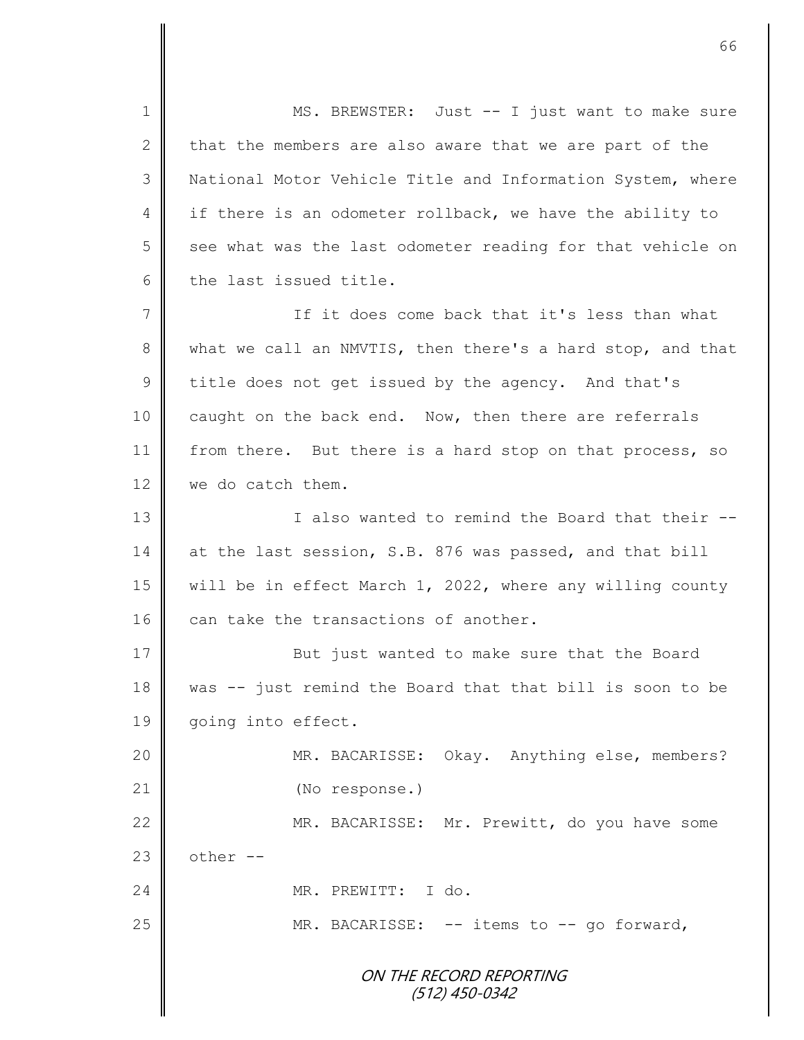ON THE RECORD REPORTING (512) 450-0342 1 MS. BREWSTER: Just -- I just want to make sure 2 that the members are also aware that we are part of the 3 | National Motor Vehicle Title and Information System, where 4 if there is an odometer rollback, we have the ability to  $5 \parallel$  see what was the last odometer reading for that vehicle on 6 the last issued title. 7 If it does come back that it's less than what 8 what we call an NMVTIS, then there's a hard stop, and that 9 ditle does not get issued by the agency. And that's 10 caught on the back end. Now, then there are referrals 11 from there. But there is a hard stop on that process, so 12 we do catch them. 13 || I also wanted to remind the Board that their --14 at the last session, S.B. 876 was passed, and that bill 15 | will be in effect March 1, 2022, where any willing county 16  $\parallel$  can take the transactions of another. 17 But just wanted to make sure that the Board 18 was -- just remind the Board that that bill is soon to be 19 | going into effect. 20 MR. BACARISSE: Okay. Anything else, members? 21 | (No response.) 22 | MR. BACARISSE: Mr. Prewitt, do you have some 23  $\parallel$  other --24 MR. PREWITT: I do. 25 MR. BACARISSE: -- items to -- go forward,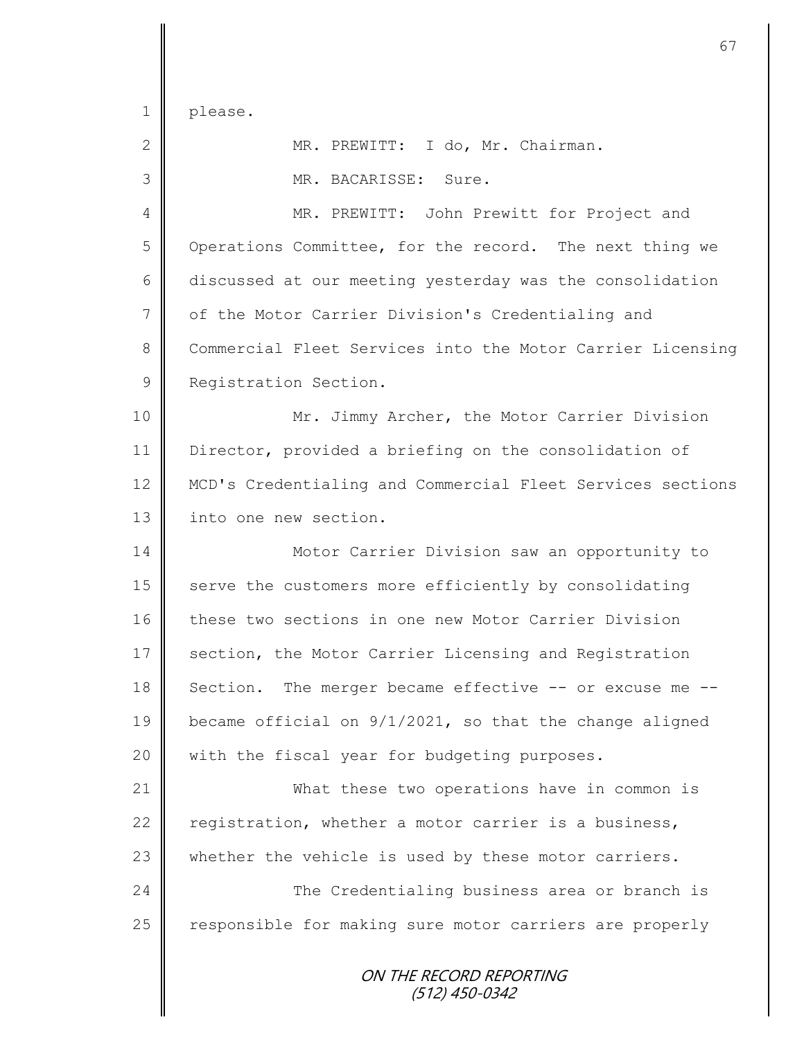please.

| $\mathbf{2}$   | MR. PREWITT: I do, Mr. Chairman.                           |
|----------------|------------------------------------------------------------|
| 3              | MR. BACARISSE: Sure.                                       |
| 4              | MR. PREWITT: John Prewitt for Project and                  |
| 5              | Operations Committee, for the record. The next thing we    |
| 6              | discussed at our meeting yesterday was the consolidation   |
| $\overline{7}$ | of the Motor Carrier Division's Credentialing and          |
| $\,8\,$        | Commercial Fleet Services into the Motor Carrier Licensing |
| $\mathsf 9$    | Registration Section.                                      |
| 10             | Mr. Jimmy Archer, the Motor Carrier Division               |
| 11             | Director, provided a briefing on the consolidation of      |
| 12             | MCD's Credentialing and Commercial Fleet Services sections |
| 13             | into one new section.                                      |
| 14             | Motor Carrier Division saw an opportunity to               |
| 15             | serve the customers more efficiently by consolidating      |
| 16             | these two sections in one new Motor Carrier Division       |
| 17             | section, the Motor Carrier Licensing and Registration      |
| 18             | Section. The merger became effective -- or excuse me       |
| 19             | became official on 9/1/2021, so that the change aligned    |
| 20             | with the fiscal year for budgeting purposes.               |
| 21             | What these two operations have in common is                |
| 22             | registration, whether a motor carrier is a business,       |
| 23             | whether the vehicle is used by these motor carriers.       |
| 24             | The Credentialing business area or branch is               |
| 25             | responsible for making sure motor carriers are properly    |
|                |                                                            |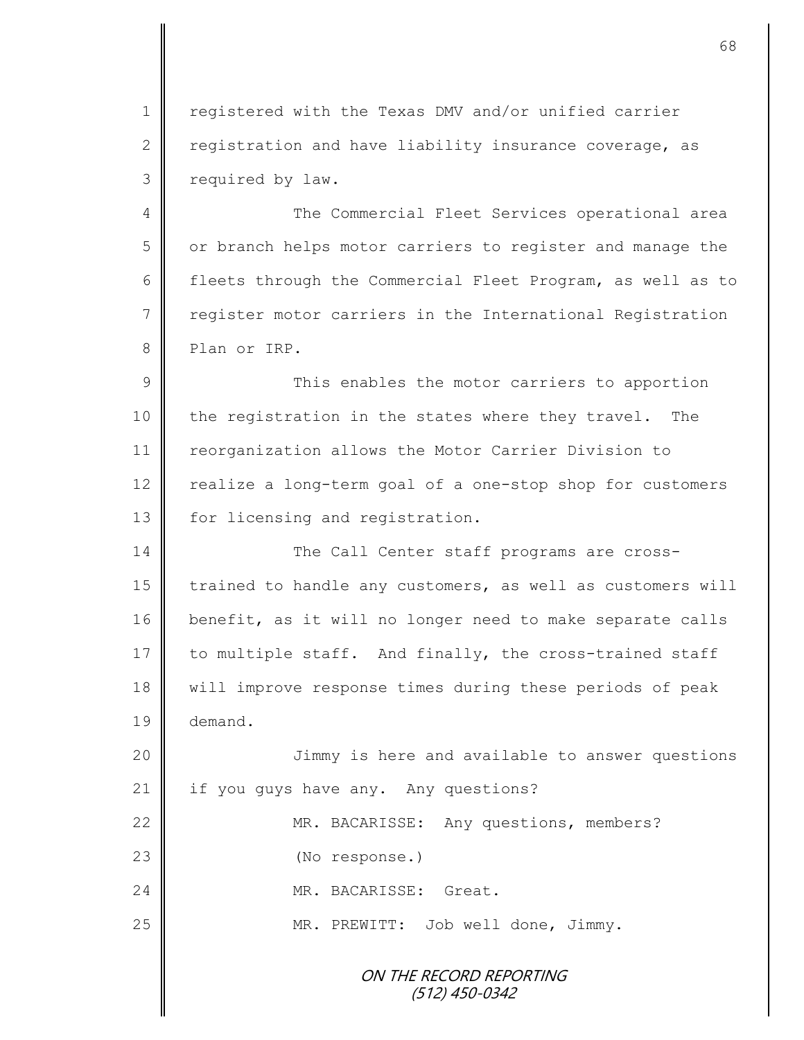1 | registered with the Texas DMV and/or unified carrier 2  $\parallel$  registration and have liability insurance coverage, as 3 | required by law.

4 || The Commercial Fleet Services operational area 5 || or branch helps motor carriers to register and manage the 6 fleets through the Commercial Fleet Program, as well as to 7 | register motor carriers in the International Registration 8 Plan or IRP.

9 || This enables the motor carriers to apportion 10 the registration in the states where they travel. The 11 | reorganization allows the Motor Carrier Division to 12 realize a long-term goal of a one-stop shop for customers 13 | for licensing and registration.

14 The Call Center staff programs are cross-15 trained to handle any customers, as well as customers will 16 benefit, as it will no longer need to make separate calls 17 to multiple staff. And finally, the cross-trained staff 18 will improve response times during these periods of peak 19 demand.

20 Jimmy is here and available to answer questions 21 | if you guys have any. Any questions?

22 MR. BACARISSE: Any questions, members?

23 || (No response.)

24 MR. BACARISSE: Great.

25 || MR. PREWITT: Job well done, Jimmy.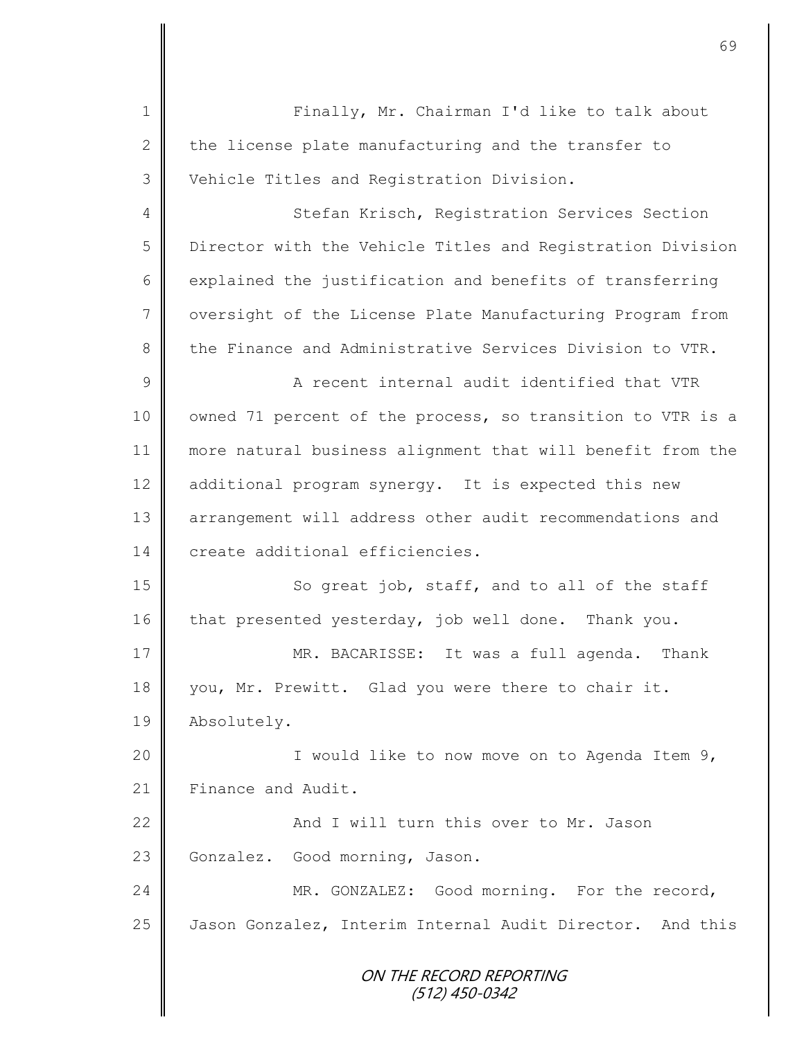ON THE RECORD REPORTING (512) 450-0342 1 || Finally, Mr. Chairman I'd like to talk about 2  $\parallel$  the license plate manufacturing and the transfer to 3 Vehicle Titles and Registration Division. 4 Stefan Krisch, Registration Services Section 5 Director with the Vehicle Titles and Registration Division  $6 \parallel$  explained the justification and benefits of transferring 7 | oversight of the License Plate Manufacturing Program from 8 the Finance and Administrative Services Division to VTR. 9 || A recent internal audit identified that VTR 10 | owned 71 percent of the process, so transition to VTR is a 11 more natural business alignment that will benefit from the 12 additional program synergy. It is expected this new 13 || arrangement will address other audit recommendations and 14 create additional efficiencies. 15 || So great job, staff, and to all of the staff 16 that presented yesterday, job well done. Thank you. 17 MR. BACARISSE: It was a full agenda. Thank 18 you, Mr. Prewitt. Glad you were there to chair it. 19 | Absolutely. 20 || I would like to now move on to Agenda Item 9, 21 Finance and Audit. 22 **And I will turn this over to Mr. Jason** 23 Gonzalez. Good morning, Jason. 24 MR. GONZALEZ: Good morning. For the record, 25 Jason Gonzalez, Interim Internal Audit Director. And this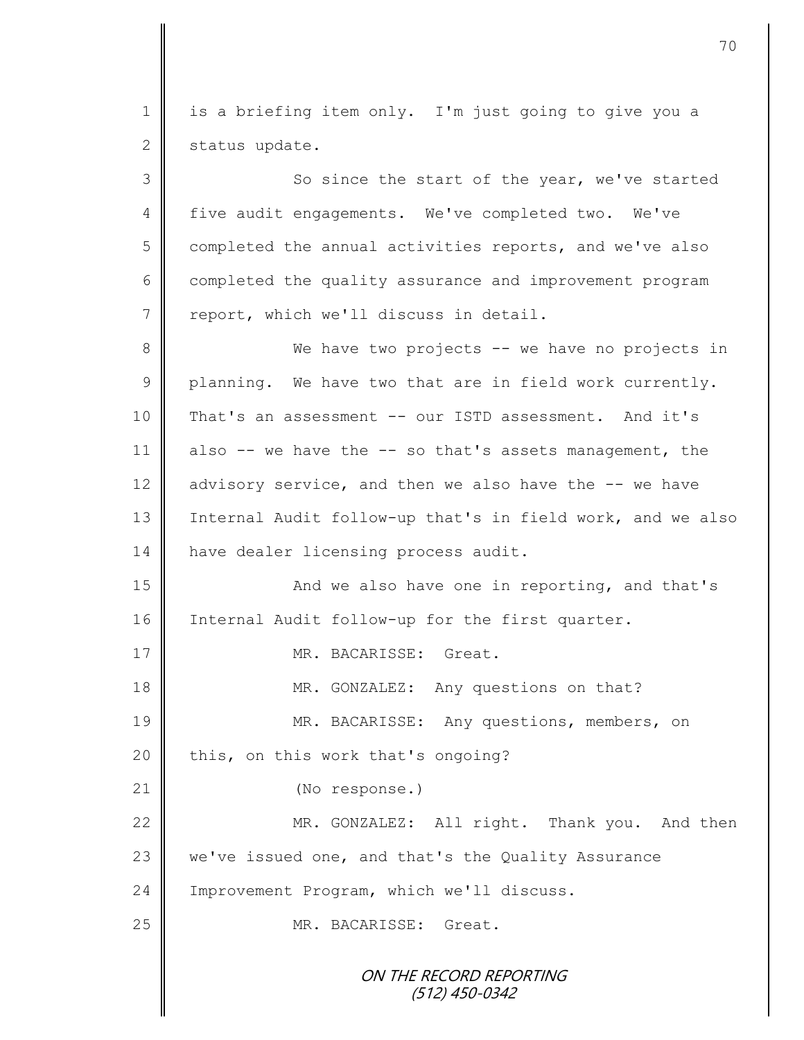1 || is a briefing item only. I'm just going to give you a  $2 \parallel$  status update.

ON THE RECORD REPORTING (512) 450-0342 3 || So since the start of the year, we've started 4 five audit engagements. We've completed two. We've  $5 \parallel$  completed the annual activities reports, and we've also 6 completed the quality assurance and improvement program 7 | report, which we'll discuss in detail. 8 We have two projects -- we have no projects in  $9 \parallel$  planning. We have two that are in field work currently. 10 That's an assessment -- our ISTD assessment. And it's 11 also  $-$  we have the  $-$  so that's assets management, the 12 advisory service, and then we also have the -- we have 13 | Internal Audit follow-up that's in field work, and we also 14 | have dealer licensing process audit. 15 || And we also have one in reporting, and that's 16 | Internal Audit follow-up for the first quarter. 17 MR. BACARISSE: Great. 18 MR. GONZALEZ: Any questions on that? 19 || MR. BACARISSE: Any questions, members, on 20  $\parallel$  this, on this work that's ongoing? 21 (No response.) 22 MR. GONZALEZ: All right. Thank you. And then 23 we've issued one, and that's the Quality Assurance 24 | Improvement Program, which we'll discuss. 25 MR. BACARISSE: Great.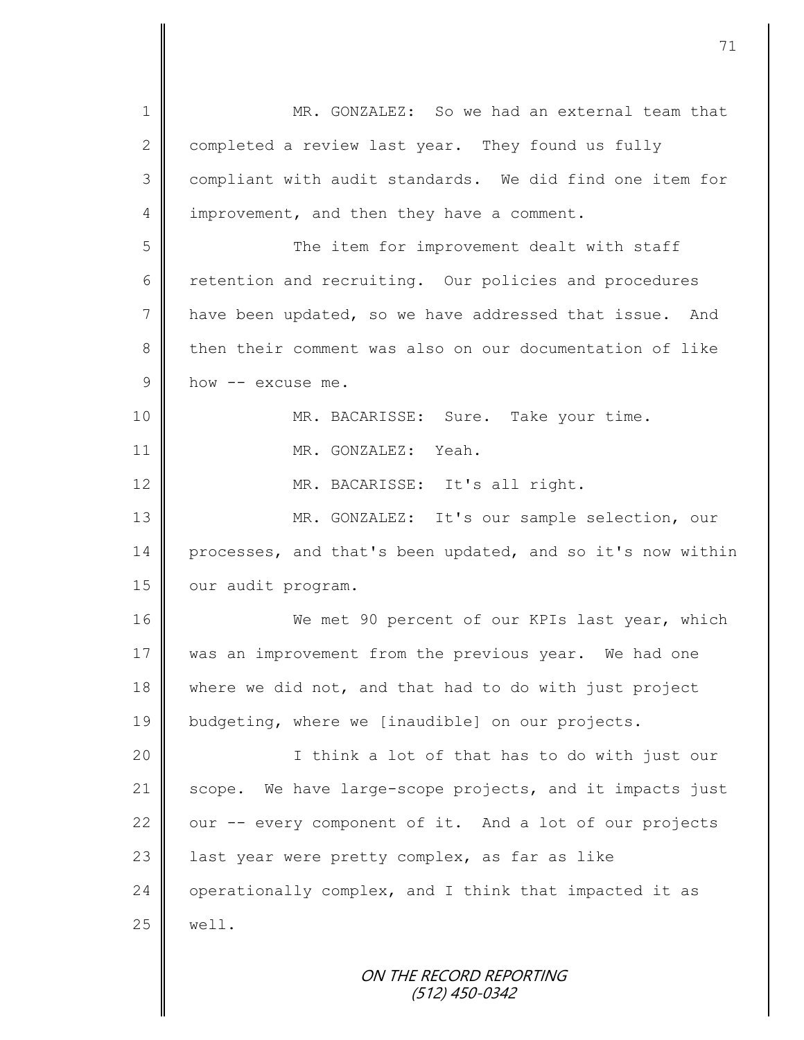ON THE RECORD REPORTING 1 MR. GONZALEZ: So we had an external team that 2 completed a review last year. They found us fully 3 compliant with audit standards. We did find one item for 4 improvement, and then they have a comment. 5 The item for improvement dealt with staff  $6 \parallel$  retention and recruiting. Our policies and procedures 7 have been updated, so we have addressed that issue. And 8 then their comment was also on our documentation of like  $9 \parallel$  how  $-$  excuse me. 10 MR. BACARISSE: Sure. Take your time. 11 **I** MR. GONZALEZ: Yeah. 12 || MR. BACARISSE: It's all right. 13 MR. GONZALEZ: It's our sample selection, our 14 processes, and that's been updated, and so it's now within 15 | our audit program. 16 We met 90 percent of our KPIs last year, which 17 was an improvement from the previous year. We had one 18 where we did not, and that had to do with just project 19 budgeting, where we [inaudible] on our projects. 20 || I think a lot of that has to do with just our 21 scope. We have large-scope projects, and it impacts just  $22$  | our -- every component of it. And a lot of our projects 23  $\parallel$  last year were pretty complex, as far as like 24 operationally complex, and I think that impacted it as  $25$  well.

(512) 450-0342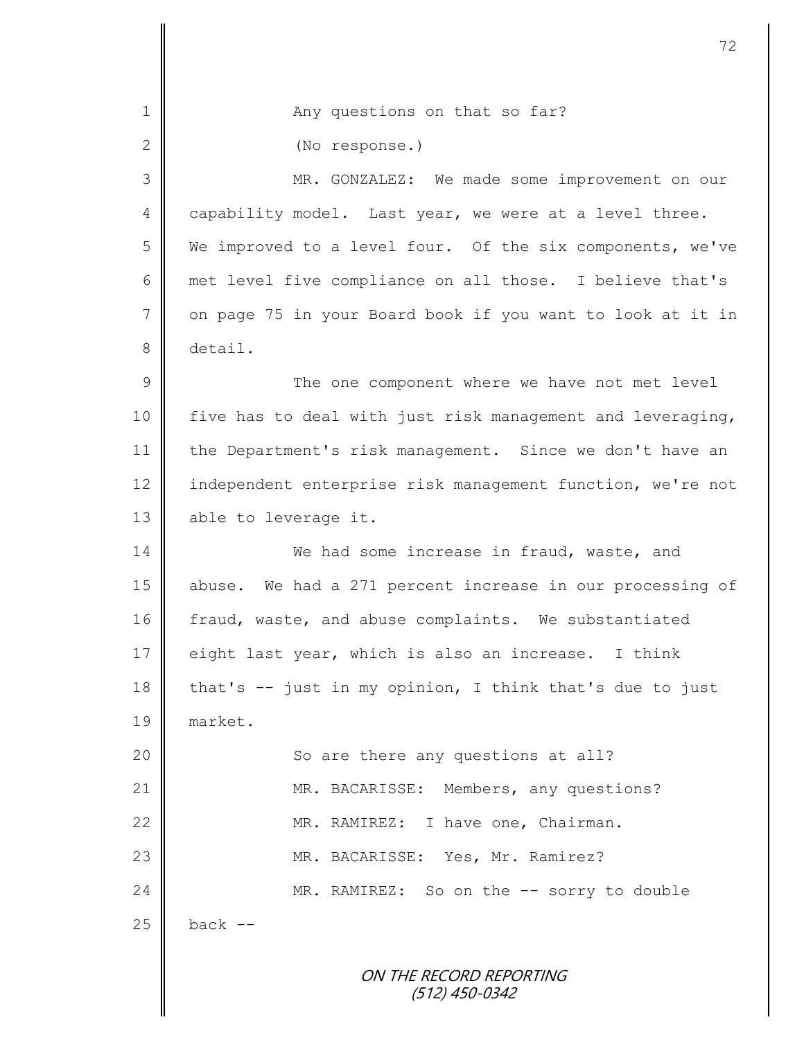| $\mathbf 1$     | Any questions on that so far?                              |
|-----------------|------------------------------------------------------------|
| 2               | (No response.)                                             |
| 3               | MR. GONZALEZ: We made some improvement on our              |
| $\overline{4}$  | capability model. Last year, we were at a level three.     |
| 5               | We improved to a level four. Of the six components, we've  |
| 6               | met level five compliance on all those. I believe that's   |
| $7\phantom{.0}$ | on page 75 in your Board book if you want to look at it in |
| $8\,$           | detail.                                                    |
| 9               | The one component where we have not met level              |
| 10              | five has to deal with just risk management and leveraging, |
| 11              | the Department's risk management. Since we don't have an   |
| 12              | independent enterprise risk management function, we're not |
| 13              | able to leverage it.                                       |
| 14              | We had some increase in fraud, waste, and                  |
| 15              | abuse. We had a 271 percent increase in our processing of  |
| 16              | fraud, waste, and abuse complaints. We substantiated       |
| 17              | eight last year, which is also an increase. I think        |
| 18              | that's -- just in my opinion, I think that's due to just   |
| 19              | market.                                                    |
| 20              | So are there any questions at all?                         |
| 21              | MR. BACARISSE: Members, any questions?                     |
| 22              | MR. RAMIREZ: I have one, Chairman.                         |
| 23              | MR. BACARISSE: Yes, Mr. Ramirez?                           |
| 24              | MR. RAMIREZ: So on the -- sorry to double                  |
| 25              | back --                                                    |
|                 | ON THE RECORD REPORTING<br>$(512)$ 450-0342                |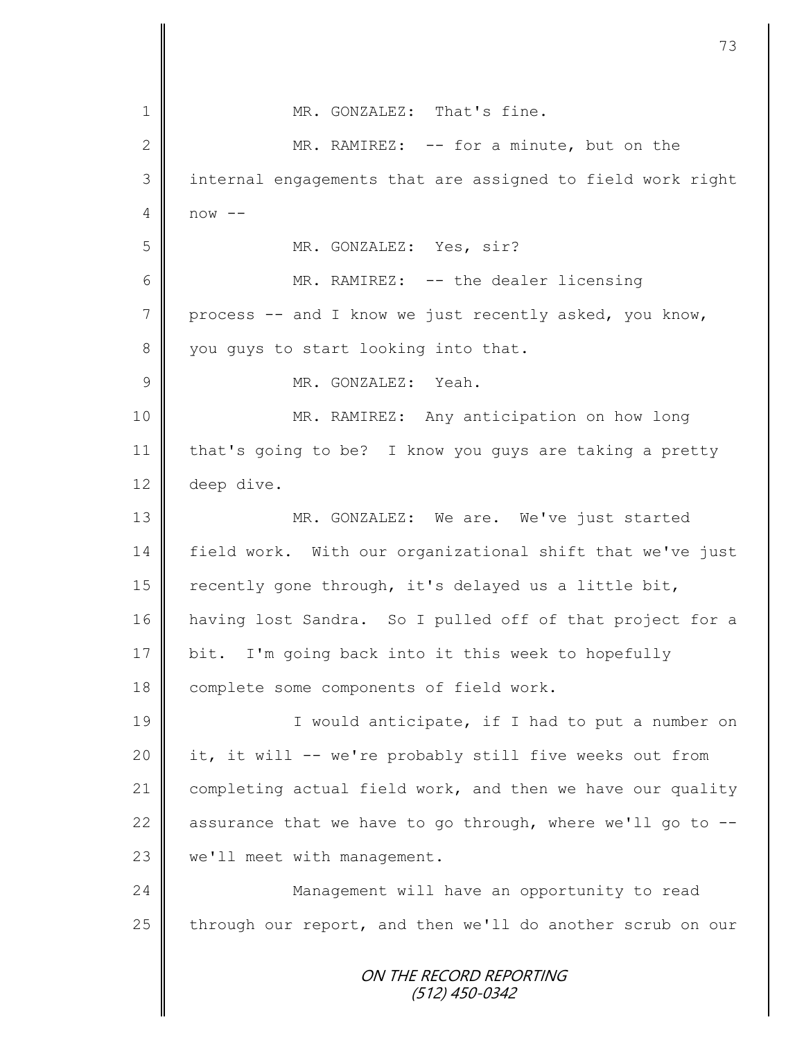| $\mathbf 1$   | MR. GONZALEZ: That's fine.                                 |
|---------------|------------------------------------------------------------|
| $\mathbf{2}$  | MR. RAMIREZ: -- for a minute, but on the                   |
| 3             | internal engagements that are assigned to field work right |
| 4             | $now --$                                                   |
| 5             | MR. GONZALEZ: Yes, sir?                                    |
| 6             | MR. RAMIREZ: -- the dealer licensing                       |
| 7             | process -- and I know we just recently asked, you know,    |
| $8\,$         | you guys to start looking into that.                       |
| $\mathcal{G}$ | MR. GONZALEZ: Yeah.                                        |
| 10            | MR. RAMIREZ: Any anticipation on how long                  |
| 11            | that's going to be? I know you guys are taking a pretty    |
| 12            | deep dive.                                                 |
| 13            | MR. GONZALEZ: We are. We've just started                   |
| 14            | field work. With our organizational shift that we've just  |
| 15            | recently gone through, it's delayed us a little bit,       |
| 16            | having lost Sandra. So I pulled off of that project for a  |
| 17            | bit. I'm going back into it this week to hopefully         |
| 18            | complete some components of field work.                    |
| 19            | I would anticipate, if I had to put a number on            |
| 20            | it, it will -- we're probably still five weeks out from    |
| 21            | completing actual field work, and then we have our quality |
| 22            | assurance that we have to go through, where we'll go to -- |
| 23            | we'll meet with management.                                |
| 24            | Management will have an opportunity to read                |
| 25            | through our report, and then we'll do another scrub on our |
|               | ON THE RECORD REPORTING<br>$(512)$ 450-0342                |

 $\mathbf l$ II

Ш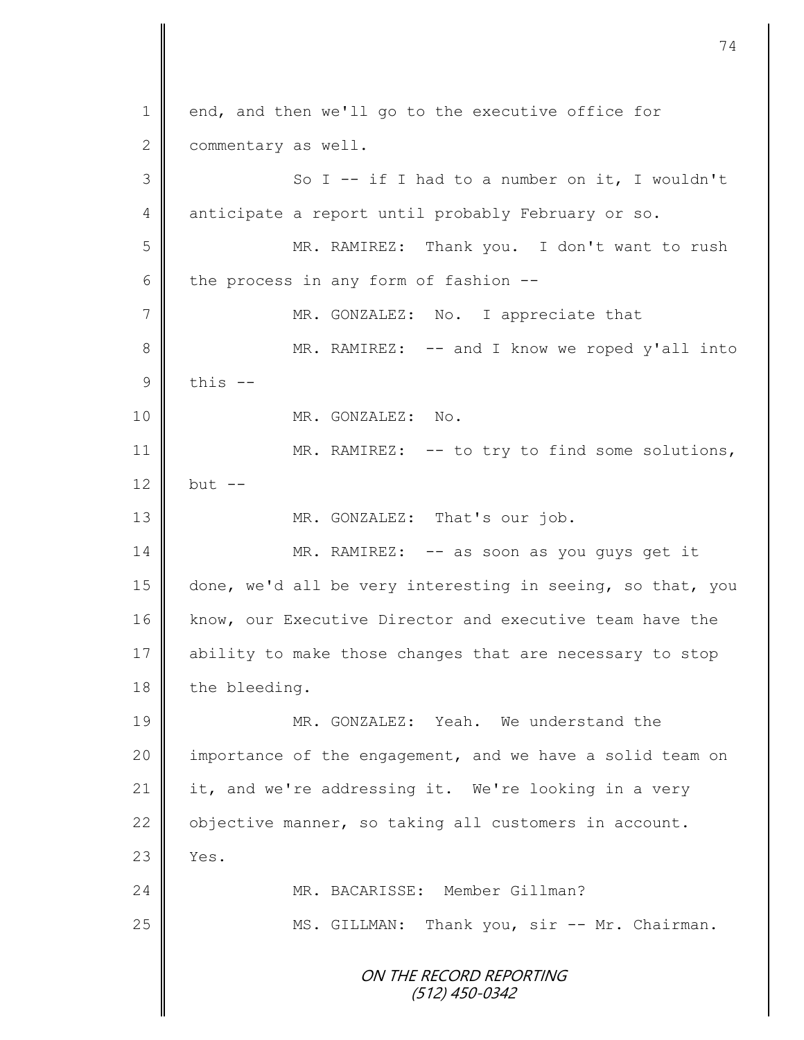ON THE RECORD REPORTING (512) 450-0342 1 end, and then we'll go to the executive office for 2 commentary as well. 3 || So I -- if I had to a number on it, I wouldn't 4 anticipate a report until probably February or so. 5 MR. RAMIREZ: Thank you. I don't want to rush 6 the process in any form of fashion  $-$ 7 || MR. GONZALEZ: No. I appreciate that 8 || MR. RAMIREZ: -- and I know we roped y'all into  $9 \parallel$  this  $-$ 10 || MR. GONZALEZ: No. 11 | MR. RAMIREZ: -- to try to find some solutions, 12 but  $-$ 13 || MR. GONZALEZ: That's our job. 14 MR. RAMIREZ: -- as soon as you guys get it 15 done, we'd all be very interesting in seeing, so that, you 16 | know, our Executive Director and executive team have the 17 ability to make those changes that are necessary to stop 18 the bleeding. 19 MR. GONZALEZ: Yeah. We understand the 20 | importance of the engagement, and we have a solid team on 21 it, and we're addressing it. We're looking in a very 22  $\parallel$  objective manner, so taking all customers in account.  $23 \parallel$  Yes. 24 | MR. BACARISSE: Member Gillman? 25 | MS. GILLMAN: Thank you, sir -- Mr. Chairman.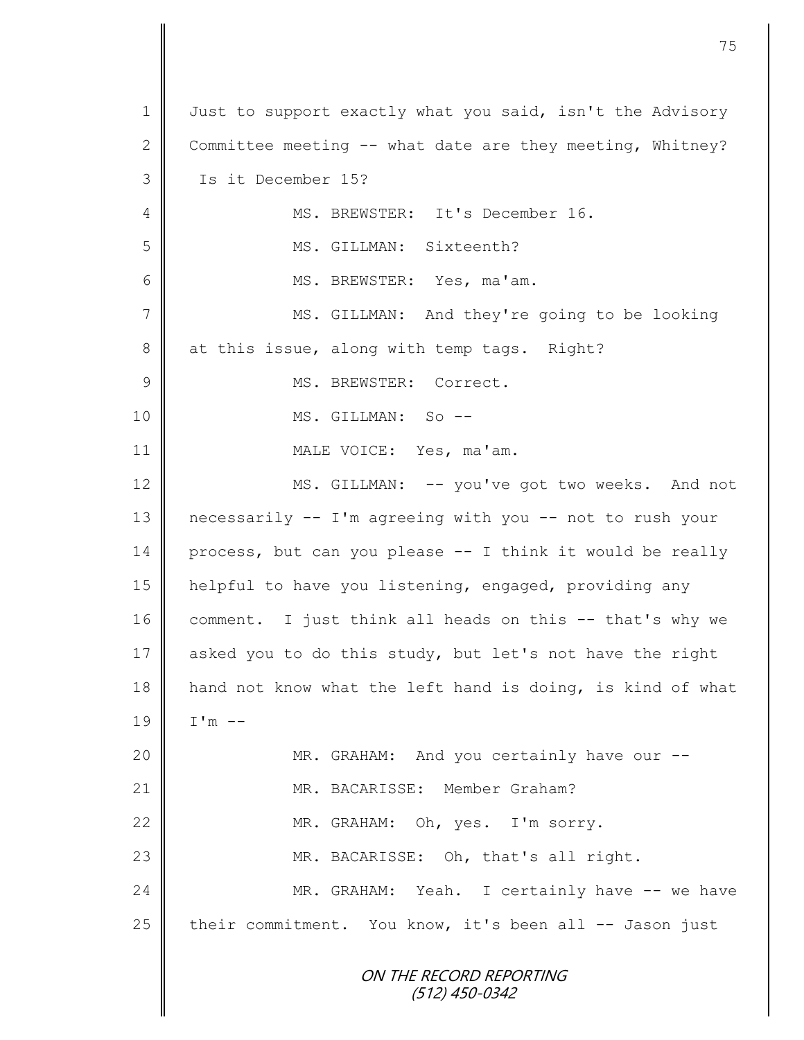|                | 75                                                         |
|----------------|------------------------------------------------------------|
|                |                                                            |
| 1              | Just to support exactly what you said, isn't the Advisory  |
| $\mathbf{2}$   | Committee meeting -- what date are they meeting, Whitney?  |
| 3              | Is it December 15?                                         |
| 4              | MS. BREWSTER: It's December 16.                            |
| 5              | MS. GILLMAN: Sixteenth?                                    |
| 6              | MS. BREWSTER: Yes, ma'am.                                  |
| $\overline{7}$ | MS. GILLMAN: And they're going to be looking               |
| 8              | at this issue, along with temp tags. Right?                |
| $\mathcal{G}$  | MS. BREWSTER: Correct.                                     |
| 10             | MS. GILLMAN: So --                                         |
| 11             | MALE VOICE: Yes, ma'am.                                    |
| 12             | MS. GILLMAN: -- you've got two weeks. And not              |
| 13             | necessarily -- I'm agreeing with you -- not to rush your   |
| 14             | process, but can you please -- I think it would be really  |
| 15             | helpful to have you listening, engaged, providing any      |
| 16             | comment. I just think all heads on this -- that's why we   |
| 17             | asked you to do this study, but let's not have the right   |
| 18             | hand not know what the left hand is doing, is kind of what |
| 19             | $I'm$ --                                                   |
| 20             | MR. GRAHAM: And you certainly have our --                  |
| 21             | MR. BACARISSE: Member Graham?                              |
| 22             | MR. GRAHAM: Oh, yes. I'm sorry.                            |
| 23             | MR. BACARISSE: Oh, that's all right.                       |
| 24             | MR. GRAHAM: Yeah. I certainly have -- we have              |
| 25             | their commitment. You know, it's been all -- Jason just    |
|                | ON THE RECORD REPORTING<br>(512) 450-0342                  |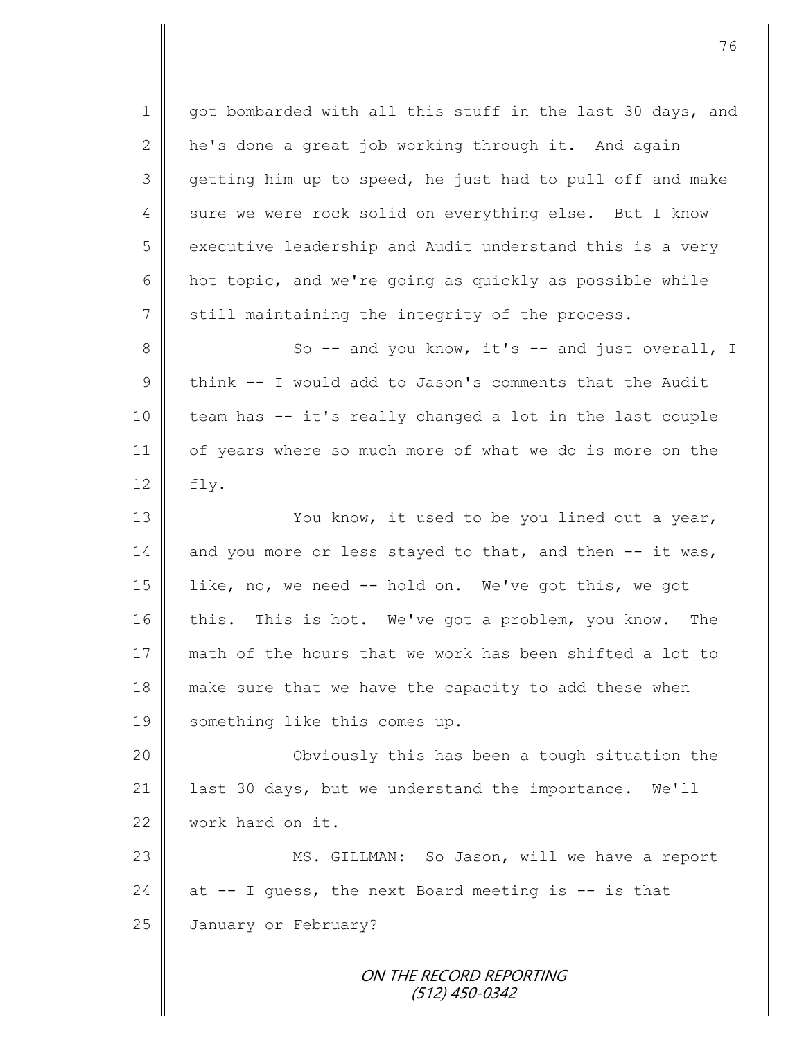1 got bombarded with all this stuff in the last 30 days, and 2  $\parallel$  he's done a great job working through it. And again 3 getting him up to speed, he just had to pull off and make 4 sure we were rock solid on everything else. But I know 5 executive leadership and Audit understand this is a very 6 hot topic, and we're going as quickly as possible while 7 still maintaining the integrity of the process. 8 || So -- and you know, it's -- and just overall, I 9 think  $--$  I would add to Jason's comments that the Audit 10 || team has -- it's really changed a lot in the last couple 11 | of years where so much more of what we do is more on the  $12$  | fly. 13 || You know, it used to be you lined out a year, 14 and you more or less stayed to that, and then  $--$  it was, 15 | like, no, we need -- hold on. We've got this, we got 16 this. This is hot. We've got a problem, you know. The 17 || math of the hours that we work has been shifted a lot to 18 make sure that we have the capacity to add these when 19 | something like this comes up. 20 || Obviously this has been a tough situation the

21 | last 30 days, but we understand the importance. We'll 22 work hard on it.

23 || MS. GILLMAN: So Jason, will we have a report 24 at  $-$  I guess, the next Board meeting is  $-$  is that 25 **January or February?**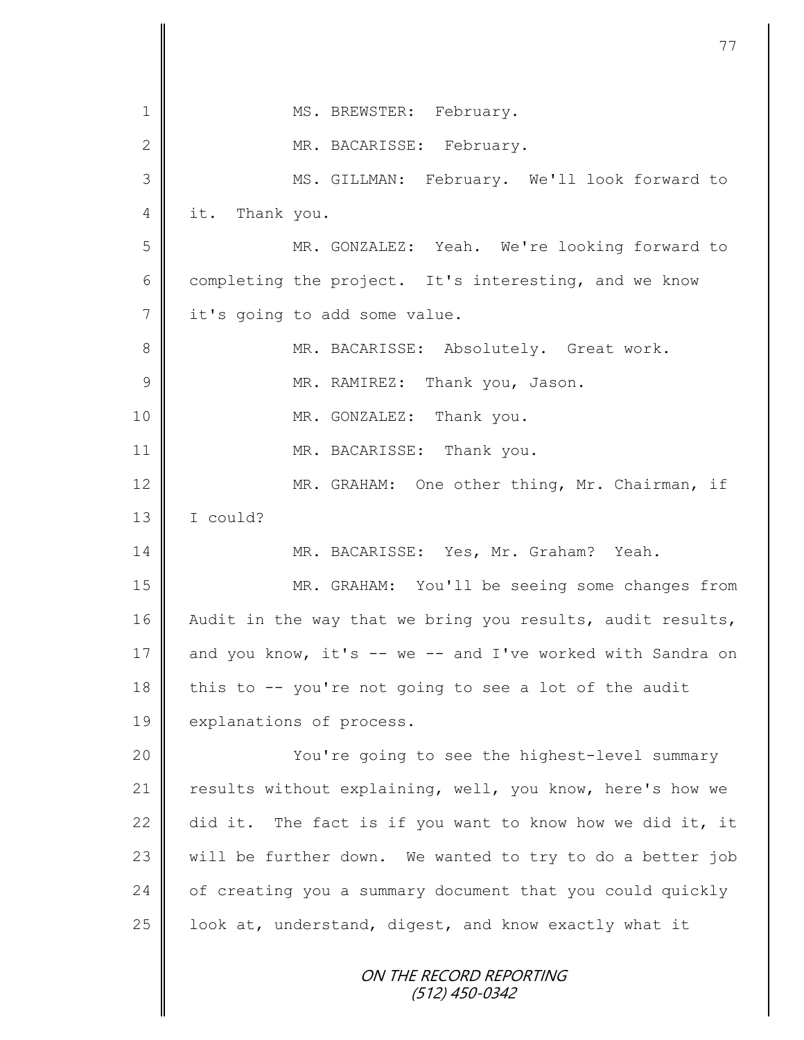| $\mathbf 1$    | MS. BREWSTER: February.                                    |
|----------------|------------------------------------------------------------|
| $\mathbf 2$    | MR. BACARISSE: February.                                   |
| 3              | MS. GILLMAN: February. We'll look forward to               |
| 4              | it. Thank you.                                             |
| 5              | MR. GONZALEZ: Yeah. We're looking forward to               |
| $\sqrt{6}$     | completing the project. It's interesting, and we know      |
| $\overline{7}$ | it's going to add some value.                              |
| 8              | MR. BACARISSE: Absolutely. Great work.                     |
| $\mathcal{G}$  | MR. RAMIREZ: Thank you, Jason.                             |
| 10             | MR. GONZALEZ: Thank you.                                   |
| 11             | MR. BACARISSE: Thank you.                                  |
| 12             | MR. GRAHAM: One other thing, Mr. Chairman, if              |
| 13             | I could?                                                   |
| 14             | MR. BACARISSE: Yes, Mr. Graham? Yeah.                      |
| 15             | MR. GRAHAM: You'll be seeing some changes from             |
| 16             | Audit in the way that we bring you results, audit results, |
| 17             | and you know, it's -- we -- and I've worked with Sandra on |
| 18             | this to -- you're not going to see a lot of the audit      |
| 19             | explanations of process.                                   |
| 20             | You're going to see the highest-level summary              |
| 21             | results without explaining, well, you know, here's how we  |
| 22             | did it. The fact is if you want to know how we did it, it  |
| 23             | will be further down. We wanted to try to do a better job  |
| 24             | of creating you a summary document that you could quickly  |
| 25             | look at, understand, digest, and know exactly what it      |
|                | ON THE RECORD REPORTING<br>(512) 450-0342                  |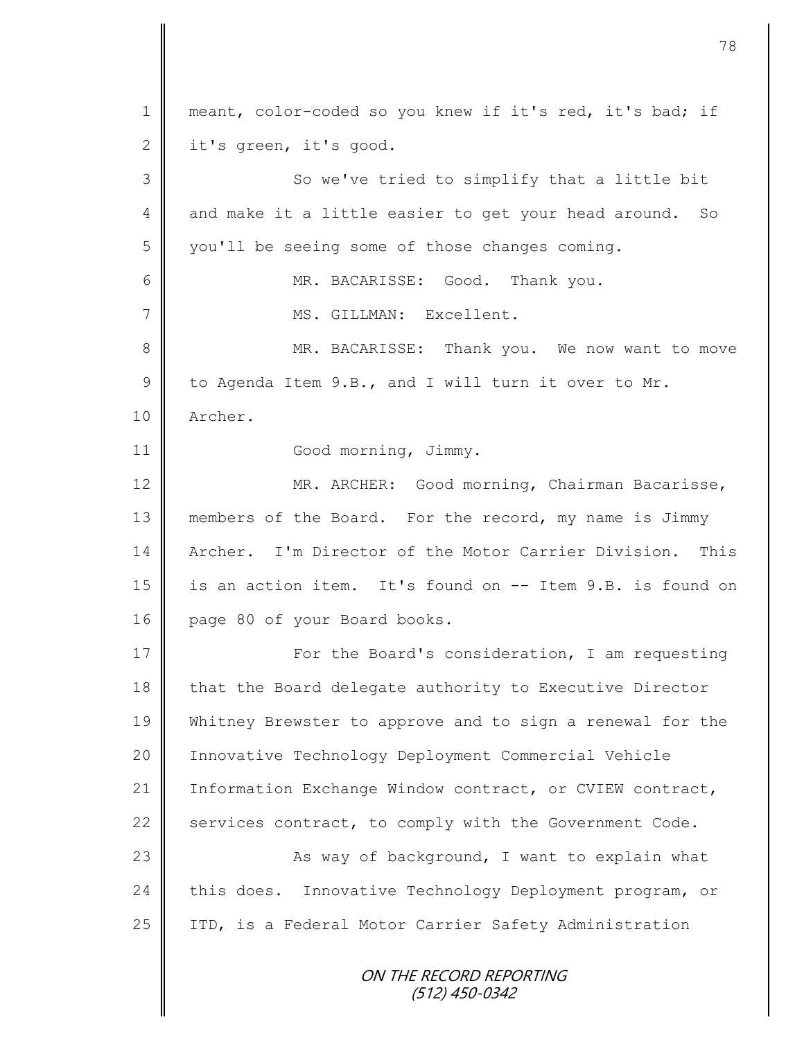ON THE RECORD REPORTING 1 || meant, color-coded so you knew if it's red, it's bad; if  $2 \parallel$  it's green, it's good. 3 || So we've tried to simplify that a little bit 4 and make it a little easier to get your head around. So 5 | you'll be seeing some of those changes coming. 6 MR. BACARISSE: Good. Thank you. 7 || MS. GILLMAN: Excellent. 8 || MR. BACARISSE: Thank you. We now want to move 9 to Agenda Item 9.B., and I will turn it over to Mr. 10 Archer. 11 | Good morning, Jimmy. 12 MR. ARCHER: Good morning, Chairman Bacarisse, 13 members of the Board. For the record, my name is Jimmy 14 Archer. I'm Director of the Motor Carrier Division. This 15 is an action item. It's found on -- Item 9.B. is found on 16 page 80 of your Board books. 17 | For the Board's consideration, I am requesting 18 | that the Board delegate authority to Executive Director 19 Whitney Brewster to approve and to sign a renewal for the 20 Innovative Technology Deployment Commercial Vehicle 21 | Information Exchange Window contract, or CVIEW contract, 22  $\parallel$  services contract, to comply with the Government Code. 23 | Kas way of background, I want to explain what 24 this does. Innovative Technology Deployment program, or 25 | ITD, is a Federal Motor Carrier Safety Administration

78

(512) 450-0342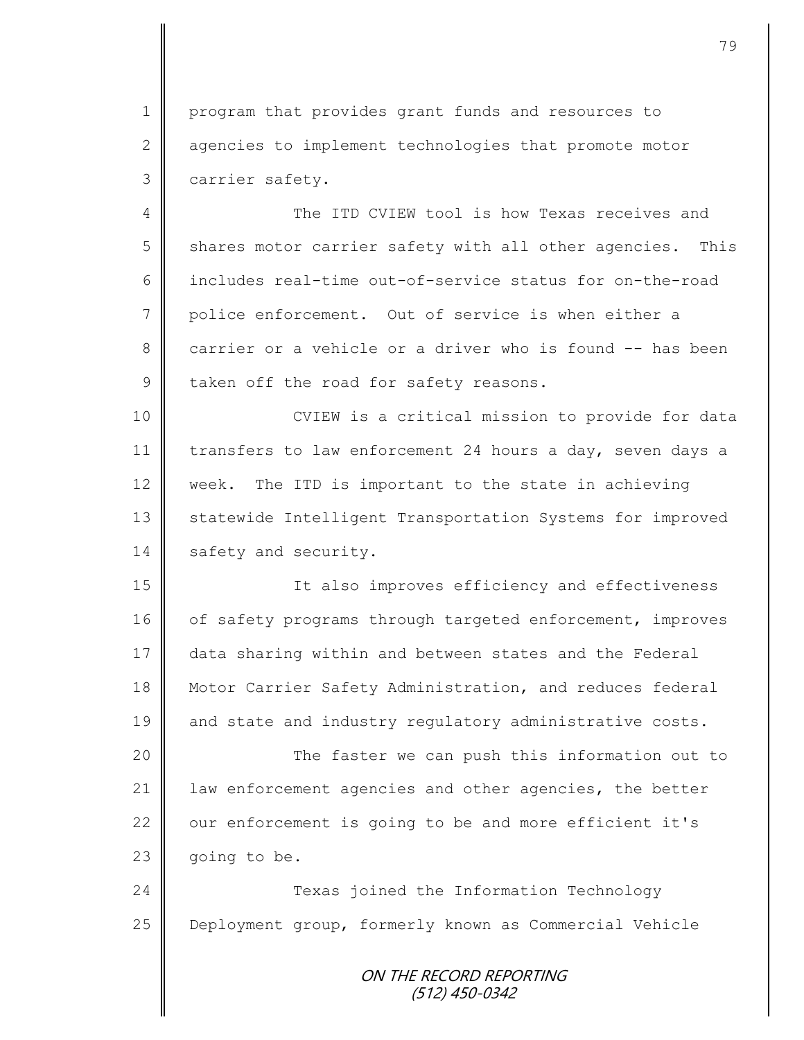1 | program that provides grant funds and resources to 2 agencies to implement technologies that promote motor 3 carrier safety.

4 The ITD CVIEW tool is how Texas receives and 5 shares motor carrier safety with all other agencies. This 6 includes real-time out-of-service status for on-the-road 7 police enforcement. Out of service is when either a 8 carrier or a vehicle or a driver who is found -- has been  $9$  taken off the road for safety reasons.

10 || CVIEW is a critical mission to provide for data 11 transfers to law enforcement 24 hours a day, seven days a 12 week. The ITD is important to the state in achieving 13 Statewide Intelligent Transportation Systems for improved 14 safety and security.

15 || It also improves efficiency and effectiveness 16 of safety programs through targeted enforcement, improves 17 data sharing within and between states and the Federal 18 Motor Carrier Safety Administration, and reduces federal 19 and state and industry regulatory administrative costs.

 The faster we can push this information out to 21 | law enforcement agencies and other agencies, the better our enforcement is going to be and more efficient it's going to be.

24 **Texas** joined the Information Technology 25 Deployment group, formerly known as Commercial Vehicle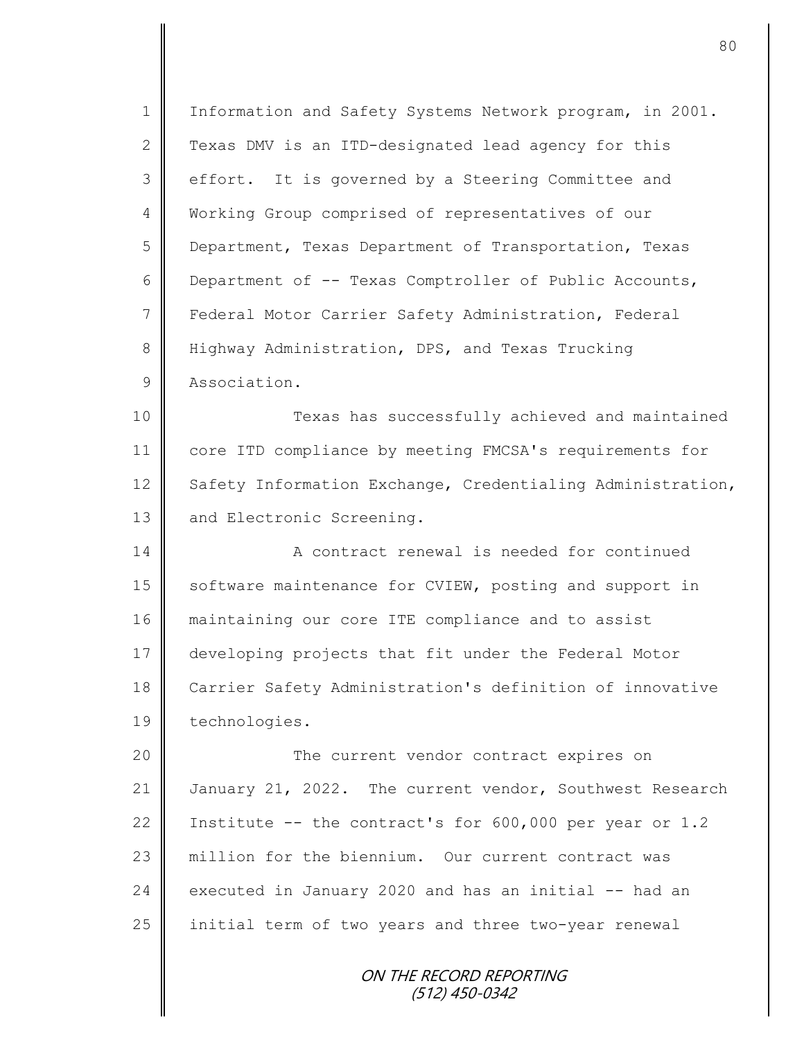ON THE RECORD REPORTING 1 | Information and Safety Systems Network program, in 2001. 2 Texas DMV is an ITD-designated lead agency for this 3 | effort. It is governed by a Steering Committee and 4 Working Group comprised of representatives of our 5 | Department, Texas Department of Transportation, Texas 6 | Department of -- Texas Comptroller of Public Accounts, 7 | Federal Motor Carrier Safety Administration, Federal 8 Highway Administration, DPS, and Texas Trucking 9 Association. 10 Texas has successfully achieved and maintained 11 core ITD compliance by meeting FMCSA's requirements for 12 Safety Information Exchange, Credentialing Administration, 13 and Electronic Screening. 14 **A** contract renewal is needed for continued 15 | software maintenance for CVIEW, posting and support in 16 maintaining our core ITE compliance and to assist 17 developing projects that fit under the Federal Motor 18 Carrier Safety Administration's definition of innovative 19 technologies. 20 || The current vendor contract expires on 21 January 21, 2022. The current vendor, Southwest Research 22 Institute  $-$  the contract's for 600,000 per year or 1.2 23 million for the biennium. Our current contract was 24 executed in January 2020 and has an initial  $-$  had an 25 | initial term of two years and three two-year renewal

(512) 450-0342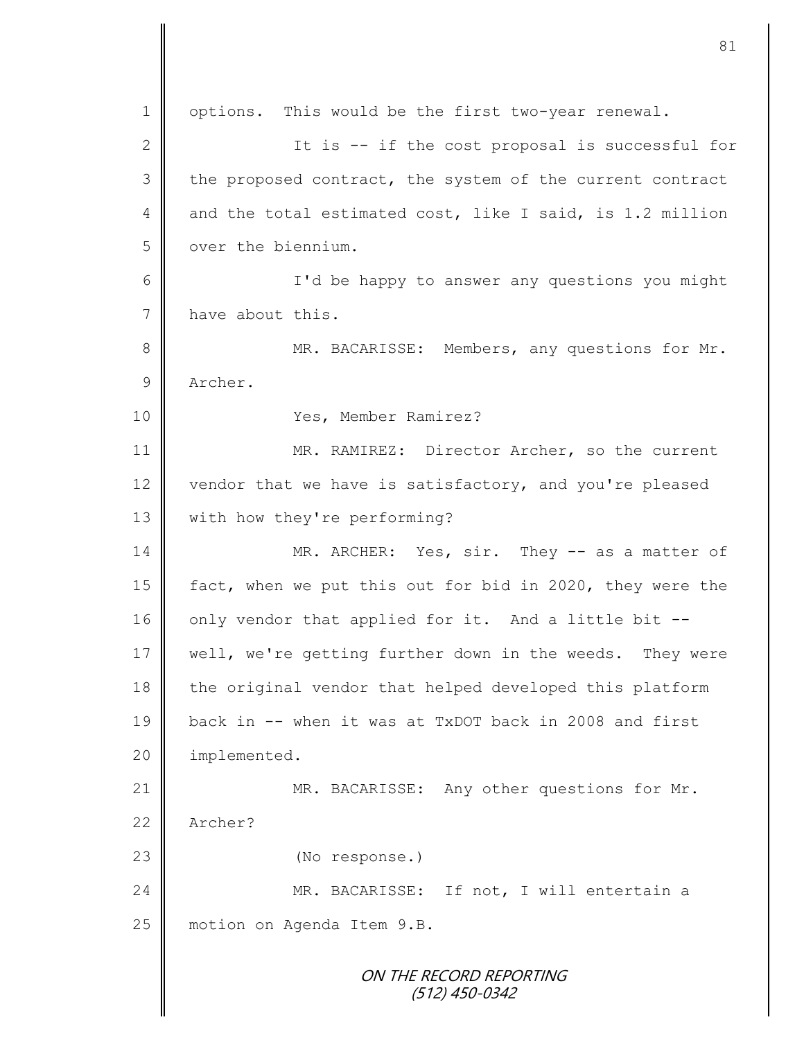ON THE RECORD REPORTING (512) 450-0342 1 | options. This would be the first two-year renewal. 2 || It is -- if the cost proposal is successful for 3 the proposed contract, the system of the current contract 4 and the total estimated cost, like I said, is 1.2 million 5 | over the biennium. 6 I'd be happy to answer any questions you might 7 have about this. 8 || MR. BACARISSE: Members, any questions for Mr. 9 Archer. 10 Yes, Member Ramirez? 11 MR. RAMIREZ: Director Archer, so the current 12 vendor that we have is satisfactory, and you're pleased 13 | with how they're performing? 14 MR. ARCHER: Yes, sir. They -- as a matter of 15 fact, when we put this out for bid in 2020, they were the 16  $\parallel$  only vendor that applied for it. And a little bit --17 | well, we're getting further down in the weeds. They were 18 | the original vendor that helped developed this platform 19 back in -- when it was at TxDOT back in 2008 and first 20 | implemented. 21 | MR. BACARISSE: Any other questions for Mr. 22 Archer? 23 || (No response.) 24 || MR. BACARISSE: If not, I will entertain a 25 | motion on Agenda Item 9.B.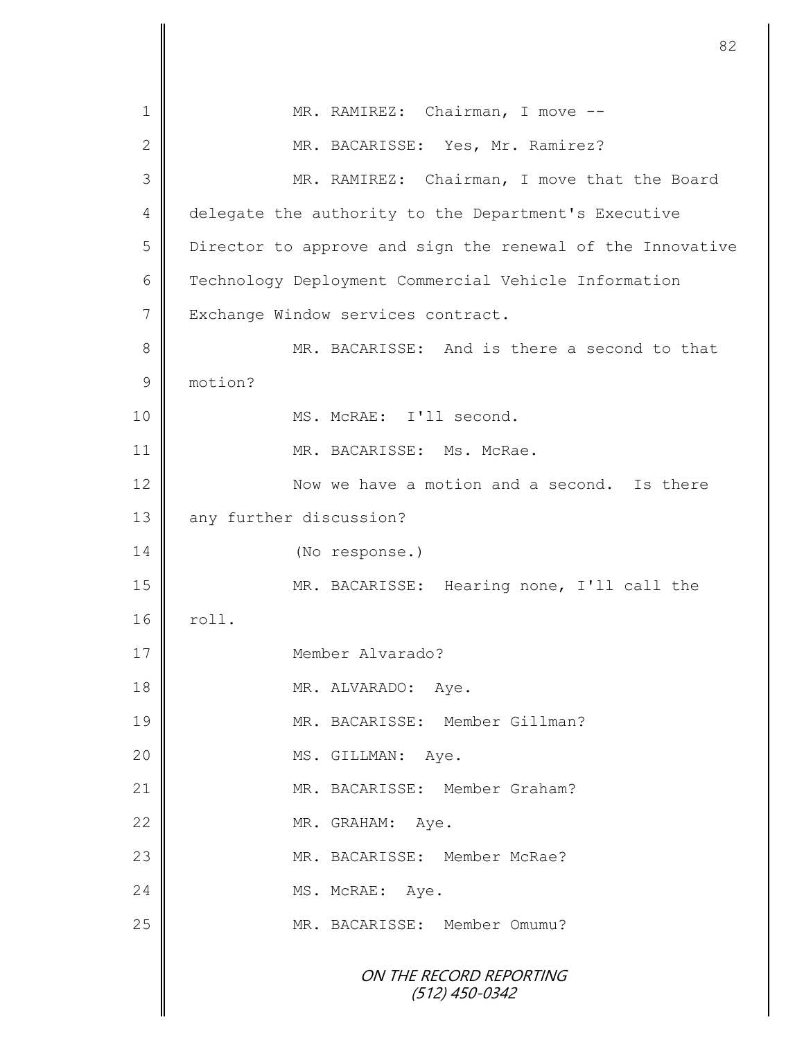ON THE RECORD REPORTING (512) 450-0342 1 || MR. RAMIREZ: Chairman, I move --2 || MR. BACARISSE: Yes, Mr. Ramirez? 3 MR. RAMIREZ: Chairman, I move that the Board 4 delegate the authority to the Department's Executive 5 | Director to approve and sign the renewal of the Innovative 6 | Technology Deployment Commercial Vehicle Information 7 Exchange Window services contract. 8 MR. BACARISSE: And is there a second to that 9 motion? 10 || MS. McRAE: I'll second. 11 || MR. BACARISSE: Ms. McRae. 12 Now we have a motion and a second. Is there 13 any further discussion? 14 (No response.) 15 MR. BACARISSE: Hearing none, I'll call the  $16$  roll. 17 Member Alvarado? 18 || MR. ALVARADO: Aye. 19 MR. BACARISSE: Member Gillman? 20 | MS. GILLMAN: Aye. 21 MR. BACARISSE: Member Graham? 22 MR. GRAHAM: Aye. 23 MR. BACARISSE: Member McRae? 24 MS. McRAE: Ave. 25 || MR. BACARISSE: Member Omumu?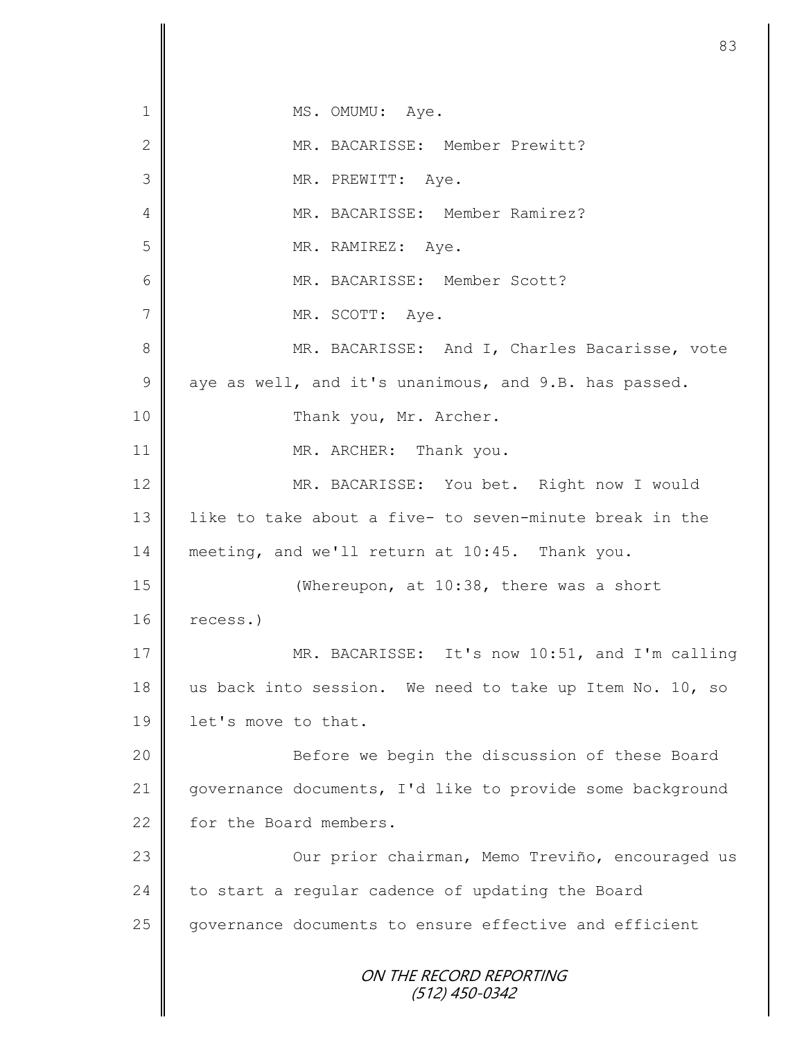ON THE RECORD REPORTING (512) 450-0342 1 || MS. OMUMU: Aye. 2 MR. BACARISSE: Member Prewitt? 3 || MR. PREWITT: Aye. 4 || MR. BACARISSE: Member Ramirez? 5 | MR. RAMIREZ: Aye. 6 MR. BACARISSE: Member Scott? 7 || MR. SCOTT: Aye. 8 MR. BACARISSE: And I, Charles Bacarisse, vote  $9 \parallel$  aye as well, and it's unanimous, and 9.B. has passed. 10 Thank you, Mr. Archer. 11 MR. ARCHER: Thank you. 12 MR. BACARISSE: You bet. Right now I would 13 | like to take about a five- to seven-minute break in the 14 meeting, and we'll return at 10:45. Thank you. 15 **||** (Whereupon, at 10:38, there was a short 16 recess.) 17 || MR. BACARISSE: It's now 10:51, and I'm calling 18 us back into session. We need to take up Item No. 10, so 19 | let's move to that. 20 || Before we begin the discussion of these Board 21 | qovernance documents, I'd like to provide some background 22 for the Board members. 23 | Cur prior chairman, Memo Treviño, encouraged us 24 to start a regular cadence of updating the Board 25 governance documents to ensure effective and efficient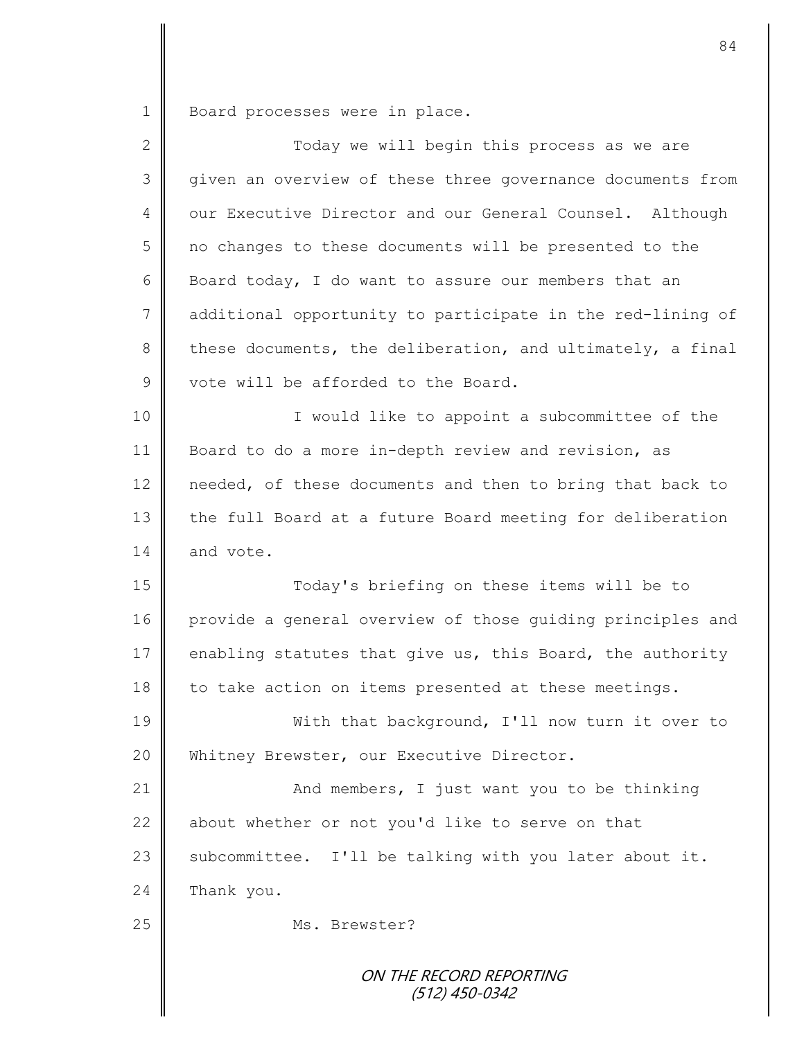1 Board processes were in place.

| $\mathbf{2}$  | Today we will begin this process as we are                 |
|---------------|------------------------------------------------------------|
| 3             | given an overview of these three governance documents from |
| 4             | our Executive Director and our General Counsel. Although   |
| 5             | no changes to these documents will be presented to the     |
| 6             | Board today, I do want to assure our members that an       |
| 7             | additional opportunity to participate in the red-lining of |
| 8             | these documents, the deliberation, and ultimately, a final |
| $\mathcal{G}$ | vote will be afforded to the Board.                        |
| 10            | I would like to appoint a subcommittee of the              |
| 11            | Board to do a more in-depth review and revision, as        |
| 12            | needed, of these documents and then to bring that back to  |
| 13            | the full Board at a future Board meeting for deliberation  |
| 14            | and vote.                                                  |
| 15            | Today's briefing on these items will be to                 |
| 16            | provide a general overview of those guiding principles and |
| 17            | enabling statutes that give us, this Board, the authority  |
| 18            | to take action on items presented at these meetings.       |
| 19            | With that background, I'll now turn it over to             |
| 20            | Whitney Brewster, our Executive Director.                  |
| 21            | And members, I just want you to be thinking                |
| 22            | about whether or not you'd like to serve on that           |
| 23            | subcommittee. I'll be talking with you later about it.     |
| 24            | Thank you.                                                 |
| 25            | Ms. Brewster?                                              |
|               | ON THE RECORD REPORTING<br>(512) 450-0342                  |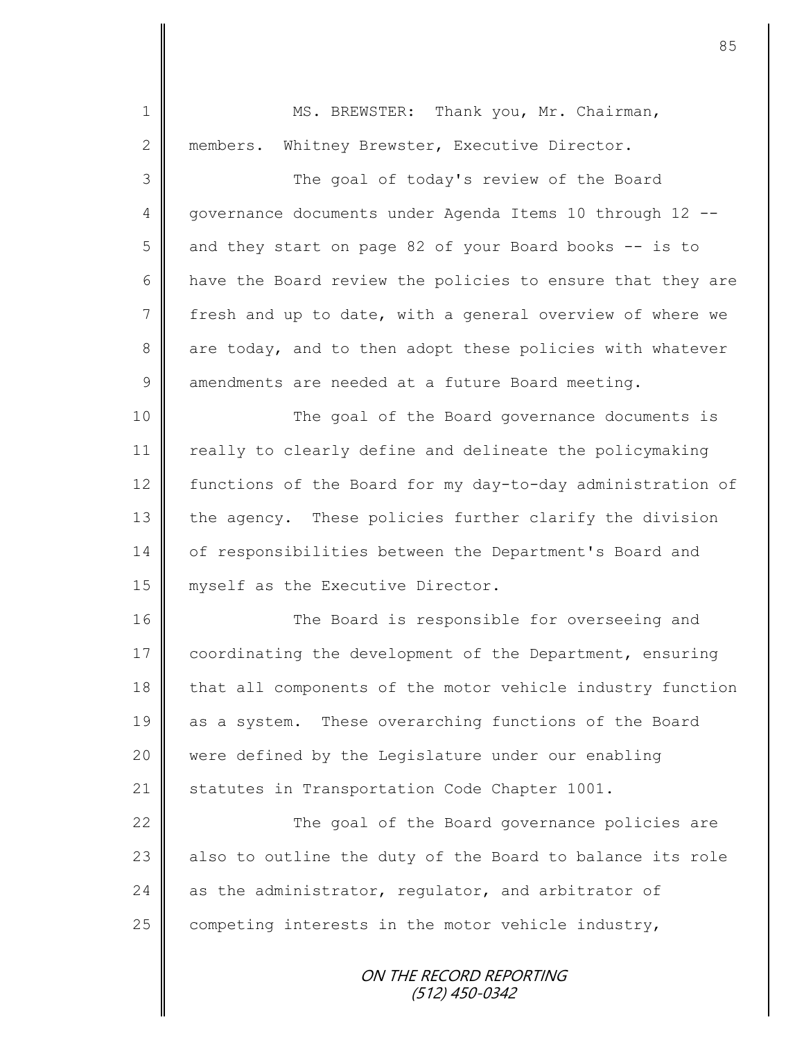| $\mathbf 1$     | MS. BREWSTER: Thank you, Mr. Chairman,                     |
|-----------------|------------------------------------------------------------|
| $\mathbf{2}$    | members. Whitney Brewster, Executive Director.             |
| 3               | The goal of today's review of the Board                    |
| $\overline{4}$  | governance documents under Agenda Items 10 through 12 --   |
| 5               | and they start on page 82 of your Board books -- is to     |
| 6               | have the Board review the policies to ensure that they are |
| $7\phantom{.0}$ | fresh and up to date, with a general overview of where we  |
| $\,8\,$         | are today, and to then adopt these policies with whatever  |
| $\mathcal{G}$   | amendments are needed at a future Board meeting.           |
| 10              | The goal of the Board governance documents is              |
| 11              | really to clearly define and delineate the policymaking    |
| 12              | functions of the Board for my day-to-day administration of |
| 13              | the agency. These policies further clarify the division    |
| 14              | of responsibilities between the Department's Board and     |
| 15              | myself as the Executive Director.                          |
| 16              | The Board is responsible for overseeing and                |
| 17              | coordinating the development of the Department, ensuring   |
| 18              | that all components of the motor vehicle industry function |
| 19              | as a system. These overarching functions of the Board      |
| 20              | were defined by the Legislature under our enabling         |
| 21              | statutes in Transportation Code Chapter 1001.              |
| 22              | The goal of the Board governance policies are              |
| 23              | also to outline the duty of the Board to balance its role  |
| 24              | as the administrator, regulator, and arbitrator of         |
| 25              | competing interests in the motor vehicle industry,         |
|                 |                                                            |
|                 | ON THE RECORD REPORTING<br>(512) 450-0342                  |
|                 |                                                            |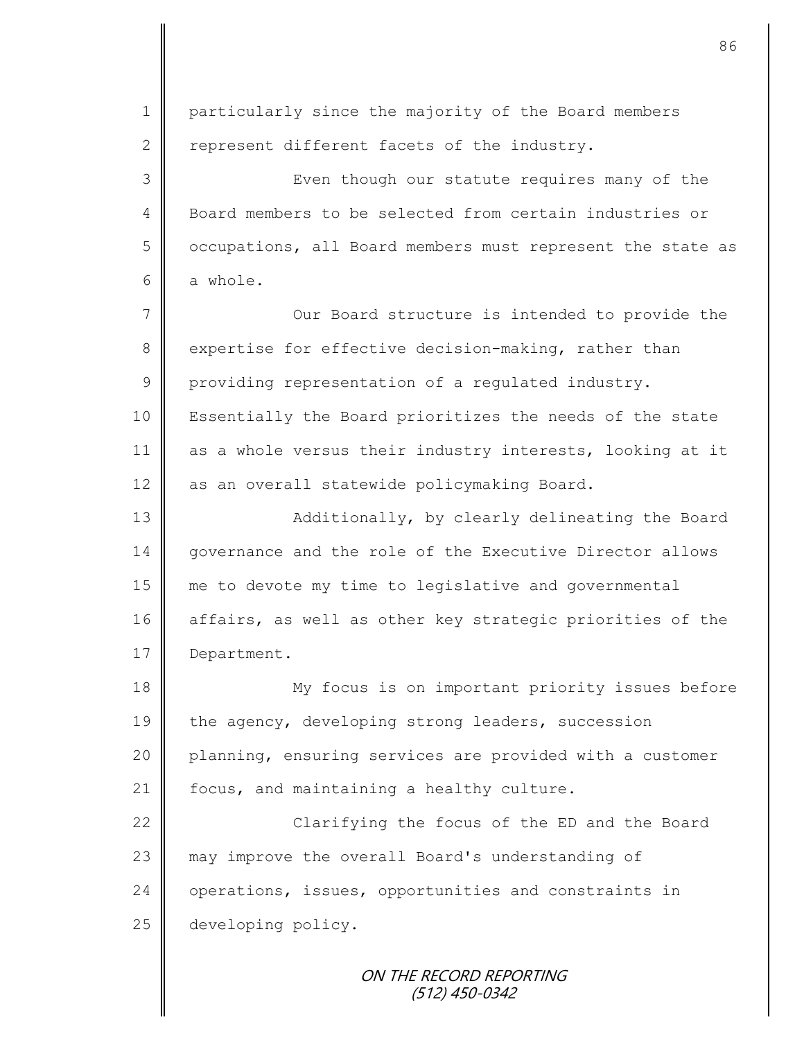ON THE RECORD REPORTING 1 particularly since the majority of the Board members 2 represent different facets of the industry. 3 || Even though our statute requires many of the 4 Board members to be selected from certain industries or 5 | occupations, all Board members must represent the state as  $6 \parallel$  a whole. 7 || Our Board structure is intended to provide the 8 expertise for effective decision-making, rather than 9 providing representation of a regulated industry. 10 | Essentially the Board prioritizes the needs of the state 11 as a whole versus their industry interests, looking at it 12 as an overall statewide policymaking Board. 13 || Additionally, by clearly delineating the Board 14 governance and the role of the Executive Director allows 15 me to devote my time to legislative and governmental 16 affairs, as well as other key strategic priorities of the 17 Department. 18 My focus is on important priority issues before 19 the agency, developing strong leaders, succession 20 planning, ensuring services are provided with a customer 21  $\parallel$  focus, and maintaining a healthy culture. 22 | Clarifying the focus of the ED and the Board 23 may improve the overall Board's understanding of 24 operations, issues, opportunities and constraints in 25 developing policy.

86

(512) 450-0342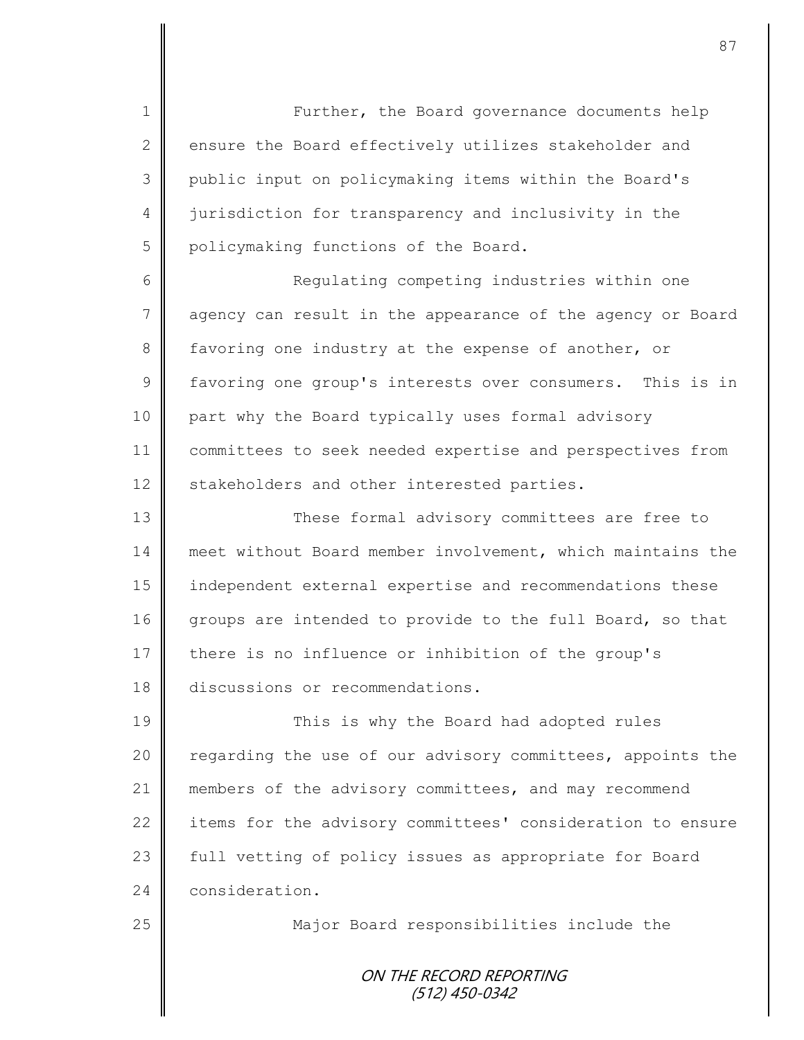1 || Further, the Board governance documents help 2 ensure the Board effectively utilizes stakeholder and 3 public input on policymaking items within the Board's 4 iurisdiction for transparency and inclusivity in the 5 policymaking functions of the Board.

6 || Regulating competing industries within one 7 agency can result in the appearance of the agency or Board 8 favoring one industry at the expense of another, or 9 favoring one group's interests over consumers. This is in 10 part why the Board typically uses formal advisory 11 committees to seek needed expertise and perspectives from 12 | stakeholders and other interested parties.

13 These formal advisory committees are free to 14 meet without Board member involvement, which maintains the 15 independent external expertise and recommendations these 16 groups are intended to provide to the full Board, so that 17 there is no influence or inhibition of the group's 18 discussions or recommendations.

19 This is why the Board had adopted rules 20 | regarding the use of our advisory committees, appoints the 21 members of the advisory committees, and may recommend 22 items for the advisory committees' consideration to ensure 23 | full vetting of policy issues as appropriate for Board 24 consideration.

25  $\parallel$  Major Board responsibilities include the

ON THE RECORD REPORTING (512) 450-0342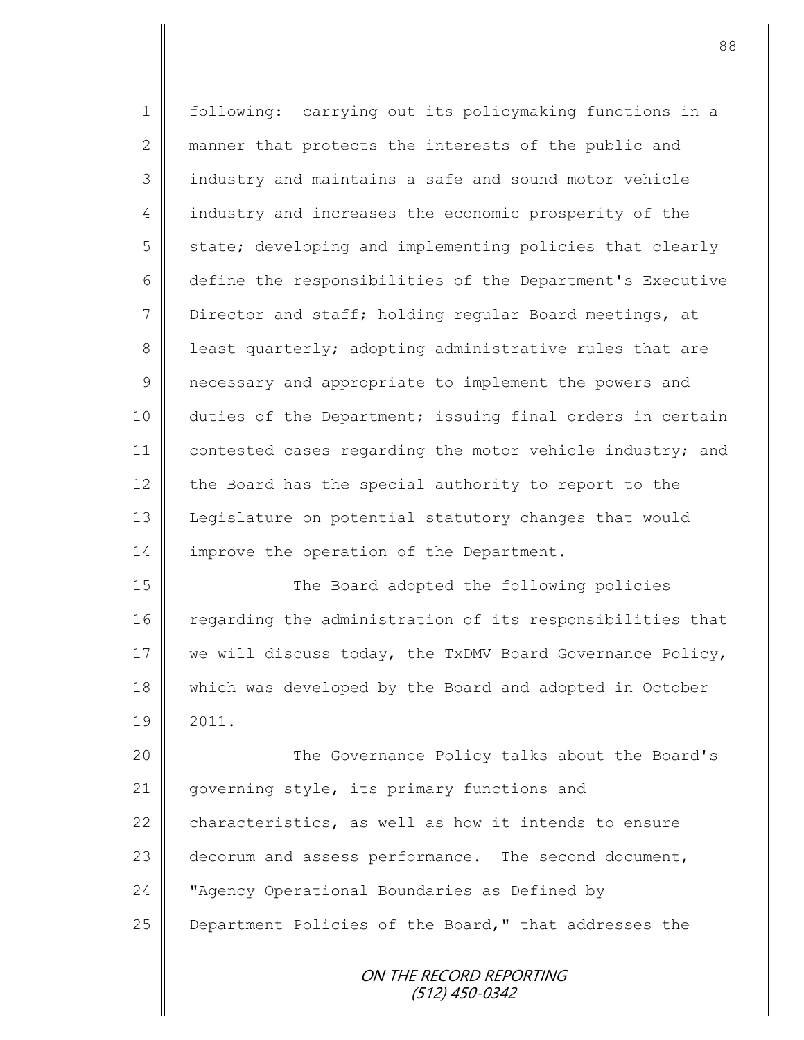1 | following: carrying out its policymaking functions in a 2 manner that protects the interests of the public and 3 || industry and maintains a safe and sound motor vehicle 4 industry and increases the economic prosperity of the 5 state; developing and implementing policies that clearly 6 define the responsibilities of the Department's Executive 7 U Director and staff; holding regular Board meetings, at 8 | least quarterly; adopting administrative rules that are 9 | necessary and appropriate to implement the powers and 10 duties of the Department; issuing final orders in certain 11 contested cases regarding the motor vehicle industry; and 12 the Board has the special authority to report to the 13 | Legislature on potential statutory changes that would 14 improve the operation of the Department. 15 | The Board adopted the following policies 16 regarding the administration of its responsibilities that

17 we will discuss today, the TxDMV Board Governance Policy, 18 which was developed by the Board and adopted in October  $19 \parallel 2011.$ 

20 || The Governance Policy talks about the Board's 21 | governing style, its primary functions and 22 characteristics, as well as how it intends to ensure 23 decorum and assess performance. The second document, 24 **W** "Agency Operational Boundaries as Defined by 25 **Department Policies of the Board,"** that addresses the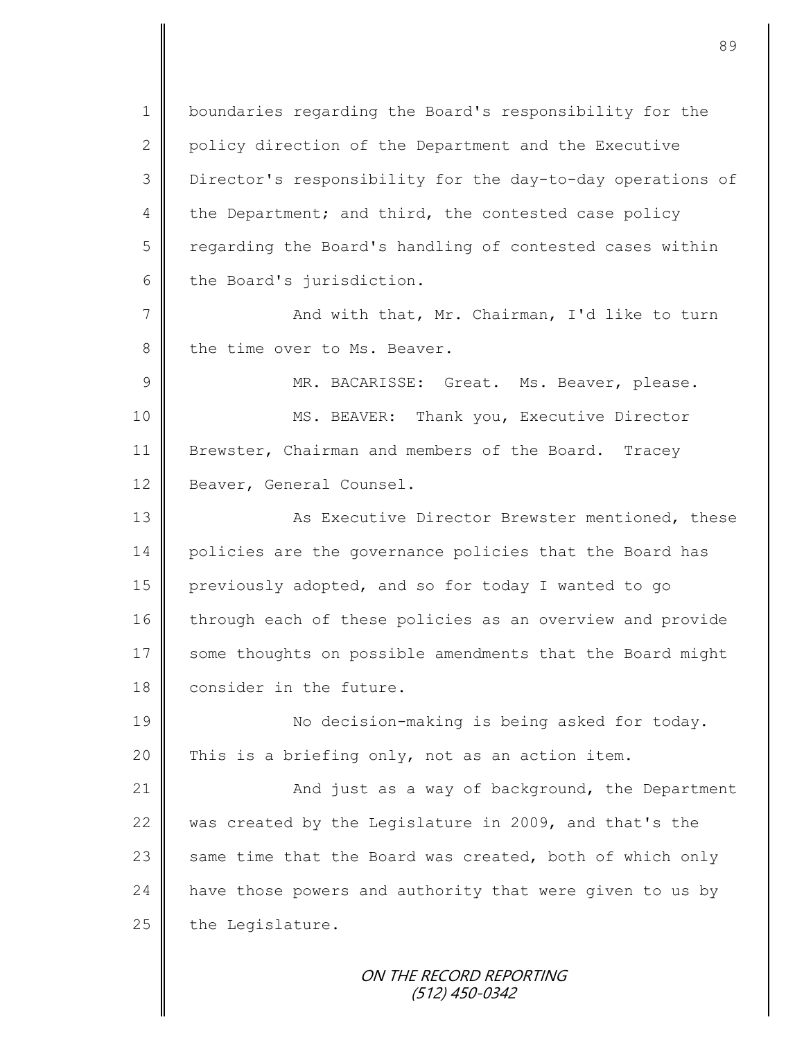1 boundaries regarding the Board's responsibility for the 2 policy direction of the Department and the Executive 3 Director's responsibility for the day-to-day operations of 4 the Department; and third, the contested case policy 5 regarding the Board's handling of contested cases within  $6 \parallel$  the Board's jurisdiction.

7 And with that, Mr. Chairman, I'd like to turn 8 the time over to Ms. Beaver.

9 || MR. BACARISSE: Great. Ms. Beaver, please. 10 || MS. BEAVER: Thank you, Executive Director 11 Brewster, Chairman and members of the Board. Tracey 12 | Beaver, General Counsel.

13 | Kas Executive Director Brewster mentioned, these 14 policies are the governance policies that the Board has 15 previously adopted, and so for today I wanted to go 16 through each of these policies as an overview and provide 17 some thoughts on possible amendments that the Board might 18 consider in the future.

19 || No decision-making is being asked for today. 20 This is a briefing only, not as an action item.

21 | And just as a way of background, the Department 22 was created by the Legislature in 2009, and that's the 23  $\parallel$  same time that the Board was created, both of which only  $24$  have those powers and authority that were given to us by  $25$  the Legislature.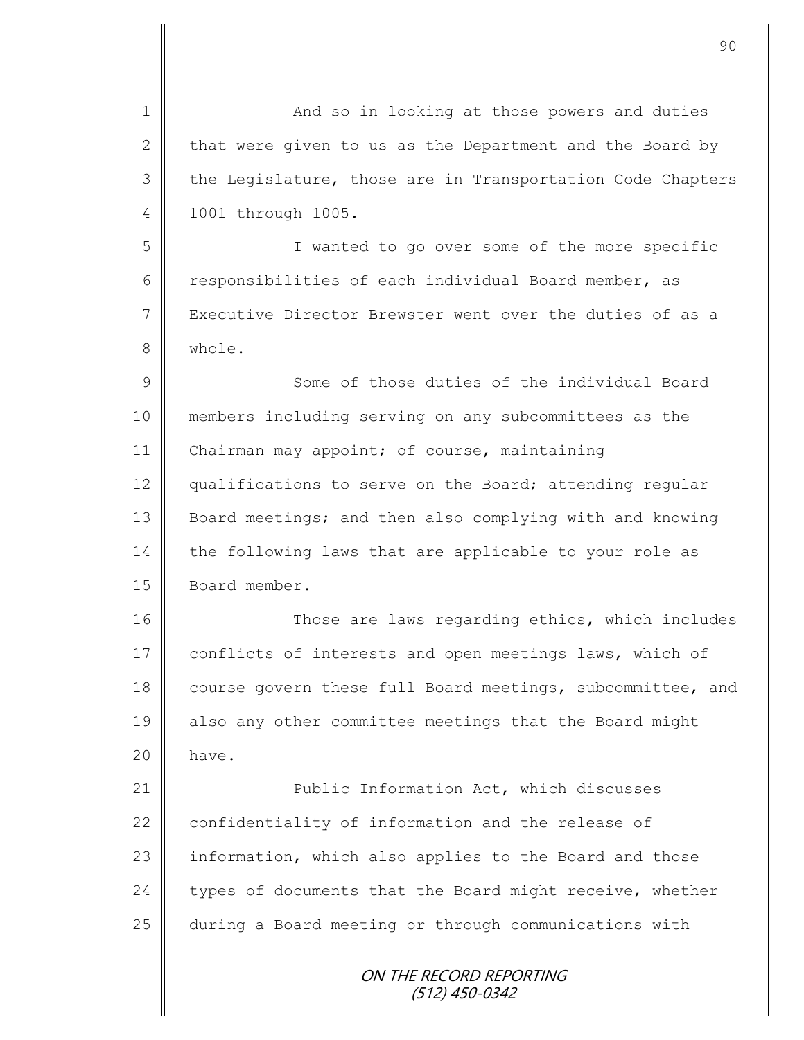ON THE RECORD REPORTING (512) 450-0342 1 || And so in looking at those powers and duties 2 that were given to us as the Department and the Board by 3 the Legislature, those are in Transportation Code Chapters 4 1001 through 1005. 5 I wanted to go over some of the more specific 6 responsibilities of each individual Board member, as 7 Executive Director Brewster went over the duties of as a 8 whole. 9 Some of those duties of the individual Board 10 members including serving on any subcommittees as the 11 | Chairman may appoint; of course, maintaining 12 qualifications to serve on the Board; attending regular 13 Board meetings; and then also complying with and knowing 14 the following laws that are applicable to your role as 15 | Board member. 16 Those are laws regarding ethics, which includes 17 conflicts of interests and open meetings laws, which of 18 course govern these full Board meetings, subcommittee, and 19 also any other committee meetings that the Board might  $20$  have. 21 **Public Information Act, which discusses** 22 confidentiality of information and the release of 23 information, which also applies to the Board and those  $24$  types of documents that the Board might receive, whether 25 during a Board meeting or through communications with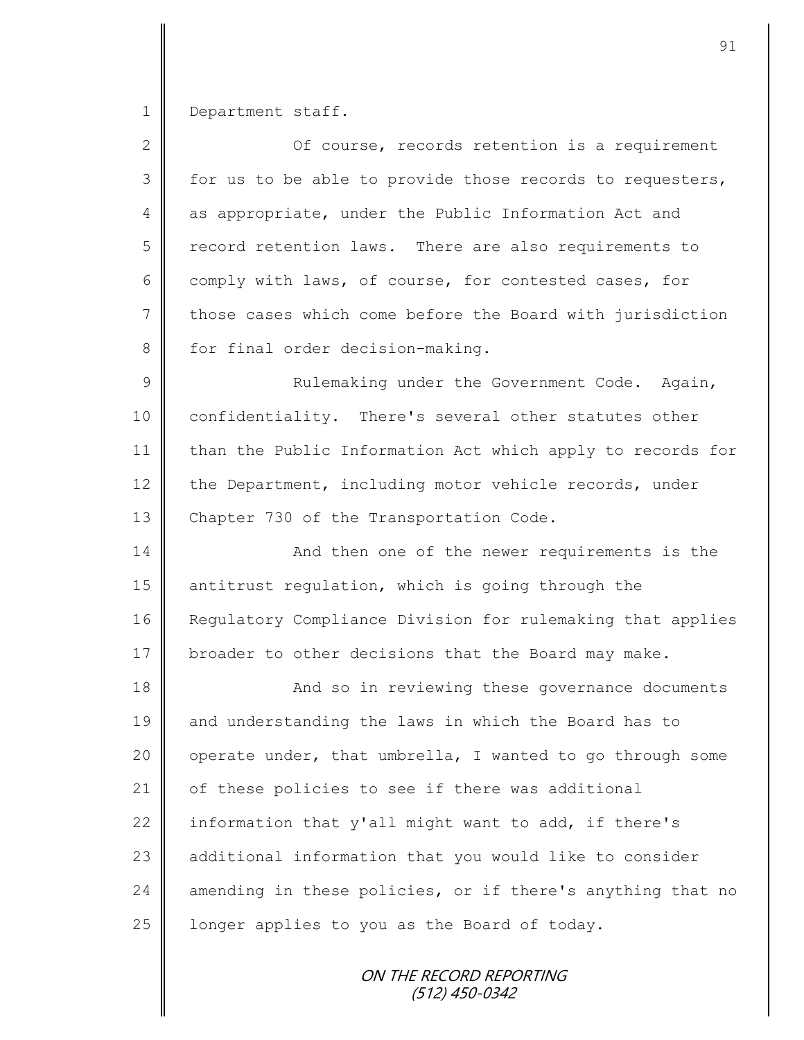1 Department staff.

| $\overline{2}$ | Of course, records retention is a requirement              |
|----------------|------------------------------------------------------------|
| 3              | for us to be able to provide those records to requesters,  |
| 4              | as appropriate, under the Public Information Act and       |
| 5              | record retention laws. There are also requirements to      |
| 6              | comply with laws, of course, for contested cases, for      |
| $7\phantom{.}$ | those cases which come before the Board with jurisdiction  |
| 8              | for final order decision-making.                           |
| $\mathcal{G}$  | Rulemaking under the Government Code. Again,               |
| 10             | confidentiality. There's several other statutes other      |
| 11             | than the Public Information Act which apply to records for |
| 12             | the Department, including motor vehicle records, under     |
| 13             | Chapter 730 of the Transportation Code.                    |
| 14             | And then one of the newer requirements is the              |
| 15             | antitrust regulation, which is going through the           |
| 16             | Regulatory Compliance Division for rulemaking that applies |
| 17             | broader to other decisions that the Board may make.        |
| 18             | And so in reviewing these governance documents             |
| 19             | and understanding the laws in which the Board has to       |
| 20             | operate under, that umbrella, I wanted to go through some  |
| 21             | of these policies to see if there was additional           |
| 22             | information that y'all might want to add, if there's       |
| 23             | additional information that you would like to consider     |
| 24             | amending in these policies, or if there's anything that no |
| 25             | longer applies to you as the Board of today.               |
|                |                                                            |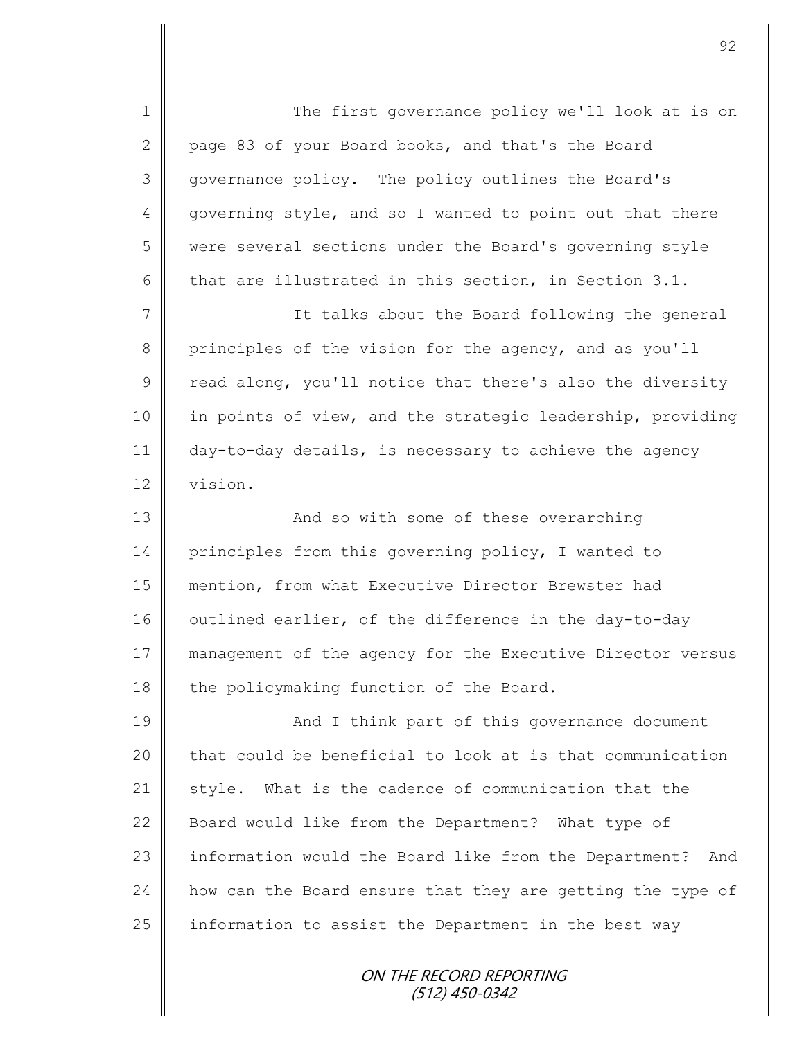1 || The first governance policy we'll look at is on 2 page 83 of your Board books, and that's the Board 3 governance policy. The policy outlines the Board's 4 governing style, and so I wanted to point out that there 5 were several sections under the Board's governing style 6 that are illustrated in this section, in Section 3.1. 7 || The talks about the Board following the general 8 principles of the vision for the agency, and as you'll  $9 \parallel$  read along, you'll notice that there's also the diversity 10 in points of view, and the strategic leadership, providing 11 day-to-day details, is necessary to achieve the agency 12 vision. 13 || And so with some of these overarching 14 principles from this governing policy, I wanted to 15 mention, from what Executive Director Brewster had 16 | outlined earlier, of the difference in the day-to-day 17 management of the agency for the Executive Director versus  $18$  the policymaking function of the Board. 19 || And I think part of this governance document  $20$  that could be beneficial to look at is that communication 21 style. What is the cadence of communication that the 22 Board would like from the Department? What type of 23 information would the Board like from the Department? And 24 how can the Board ensure that they are getting the type of 25  $\parallel$  information to assist the Department in the best way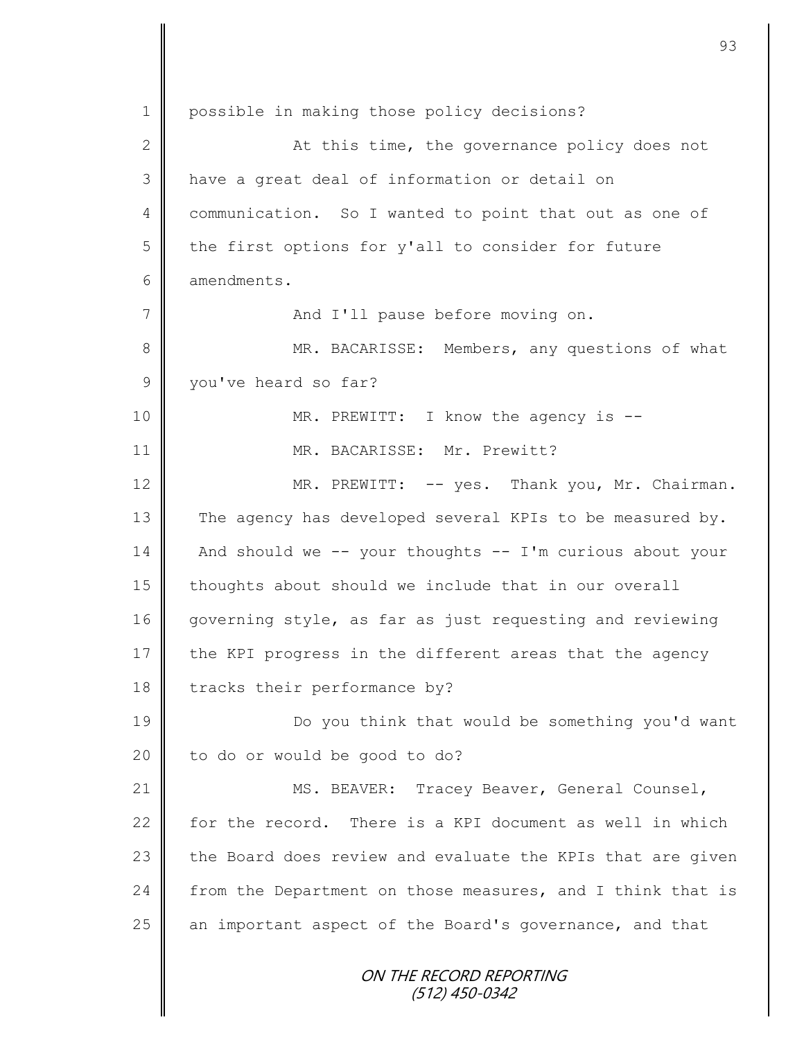ON THE RECORD REPORTING (512) 450-0342 1 | possible in making those policy decisions? 2 || At this time, the governance policy does not 3 have a great deal of information or detail on 4 communication. So I wanted to point that out as one of  $5 \parallel$  the first options for y'all to consider for future 6 **d** amendments. 7 And I'll pause before moving on. 8 MR. BACARISSE: Members, any questions of what 9 vou've heard so far? 10 || MR. PREWITT: I know the agency is --11 || MR. BACARISSE: Mr. Prewitt? 12 | MR. PREWITT: -- yes. Thank you, Mr. Chairman. 13 The agency has developed several KPIs to be measured by. 14 And should we -- your thoughts -- I'm curious about your  $15$  | thoughts about should we include that in our overall 16 governing style, as far as just requesting and reviewing 17 the KPI progress in the different areas that the agency 18 tracks their performance by? 19 **Do** you think that would be something you'd want 20 | to do or would be good to do? 21 | MS. BEAVER: Tracey Beaver, General Counsel, 22  $\parallel$  for the record. There is a KPI document as well in which 23 the Board does review and evaluate the KPIs that are given 24 from the Department on those measures, and I think that is  $25$  an important aspect of the Board's governance, and that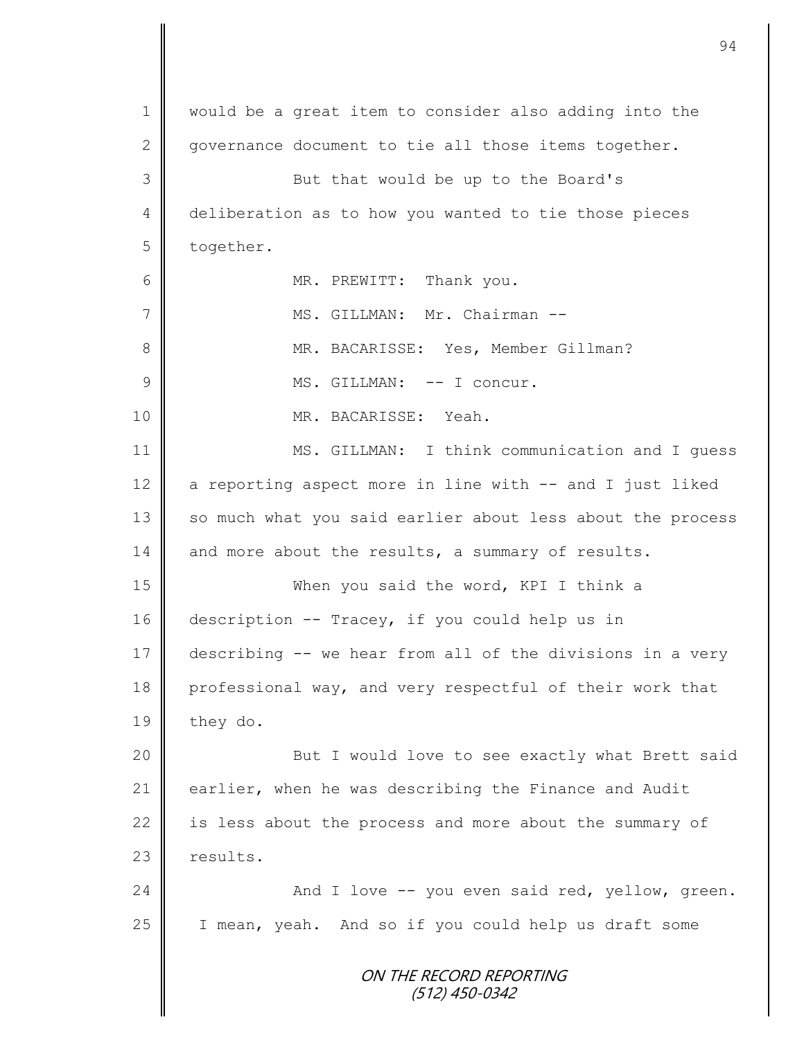|               | 94                                                         |
|---------------|------------------------------------------------------------|
| $\mathbf 1$   | would be a great item to consider also adding into the     |
| $\mathbf{2}$  | governance document to tie all those items together.       |
| 3             | But that would be up to the Board's                        |
| 4             | deliberation as to how you wanted to tie those pieces      |
| 5             | together.                                                  |
| 6             | MR. PREWITT: Thank you.                                    |
| 7             | MS. GILLMAN: Mr. Chairman --                               |
| $8\,$         | MR. BACARISSE: Yes, Member Gillman?                        |
| $\mathcal{G}$ | MS. GILLMAN: -- I concur.                                  |
| 10            | MR. BACARISSE: Yeah.                                       |
| 11            | MS. GILLMAN: I think communication and I quess             |
| 12            | a reporting aspect more in line with -- and I just liked   |
| 13            | so much what you said earlier about less about the process |
| 14            | and more about the results, a summary of results.          |
| 15            | When you said the word, KPI I think a                      |
| 16            | description -- Tracey, if you could help us in             |
| 17            | describing -- we hear from all of the divisions in a very  |
| 18            | professional way, and very respectful of their work that   |
| 19            | they do.                                                   |
| 20            | But I would love to see exactly what Brett said            |
| 21            | earlier, when he was describing the Finance and Audit      |
| 22            | is less about the process and more about the summary of    |
| 23            | results.                                                   |
| 24            | And I love -- you even said red, yellow, green.            |
| 25            | I mean, yeah. And so if you could help us draft some       |
|               | ON THE RECORD REPORTING<br>$(512)$ 450-0342                |

 $\mathbf{I}$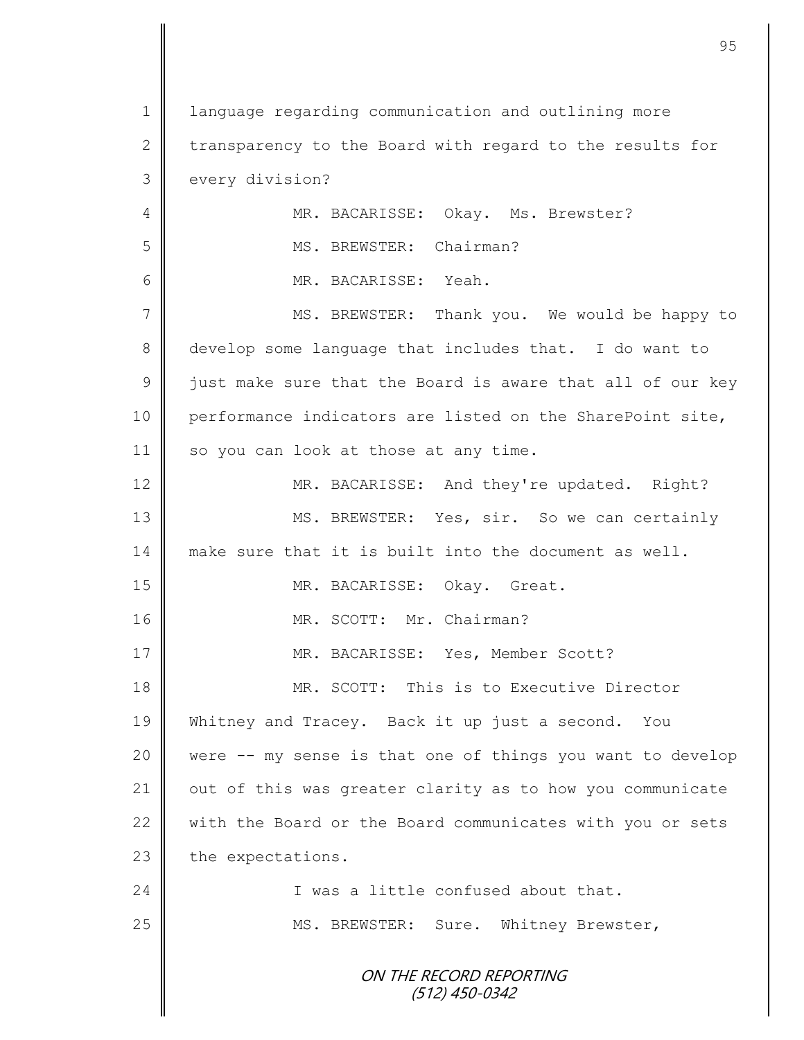ON THE RECORD REPORTING (512) 450-0342 1 | language regarding communication and outlining more 2 transparency to the Board with regard to the results for 3 | every division? 4 MR. BACARISSE: Okay. Ms. Brewster? 5 | MS. BREWSTER: Chairman? 6 MR. BACARISSE: Yeah. 7 || MS. BREWSTER: Thank you. We would be happy to 8 develop some language that includes that. I do want to 9 | just make sure that the Board is aware that all of our key 10 performance indicators are listed on the SharePoint site, 11 | so you can look at those at any time. 12 MR. BACARISSE: And they're updated. Right? 13 || MS. BREWSTER: Yes, sir. So we can certainly 14 make sure that it is built into the document as well. 15 || MR. BACARISSE: Okay. Great. 16 || MR. SCOTT: Mr. Chairman? 17 MR. BACARISSE: Yes, Member Scott? 18 MR. SCOTT: This is to Executive Director 19 Whitney and Tracey. Back it up just a second. You 20 were -- my sense is that one of things you want to develop 21 | out of this was greater clarity as to how you communicate 22 with the Board or the Board communicates with you or sets  $23$  the expectations. 24 I was a little confused about that. 25 | MS. BREWSTER: Sure. Whitney Brewster,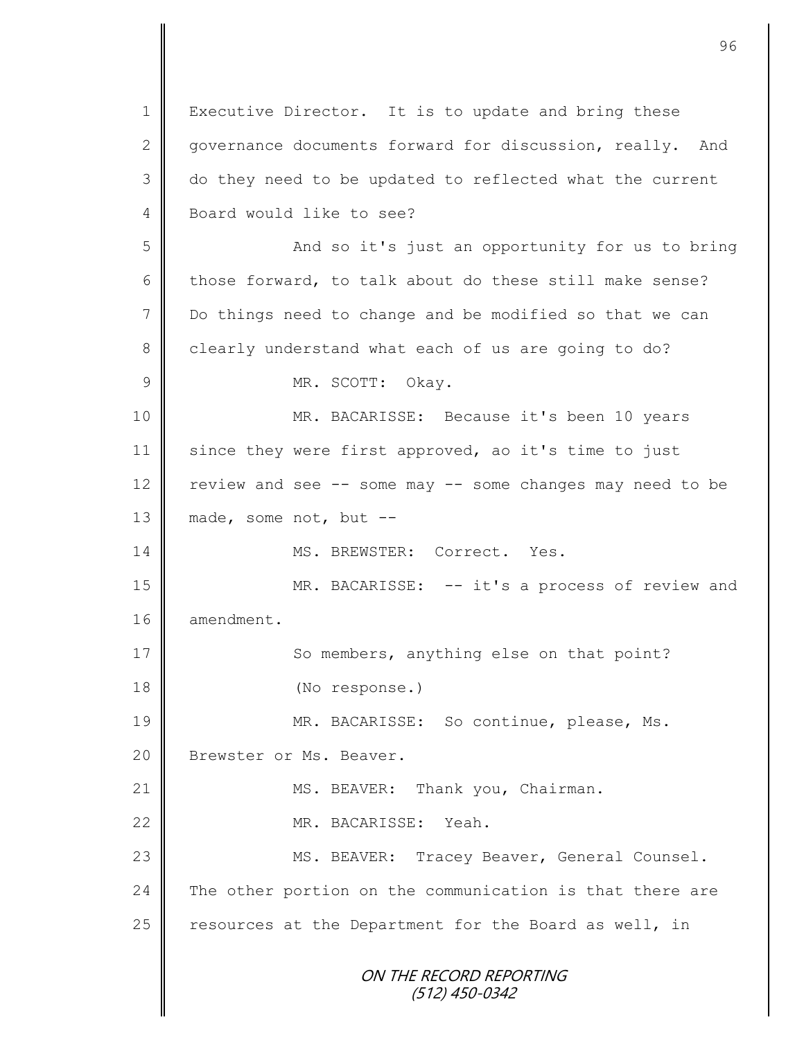ON THE RECORD REPORTING (512) 450-0342 1 | Executive Director. It is to update and bring these 2 governance documents forward for discussion, really. And 3 do they need to be updated to reflected what the current 4 Board would like to see? 5 || And so it's just an opportunity for us to bring 6 those forward, to talk about do these still make sense? 7 Do things need to change and be modified so that we can 8 clearly understand what each of us are going to do? 9 MR. SCOTT: Okay. 10 || MR. BACARISSE: Because it's been 10 years 11 since they were first approved, ao it's time to just 12 review and see -- some may -- some changes may need to be 13  $\parallel$  made, some not, but --14 MS. BREWSTER: Correct. Yes. 15 MR. BACARISSE: -- it's a process of review and 16 | amendment. 17 So members, anything else on that point? 18 (No response.) 19 || MR. BACARISSE: So continue, please, Ms. 20 | Brewster or Ms. Beaver. 21 | MS. BEAVER: Thank you, Chairman. 22 MR. BACARISSE: Yeah. 23 || MS. BEAVER: Tracey Beaver, General Counsel.  $24$  The other portion on the communication is that there are 25  $\parallel$  resources at the Department for the Board as well, in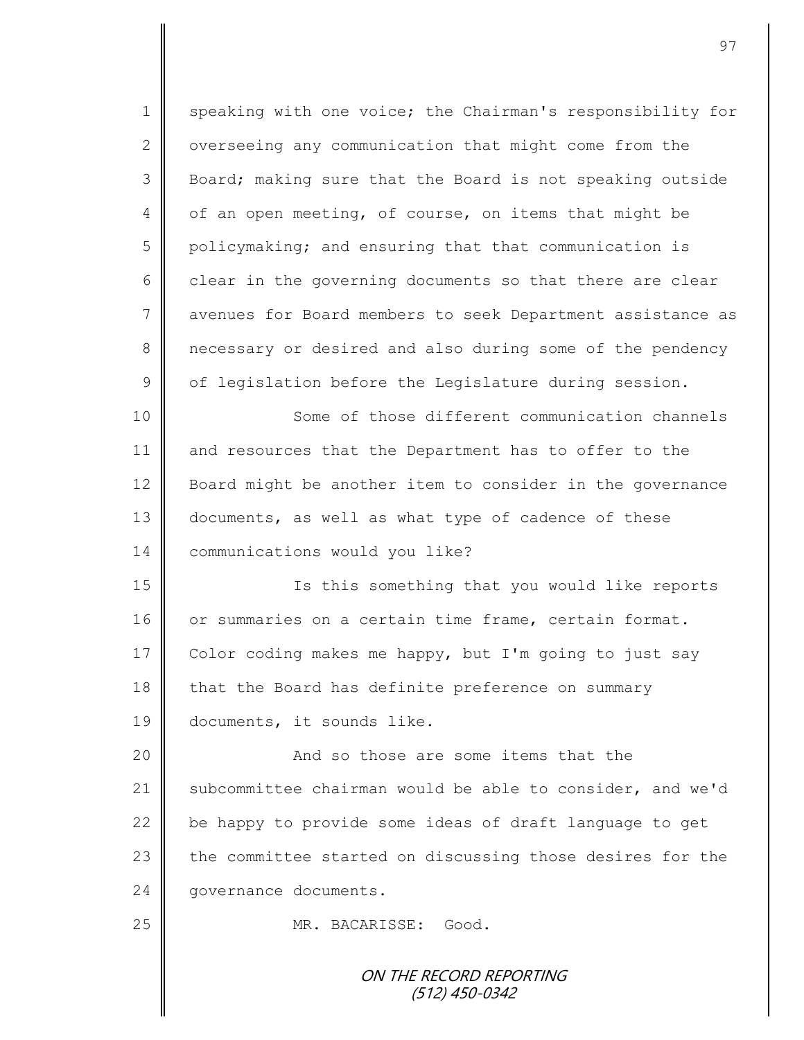ON THE RECORD REPORTING 1 speaking with one voice; the Chairman's responsibility for  $2 \parallel$  overseeing any communication that might come from the 3 Board; making sure that the Board is not speaking outside 4 | of an open meeting, of course, on items that might be 5 policymaking; and ensuring that that communication is  $6 \parallel$  clear in the governing documents so that there are clear 7 || avenues for Board members to seek Department assistance as 8 necessary or desired and also during some of the pendency  $9 \parallel$  of legislation before the Legislature during session. 10 || Some of those different communication channels 11 and resources that the Department has to offer to the 12 Board might be another item to consider in the governance 13 documents, as well as what type of cadence of these 14 **Communications would you like?** 15 Is this something that you would like reports 16 or summaries on a certain time frame, certain format. 17 Color coding makes me happy, but I'm going to just say 18 that the Board has definite preference on summary 19 documents, it sounds like. 20 || And so those are some items that the 21 Subcommittee chairman would be able to consider, and we'd 22 be happy to provide some ideas of draft language to get 23 the committee started on discussing those desires for the 24 | governance documents. 25 MR. BACARISSE: Good.

(512) 450-0342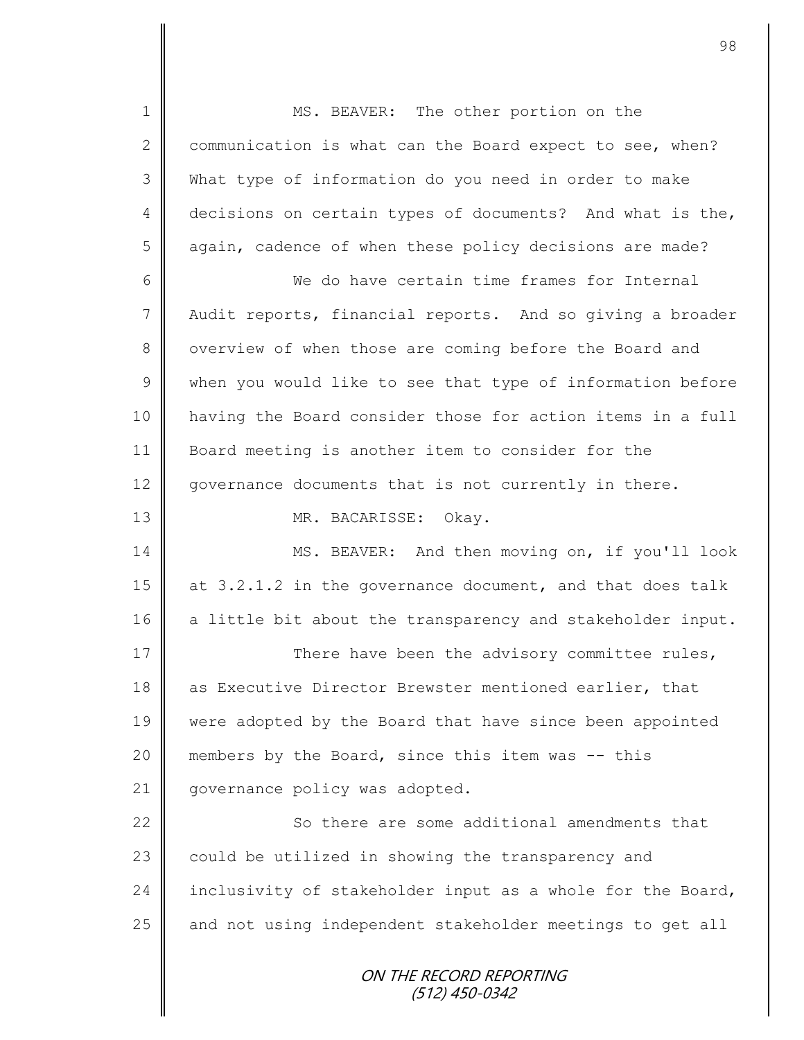ON THE RECORD REPORTING (512) 450-0342 1 MS. BEAVER: The other portion on the 2 communication is what can the Board expect to see, when? 3 What type of information do you need in order to make 4 decisions on certain types of documents? And what is the, 5 again, cadence of when these policy decisions are made? 6 We do have certain time frames for Internal 7 | Audit reports, financial reports. And so giving a broader 8 | overview of when those are coming before the Board and  $9 \parallel$  when you would like to see that type of information before 10 having the Board consider those for action items in a full 11 Board meeting is another item to consider for the 12 governance documents that is not currently in there. 13 NR. BACARISSE: Okay. 14 MS. BEAVER: And then moving on, if you'll look 15 at 3.2.1.2 in the governance document, and that does talk 16 a little bit about the transparency and stakeholder input. 17 There have been the advisory committee rules, 18 as Executive Director Brewster mentioned earlier, that 19 were adopted by the Board that have since been appointed 20 || members by the Board, since this item was -- this 21 | governance policy was adopted. 22 | So there are some additional amendments that 23 | could be utilized in showing the transparency and 24 inclusivity of stakeholder input as a whole for the Board,  $25$  and not using independent stakeholder meetings to get all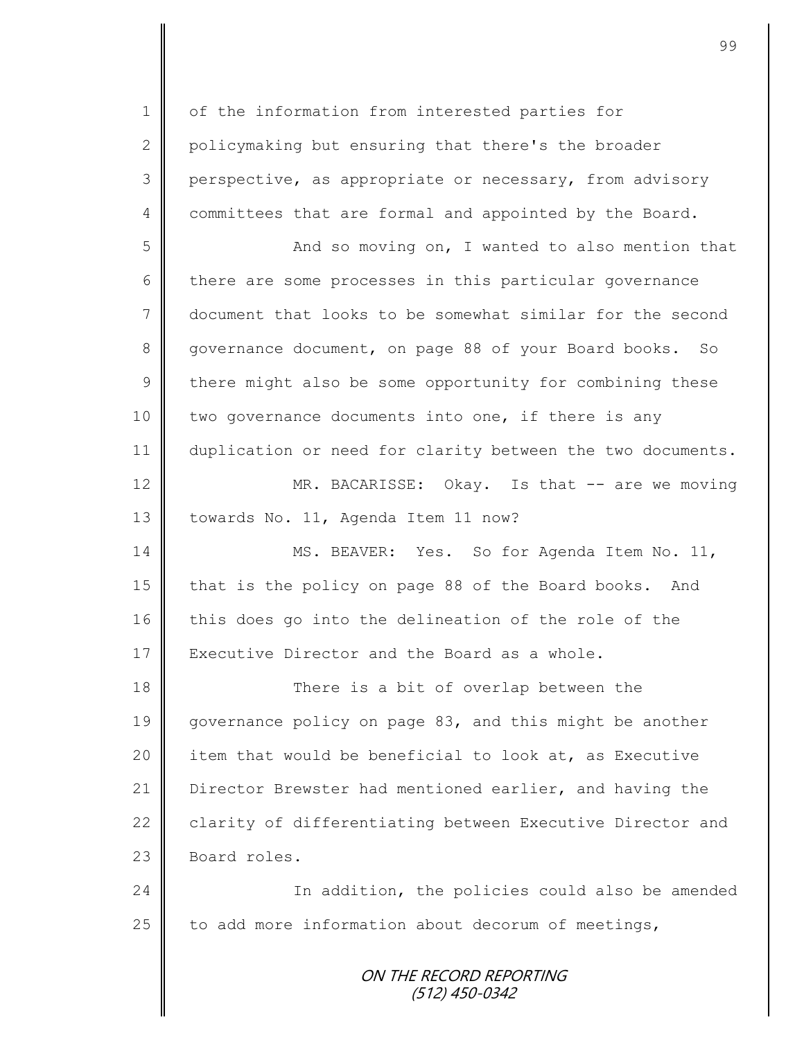ON THE RECORD REPORTING (512) 450-0342 1 | of the information from interested parties for 2 policymaking but ensuring that there's the broader 3 perspective, as appropriate or necessary, from advisory 4 committees that are formal and appointed by the Board. 5 || And so moving on, I wanted to also mention that 6 there are some processes in this particular governance 7 document that looks to be somewhat similar for the second 8 governance document, on page 88 of your Board books. So  $9 \parallel$  there might also be some opportunity for combining these 10 two governance documents into one, if there is any 11 | duplication or need for clarity between the two documents. 12 MR. BACARISSE: Okay. Is that -- are we moving 13 | towards No. 11, Agenda Item 11 now? 14 | MS. BEAVER: Yes. So for Agenda Item No. 11, 15 that is the policy on page 88 of the Board books. And 16 this does go into the delineation of the role of the 17 Executive Director and the Board as a whole. 18 There is a bit of overlap between the 19 governance policy on page 83, and this might be another 20 item that would be beneficial to look at, as Executive 21 Director Brewster had mentioned earlier, and having the 22 clarity of differentiating between Executive Director and  $23$  Board roles. 24 | The addition, the policies could also be amended  $25$  to add more information about decorum of meetings,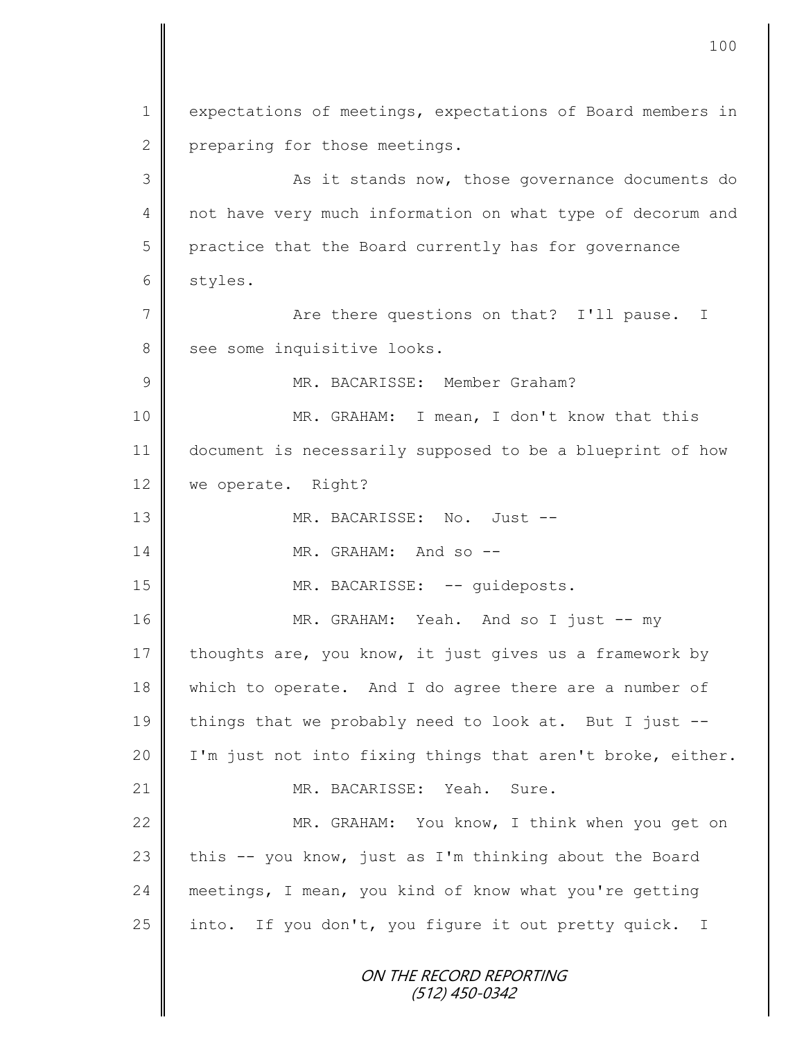ON THE RECORD REPORTING (512) 450-0342 1 expectations of meetings, expectations of Board members in 2 preparing for those meetings. 3 || As it stands now, those governance documents do 4 || not have very much information on what type of decorum and 5 practice that the Board currently has for governance 6 styles. 7 Are there questions on that? I'll pause. I 8 see some inquisitive looks. 9 MR. BACARISSE: Member Graham? 10 MR. GRAHAM: I mean, I don't know that this 11 document is necessarily supposed to be a blueprint of how 12 | we operate. Right? 13 MR. BACARISSE: No. Just -- 14 **MR.** GRAHAM: And so --15 || MR. BACARISSE: -- guideposts. 16 MR. GRAHAM: Yeah. And so I just -- my 17 thoughts are, you know, it just gives us a framework by 18 which to operate. And I do agree there are a number of 19  $\parallel$  things that we probably need to look at. But I just --20 | I'm just not into fixing things that aren't broke, either. 21 || MR. BACARISSE: Yeah. Sure. 22 MR. GRAHAM: You know, I think when you get on 23 this  $-$  you know, just as I'm thinking about the Board 24 meetings, I mean, you kind of know what you're getting 25 into. If you don't, you figure it out pretty quick. I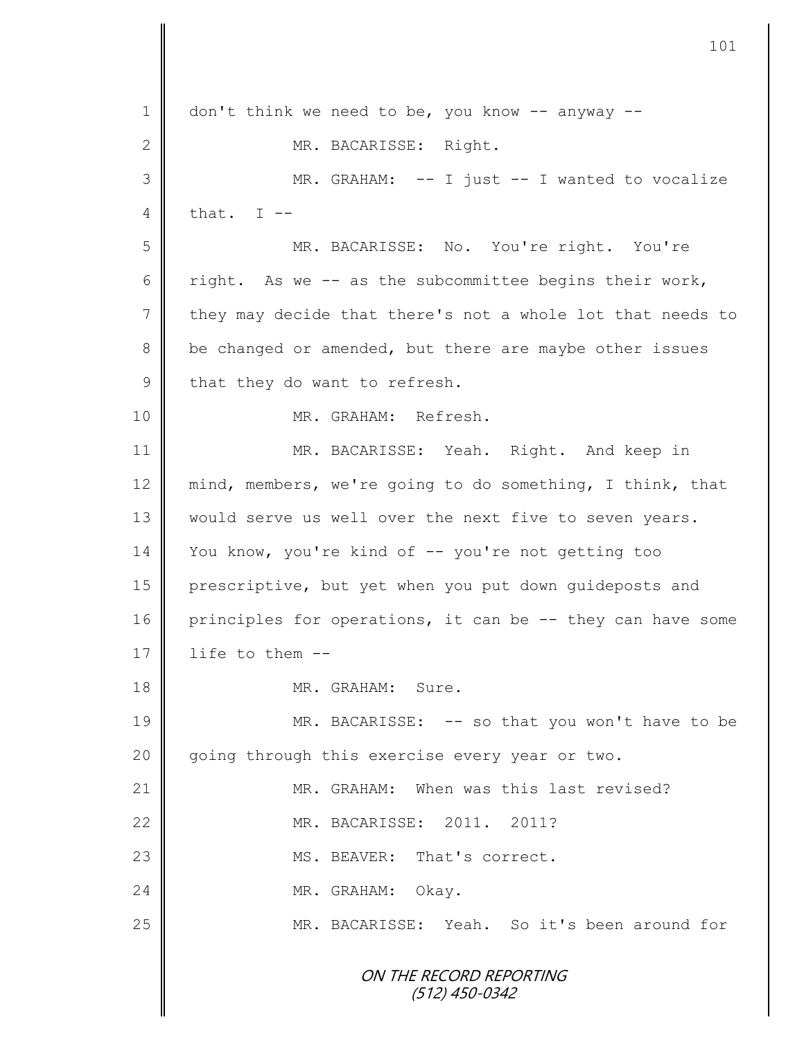ON THE RECORD REPORTING (512) 450-0342  $1 \parallel$  don't think we need to be, you know -- anyway --2 MR. BACARISSE: Right. 3 MR. GRAHAM: -- I just -- I wanted to vocalize 4  $\parallel$  that. I --5 MR. BACARISSE: No. You're right. You're 6 Tight. As we -- as the subcommittee begins their work, 7 they may decide that there's not a whole lot that needs to 8 be changed or amended, but there are maybe other issues 9 that they do want to refresh. 10 || MR. GRAHAM: Refresh. 11 || MR. BACARISSE: Yeah. Right. And keep in 12 mind, members, we're going to do something, I think, that 13 | would serve us well over the next five to seven years. 14 You know, you're kind of -- you're not getting too 15 prescriptive, but yet when you put down guideposts and 16 principles for operations, it can be -- they can have some  $17$  | life to them  $-$ 18 **MR. GRAHAM:** Sure. 19 MR. BACARISSE: -- so that you won't have to be 20 going through this exercise every year or two. 21 **MR.** GRAHAM: When was this last revised? 22 MR. BACARISSE: 2011. 2011? 23 **MS. BEAVER:** That's correct. 24 NR. GRAHAM: Okay. 25 MR. BACARISSE: Yeah. So it's been around for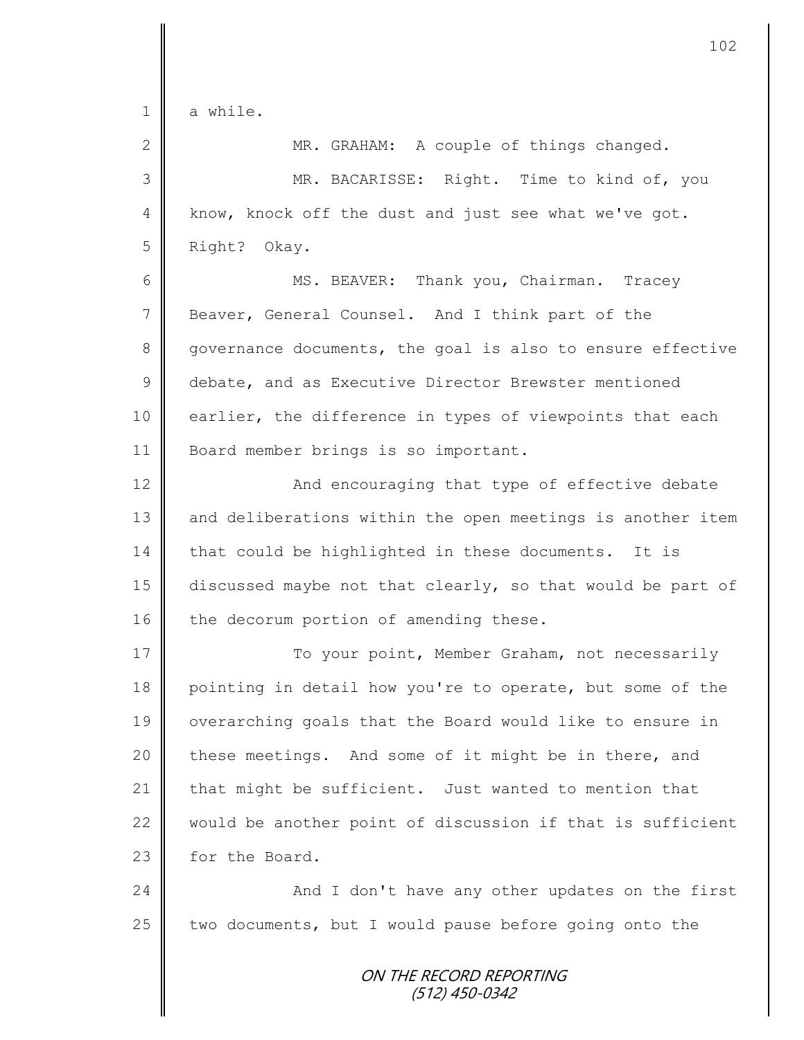| $\mathbf 1$     | a while.                                                   |
|-----------------|------------------------------------------------------------|
| $\mathbf{2}$    | MR. GRAHAM: A couple of things changed.                    |
| 3               | MR. BACARISSE: Right. Time to kind of, you                 |
| $\overline{4}$  | know, knock off the dust and just see what we've got.      |
| 5               | Right? Okay.                                               |
| 6               | MS. BEAVER: Thank you, Chairman. Tracey                    |
| $7\phantom{.0}$ | Beaver, General Counsel. And I think part of the           |
| 8               | governance documents, the goal is also to ensure effective |
| $\mathsf 9$     | debate, and as Executive Director Brewster mentioned       |
| 10              | earlier, the difference in types of viewpoints that each   |
| 11              | Board member brings is so important.                       |
| 12              | And encouraging that type of effective debate              |
| 13              | and deliberations within the open meetings is another item |
| 14              | that could be highlighted in these documents. It is        |
| 15              | discussed maybe not that clearly, so that would be part of |
| 16              | the decorum portion of amending these.                     |
| 17              | To your point, Member Graham, not necessarily              |
| 18              | pointing in detail how you're to operate, but some of the  |
| 19              | overarching goals that the Board would like to ensure in   |
| 20              | these meetings. And some of it might be in there, and      |
| 21              | that might be sufficient. Just wanted to mention that      |
| 22              | would be another point of discussion if that is sufficient |
| 23              | for the Board.                                             |
| 24              | And I don't have any other updates on the first            |
| 25              | two documents, but I would pause before going onto the     |
|                 |                                                            |

## ON THE RECORD REPORTING (512) 450-0342

 $\Big\|$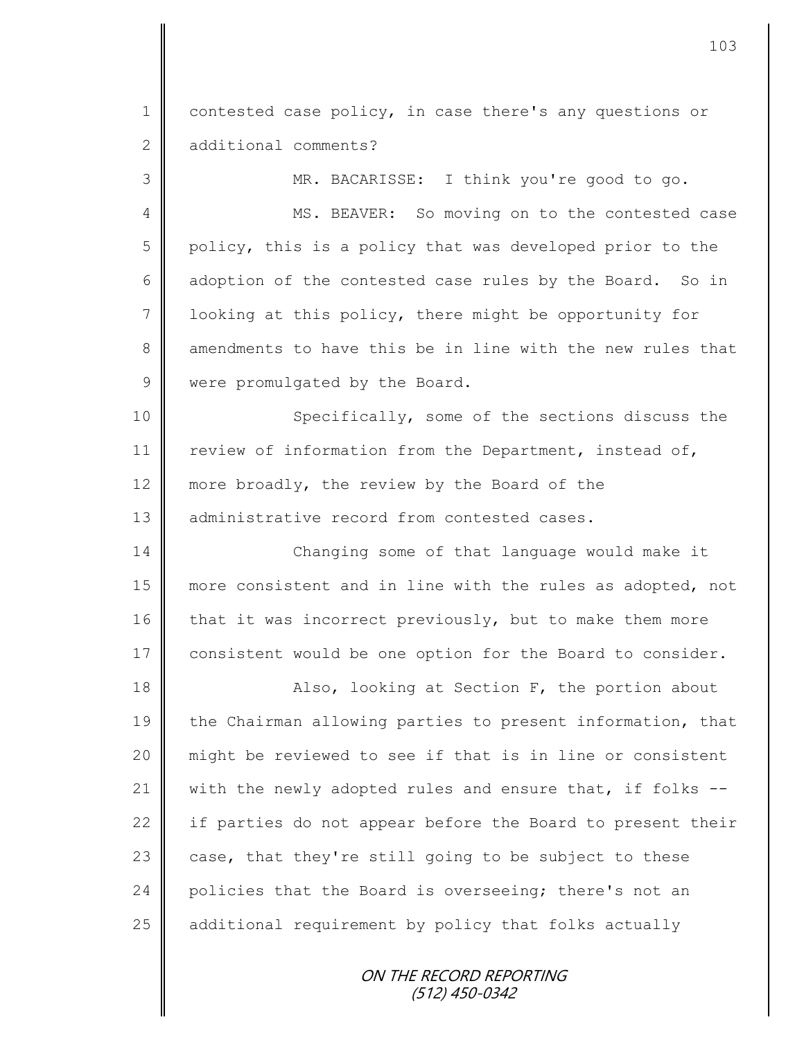1 contested case policy, in case there's any questions or 2 additional comments?

3 MR. BACARISSE: I think you're good to go.

4 || MS. BEAVER: So moving on to the contested case 5 policy, this is a policy that was developed prior to the 6 adoption of the contested case rules by the Board. So in 7  $\parallel$  1 ooking at this policy, there might be opportunity for 8 amendments to have this be in line with the new rules that 9 | were promulgated by the Board.

10 Specifically, some of the sections discuss the 11 review of information from the Department, instead of, 12 more broadly, the review by the Board of the 13 dadministrative record from contested cases.

14 Changing some of that language would make it 15 more consistent and in line with the rules as adopted, not 16 that it was incorrect previously, but to make them more 17 consistent would be one option for the Board to consider.

18 || Also, looking at Section F, the portion about 19 the Chairman allowing parties to present information, that 20 might be reviewed to see if that is in line or consistent 21  $\parallel$  with the newly adopted rules and ensure that, if folks --22  $\parallel$  if parties do not appear before the Board to present their 23  $\parallel$  case, that they're still going to be subject to these 24 policies that the Board is overseeing; there's not an 25 | additional requirement by policy that folks actually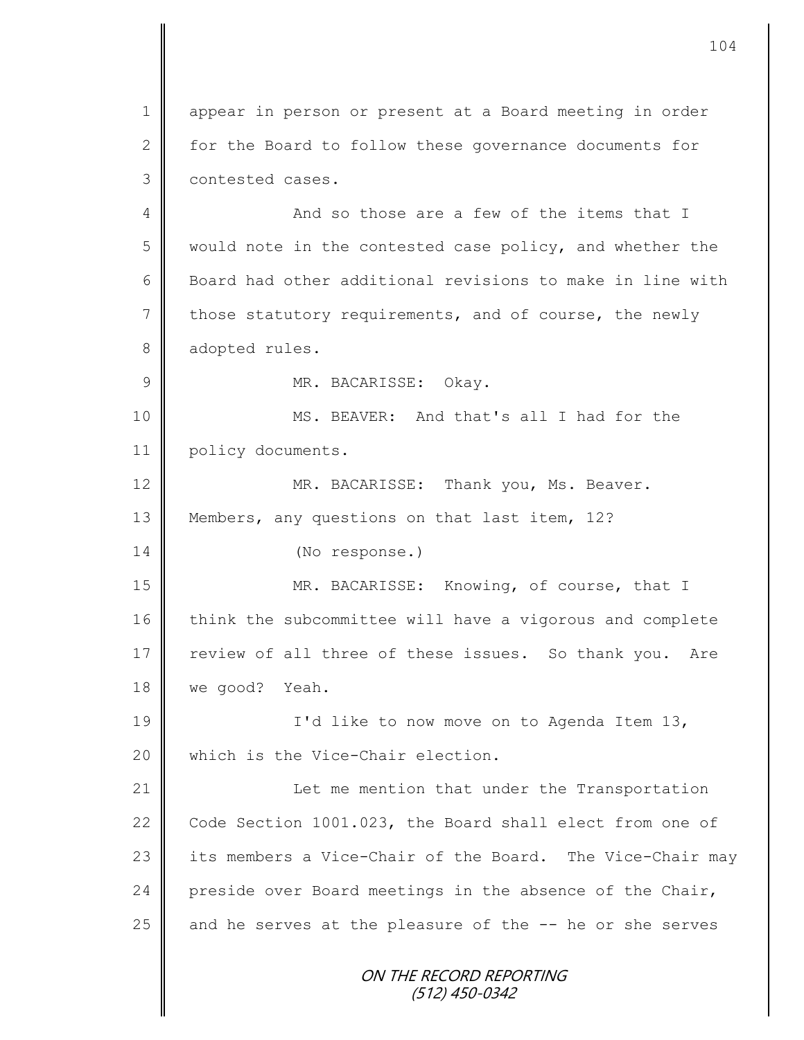ON THE RECORD REPORTING (512) 450-0342 1 || appear in person or present at a Board meeting in order 2  $\parallel$  for the Board to follow these governance documents for 3 | contested cases. 4 And so those are a few of the items that I 5 would note in the contested case policy, and whether the 6 Board had other additional revisions to make in line with  $7$  those statutory requirements, and of course, the newly 8 adopted rules. 9 MR. BACARISSE: Okay. 10 || MS. BEAVER: And that's all I had for the 11 policy documents. 12 MR. BACARISSE: Thank you, Ms. Beaver. 13 Members, any questions on that last item, 12? 14 (No response.) 15 MR. BACARISSE: Knowing, of course, that I 16 think the subcommittee will have a vigorous and complete 17 | review of all three of these issues. So thank you. Are 18 we good? Yeah. 19 || I'd like to now move on to Agenda Item 13, 20 which is the Vice-Chair election. 21 | Let me mention that under the Transportation 22 Code Section 1001.023, the Board shall elect from one of 23 its members a Vice-Chair of the Board. The Vice-Chair may 24 preside over Board meetings in the absence of the Chair, 25  $\parallel$  and he serves at the pleasure of the  $-$  he or she serves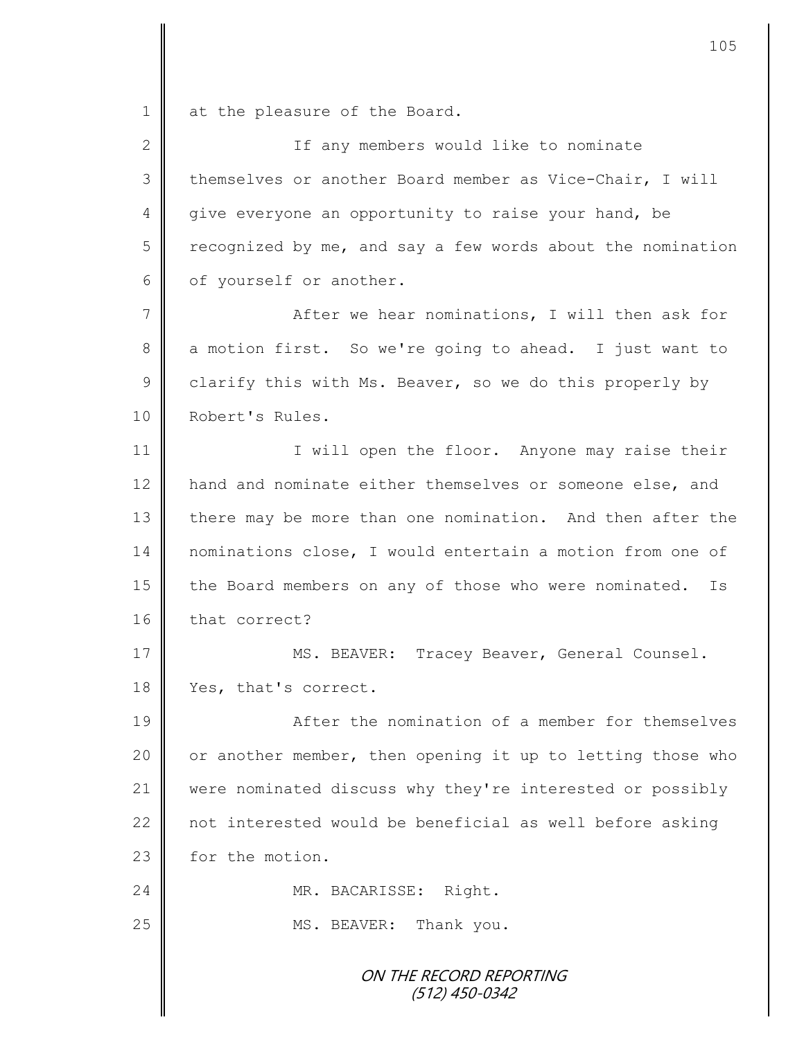1 at the pleasure of the Board.

2 || If any members would like to nominate 3 themselves or another Board member as Vice-Chair, I will 4 give everyone an opportunity to raise your hand, be  $5 \parallel$  recognized by me, and say a few words about the nomination 6 | of yourself or another.

7 After we hear nominations, I will then ask for 8 a motion first. So we're going to ahead. I just want to 9 clarify this with Ms. Beaver, so we do this properly by 10 | Robert's Rules.

11 | I will open the floor. Anyone may raise their 12 | hand and nominate either themselves or someone else, and 13 there may be more than one nomination. And then after the 14 nominations close, I would entertain a motion from one of 15 the Board members on any of those who were nominated. Is 16 that correct?

17 || MS. BEAVER: Tracey Beaver, General Counsel. 18 | Yes, that's correct.

**A**fter the nomination of a member for themselves  $\parallel$  or another member, then opening it up to letting those who were nominated discuss why they're interested or possibly  $\parallel$  not interested would be beneficial as well before asking 23 for the motion.

24 | MR. BACARISSE: Right.

25 MS. BEAVER: Thank you.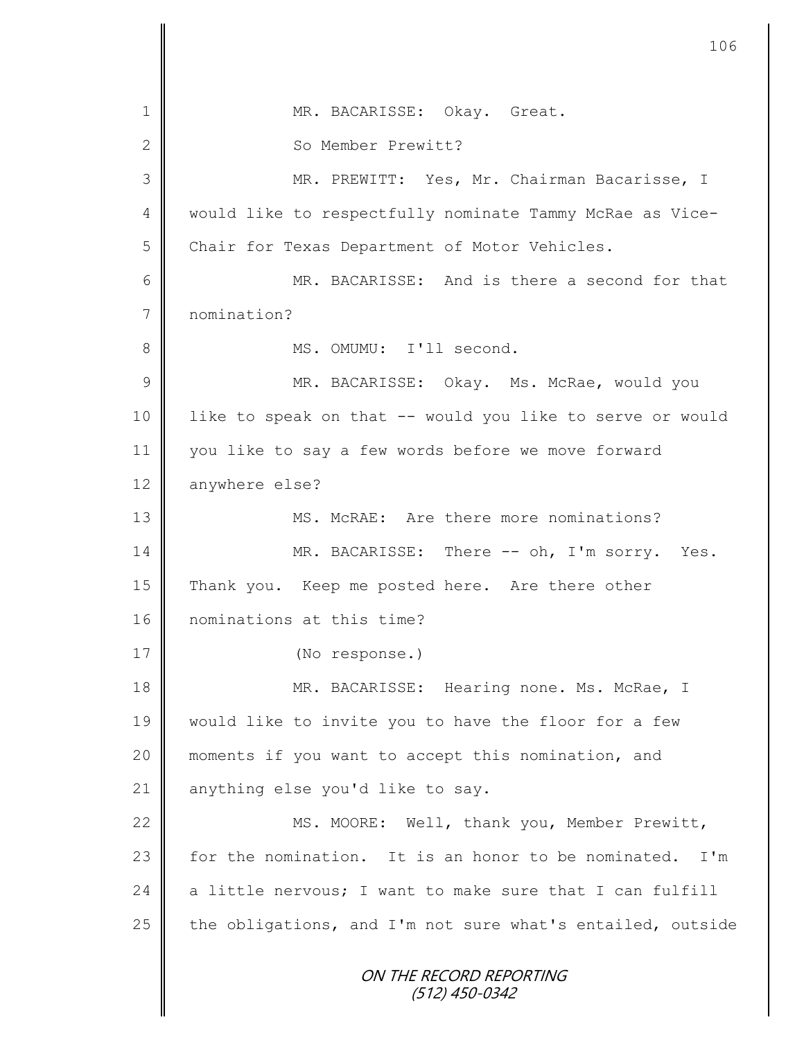ON THE RECORD REPORTING (512) 450-0342 1 || MR. BACARISSE: Okay. Great. 2 So Member Prewitt? 3 || MR. PREWITT: Yes, Mr. Chairman Bacarisse, I 4 | would like to respectfully nominate Tammy McRae as Vice-5 Chair for Texas Department of Motor Vehicles. 6 MR. BACARISSE: And is there a second for that 7 nomination? 8 || MS. OMUMU: I'll second. 9 MR. BACARISSE: Okay. Ms. McRae, would you 10 || like to speak on that -- would you like to serve or would 11 you like to say a few words before we move forward 12 anywhere else? 13 **MS. McRAE:** Are there more nominations? 14 MR. BACARISSE: There -- oh, I'm sorry. Yes. 15 Thank you. Keep me posted here. Are there other 16 nominations at this time? 17 (No response.) 18 || MR. BACARISSE: Hearing none. Ms. McRae, I 19 would like to invite you to have the floor for a few 20 moments if you want to accept this nomination, and 21 anything else you'd like to say. 22 | MS. MOORE: Well, thank you, Member Prewitt, 23  $\parallel$  for the nomination. It is an honor to be nominated. I'm 24  $\parallel$  a little nervous; I want to make sure that I can fulfill 25  $\parallel$  the obligations, and I'm not sure what's entailed, outside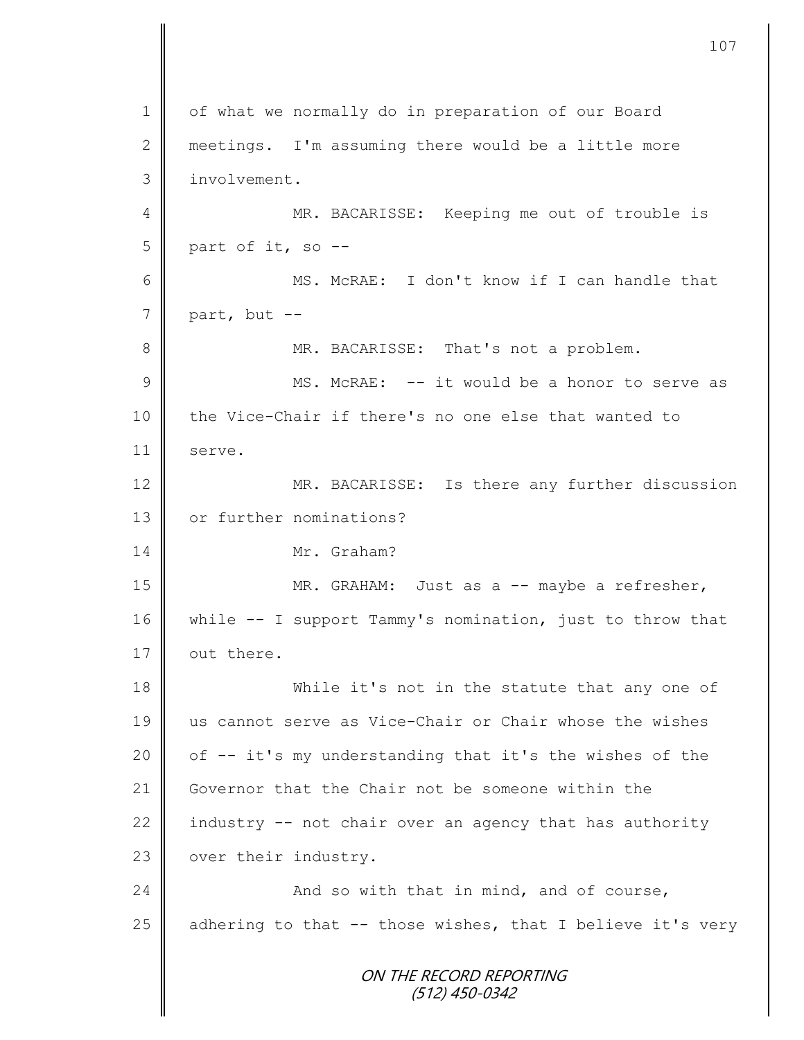ON THE RECORD REPORTING (512) 450-0342 1 of what we normally do in preparation of our Board 2 meetings. I'm assuming there would be a little more 3 involvement. 4 || MR. BACARISSE: Keeping me out of trouble is  $5 \parallel$  part of it, so --6 MS. McRAE: I don't know if I can handle that  $7 \parallel$  part, but --8 MR. BACARISSE: That's not a problem. 9 || MS. McRAE: -- it would be a honor to serve as 10 the Vice-Chair if there's no one else that wanted to 11 serve. 12 MR. BACARISSE: Is there any further discussion 13 or further nominations? 14 Mr. Graham? 15 || MR. GRAHAM: Just as a -- maybe a refresher, 16 | while -- I support Tammy's nomination, just to throw that 17  $\parallel$  out there. 18 While it's not in the statute that any one of 19 us cannot serve as Vice-Chair or Chair whose the wishes 20  $\parallel$  of  $-$  it's my understanding that it's the wishes of the 21 Governor that the Chair not be someone within the 22 industry  $-$  not chair over an agency that has authority 23 | over their industry. 24  $\parallel$  and so with that in mind, and of course, 25  $\parallel$  adhering to that -- those wishes, that I believe it's very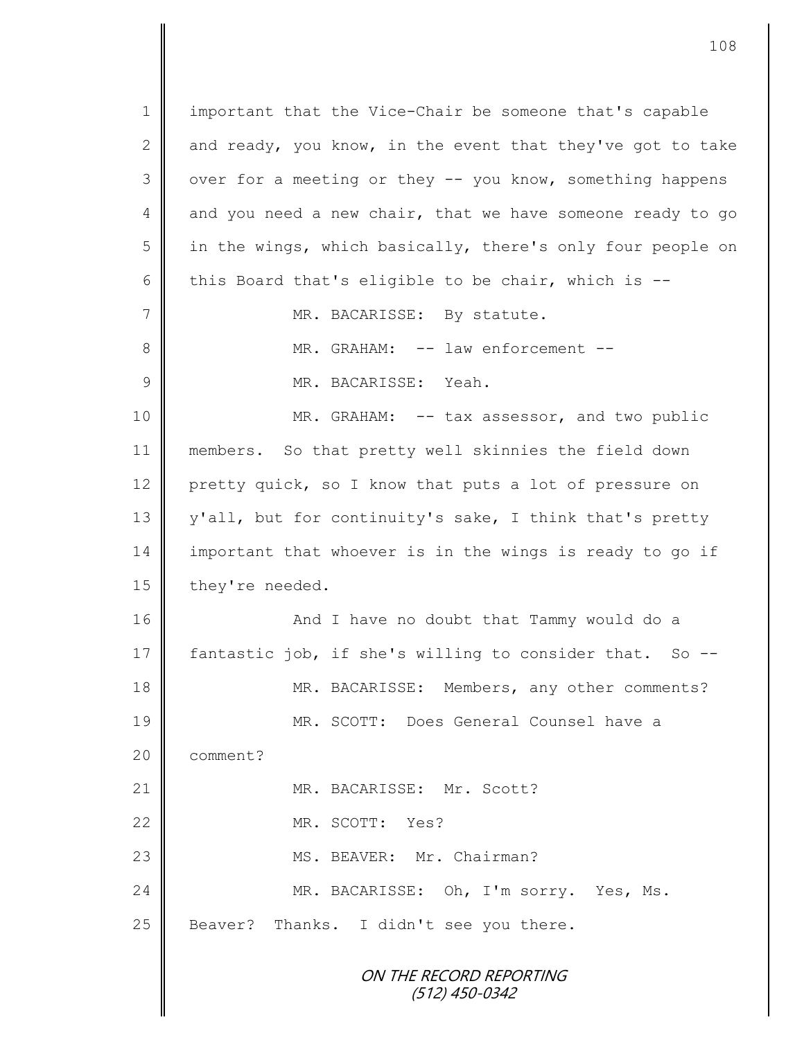ON THE RECORD REPORTING (512) 450-0342 1 important that the Vice-Chair be someone that's capable 2 and ready, you know, in the event that they've got to take 3 | over for a meeting or they -- you know, something happens 4 and you need a new chair, that we have someone ready to go  $5 \parallel$  in the wings, which basically, there's only four people on 6 this Board that's eligible to be chair, which is  $-$ -7 | MR. BACARISSE: By statute. 8 **||** MR. GRAHAM: -- law enforcement --9 MR. BACARISSE: Yeah. 10 MR. GRAHAM: -- tax assessor, and two public 11 members. So that pretty well skinnies the field down 12 pretty quick, so I know that puts a lot of pressure on 13 y'all, but for continuity's sake, I think that's pretty 14 important that whoever is in the wings is ready to go if 15 they're needed. 16 || And I have no doubt that Tammy would do a 17 fantastic job, if she's willing to consider that. So -- 18 MR. BACARISSE: Members, any other comments? 19 MR. SCOTT: Does General Counsel have a 20 **comment?** 21 | MR. BACARISSE: Mr. Scott? 22 MR. SCOTT: Yes? 23 || MS. BEAVER: Mr. Chairman? 24 MR. BACARISSE: Oh, I'm sorry. Yes, Ms.  $25$  Beaver? Thanks. I didn't see you there.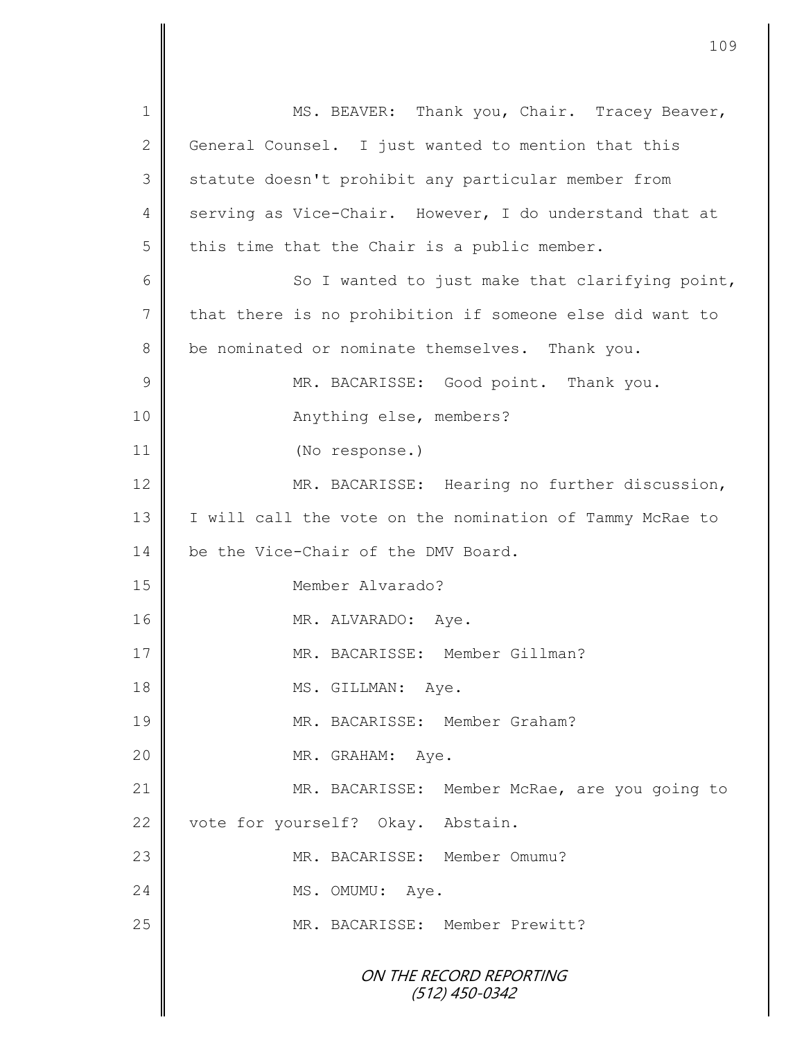| $\mathbf 1$     | MS. BEAVER: Thank you, Chair. Tracey Beaver,             |  |  |  |
|-----------------|----------------------------------------------------------|--|--|--|
| $\mathbf{2}$    | General Counsel. I just wanted to mention that this      |  |  |  |
| 3               | statute doesn't prohibit any particular member from      |  |  |  |
| 4               | serving as Vice-Chair. However, I do understand that at  |  |  |  |
| 5               | this time that the Chair is a public member.             |  |  |  |
| 6               | So I wanted to just make that clarifying point,          |  |  |  |
| $7\phantom{.0}$ | that there is no prohibition if someone else did want to |  |  |  |
| 8               | be nominated or nominate themselves. Thank you.          |  |  |  |
| $\mathcal{G}$   | MR. BACARISSE: Good point. Thank you.                    |  |  |  |
| 10              | Anything else, members?                                  |  |  |  |
| 11              | (No response.)                                           |  |  |  |
| 12              | MR. BACARISSE: Hearing no further discussion,            |  |  |  |
| 13              | I will call the vote on the nomination of Tammy McRae to |  |  |  |
| 14              | be the Vice-Chair of the DMV Board.                      |  |  |  |
| 15              | Member Alvarado?                                         |  |  |  |
| 16              | MR. ALVARADO: Aye.                                       |  |  |  |
| 17              | MR. BACARISSE: Member Gillman?                           |  |  |  |
| 18              | MS. GILLMAN: Aye.                                        |  |  |  |
| 19              | MR. BACARISSE: Member Graham?                            |  |  |  |
| 20              | MR. GRAHAM: Aye.                                         |  |  |  |
| 21              | MR. BACARISSE: Member McRae, are you going to            |  |  |  |
| 22              | vote for yourself? Okay. Abstain.                        |  |  |  |
| 23              | MR. BACARISSE: Member Omumu?                             |  |  |  |
| 24              | MS. OMUMU:<br>Aye.                                       |  |  |  |
| 25              | MR. BACARISSE: Member Prewitt?                           |  |  |  |
|                 | ON THE RECORD REPORTING<br>$(512)$ 450-0342              |  |  |  |

 $\mathbf l$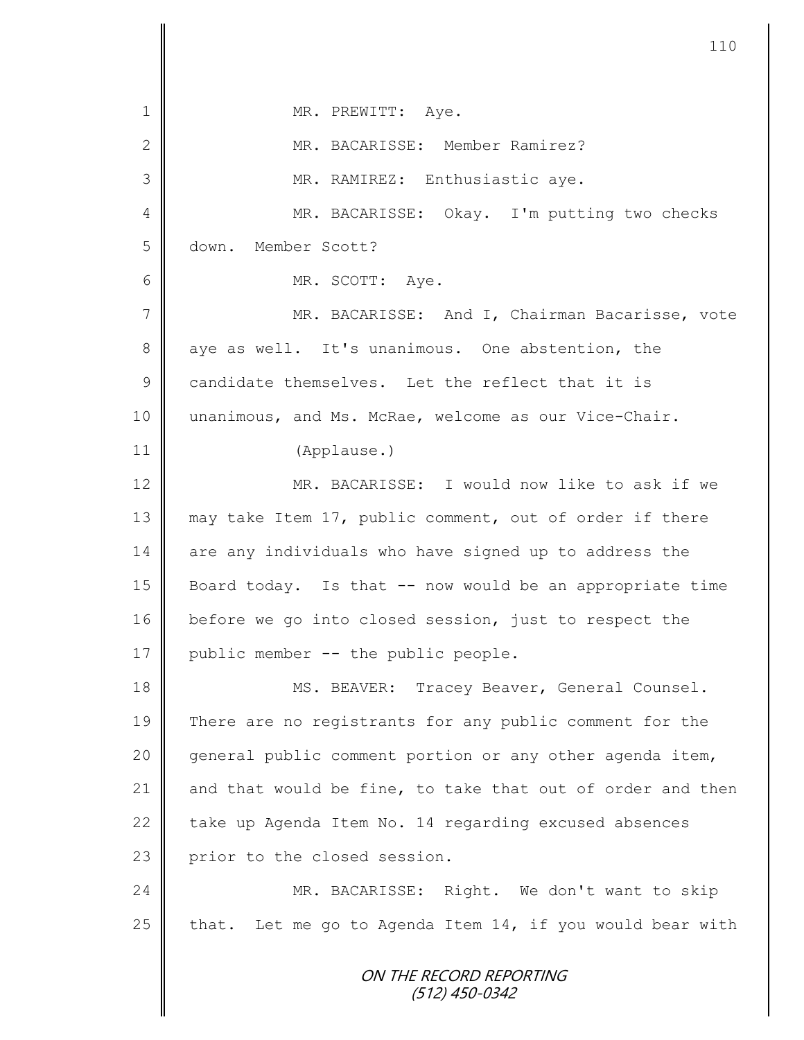| $\mathbf 1$     | MR. PREWITT: Aye.                                          |  |  |  |
|-----------------|------------------------------------------------------------|--|--|--|
| $\mathbf{2}$    | MR. BACARISSE: Member Ramirez?                             |  |  |  |
| 3               | MR. RAMIREZ: Enthusiastic aye.                             |  |  |  |
| 4               | MR. BACARISSE: Okay. I'm putting two checks                |  |  |  |
| 5               | Member Scott?<br>down.                                     |  |  |  |
| 6               | MR. SCOTT: Aye.                                            |  |  |  |
| $7\phantom{.0}$ | MR. BACARISSE: And I, Chairman Bacarisse, vote             |  |  |  |
| 8               | aye as well. It's unanimous. One abstention, the           |  |  |  |
| $\mathsf 9$     | candidate themselves. Let the reflect that it is           |  |  |  |
| 10              | unanimous, and Ms. McRae, welcome as our Vice-Chair.       |  |  |  |
| 11              | (Applause.)                                                |  |  |  |
| 12              | MR. BACARISSE: I would now like to ask if we               |  |  |  |
| 13              | may take Item 17, public comment, out of order if there    |  |  |  |
| 14              | are any individuals who have signed up to address the      |  |  |  |
| 15              | Board today. Is that -- now would be an appropriate time   |  |  |  |
| 16              | before we go into closed session, just to respect the      |  |  |  |
| 17              | public member -- the public people.                        |  |  |  |
| 18              | MS. BEAVER: Tracey Beaver, General Counsel.                |  |  |  |
| 19              | There are no registrants for any public comment for the    |  |  |  |
| 20              | general public comment portion or any other agenda item,   |  |  |  |
| 21              | and that would be fine, to take that out of order and then |  |  |  |
| 22              | take up Agenda Item No. 14 regarding excused absences      |  |  |  |
| 23              | prior to the closed session.                               |  |  |  |
| 24              | MR. BACARISSE: Right. We don't want to skip                |  |  |  |
| 25              | that. Let me go to Agenda Item 14, if you would bear with  |  |  |  |
|                 | ON THE RECORD REPORTING<br>(512) 450-0342                  |  |  |  |

 $\mathbf l$ II

Ι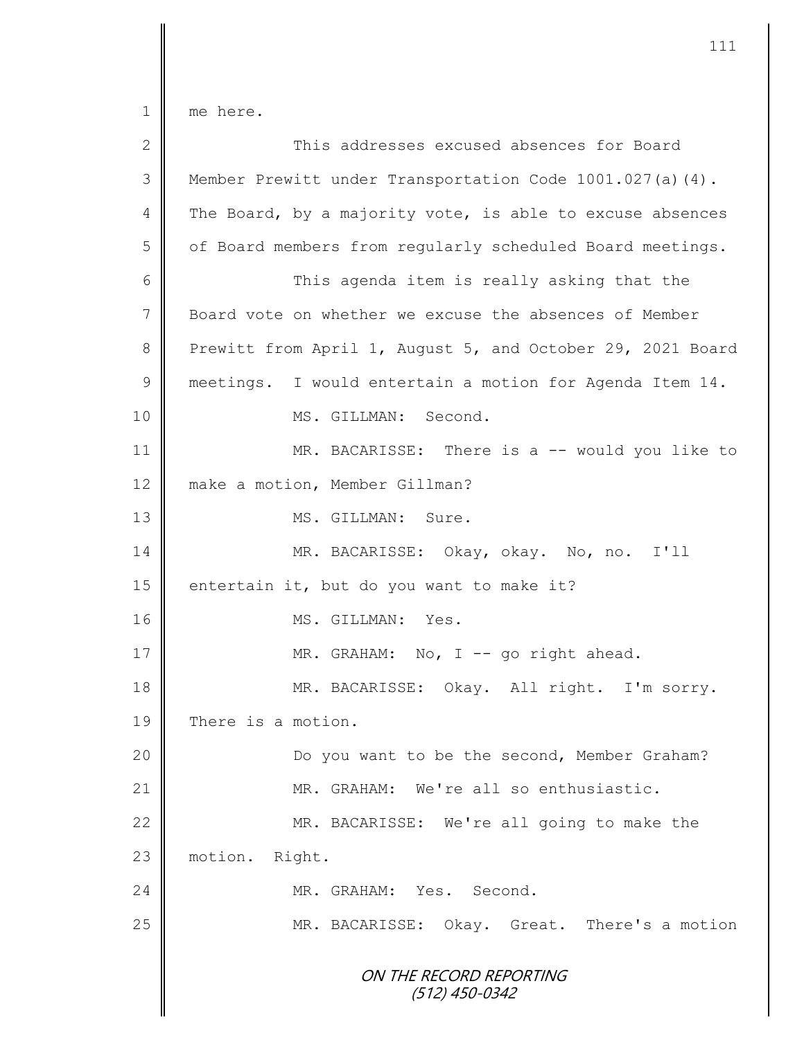1 me here.

| $\overline{2}$ | This addresses excused absences for Board                    |  |  |
|----------------|--------------------------------------------------------------|--|--|
| 3              | Member Prewitt under Transportation Code $1001.027$ (a) (4). |  |  |
| 4              | The Board, by a majority vote, is able to excuse absences    |  |  |
| 5              | of Board members from regularly scheduled Board meetings.    |  |  |
| 6              | This agenda item is really asking that the                   |  |  |
| $\overline{7}$ | Board vote on whether we excuse the absences of Member       |  |  |
| 8              | Prewitt from April 1, August 5, and October 29, 2021 Board   |  |  |
| $\mathcal{G}$  | meetings. I would entertain a motion for Agenda Item 14.     |  |  |
| 10             | MS. GILLMAN: Second.                                         |  |  |
| 11             | MR. BACARISSE: There is a -- would you like to               |  |  |
| 12             | make a motion, Member Gillman?                               |  |  |
| 13             | MS. GILLMAN: Sure.                                           |  |  |
| 14             | MR. BACARISSE: Okay, okay. No, no. I'll                      |  |  |
| 15             | entertain it, but do you want to make it?                    |  |  |
| 16             | MS. GILLMAN: Yes.                                            |  |  |
| 17             | MR. GRAHAM: No, I -- go right ahead.                         |  |  |
| 18             | MR. BACARISSE: Okay. All right. I'm sorry.                   |  |  |
| 19             | There is a motion.                                           |  |  |
| 20             | Do you want to be the second, Member Graham?                 |  |  |
| 21             | MR. GRAHAM: We're all so enthusiastic.                       |  |  |
| 22             | MR. BACARISSE: We're all going to make the                   |  |  |
| 23             | motion.<br>Right.                                            |  |  |
| 24             | MR. GRAHAM: Yes. Second.                                     |  |  |
| 25             | MR. BACARISSE: Okay. Great. There's a motion                 |  |  |
|                | ON THE RECORD REPORTING<br>$(512)$ 450-0342                  |  |  |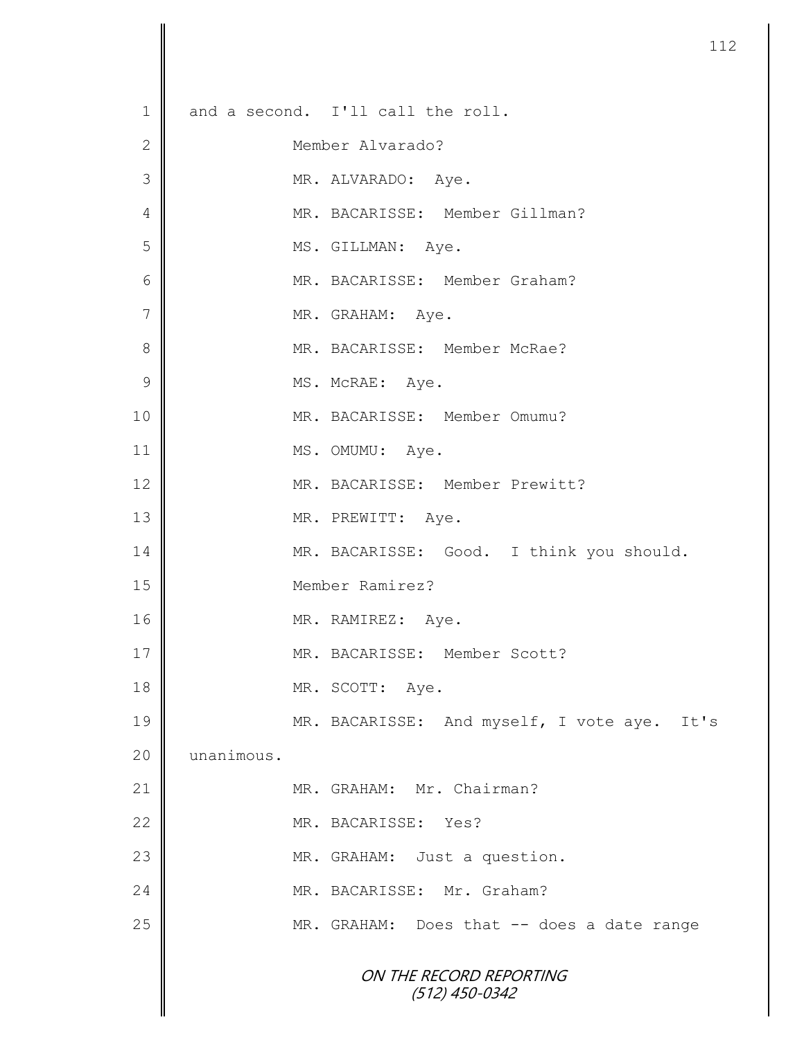|              |            |                                             | 11 |
|--------------|------------|---------------------------------------------|----|
|              |            |                                             |    |
| $\mathbf 1$  |            | and a second. I'll call the roll.           |    |
| $\mathbf{2}$ |            | Member Alvarado?                            |    |
| 3            |            | MR. ALVARADO: Aye.                          |    |
| 4            |            | MR. BACARISSE: Member Gillman?              |    |
| 5            |            | MS. GILLMAN: Aye.                           |    |
| 6            |            | MR. BACARISSE: Member Graham?               |    |
| 7            |            | MR. GRAHAM: Aye.                            |    |
| 8            |            | MR. BACARISSE: Member McRae?                |    |
| 9            |            | MS. McRAE: Aye.                             |    |
| 10           |            | MR. BACARISSE: Member Omumu?                |    |
| 11           |            | MS. OMUMU: Aye.                             |    |
| 12           |            | MR. BACARISSE: Member Prewitt?              |    |
| 13           |            | MR. PREWITT: Aye.                           |    |
| 14           |            | MR. BACARISSE: Good. I think you should.    |    |
| 15           |            | Member Ramirez?                             |    |
| 16           |            | MR. RAMIREZ: Aye.                           |    |
| 17           |            | MR. BACARISSE: Member Scott?                |    |
| 18           |            | MR. SCOTT: Aye.                             |    |
| 19           |            | MR. BACARISSE: And myself, I vote aye. It's |    |
| 20           | unanimous. |                                             |    |
| 21           |            | MR. GRAHAM: Mr. Chairman?                   |    |
| 22           |            | MR. BACARISSE: Yes?                         |    |
| 23           |            | MR. GRAHAM: Just a question.                |    |
| 24           |            | MR. BACARISSE: Mr. Graham?                  |    |
| 25           |            | MR. GRAHAM: Does that -- does a date range  |    |
|              |            | ON THE RECORD REPORTING<br>$(512)$ 450-0342 |    |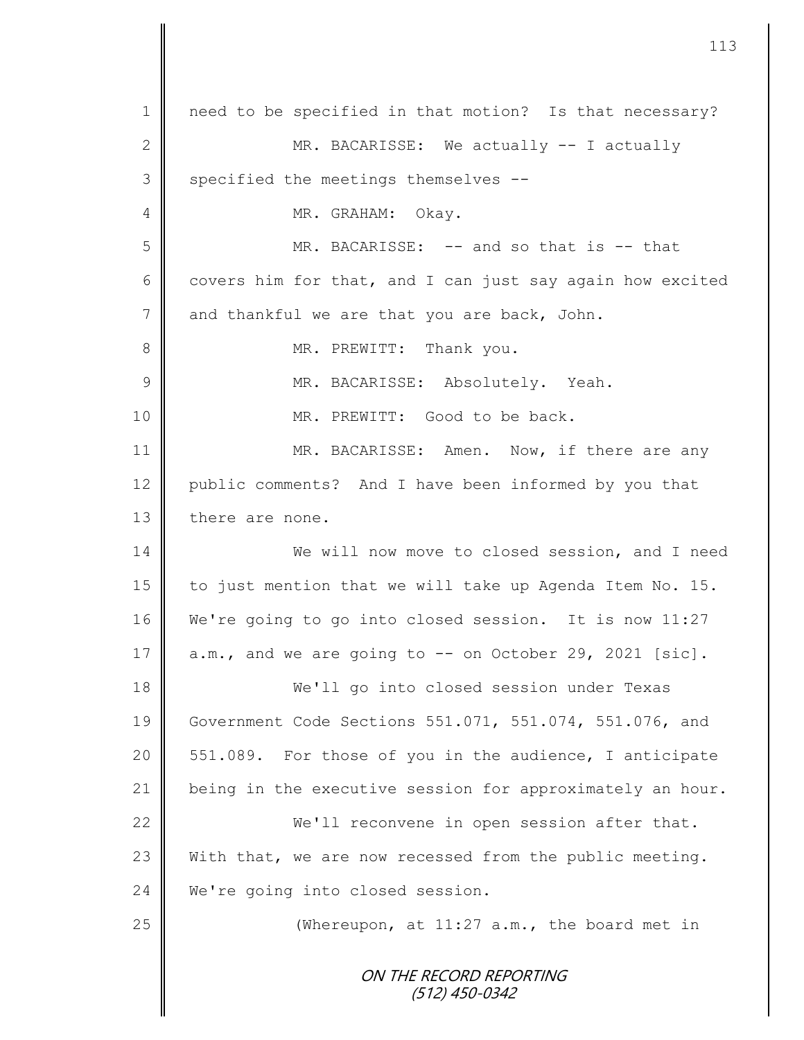| $\mathbf 1$    | need to be specified in that motion? Is that necessary?   |
|----------------|-----------------------------------------------------------|
| $\mathbf{2}$   | MR. BACARISSE: We actually -- I actually                  |
| $\mathfrak{Z}$ | specified the meetings themselves --                      |
| 4              | MR. GRAHAM: Okay.                                         |
| 5              | MR. BACARISSE: -- and so that is -- that                  |
| 6              | covers him for that, and I can just say again how excited |
| $\overline{7}$ | and thankful we are that you are back, John.              |
| $8\,$          | MR. PREWITT: Thank you.                                   |
| 9              | MR. BACARISSE: Absolutely. Yeah.                          |
| 10             | MR. PREWITT: Good to be back.                             |
| 11             | MR. BACARISSE: Amen. Now, if there are any                |
| 12             | public comments? And I have been informed by you that     |
| 13             | there are none.                                           |
| 14             | We will now move to closed session, and I need            |
| 15             | to just mention that we will take up Agenda Item No. 15.  |
| 16             | We're going to go into closed session. It is now 11:27    |
| 17             | a.m., and we are going to -- on October 29, 2021 [sic].   |
| 18             | We'll go into closed session under Texas                  |
| 19             | Government Code Sections 551.071, 551.074, 551.076, and   |
| 20             | 551.089. For those of you in the audience, I anticipate   |
| 21             | being in the executive session for approximately an hour. |
| 22             | We'll reconvene in open session after that.               |
| 23             | With that, we are now recessed from the public meeting.   |
| 24             | We're going into closed session.                          |
| 25             | (Whereupon, at $11:27$ a.m., the board met in             |
|                | ON THE RECORD REPORTING<br>(512) 450-0342                 |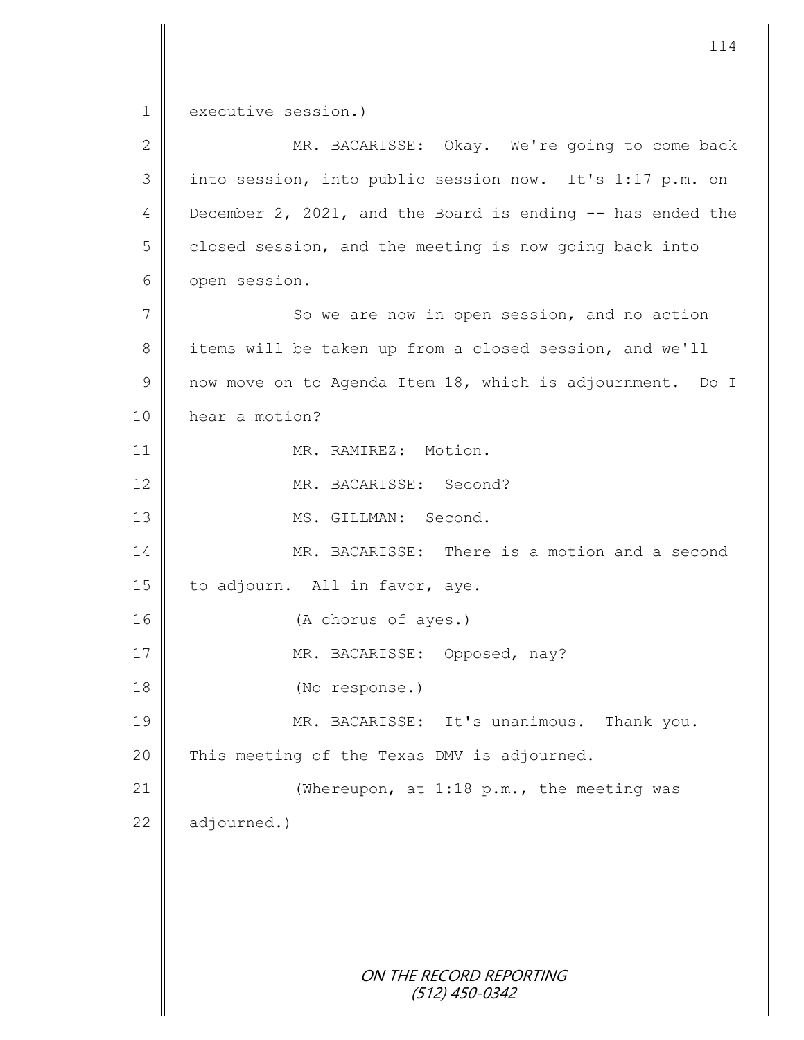1 executive session.) 2 || MR. BACARISSE: Okay. We're going to come back 3 || into session, into public session now. It's 1:17 p.m. on 4 December 2, 2021, and the Board is ending  $-$  has ended the  $5 \parallel$  closed session, and the meeting is now going back into 6 open session. 7 || So we are now in open session, and no action 8 items will be taken up from a closed session, and we'll 9 | now move on to Agenda Item 18, which is adjournment. Do I

10 | hear a motion? 11 || MR. RAMIREZ: Motion. 12 MR. BACARISSE: Second? 13 MS. GILLMAN: Second. 14 MR. BACARISSE: There is a motion and a second 15 to adjourn. All in favor, aye.

16 (A chorus of ayes.) 17 | MR. BACARISSE: Opposed, nay? 18 (No response.) 19 MR. BACARISSE: It's unanimous. Thank you. 20  $\parallel$  This meeting of the Texas DMV is adjourned. 21 | (Whereupon, at 1:18 p.m., the meeting was

 $22$  adjourned.)